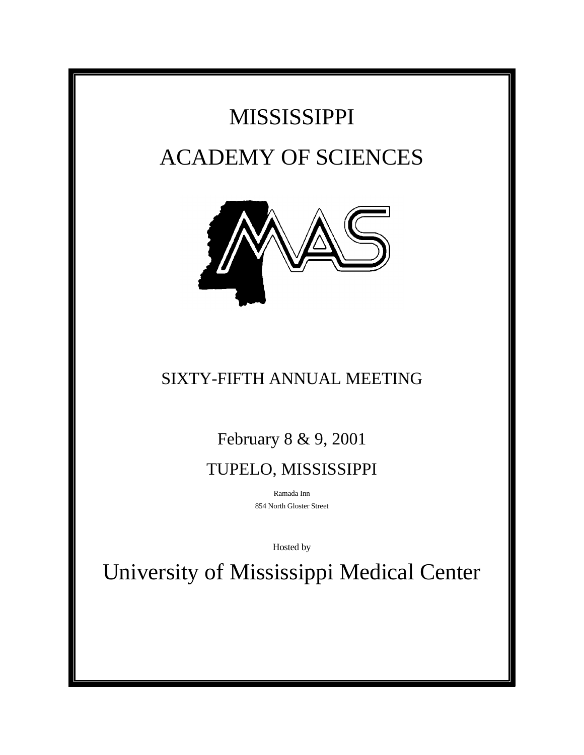## MISSISSIPPI ACADEMY OF SCIENCES



### SIXTY-FIFTH ANNUAL MEETING

February 8 & 9, 2001

### TUPELO, MISSISSIPPI

Ramada Inn

854 North Gloster Street

Hosted by

University of Mississippi Medical Center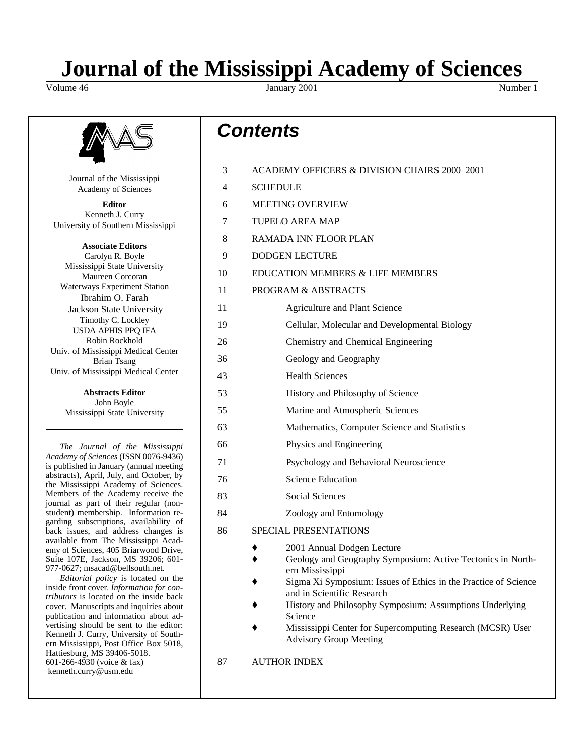# **<u>Journal of the Mississippi Academy of Sciences</u>**

Volume 46 Number 1 Volume 46 Number 1 Volume 46 Number 1 Number 1 Number 1 Number 1 Number 1 Number 1 Number 1



Journal of the Mississippi Academy of Sciences

**Editor** Kenneth J. Curry University of Southern Mississippi

**Associate Editors** Carolyn R. Boyle Mississippi State University Maureen Corcoran Waterways Experiment Station Ibrahim O. Farah Jackson State University Timothy C. Lockley USDA APHIS PPQ IFA Robin Rockhold Univ. of Mississippi Medical Center Brian Tsang Univ. of Mississippi Medical Center

> **Abstracts Editor** John Boyle Mississippi State University

*The Journal of the Mississippi Academy of Sciences* (ISSN 0076-9436) is published in January (annual meeting abstracts), April, July, and October, by the Mississippi Academy of Sciences. Members of the Academy receive the journal as part of their regular (nonstudent) membership. Information regarding subscriptions, availability of back issues, and address changes is available from The Mississippi Academy of Sciences, 405 Briarwood Drive, Suite 107E, Jackson, MS 39206; 601- 977-0627; msacad@bellsouth.net.

*Editorial policy* is located on the inside front cover. *Information for contributors* is located on the inside back cover. Manuscripts and inquiries about publication and information about advertising should be sent to the editor: Kenneth J. Curry, University of Southern Mississippi, Post Office Box 5018, Hattiesburg, MS 39406-5018. 601-266-4930 (voice & fax) kenneth.curry@usm.edu

### *Contents*

- 3 ACADEMY OFFICERS & DIVISION CHAIRS 2000–2001
- 4 SCHEDULE
- 6 MEETING OVERVIEW
- 7 TUPELO AREA MAP
- 8 RAMADA INN FLOOR PLAN
- 9 DODGEN LECTURE
- 10 EDUCATION MEMBERS & LIFE MEMBERS
- 11 PROGRAM & ABSTRACTS
- 11 Agriculture and Plant Science
- 19 Cellular, Molecular and Developmental Biology
- 26 Chemistry and Chemical Engineering
- 36 Geology and Geography
- 43 Health Sciences
- 53 History and Philosophy of Science
- 55 Marine and Atmospheric Sciences
- 63 Mathematics, Computer Science and Statistics
- 66 Physics and Engineering
- 71 Psychology and Behavioral Neuroscience
- 76 Science Education
- 83 Social Sciences
- 84 Zoology and Entomology
- 86 SPECIAL PRESENTATIONS
	- 2001 Annual Dodgen Lecture
	- Geology and Geography Symposium: Active Tectonics in Northern Mississippi
	- Sigma Xi Symposium: Issues of Ethics in the Practice of Science and in Scientific Research
	- History and Philosophy Symposium: Assumptions Underlying Science
	- Mississippi Center for Supercomputing Research (MCSR) User Advisory Group Meeting

87 AUTHOR INDEX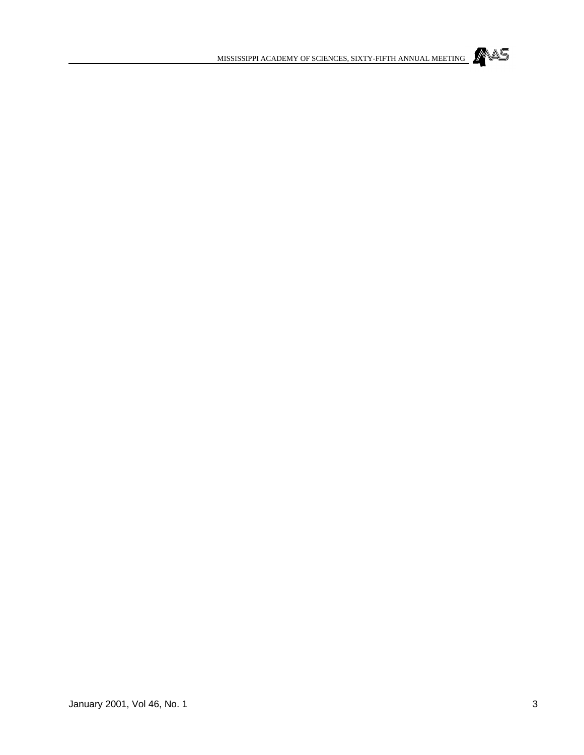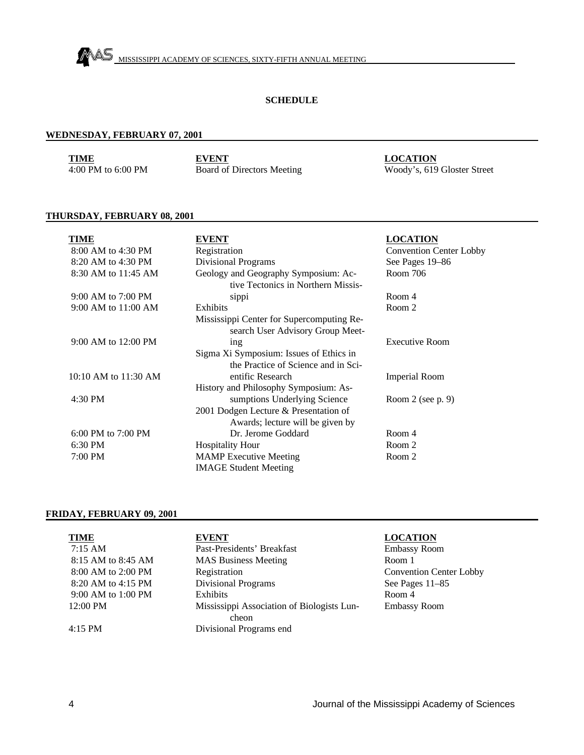

#### **SCHEDULE**

#### **WEDNESDAY, FEBRUARY 07, 2001**

**TIME** 4:00 PM to 6:00 PM **EVENT** Board of Directors Meeting **LOCATION** Woody's, 619 Gloster Street

#### **THURSDAY, FEBRUARY 08, 2001**

| TIME                   | <b>EVENT</b>                                                                   | <b>LOCATION</b>                |
|------------------------|--------------------------------------------------------------------------------|--------------------------------|
| 8:00 AM to 4:30 PM     | Registration                                                                   | <b>Convention Center Lobby</b> |
| 8:20 AM to 4:30 PM     | <b>Divisional Programs</b>                                                     | See Pages 19-86                |
| 8:30 AM to 11:45 AM    | Geology and Geography Symposium: Ac-<br>tive Tectonics in Northern Missis-     | Room 706                       |
| $9:00$ AM to $7:00$ PM | sippi                                                                          | Room 4                         |
| 9:00 AM to 11:00 AM    | Exhibits                                                                       | Room 2                         |
|                        | Mississippi Center for Supercomputing Re-<br>search User Advisory Group Meet-  |                                |
| 9:00 AM to 12:00 PM    | ing                                                                            | <b>Executive Room</b>          |
|                        | Sigma Xi Symposium: Issues of Ethics in<br>the Practice of Science and in Sci- |                                |
| 10:10 AM to 11:30 AM   | entific Research                                                               | <b>Imperial Room</b>           |
|                        | History and Philosophy Symposium: As-                                          |                                |
| 4:30 PM                | sumptions Underlying Science                                                   | Room $2$ (see p. 9)            |
|                        | 2001 Dodgen Lecture & Presentation of<br>Awards; lecture will be given by      |                                |
| $6:00$ PM to $7:00$ PM | Dr. Jerome Goddard                                                             | Room 4                         |
| 6:30 PM                | <b>Hospitality Hour</b>                                                        | Room 2                         |
| $7:00$ PM              | <b>MAMP</b> Executive Meeting                                                  | Room 2                         |
|                        | <b>IMAGE Student Meeting</b>                                                   |                                |

#### **FRIDAY, FEBRUARY 09, 2001**

| <b>TIME</b>        | <b>EVENT</b>                               | <b>LOCATION</b>                |
|--------------------|--------------------------------------------|--------------------------------|
| 7:15 AM            | Past-Presidents' Breakfast                 | <b>Embassy Room</b>            |
| 8:15 AM to 8:45 AM | <b>MAS Business Meeting</b>                | Room 1                         |
| 8:00 AM to 2:00 PM | Registration                               | <b>Convention Center Lobby</b> |
| 8:20 AM to 4:15 PM | <b>Divisional Programs</b>                 | See Pages 11–85                |
| 9:00 AM to 1:00 PM | <b>Exhibits</b>                            | Room 4                         |
| 12:00 PM           | Mississippi Association of Biologists Lun- | <b>Embassy Room</b>            |
|                    | cheon                                      |                                |
| $4:15$ PM          | Divisional Programs end                    |                                |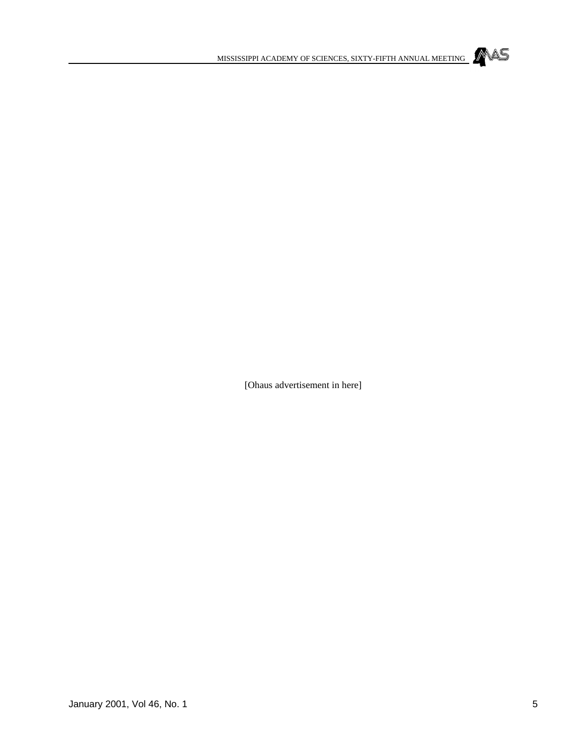

[Ohaus advertisement in here]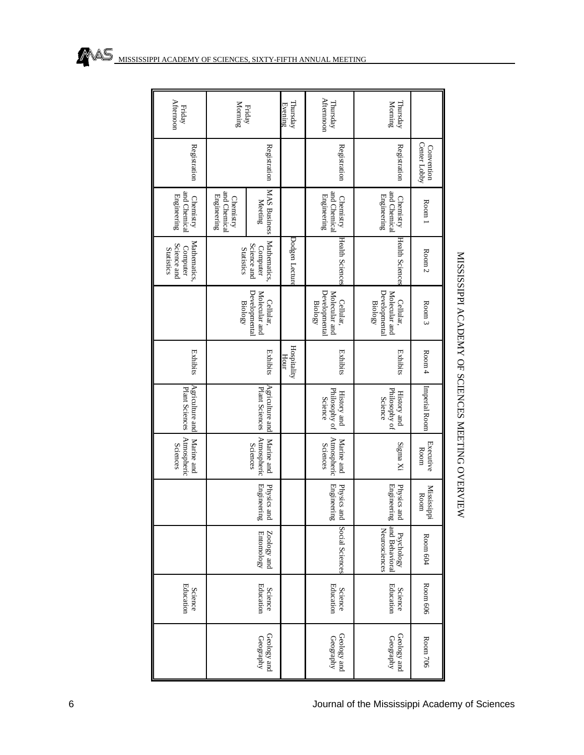| Afternoon<br><b>Friday</b>                            | Morning<br><b>Friday</b>                        |                                             | Thursday<br>Evening        | Afternnoon<br>Thursday                                        | Thursday<br>Morning                                           |                            |
|-------------------------------------------------------|-------------------------------------------------|---------------------------------------------|----------------------------|---------------------------------------------------------------|---------------------------------------------------------------|----------------------------|
| Registration                                          |                                                 | Registration                                |                            | Registration                                                  | Registration                                                  | Center Lobby<br>Convention |
| and Chemical<br>Engineering<br><b>Chemistry</b>       | and Chemical<br>Engineering<br><b>Chemistry</b> | <b>MAS Business</b><br>Meeting              |                            | and Chemical<br>Engineering<br><b>Chemistry</b>               | and Chemical<br>Engineering<br>Chemistry                      | Room 1                     |
| Mathematics,<br>Science and<br>Computer<br>Statistics | Statistics                                      | Mathematics,<br>Science and<br>Computer     | Dodgen Lecture             | Health Sciences                                               | <b>Health Sciences</b>                                        | Room <sub>2</sub>          |
|                                                       | <b>Biology</b>                                  | Developmental<br>Molecular and<br>Cellular, |                            | Developmental<br>Molecular and<br>Cellular,<br><b>Biology</b> | Developmental<br>Molecular and<br>Cellular,<br><b>Biology</b> | Room 3                     |
| Exhibits                                              |                                                 | Exhibits                                    | Hospitality<br><b>Hour</b> | <b>Exhibits</b>                                               | <b>Exhibits</b>                                               | Room 4                     |
| Agriculture and<br>Plant Sciences                     |                                                 | Agriculture and<br>Plant Sciences           |                            | Philosophy of<br>History and<br>Science                       | Philosophy of<br>History and<br>Science                       | Imperial Room              |
| Atmospheric<br>Marine and<br>Sciences                 |                                                 | Atmospheric<br>Marine and<br>Sciences       |                            | Atmospheric<br>Marine and<br>Sciences                         | Sigma Xi                                                      | Executive<br>Room          |
|                                                       |                                                 | Physics and<br>Engineering                  |                            | Engineering<br>Physics and                                    | Engineering<br>Physics and                                    | Mississippi<br>Room        |
|                                                       |                                                 | Zoology and<br><b>Entomology</b>            |                            | Social Sciences                                               | and Behavioral<br>Neurosciences<br><b>Psychology</b>          | Room 604                   |
| Education<br><b>Science</b>                           |                                                 | Education<br><b>Science</b>                 |                            | Education<br><b>Science</b>                                   | <b>Science</b><br>Education                                   | Room 606                   |
|                                                       |                                                 | Geology and<br>Geography                    |                            | Geology and<br>Geography                                      | Geology and<br>Geography                                      | Room 706                   |

## MISSISSIPPI ACADEMY OF SCIENCES, SIXTY-FIFTH ANNUAL MEETING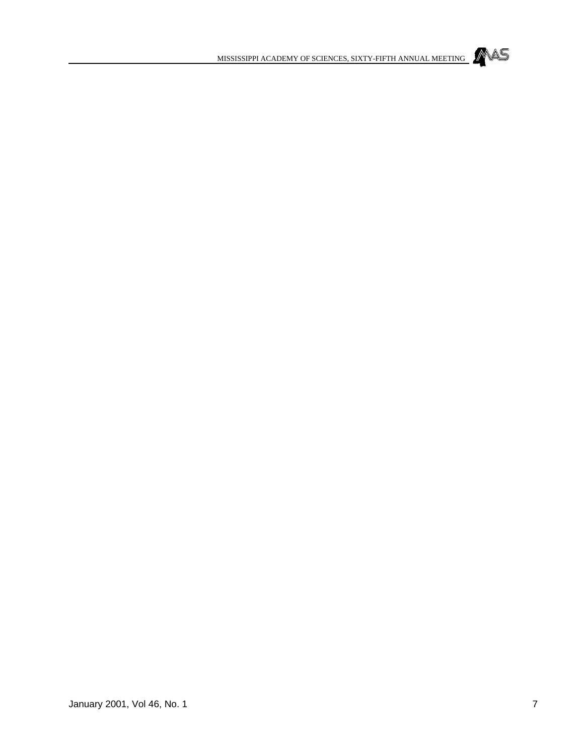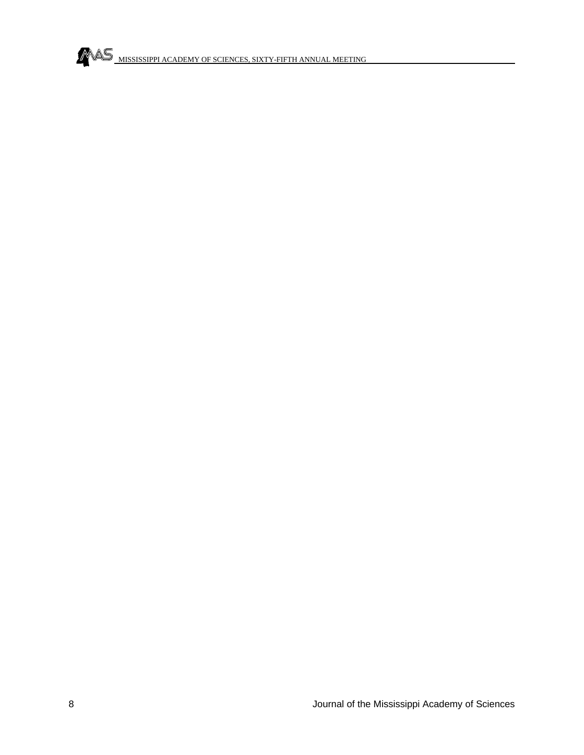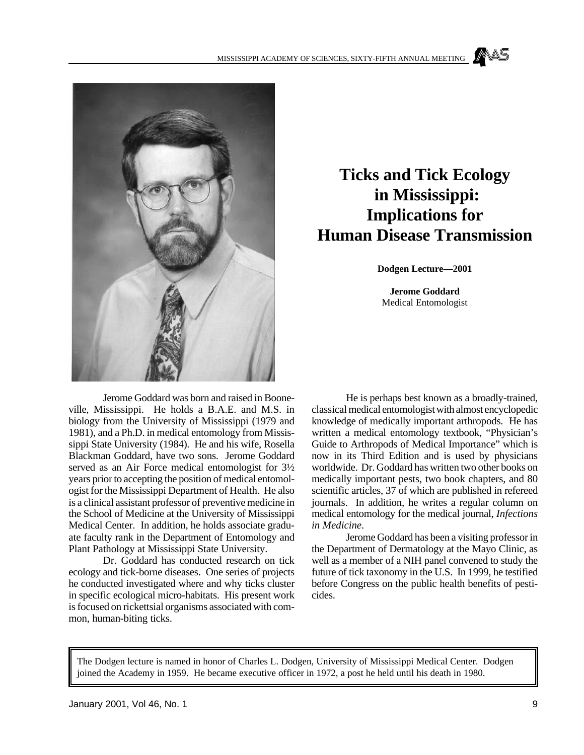

### **Ticks and Tick Ecology in Mississippi: Implications for Human Disease Transmission**

**Dodgen Lecture—2001**

**Jerome Goddard** Medical Entomologist

Jerome Goddard was born and raised in Booneville, Mississippi. He holds a B.A.E. and M.S. in biology from the University of Mississippi (1979 and 1981), and a Ph.D. in medical entomology from Mississippi State University (1984). He and his wife, Rosella Blackman Goddard, have two sons. Jerome Goddard served as an Air Force medical entomologist for 3½ years prior to accepting the position of medical entomologist for the Mississippi Department of Health. He also is a clinical assistant professor of preventive medicine in the School of Medicine at the University of Mississippi Medical Center. In addition, he holds associate graduate faculty rank in the Department of Entomology and Plant Pathology at Mississippi State University.

Dr. Goddard has conducted research on tick ecology and tick-borne diseases. One series of projects he conducted investigated where and why ticks cluster in specific ecological micro-habitats. His present work is focused on rickettsial organisms associated with common, human-biting ticks.

He is perhaps best known as a broadly-trained, classical medical entomologist with almost encyclopedic knowledge of medically important arthropods. He has written a medical entomology textbook, "Physician's Guide to Arthropods of Medical Importance" which is now in its Third Edition and is used by physicians worldwide. Dr. Goddard has written two other books on medically important pests, two book chapters, and 80 scientific articles, 37 of which are published in refereed journals. In addition, he writes a regular column on medical entomology for the medical journal, *Infections in Medicine*.

Jerome Goddard has been a visiting professor in the Department of Dermatology at the Mayo Clinic, as well as a member of a NIH panel convened to study the future of tick taxonomy in the U.S. In 1999, he testified before Congress on the public health benefits of pesticides.

The Dodgen lecture is named in honor of Charles L. Dodgen, University of Mississippi Medical Center. Dodgen joined the Academy in 1959. He became executive officer in 1972, a post he held until his death in 1980.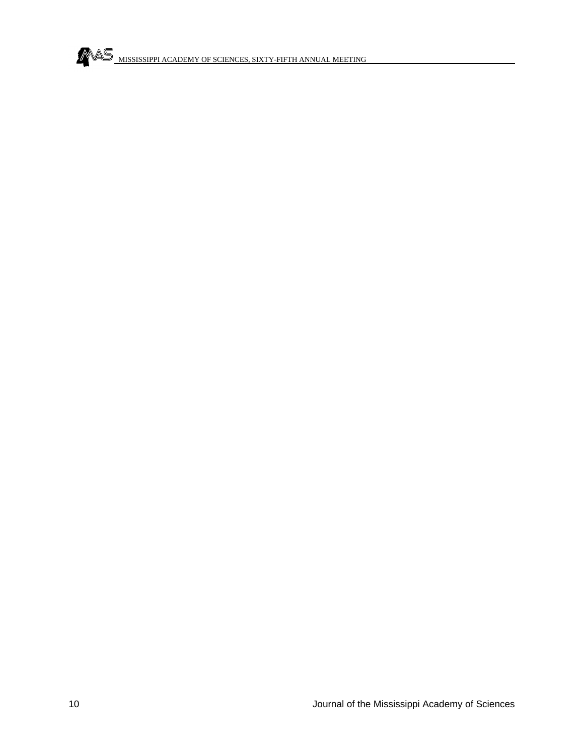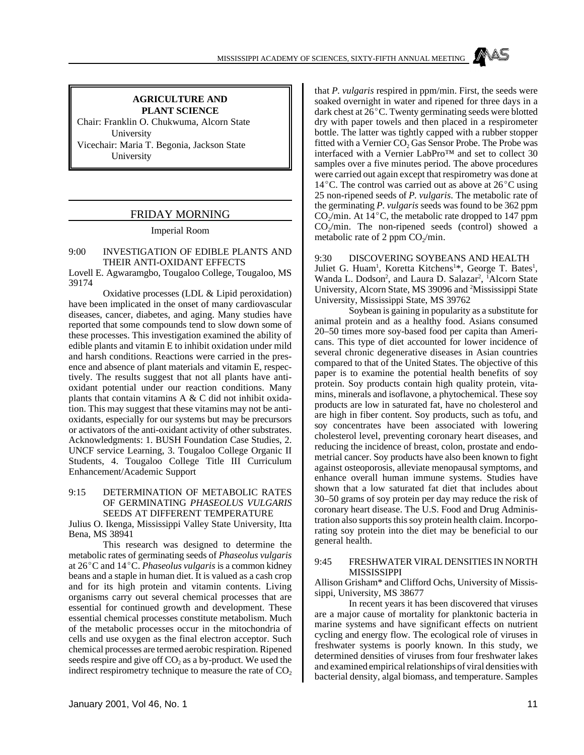

Chair: Franklin O. Chukwuma, Alcorn State University Vicechair: Maria T. Begonia, Jackson State University

#### FRIDAY MORNING

Imperial Room

#### 9:00 INVESTIGATION OF EDIBLE PLANTS AND THEIR ANTI-OXIDANT EFFECTS

Lovell E. Agwaramgbo, Tougaloo College, Tougaloo, MS 39174

Oxidative processes (LDL & Lipid peroxidation) have been implicated in the onset of many cardiovascular diseases, cancer, diabetes, and aging. Many studies have reported that some compounds tend to slow down some of these processes. This investigation examined the ability of edible plants and vitamin E to inhibit oxidation under mild and harsh conditions. Reactions were carried in the presence and absence of plant materials and vitamin E, respectively. The results suggest that not all plants have antioxidant potential under our reaction conditions. Many plants that contain vitamins A & C did not inhibit oxidation. This may suggest that these vitamins may not be antioxidants, especially for our systems but may be precursors or activators of the anti-oxidant activity of other substrates. Acknowledgments: 1. BUSH Foundation Case Studies, 2. UNCF service Learning, 3. Tougaloo College Organic II Students, 4. Tougaloo College Title III Curriculum Enhancement/Academic Support

9:15 DETERMINATION OF METABOLIC RATES OF GERMINATING *PHASEOLUS VULGARIS* SEEDS AT DIFFERENT TEMPERATURE

Julius O. Ikenga, Mississippi Valley State University, Itta Bena, MS 38941

This research was designed to determine the metabolic rates of germinating seeds of *Phaseolus vulgaris* at 26<sup>°</sup>C and 14<sup>°</sup>C. *Phaseolus vulgaris* is a common kidney beans and a staple in human diet. It is valued as a cash crop and for its high protein and vitamin contents. Living organisms carry out several chemical processes that are essential for continued growth and development. These essential chemical processes constitute metabolism. Much of the metabolic processes occur in the mitochondria of cells and use oxygen as the final electron acceptor. Such chemical processes are termed aerobic respiration. Ripened seeds respire and give off  $CO<sub>2</sub>$  as a by-product. We used the indirect respirometry technique to measure the rate of  $CO<sub>2</sub>$ 

that *P. vulgaris* respired in ppm/min. First, the seeds were soaked overnight in water and ripened for three days in a dark chest at 26°C. Twenty germinating seeds were blotted dry with paper towels and then placed in a respirometer bottle. The latter was tightly capped with a rubber stopper fitted with a Vernier  $\mathrm{CO}_2$  Gas Sensor Probe. The Probe was interfaced with a Vernier LabPro™ and set to collect 30 samples over a five minutes period. The above procedures were carried out again except that respirometry was done at 14<sup>°</sup>C. The control was carried out as above at  $26^{\circ}$ C using 25 non-ripened seeds of *P. vulgaris*. The metabolic rate of the germinating *P. vulgaris* seeds was found to be 362 ppm  $CO_2$ /min. At 14 °C, the metabolic rate dropped to 147 ppm  $CO<sub>2</sub>/min$ . The non-ripened seeds (control) showed a metabolic rate of 2 ppm  $CO_2/min$ .

9:30 DISCOVERING SOYBEANS AND HEALTH Juliet G. Huam<sup>1</sup>, Koretta Kitchens<sup>1\*</sup>, George T. Bates<sup>1</sup>, Wanda L. Dodson<sup>2</sup>, and Laura D. Salazar<sup>2</sup>, <sup>1</sup>Alcorn State University, Alcorn State, MS 39096 and <sup>2</sup>Mississippi State University, Mississippi State, MS 39762

Soybean is gaining in popularity as a substitute for animal protein and as a healthy food. Asians consumed 20–50 times more soy-based food per capita than Americans. This type of diet accounted for lower incidence of several chronic degenerative diseases in Asian countries compared to that of the United States. The objective of this paper is to examine the potential health benefits of soy protein. Soy products contain high quality protein, vitamins, minerals and isoflavone, a phytochemical. These soy products are low in saturated fat, have no cholesterol and are high in fiber content. Soy products, such as tofu, and soy concentrates have been associated with lowering cholesterol level, preventing coronary heart diseases, and reducing the incidence of breast, colon, prostate and endometrial cancer. Soy products have also been known to fight against osteoporosis, alleviate menopausal symptoms, and enhance overall human immune systems. Studies have shown that a low saturated fat diet that includes about 30–50 grams of soy protein per day may reduce the risk of coronary heart disease. The U.S. Food and Drug Administration also supports this soy protein health claim. Incorporating soy protein into the diet may be beneficial to our general health.

#### 9:45 FRESHWATER VIRAL DENSITIES IN NORTH **MISSISSIPPI**

Allison Grisham\* and Clifford Ochs, University of Mississippi, University, MS 38677

In recent years it has been discovered that viruses are a major cause of mortality for planktonic bacteria in marine systems and have significant effects on nutrient cycling and energy flow. The ecological role of viruses in freshwater systems is poorly known. In this study, we determined densities of viruses from four freshwater lakes and examined empirical relationships of viral densities with bacterial density, algal biomass, and temperature. Samples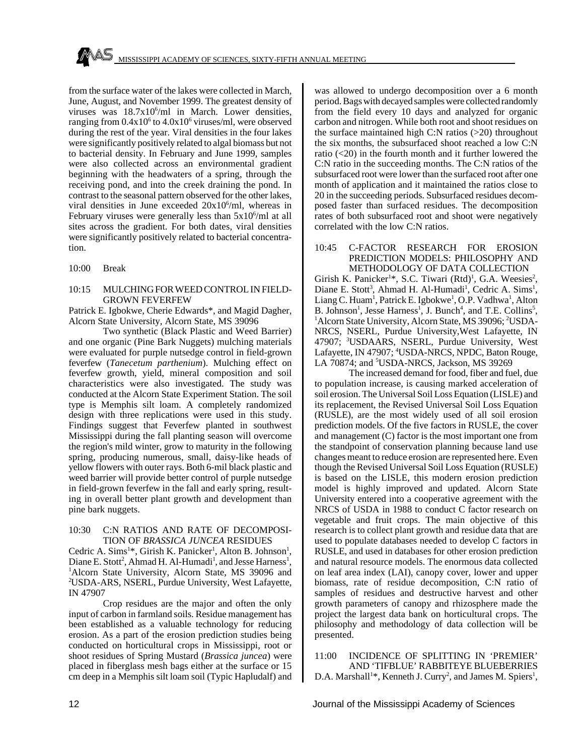from the surface water of the lakes were collected in March, June, August, and November 1999. The greatest density of viruses was 18.7x10<sup>6</sup>/ml in March. Lower densities, ranging from  $0.4x10^6$  to  $4.0x10^6$  viruses/ml, were observed during the rest of the year. Viral densities in the four lakes were significantly positively related to algal biomass but not to bacterial density. In February and June 1999, samples were also collected across an environmental gradient beginning with the headwaters of a spring, through the receiving pond, and into the creek draining the pond. In contrast to the seasonal pattern observed for the other lakes, viral densities in June exceeded 20x10<sup>6</sup>/ml, whereas in February viruses were generally less than 5x10<sup>6</sup>/ml at all sites across the gradient. For both dates, viral densities were significantly positively related to bacterial concentration.

10:00 Break

#### 10:15 MULCHING FOR WEED CONTROL IN FIELD-GROWN FEVERFEW

Patrick E. Igbokwe, Cherie Edwards\*, and Magid Dagher, Alcorn State University, Alcorn State, MS 39096

Two synthetic (Black Plastic and Weed Barrier) and one organic (Pine Bark Nuggets) mulching materials were evaluated for purple nutsedge control in field-grown feverfew (*Tanecetum parthenium*). Mulching effect on feverfew growth, yield, mineral composition and soil characteristics were also investigated. The study was conducted at the Alcorn State Experiment Station. The soil type is Memphis silt loam. A completely randomized design with three replications were used in this study. Findings suggest that Feverfew planted in southwest Mississippi during the fall planting season will overcome the region's mild winter, grow to maturity in the following spring, producing numerous, small, daisy-like heads of yellow flowers with outer rays. Both 6-mil black plastic and weed barrier will provide better control of purple nutsedge in field-grown feverfew in the fall and early spring, resulting in overall better plant growth and development than pine bark nuggets.

#### 10:30 C:N RATIOS AND RATE OF DECOMPOSI-TION OF *BRASSICA JUNCEA* RESIDUES

Cedric A. Sims<sup>1\*</sup>, Girish K. Panicker<sup>1</sup>, Alton B. Johnson<sup>1</sup>, Diane E. Stott<sup>2</sup>, Ahmad H. Al-Humadi<sup>1</sup>, and Jesse Harness<sup>1</sup>, <sup>1</sup>Alcorn State University, Alcorn State, MS 39096 and <sup>2</sup>USDA-ARS, NSERL, Purdue University, West Lafayette, IN 47907

Crop residues are the major and often the only input of carbon in farmland soils. Residue management has been established as a valuable technology for reducing erosion. As a part of the erosion prediction studies being conducted on horticultural crops in Mississippi, root or shoot residues of Spring Mustard (*Brassica juncea*) were placed in fiberglass mesh bags either at the surface or 15 cm deep in a Memphis silt loam soil (Typic Hapludalf) and was allowed to undergo decomposition over a 6 month period. Bags with decayed samples were collected randomly from the field every 10 days and analyzed for organic carbon and nitrogen. While both root and shoot residues on the surface maintained high C:N ratios  $(>20)$  throughout the six months, the subsurfaced shoot reached a low C:N ratio  $(<20$ ) in the fourth month and it further lowered the C:N ratio in the succeeding months. The C:N ratios of the subsurfaced root were lower than the surfaced root after one month of application and it maintained the ratios close to 20 in the succeeding periods. Subsurfaced residues decomposed faster than surfaced residues. The decomposition rates of both subsurfaced root and shoot were negatively correlated with the low C:N ratios.

#### 10:45 C-FACTOR RESEARCH FOR EROSION PREDICTION MODELS: PHILOSOPHY AND METHODOLOGY OF DATA COLLECTION

Girish K. Panicker<sup>1\*</sup>, S.C. Tiwari (Rtd)<sup>1</sup>, G.A. Weesies<sup>2</sup>, Diane E. Stott<sup>3</sup>, Ahmad H. Al-Humadi<sup>1</sup>, Cedric A. Sims<sup>1</sup>, Liang C. Huam<sup>1</sup>, Patrick E. Igbokwe<sup>1</sup>, O.P. Vadhwa<sup>1</sup>, Alton B. Johnson<sup>1</sup>, Jesse Harness<sup>1</sup>, J. Bunch<sup>4</sup>, and T.E. Collins<sup>5</sup>, <sup>1</sup>Alcorn State University, Alcorn State, MS 39096; <sup>2</sup>USDA-NRCS, NSERL, Purdue University,West Lafayette, IN 47907; <sup>3</sup>USDAARS, NSERL, Purdue University, West Lafayette, IN 47907; <sup>4</sup>USDA-NRCS, NPDC, Baton Rouge, LA 70874; and <sup>5</sup>USDA-NRCS, Jackson, MS 39269

The increased demand for food, fiber and fuel, due to population increase, is causing marked acceleration of soil erosion. The Universal Soil Loss Equation (LISLE) and its replacement, the Revised Universal Soil Loss Equation (RUSLE), are the most widely used of all soil erosion prediction models. Of the five factors in RUSLE, the cover and management (C) factor is the most important one from the standpoint of conservation planning because land use changes meant to reduce erosion are represented here. Even though the Revised Universal Soil Loss Equation (RUSLE) is based on the LISLE, this modern erosion prediction model is highly improved and updated. Alcorn State University entered into a cooperative agreement with the NRCS of USDA in 1988 to conduct C factor research on vegetable and fruit crops. The main objective of this research is to collect plant growth and residue data that are used to populate databases needed to develop C factors in RUSLE, and used in databases for other erosion prediction and natural resource models. The enormous data collected on leaf area index (LAI), canopy cover, lower and upper biomass, rate of residue decomposition, C:N ratio of samples of residues and destructive harvest and other growth parameters of canopy and rhizosphere made the project the largest data bank on horticultural crops. The philosophy and methodology of data collection will be presented.

11:00 INCIDENCE OF SPLITTING IN 'PREMIER' AND 'TIFBLUE' RABBITEYE BLUEBERRIES D.A. Marshall<sup>1\*</sup>, Kenneth J. Curry<sup>2</sup>, and James M. Spiers<sup>1</sup>,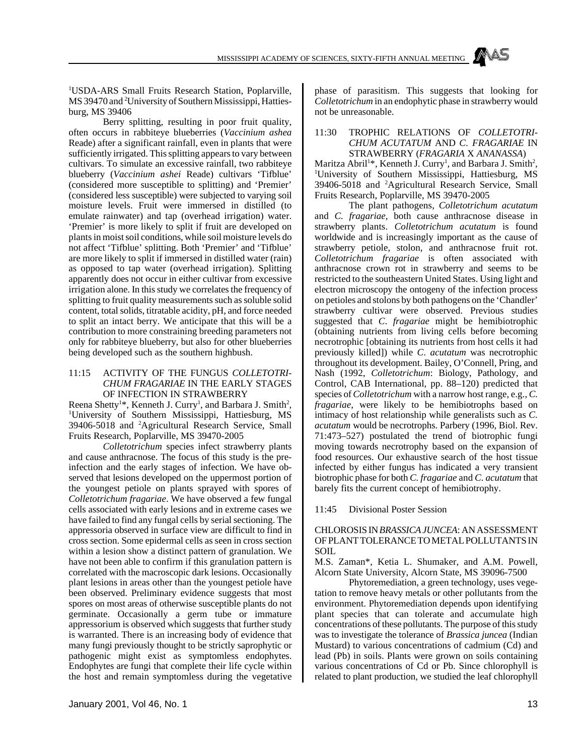MISSISSIPPI ACADEMY OF SCIENCES, SIXTY-FIFTH ANNUAL MEETING

<sup>1</sup>USDA-ARS Small Fruits Research Station, Poplarville, MS 39470 and 2University of Southern Mississippi, Hattiesburg, MS 39406

Berry splitting, resulting in poor fruit quality, often occurs in rabbiteye blueberries (*Vaccinium ashea* Reade) after a significant rainfall, even in plants that were sufficiently irrigated. This splitting appears to vary between cultivars. To simulate an excessive rainfall, two rabbiteye blueberry (*Vaccinium ashei* Reade) cultivars 'Tifblue' (considered more susceptible to splitting) and 'Premier' (considered less susceptible) were subjected to varying soil moisture levels. Fruit were immersed in distilled (to emulate rainwater) and tap (overhead irrigation) water. 'Premier' is more likely to split if fruit are developed on plants in moist soil conditions, while soil moisture levels do not affect 'Tifblue' splitting. Both 'Premier' and 'Tifblue' are more likely to split if immersed in distilled water (rain) as opposed to tap water (overhead irrigation). Splitting apparently does not occur in either cultivar from excessive irrigation alone. In this study we correlates the frequency of splitting to fruit quality measurements such as soluble solid content, total solids, titratable acidity, pH, and force needed to split an intact berry. We anticipate that this will be a contribution to more constraining breeding parameters not only for rabbiteye blueberry, but also for other blueberries being developed such as the southern highbush.

#### 11:15 ACTIVITY OF THE FUNGUS *COLLETOTRI-CHUM FRAGARIAE* IN THE EARLY STAGES OF INFECTION IN STRAWBERRY

Reena Shetty<sup>1\*</sup>, Kenneth J. Curry<sup>1</sup>, and Barbara J. Smith<sup>2</sup>, <sup>1</sup>University of Southern Mississippi, Hattiesburg, MS 39406-5018 and <sup>2</sup>Agricultural Research Service, Small Fruits Research, Poplarville, MS 39470-2005

*Colletotrichum* species infect strawberry plants and cause anthracnose. The focus of this study is the preinfection and the early stages of infection. We have observed that lesions developed on the uppermost portion of the youngest petiole on plants sprayed with spores of *Colletotrichum fragariae*. We have observed a few fungal cells associated with early lesions and in extreme cases we have failed to find any fungal cells by serial sectioning. The appressoria observed in surface view are difficult to find in cross section. Some epidermal cells as seen in cross section within a lesion show a distinct pattern of granulation. We have not been able to confirm if this granulation pattern is correlated with the macroscopic dark lesions. Occasionally plant lesions in areas other than the youngest petiole have been observed. Preliminary evidence suggests that most spores on most areas of otherwise susceptible plants do not germinate. Occasionally a germ tube or immature appressorium is observed which suggests that further study is warranted. There is an increasing body of evidence that many fungi previously thought to be strictly saprophytic or pathogenic might exist as symptomless endophytes. Endophytes are fungi that complete their life cycle within the host and remain symptomless during the vegetative

phase of parasitism. This suggests that looking for *Colletotrichum* in an endophytic phase in strawberry would not be unreasonable.

#### 11:30 TROPHIC RELATIONS OF *COLLETOTRI-CHUM ACUTATUM* AND *C*. *FRAGARIAE* IN STRAWBERRY (*FRAGARIA* X *ANANASSA*)

Maritza Abril<sup>1\*</sup>, Kenneth J. Curry<sup>1</sup>, and Barbara J. Smith<sup>2</sup>, <sup>1</sup>University of Southern Mississippi, Hattiesburg, MS 39406-5018 and <sup>2</sup>Agricultural Research Service, Small Fruits Research, Poplarville, MS 39470-2005

The plant pathogens, *Colletotrichum acutatum* and *C. fragariae*, both cause anthracnose disease in strawberry plants. *Colletotrichum acutatum* is found worldwide and is increasingly important as the cause of strawberry petiole, stolon, and anthracnose fruit rot. *Colletotrichum fragariae* is often associated with anthracnose crown rot in strawberry and seems to be restricted to the southeastern United States. Using light and electron microscopy the ontogeny of the infection process on petioles and stolons by both pathogens on the 'Chandler' strawberry cultivar were observed. Previous studies suggested that *C*. *fragariae* might be hemibiotrophic (obtaining nutrients from living cells before becoming necrotrophic [obtaining its nutrients from host cells it had previously killed]) while *C*. *acutatum* was necrotrophic throughout its development. Bailey, O'Connell, Pring, and Nash (1992, *Colletotrichum*: Biology, Pathology, and Control, CAB International, pp. 88–120) predicted that species of *Colletotrichum* with a narrow host range, e.g., *C*. *fragariae*, were likely to be hemibiotrophs based on intimacy of host relationship while generalists such as *C. acutatum* would be necrotrophs. Parbery (1996, Biol. Rev. 71:473–527) postulated the trend of biotrophic fungi moving towards necrotrophy based on the expansion of food resources. Our exhaustive search of the host tissue infected by either fungus has indicated a very transient biotrophic phase for both *C. fragariae* and *C. acutatum* that barely fits the current concept of hemibiotrophy.

11:45 Divisional Poster Session

#### CHLOROSIS IN *BRASSICA JUNCEA*: AN ASSESSMENT OF PLANT TOLERANCE TO METAL POLLUTANTS IN SOIL

M.S. Zaman\*, Ketia L. Shumaker, and A.M. Powell, Alcorn State University, Alcorn State, MS 39096-7500

Phytoremediation, a green technology, uses vegetation to remove heavy metals or other pollutants from the environment. Phytoremediation depends upon identifying plant species that can tolerate and accumulate high concentrations of these pollutants. The purpose of this study was to investigate the tolerance of *Brassica juncea* (Indian Mustard) to various concentrations of cadmium (Cd) and lead (Pb) in soils. Plants were grown on soils containing various concentrations of Cd or Pb. Since chlorophyll is related to plant production, we studied the leaf chlorophyll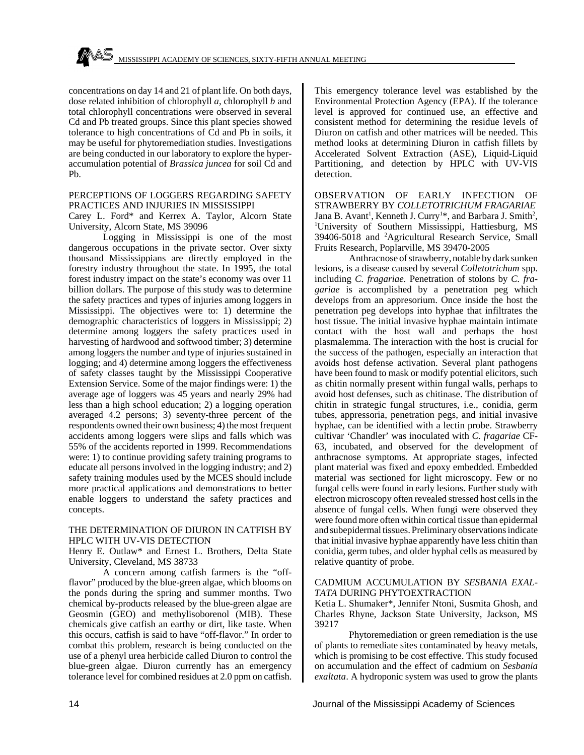concentrations on day 14 and 21 of plant life. On both days, dose related inhibition of chlorophyll *a*, chlorophyll *b* and total chlorophyll concentrations were observed in several Cd and Pb treated groups. Since this plant species showed tolerance to high concentrations of Cd and Pb in soils, it may be useful for phytoremediation studies. Investigations are being conducted in our laboratory to explore the hyperaccumulation potential of *Brassica juncea* for soil Cd and Pb.

#### PERCEPTIONS OF LOGGERS REGARDING SAFETY PRACTICES AND INJURIES IN MISSISSIPPI

Carey L. Ford\* and Kerrex A. Taylor, Alcorn State University, Alcorn State, MS 39096

Logging in Mississippi is one of the most dangerous occupations in the private sector. Over sixty thousand Mississippians are directly employed in the forestry industry throughout the state. In 1995, the total forest industry impact on the state's economy was over 11 billion dollars. The purpose of this study was to determine the safety practices and types of injuries among loggers in Mississippi. The objectives were to: 1) determine the demographic characteristics of loggers in Mississippi; 2) determine among loggers the safety practices used in harvesting of hardwood and softwood timber; 3) determine among loggers the number and type of injuries sustained in logging; and 4) determine among loggers the effectiveness of safety classes taught by the Mississippi Cooperative Extension Service. Some of the major findings were: 1) the average age of loggers was 45 years and nearly 29% had less than a high school education; 2) a logging operation averaged 4.2 persons; 3) seventy-three percent of the respondents owned their own business; 4) the most frequent accidents among loggers were slips and falls which was 55% of the accidents reported in 1999. Recommendations were: 1) to continue providing safety training programs to educate all persons involved in the logging industry; and 2) safety training modules used by the MCES should include more practical applications and demonstrations to better enable loggers to understand the safety practices and concepts.

#### THE DETERMINATION OF DIURON IN CATFISH BY HPLC WITH UV-VIS DETECTION

Henry E. Outlaw\* and Ernest L. Brothers, Delta State University, Cleveland, MS 38733

A concern among catfish farmers is the "offflavor" produced by the blue-green algae, which blooms on the ponds during the spring and summer months. Two chemical by-products released by the blue-green algae are Geosmin (GEO) and methylisoborenol (MIB). These chemicals give catfish an earthy or dirt, like taste. When this occurs, catfish is said to have "off-flavor." In order to combat this problem, research is being conducted on the use of a phenyl urea herbicide called Diuron to control the blue-green algae. Diuron currently has an emergency tolerance level for combined residues at 2.0 ppm on catfish. This emergency tolerance level was established by the Environmental Protection Agency (EPA). If the tolerance level is approved for continued use, an effective and consistent method for determining the residue levels of Diuron on catfish and other matrices will be needed. This method looks at determining Diuron in catfish fillets by Accelerated Solvent Extraction (ASE), Liquid-Liquid Partitioning, and detection by HPLC with UV-VIS detection.

OBSERVATION OF EARLY INFECTION OF STRAWBERRY BY *COLLETOTRICHUM FRAGARIAE* Jana B. Avant<sup>1</sup>, Kenneth J. Curry<sup>1\*</sup>, and Barbara J. Smith<sup>2</sup>, <sup>1</sup>University of Southern Mississippi, Hattiesburg, MS 39406-5018 and <sup>2</sup>Agricultural Research Service, Small Fruits Research, Poplarville, MS 39470-2005

Anthracnose of strawberry, notable by dark sunken lesions, is a disease caused by several *Colletotrichum* spp. including *C. fragariae.* Penetration of stolons by *C. fragariae* is accomplished by a penetration peg which develops from an appresorium. Once inside the host the penetration peg develops into hyphae that infiltrates the host tissue. The initial invasive hyphae maintain intimate contact with the host wall and perhaps the host plasmalemma. The interaction with the host is crucial for the success of the pathogen, especially an interaction that avoids host defense activation. Several plant pathogens have been found to mask or modify potential elicitors, such as chitin normally present within fungal walls, perhaps to avoid host defenses, such as chitinase. The distribution of chitin in strategic fungal structures, i.e., conidia, germ tubes, appressoria, penetration pegs, and initial invasive hyphae, can be identified with a lectin probe. Strawberry cultivar 'Chandler' was inoculated with *C. fragariae* CF-63, incubated, and observed for the development of anthracnose symptoms. At appropriate stages, infected plant material was fixed and epoxy embedded. Embedded material was sectioned for light microscopy. Few or no fungal cells were found in early lesions. Further study with electron microscopy often revealed stressed host cells in the absence of fungal cells. When fungi were observed they were found more often within cortical tissue than epidermal and subepidermal tissues. Preliminary observations indicate that initial invasive hyphae apparently have less chitin than conidia, germ tubes, and older hyphal cells as measured by relative quantity of probe.

#### CADMIUM ACCUMULATION BY *SESBANIA EXAL-TATA* DURING PHYTOEXTRACTION

Ketia L. Shumaker\*, Jennifer Ntoni, Susmita Ghosh, and Charles Rhyne, Jackson State University, Jackson, MS 39217

Phytoremediation or green remediation is the use of plants to remediate sites contaminated by heavy metals, which is promising to be cost effective. This study focused on accumulation and the effect of cadmium on *Sesbania exaltata*. A hydroponic system was used to grow the plants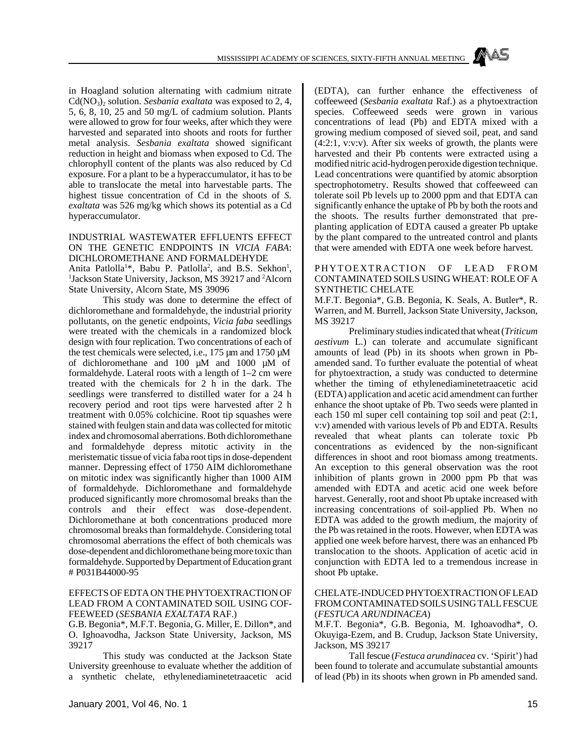in Hoagland solution alternating with cadmium nitrate Cd(NO<sub>3</sub>)<sub>2</sub> solution. *Sesbania exaltata* was exposed to 2, 4, 5, 6, 8, 10, 25 and 50 mg/L of cadmium solution. Plants were allowed to grow for four weeks, after which they were harvested and separated into shoots and roots for further metal analysis. *Sesbania exaltata* showed significant reduction in height and biomass when exposed to Cd. The chlorophyll content of the plants was also reduced by Cd exposure. For a plant to be a hyperaccumulator, it has to be able to translocate the metal into harvestable parts. The highest tissue concentration of Cd in the shoots of *S. exaltata* was 526 mg/kg which shows its potential as a Cd hyperaccumulator.

#### INDUSTRIAL WASTEWATER EFFLUENTS EFFECT ON THE GENETIC ENDPOINTS IN *VICIA FABA*: DICHLOROMETHANE AND FORMALDEHYDE

Anita Patlolla<sup>1\*</sup>, Babu P. Patlolla<sup>2</sup>, and B.S. Sekhon<sup>1</sup>, <sup>1</sup>Jackson State University, Jackson, MS 39217 and <sup>2</sup>Alcorn State University, Alcorn State, MS 39096

This study was done to determine the effect of dichloromethane and formaldehyde, the industrial priority pollutants, on the genetic endpoints, *Vicia faba* seedlings were treated with the chemicals in a randomized block design with four replication. Two concentrations of each of the test chemicals were selected, i.e., 175  $\mu$ m and 1750  $\mu$ M of dichloromethane and 100 µM and 1000 µM of formaldehyde. Lateral roots with a length of 1–2 cm were treated with the chemicals for 2 h in the dark. The seedlings were transferred to distilled water for a 24 h recovery period and root tips were harvested after 2 h treatment with 0.05% colchicine. Root tip squashes were stained with feulgen stain and data was collected for mitotic index and chromosomal aberrations. Both dichloromethane and formaldehyde depress mitotic activity in the meristematic tissue of vicia faba root tips in dose-dependent manner. Depressing effect of 1750 AIM dichloromethane on mitotic index was significantly higher than 1000 AIM of formaldehyde. Dichloromethane and formaldehyde produced significantly more chromosomal breaks than the controls and their effect was dose-dependent. Dichloromethane at both concentrations produced more chromosomal breaks than formaldehyde. Considering total chromosomal aberrations the effect of both chemicals was dose-dependent and dichloromethane being more toxic than formaldehyde. Supported by Department of Education grant # P031B44000-95

#### EFFECTS OF EDTA ON THE PHYTOEXTRACTION OF LEAD FROM A CONTAMINATED SOIL USING COF-FEEWEED (*SESBANIA EXALTATA* RAF.)

G.B. Begonia\*, M.F.T. Begonia, G. Miller, E. Dillon\*, and O. Ighoavodha, Jackson State University, Jackson, MS 39217

This study was conducted at the Jackson State University greenhouse to evaluate whether the addition of a synthetic chelate, ethylenediaminetetraacetic acid

(EDTA), can further enhance the effectiveness of coffeeweed (*Sesbania exaltata* Raf.) as a phytoextraction species. Coffeeweed seeds were grown in various concentrations of lead (Pb) and EDTA mixed with a growing medium composed of sieved soil, peat, and sand (4:2:1, v:v:v). After six weeks of growth, the plants were harvested and their Pb contents were extracted using a modified nitric acid-hydrogen peroxide digestion technique. Lead concentrations were quantified by atomic absorption spectrophotometry. Results showed that coffeeweed can tolerate soil Pb levels up to 2000 ppm and that EDTA can significantly enhance the uptake of Pb by both the roots and the shoots. The results further demonstrated that preplanting application of EDTA caused a greater Pb uptake by the plant compared to the untreated control and plants that were amended with EDTA one week before harvest.

#### PHYTOEXTRACTION OF LEAD FROM CONTAMINATED SOILS USING WHEAT: ROLE OF A SYNTHETIC CHELATE

M.F.T. Begonia\*, G.B. Begonia, K. Seals, A. Butler\*, R. Warren, and M. Burrell, Jackson State University, Jackson, MS 39217

Preliminary studies indicated that wheat (*Triticum aestivum* L.) can tolerate and accumulate significant amounts of lead (Pb) in its shoots when grown in Pbamended sand. To further evaluate the potential of wheat for phytoextraction, a study was conducted to determine whether the timing of ethylenediaminetetraacetic acid (EDTA) application and acetic acid amendment can further enhance the shoot uptake of Pb. Two seeds were planted in each 150 ml super cell containing top soil and peat (2:1, v:v) amended with various levels of Pb and EDTA. Results revealed that wheat plants can tolerate toxic Pb concentrations as evidenced by the non-significant differences in shoot and root biomass among treatments. An exception to this general observation was the root inhibition of plants grown in 2000 ppm Pb that was amended with EDTA and acetic acid one week before harvest. Generally, root and shoot Pb uptake increased with increasing concentrations of soil-applied Pb. When no EDTA was added to the growth medium, the majority of the Pb was retained in the roots. However, when EDTA was applied one week before harvest, there was an enhanced Pb translocation to the shoots. Application of acetic acid in conjunction with EDTA led to a tremendous increase in shoot Pb uptake.

#### CHELATE-INDUCED PHYTOEXTRACTION OF LEAD FROM CONTAMINATED SOILS USING TALL FESCUE (*FESTUCA ARUNDINACEA*)

M.F.T. Begonia\*, G.B. Begonia, M. Ighoavodha\*, O. Okuyiga-Ezem, and B. Crudup, Jackson State University, Jackson, MS 39217

Tall fescue (*Festuca arundinacea* cv. 'Spirit') had been found to tolerate and accumulate substantial amounts of lead (Pb) in its shoots when grown in Pb amended sand.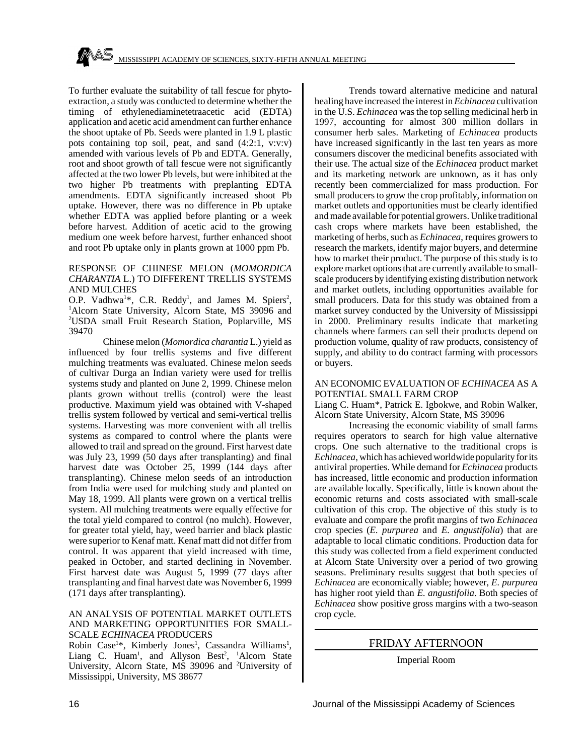To further evaluate the suitability of tall fescue for phytoextraction, a study was conducted to determine whether the timing of ethylenediaminetetraacetic acid (EDTA) application and acetic acid amendment can further enhance the shoot uptake of Pb. Seeds were planted in 1.9 L plastic pots containing top soil, peat, and sand (4:2:1, v:v:v) amended with various levels of Pb and EDTA. Generally, root and shoot growth of tall fescue were not significantly affected at the two lower Pb levels, but were inhibited at the two higher Pb treatments with preplanting EDTA amendments. EDTA significantly increased shoot Pb uptake. However, there was no difference in Pb uptake whether EDTA was applied before planting or a week before harvest. Addition of acetic acid to the growing medium one week before harvest, further enhanced shoot and root Pb uptake only in plants grown at 1000 ppm Pb.

#### RESPONSE OF CHINESE MELON (*MOMORDICA CHARANTIA* L.) TO DIFFERENT TRELLIS SYSTEMS AND MULCHES

O.P. Vadhwa<sup>1\*</sup>, C.R. Reddy<sup>1</sup>, and James M. Spiers<sup>2</sup>, <sup>1</sup>Alcorn State University, Alcorn State, MS 39096 and <sup>2</sup>USDA small Fruit Research Station, Poplarville, MS 39470

Chinese melon (*Momordica charantia* L.) yield as influenced by four trellis systems and five different mulching treatments was evaluated. Chinese melon seeds of cultivar Durga an Indian variety were used for trellis systems study and planted on June 2, 1999. Chinese melon plants grown without trellis (control) were the least productive. Maximum yield was obtained with V-shaped trellis system followed by vertical and semi-vertical trellis systems. Harvesting was more convenient with all trellis systems as compared to control where the plants were allowed to trail and spread on the ground. First harvest date was July 23, 1999 (50 days after transplanting) and final harvest date was October 25, 1999 (144 days after transplanting). Chinese melon seeds of an introduction from India were used for mulching study and planted on May 18, 1999. All plants were grown on a vertical trellis system. All mulching treatments were equally effective for the total yield compared to control (no mulch). However, for greater total yield, hay, weed barrier and black plastic were superior to Kenaf matt. Kenaf matt did not differ from control. It was apparent that yield increased with time, peaked in October, and started declining in November. First harvest date was August 5, 1999 (77 days after transplanting and final harvest date was November 6, 1999 (171 days after transplanting).

#### AN ANALYSIS OF POTENTIAL MARKET OUTLETS AND MARKETING OPPORTUNITIES FOR SMALL-SCALE *ECHINACEA* PRODUCERS

Robin Case<sup>1\*</sup>, Kimberly Jones<sup>1</sup>, Cassandra Williams<sup>1</sup>, Liang C. Huam<sup>1</sup>, and Allyson Best<sup>2</sup>, <sup>1</sup>Alcorn State University, Alcorn State, MS 39096 and <sup>2</sup>University of Mississippi, University, MS 38677

Trends toward alternative medicine and natural healing have increased the interest in *Echinacea* cultivation in the U.S. *Echinacea* was the top selling medicinal herb in 1997, accounting for almost 300 million dollars in consumer herb sales. Marketing of *Echinacea* products have increased significantly in the last ten years as more consumers discover the medicinal benefits associated with their use. The actual size of the *Echinacea* product market and its marketing network are unknown, as it has only recently been commercialized for mass production. For small producers to grow the crop profitably, information on market outlets and opportunities must be clearly identified and made available for potential growers. Unlike traditional cash crops where markets have been established, the marketing of herbs, such as *Echinacea*, requires growers to research the markets, identify major buyers, and determine how to market their product. The purpose of this study is to explore market options that are currently available to smallscale producers by identifying existing distribution network and market outlets, including opportunities available for small producers. Data for this study was obtained from a market survey conducted by the University of Mississippi in 2000. Preliminary results indicate that marketing channels where farmers can sell their products depend on production volume, quality of raw products, consistency of supply, and ability to do contract farming with processors or buyers.

#### AN ECONOMIC EVALUATION OF *ECHINACEA* AS A POTENTIAL SMALL FARM CROP

Liang C. Huam\*, Patrick E. Igbokwe, and Robin Walker, Alcorn State University, Alcorn State, MS 39096

Increasing the economic viability of small farms requires operators to search for high value alternative crops. One such alternative to the traditional crops is *Echinacea*, which has achieved worldwide popularity for its antiviral properties. While demand for *Echinacea* products has increased, little economic and production information are available locally. Specifically, little is known about the economic returns and costs associated with small-scale cultivation of this crop. The objective of this study is to evaluate and compare the profit margins of two *Echinacea* crop species (*E. purpurea* and *E. angustifolia*) that are adaptable to local climatic conditions. Production data for this study was collected from a field experiment conducted at Alcorn State University over a period of two growing seasons. Preliminary results suggest that both species of *Echinacea* are economically viable; however, *E. purpurea* has higher root yield than *E. angustifolia*. Both species of *Echinacea* show positive gross margins with a two-season crop cycle.

### FRIDAY AFTERNOON

Imperial Room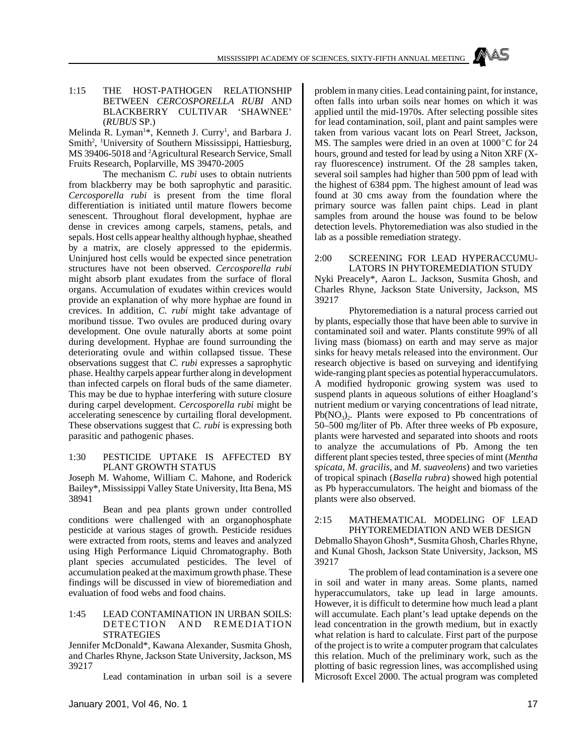#### 1:15 THE HOST-PATHOGEN RELATIONSHIP BETWEEN *CERCOSPORELLA RUBI* AND BLACKBERRY CULTIVAR 'SHAWNEE' (*RUBUS* SP.)

Melinda R. Lyman<sup>1\*</sup>, Kenneth J. Curry<sup>1</sup>, and Barbara J. Smith<sup>2</sup>, <sup>1</sup>University of Southern Mississippi, Hattiesburg, MS 39406-5018 and <sup>2</sup>Agricultural Research Service, Small Fruits Research, Poplarville, MS 39470-2005

The mechanism *C. rubi* uses to obtain nutrients from blackberry may be both saprophytic and parasitic. *Cercosporella rubi* is present from the time floral differentiation is initiated until mature flowers become senescent. Throughout floral development, hyphae are dense in crevices among carpels, stamens, petals, and sepals. Host cells appear healthy although hyphae, sheathed by a matrix, are closely appressed to the epidermis. Uninjured host cells would be expected since penetration structures have not been observed. *Cercosporella rubi* might absorb plant exudates from the surface of floral organs. Accumulation of exudates within crevices would provide an explanation of why more hyphae are found in crevices. In addition, *C. rubi* might take advantage of moribund tissue. Two ovules are produced during ovary development. One ovule naturally aborts at some point during development. Hyphae are found surrounding the deteriorating ovule and within collapsed tissue. These observations suggest that *C. rubi* expresses a saprophytic phase. Healthy carpels appear further along in development than infected carpels on floral buds of the same diameter. This may be due to hyphae interfering with suture closure during carpel development. *Cercosporella rubi* might be accelerating senescence by curtailing floral development. These observations suggest that *C. rubi* is expressing both parasitic and pathogenic phases.

#### 1:30 PESTICIDE UPTAKE IS AFFECTED BY PLANT GROWTH STATUS

Joseph M. Wahome, William C. Mahone, and Roderick Bailey\*, Mississippi Valley State University, Itta Bena, MS 38941

Bean and pea plants grown under controlled conditions were challenged with an organophosphate pesticide at various stages of growth. Pesticide residues were extracted from roots, stems and leaves and analyzed using High Performance Liquid Chromatography. Both plant species accumulated pesticides. The level of accumulation peaked at the maximum growth phase. These findings will be discussed in view of bioremediation and evaluation of food webs and food chains.

#### 1:45 LEAD CONTAMINATION IN URBAN SOILS: DETECTION AND REMEDIATION **STRATEGIES**

Jennifer McDonald\*, Kawana Alexander, Susmita Ghosh, and Charles Rhyne, Jackson State University, Jackson, MS 39217

Lead contamination in urban soil is a severe

problem in many cities. Lead containing paint, for instance, often falls into urban soils near homes on which it was applied until the mid-1970s. After selecting possible sites for lead contamination, soil, plant and paint samples were taken from various vacant lots on Pearl Street, Jackson, MS. The samples were dried in an oven at  $1000^{\circ}$ C for 24 hours, ground and tested for lead by using a Niton XRF (Xray fluorescence) instrument. Of the 28 samples taken, several soil samples had higher than 500 ppm of lead with the highest of 6384 ppm. The highest amount of lead was found at 30 cms away from the foundation where the primary source was fallen paint chips. Lead in plant samples from around the house was found to be below detection levels. Phytoremediation was also studied in the lab as a possible remediation strategy.

#### 2:00 SCREENING FOR LEAD HYPERACCUMU-LATORS IN PHYTOREMEDIATION STUDY

Nyki Preacely\*, Aaron L. Jackson, Susmita Ghosh, and Charles Rhyne, Jackson State University, Jackson, MS 39217

Phytoremediation is a natural process carried out by plants, especially those that have been able to survive in contaminated soil and water. Plants constitute 99% of all living mass (biomass) on earth and may serve as major sinks for heavy metals released into the environment. Our research objective is based on surveying and identifying wide-ranging plant species as potential hyperaccumulators. A modified hydroponic growing system was used to suspend plants in aqueous solutions of either Hoagland's nutrient medium or varying concentrations of lead nitrate,  $Pb(NO<sub>3</sub>)<sub>2</sub>$ . Plants were exposed to Pb concentrations of 50–500 mg/liter of Pb. After three weeks of Pb exposure, plants were harvested and separated into shoots and roots to analyze the accumulations of Pb. Among the ten different plant species tested, three species of mint (*Mentha spicata*, *M. gracilis*, and *M. suaveolens*) and two varieties of tropical spinach (*Basella rubra*) showed high potential as Pb hyperaccumulators. The height and biomass of the plants were also observed.

#### 2:15 MATHEMATICAL MODELING OF LEAD PHYTOREMEDIATION AND WEB DESIGN

Debmallo Shayon Ghosh\*, Susmita Ghosh, Charles Rhyne, and Kunal Ghosh, Jackson State University, Jackson, MS 39217

The problem of lead contamination is a severe one in soil and water in many areas. Some plants, named hyperaccumulators, take up lead in large amounts. However, it is difficult to determine how much lead a plant will accumulate. Each plant's lead uptake depends on the lead concentration in the growth medium, but in exactly what relation is hard to calculate. First part of the purpose of the project is to write a computer program that calculates this relation. Much of the preliminary work, such as the plotting of basic regression lines, was accomplished using Microsoft Excel 2000. The actual program was completed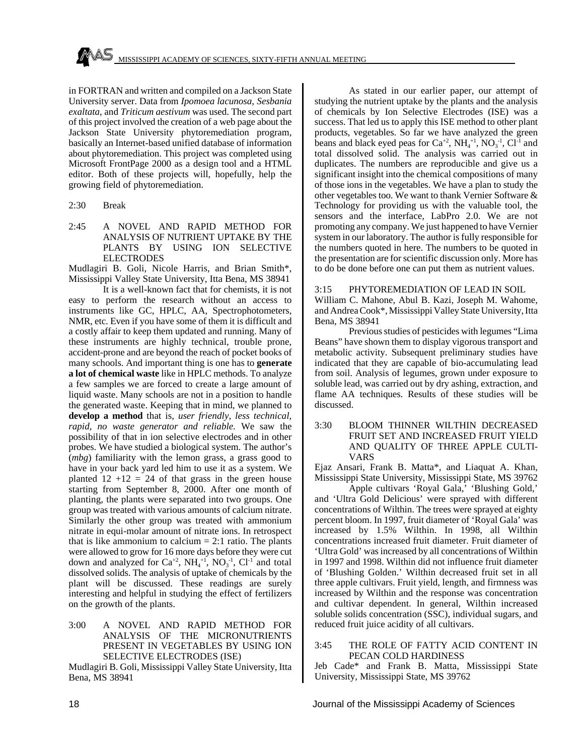in FORTRAN and written and compiled on a Jackson State University server. Data from *Ipomoea lacunosa*, *Sesbania exaltata*, and *Triticum aestivum* was used. The second part of this project involved the creation of a web page about the Jackson State University phytoremediation program, basically an Internet-based unified database of information about phytoremediation. This project was completed using Microsoft FrontPage 2000 as a design tool and a HTML editor. Both of these projects will, hopefully, help the growing field of phytoremediation.

- 2:30 Break
- 2:45 A NOVEL AND RAPID METHOD FOR ANALYSIS OF NUTRIENT UPTAKE BY THE PLANTS BY USING ION SELECTIVE **ELECTRODES**

Mudlagiri B. Goli, Nicole Harris, and Brian Smith\*, Mississippi Valley State University, Itta Bena, MS 38941

It is a well-known fact that for chemists, it is not easy to perform the research without an access to instruments like GC, HPLC, AA, Spectrophotometers, NMR, etc. Even if you have some of them it is difficult and a costly affair to keep them updated and running. Many of these instruments are highly technical, trouble prone, accident-prone and are beyond the reach of pocket books of many schools. And important thing is one has to **generate a lot of chemical waste** like in HPLC methods. To analyze a few samples we are forced to create a large amount of liquid waste. Many schools are not in a position to handle the generated waste. Keeping that in mind, we planned to **develop a method** that is, *user friendly, less technical, rapid, no waste generator and reliable.* We saw the possibility of that in ion selective electrodes and in other probes. We have studied a biological system. The author's (*mbg*) familiarity with the lemon grass, a grass good to have in your back yard led him to use it as a system. We planted  $12 + 12 = 24$  of that grass in the green house starting from September 8, 2000. After one month of planting, the plants were separated into two groups. One group was treated with various amounts of calcium nitrate. Similarly the other group was treated with ammonium nitrate in equi-molar amount of nitrate ions. In retrospect that is like ammonium to calcium  $= 2:1$  ratio. The plants were allowed to grow for 16 more days before they were cut down and analyzed for  $Ca^{+2}$ ,  $NH_4^{+1}$ ,  $NO_3^{-1}$ ,  $Cl^{-1}$  and total dissolved solids. The analysis of uptake of chemicals by the plant will be discussed. These readings are surely interesting and helpful in studying the effect of fertilizers on the growth of the plants.

3:00 A NOVEL AND RAPID METHOD FOR ANALYSIS OF THE MICRONUTRIENTS PRESENT IN VEGETABLES BY USING ION SELECTIVE ELECTRODES (ISE)

Mudlagiri B. Goli, Mississippi Valley State University, Itta Bena, MS 38941

As stated in our earlier paper, our attempt of studying the nutrient uptake by the plants and the analysis of chemicals by Ion Selective Electrodes (ISE) was a success. That led us to apply this ISE method to other plant products, vegetables. So far we have analyzed the green beans and black eyed peas for  $Ca^{+2}$ ,  $NH_4^{+1}$ ,  $NO_3^{-1}$ ,  $Cl^{-1}$  and total dissolved solid. The analysis was carried out in duplicates. The numbers are reproducible and give us a significant insight into the chemical compositions of many of those ions in the vegetables. We have a plan to study the other vegetables too. We want to thank Vernier Software & Technology for providing us with the valuable tool, the sensors and the interface, LabPro 2.0. We are not promoting any company. We just happened to have Vernier system in our laboratory. The author is fully responsible for the numbers quoted in here. The numbers to be quoted in the presentation are for scientific discussion only. More has to do be done before one can put them as nutrient values.

3:15 PHYTOREMEDIATION OF LEAD IN SOIL

William C. Mahone, Abul B. Kazi, Joseph M. Wahome, and Andrea Cook\*, Mississippi Valley State University, Itta Bena, MS 38941

Previous studies of pesticides with legumes "Lima Beans" have shown them to display vigorous transport and metabolic activity. Subsequent preliminary studies have indicated that they are capable of bio-accumulating lead from soil. Analysis of legumes, grown under exposure to soluble lead, was carried out by dry ashing, extraction, and flame AA techniques. Results of these studies will be discussed.

3:30 BLOOM THINNER WILTHIN DECREASED FRUIT SET AND INCREASED FRUIT YIELD AND QUALITY OF THREE APPLE CULTI-VARS

Ejaz Ansari, Frank B. Matta\*, and Liaquat A. Khan, Mississippi State University, Mississippi State, MS 39762

Apple cultivars 'Royal Gala,' 'Blushing Gold,' and 'Ultra Gold Delicious' were sprayed with different concentrations of Wilthin. The trees were sprayed at eighty percent bloom. In 1997, fruit diameter of 'Royal Gala' was increased by 1.5% Wilthin. In 1998, all Wilthin concentrations increased fruit diameter. Fruit diameter of 'Ultra Gold' was increased by all concentrations of Wilthin in 1997 and 1998. Wilthin did not influence fruit diameter of 'Blushing Golden.' Wilthin decreased fruit set in all three apple cultivars. Fruit yield, length, and firmness was increased by Wilthin and the response was concentration and cultivar dependent. In general, Wilthin increased soluble solids concentration (SSC), individual sugars, and reduced fruit juice acidity of all cultivars.

#### 3:45 THE ROLE OF FATTY ACID CONTENT IN PECAN COLD HARDINESS

Jeb Cade\* and Frank B. Matta, Mississippi State University, Mississippi State, MS 39762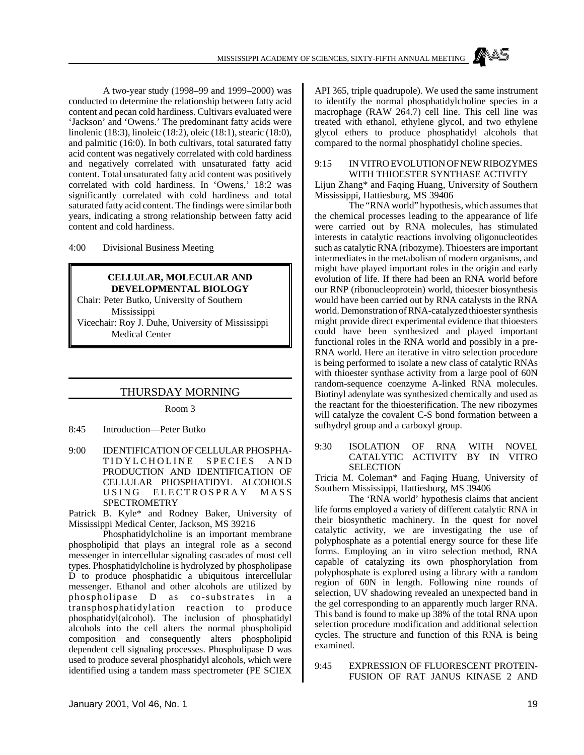A two-year study (1998–99 and 1999–2000) was conducted to determine the relationship between fatty acid content and pecan cold hardiness. Cultivars evaluated were 'Jackson' and 'Owens.' The predominant fatty acids were linolenic (18:3), linoleic (18:2), oleic (18:1), stearic (18:0), and palmitic (16:0). In both cultivars, total saturated fatty acid content was negatively correlated with cold hardiness and negatively correlated with unsaturated fatty acid content. Total unsaturated fatty acid content was positively correlated with cold hardiness. In 'Owens,' 18:2 was significantly correlated with cold hardiness and total saturated fatty acid content. The findings were similar both years, indicating a strong relationship between fatty acid content and cold hardiness.

4:00 Divisional Business Meeting

#### **CELLULAR, MOLECULAR AND DEVELOPMENTAL BIOLOGY**

Chair: Peter Butko, University of Southern Mississippi

Vicechair: Roy J. Duhe, University of Mississippi Medical Center

#### THURSDAY MORNING

Room 3

8:45 Introduction—Peter Butko

9:00 IDENTIFICATION OF CELLULAR PHOSPHA-TIDYLCHOLINE SPECIES AND PRODUCTION AND IDENTIFICATION OF CELLULAR PHOSPHATIDYL ALCOHOLS USING ELECTROSPRAY MASS SPECTROMETRY

Patrick B. Kyle\* and Rodney Baker, University of Mississippi Medical Center, Jackson, MS 39216

Phosphatidylcholine is an important membrane phospholipid that plays an integral role as a second messenger in intercellular signaling cascades of most cell types. Phosphatidylcholine is hydrolyzed by phospholipase D to produce phosphatidic a ubiquitous intercellular messenger. Ethanol and other alcohols are utilized by phospholipase D as co-substrates in a transphosphatidylation reaction to produce phosphatidyl(alcohol). The inclusion of phosphatidyl alcohols into the cell alters the normal phospholipid composition and consequently alters phospholipid dependent cell signaling processes. Phospholipase D was used to produce several phosphatidyl alcohols, which were identified using a tandem mass spectrometer (PE SCIEX

API 365, triple quadrupole). We used the same instrument to identify the normal phosphatidylcholine species in a macrophage (RAW 264.7) cell line. This cell line was treated with ethanol, ethylene glycol, and two ethylene glycol ethers to produce phosphatidyl alcohols that compared to the normal phosphatidyl choline species.

#### 9:15 IN VITRO EVOLUTION OF NEW RIBOZYMES WITH THIOESTER SYNTHASE ACTIVITY

Lijun Zhang\* and Faqing Huang, University of Southern Mississippi, Hattiesburg, MS 39406

The "RNA world" hypothesis, which assumes that the chemical processes leading to the appearance of life were carried out by RNA molecules, has stimulated interests in catalytic reactions involving oligonucleotides such as catalytic RNA (ribozyme). Thioesters are important intermediates in the metabolism of modern organisms, and might have played important roles in the origin and early evolution of life. If there had been an RNA world before our RNP (ribonucleoprotein) world, thioester biosynthesis would have been carried out by RNA catalysts in the RNA world. Demonstration of RNA-catalyzed thioester synthesis might provide direct experimental evidence that thioesters could have been synthesized and played important functional roles in the RNA world and possibly in a pre-RNA world. Here an iterative in vitro selection procedure is being performed to isolate a new class of catalytic RNAs with thioester synthase activity from a large pool of 60N random-sequence coenzyme A-linked RNA molecules. Biotinyl adenylate was synthesized chemically and used as the reactant for the thioesterification. The new ribozymes will catalyze the covalent C-S bond formation between a sufhydryl group and a carboxyl group.

9:30 ISOLATION OF RNA WITH NOVEL CATALYTIC ACTIVITY BY IN VITRO **SELECTION** 

Tricia M. Coleman\* and Faqing Huang, University of Southern Mississippi, Hattiesburg, MS 39406

The 'RNA world' hypothesis claims that ancient life forms employed a variety of different catalytic RNA in their biosynthetic machinery. In the quest for novel catalytic activity, we are investigating the use of polyphosphate as a potential energy source for these life forms. Employing an in vitro selection method, RNA capable of catalyzing its own phosphorylation from polyphosphate is explored using a library with a random region of 60N in length. Following nine rounds of selection, UV shadowing revealed an unexpected band in the gel corresponding to an apparently much larger RNA. This band is found to make up 38% of the total RNA upon selection procedure modification and additional selection cycles. The structure and function of this RNA is being examined.

9:45 EXPRESSION OF FLUORESCENT PROTEIN-FUSION OF RAT JANUS KINASE 2 AND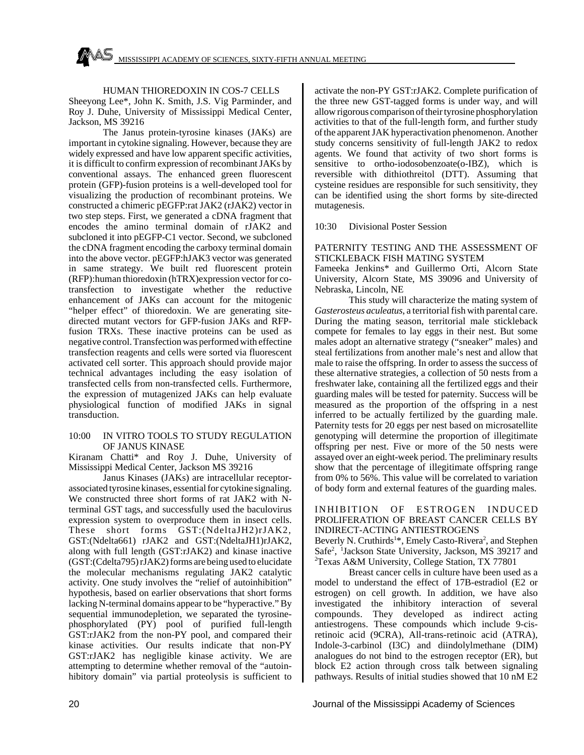#### HUMAN THIOREDOXIN IN COS-7 CELLS

Sheeyong Lee\*, John K. Smith, J.S. Vig Parminder, and Roy J. Duhe, University of Mississippi Medical Center, Jackson, MS 39216

The Janus protein-tyrosine kinases (JAKs) are important in cytokine signaling. However, because they are widely expressed and have low apparent specific activities, it is difficult to confirm expression of recombinant JAKs by conventional assays. The enhanced green fluorescent protein (GFP)-fusion proteins is a well-developed tool for visualizing the production of recombinant proteins. We constructed a chimeric pEGFP:rat JAK2 (rJAK2) vector in two step steps. First, we generated a cDNA fragment that encodes the amino terminal domain of rJAK2 and subcloned it into pEGFP-C1 vector. Second, we subcloned the cDNA fragment encoding the carboxy terminal domain into the above vector. pEGFP:hJAK3 vector was generated in same strategy. We built red fluorescent protein (RFP):human thioredoxin (hTRX)expression vector for cotransfection to investigate whether the reductive enhancement of JAKs can account for the mitogenic "helper effect" of thioredoxin. We are generating sitedirected mutant vectors for GFP-fusion JAKs and RFPfusion TRXs. These inactive proteins can be used as negative control. Transfection was performed with effectine transfection reagents and cells were sorted via fluorescent activated cell sorter. This approach should provide major technical advantages including the easy isolation of transfected cells from non-transfected cells. Furthermore, the expression of mutagenized JAKs can help evaluate physiological function of modified JAKs in signal transduction.

#### 10:00 IN VITRO TOOLS TO STUDY REGULATION OF JANUS KINASE

Kiranam Chatti\* and Roy J. Duhe, University of Mississippi Medical Center, Jackson MS 39216

Janus Kinases (JAKs) are intracellular receptorassociated tyrosine kinases, essential for cytokine signaling. We constructed three short forms of rat JAK2 with Nterminal GST tags, and successfully used the baculovirus expression system to overproduce them in insect cells. These short forms GST:(NdeltaJH2)rJAK2, GST:(Ndelta661) rJAK2 and GST:(NdeltaJH1)rJAK2, along with full length (GST:rJAK2) and kinase inactive (GST:(Cdelta795) rJAK2) forms are being used to elucidate the molecular mechanisms regulating JAK2 catalytic activity. One study involves the "relief of autoinhibition" hypothesis, based on earlier observations that short forms lacking N-terminal domains appear to be "hyperactive." By sequential immunodepletion, we separated the tyrosinephosphorylated (PY) pool of purified full-length GST:rJAK2 from the non-PY pool, and compared their kinase activities. Our results indicate that non-PY GST:rJAK2 has negligible kinase activity. We are attempting to determine whether removal of the "autoinhibitory domain" via partial proteolysis is sufficient to

activate the non-PY GST:rJAK2. Complete purification of the three new GST-tagged forms is under way, and will allow rigorous comparison of their tyrosine phosphorylation activities to that of the full-length form, and further study of the apparent JAK hyperactivation phenomenon. Another study concerns sensitivity of full-length JAK2 to redox agents. We found that activity of two short forms is sensitive to ortho-iodosobenzoate(o-IBZ), which is reversible with dithiothreitol (DTT). Assuming that cysteine residues are responsible for such sensitivity, they can be identified using the short forms by site-directed mutagenesis.

10:30 Divisional Poster Session

#### PATERNITY TESTING AND THE ASSESSMENT OF STICKLEBACK FISH MATING SYSTEM

Fameeka Jenkins\* and Guillermo Orti, Alcorn State University, Alcorn State, MS 39096 and University of Nebraska, Lincoln, NE

This study will characterize the mating system of *Gasterosteus aculeatus*, a territorial fish with parental care. During the mating season, territorial male stickleback compete for females to lay eggs in their nest. But some males adopt an alternative strategy ("sneaker" males) and steal fertilizations from another male's nest and allow that male to raise the offspring. In order to assess the success of these alternative strategies, a collection of 50 nests from a freshwater lake, containing all the fertilized eggs and their guarding males will be tested for paternity. Success will be measured as the proportion of the offspring in a nest inferred to be actually fertilized by the guarding male. Paternity tests for 20 eggs per nest based on microsatellite genotyping will determine the proportion of illegitimate offspring per nest. Five or more of the 50 nests were assayed over an eight-week period. The preliminary results show that the percentage of illegitimate offspring range from 0% to 56%. This value will be correlated to variation of body form and external features of the guarding males.

#### INHIBITION OF ESTROGEN INDUCED PROLIFERATION OF BREAST CANCER CELLS BY INDIRECT-ACTING ANTIESTROGENS

Beverly N. Cruthirds<sup>1\*</sup>, Emely Casto-Rivera<sup>2</sup>, and Stephen Safe<sup>2</sup>, <sup>1</sup>Jackson State University, Jackson, MS 39217 and <sup>2</sup>Texas A&M University, College Station, TX 77801

Breast cancer cells in culture have been used as a model to understand the effect of 17B-estradiol (E2 or estrogen) on cell growth. In addition, we have also investigated the inhibitory interaction of several compounds. They developed as indirect acting antiestrogens. These compounds which include 9-cisretinoic acid (9CRA), All-trans-retinoic acid (ATRA), Indole-3-carbinol (I3C) and diindolylmethane (DIM) analogues do not bind to the estrogen receptor (ER), but block E2 action through cross talk between signaling pathways. Results of initial studies showed that 10 nM E2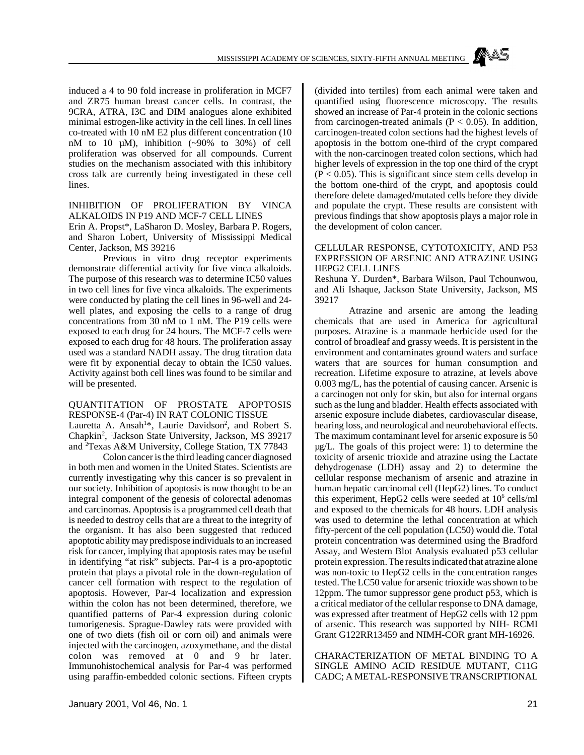induced a 4 to 90 fold increase in proliferation in MCF7 and ZR75 human breast cancer cells. In contrast, the 9CRA, ATRA, I3C and DIM analogues alone exhibited minimal estrogen-like activity in the cell lines. In cell lines co-treated with 10 nM E2 plus different concentration (10 nM to 10  $\mu$ M), inhibition (~90% to 30%) of cell proliferation was observed for all compounds. Current studies on the mechanism associated with this inhibitory cross talk are currently being investigated in these cell lines.

#### INHIBITION OF PROLIFERATION BY VINCA ALKALOIDS IN P19 AND MCF-7 CELL LINES

Erin A. Propst\*, LaSharon D. Mosley, Barbara P. Rogers, and Sharon Lobert, University of Mississippi Medical Center, Jackson, MS 39216

Previous in vitro drug receptor experiments demonstrate differential activity for five vinca alkaloids. The purpose of this research was to determine IC50 values in two cell lines for five vinca alkaloids. The experiments were conducted by plating the cell lines in 96-well and 24 well plates, and exposing the cells to a range of drug concentrations from 30 nM to 1 nM. The P19 cells were exposed to each drug for 24 hours. The MCF-7 cells were exposed to each drug for 48 hours. The proliferation assay used was a standard NADH assay. The drug titration data were fit by exponential decay to obtain the IC50 values. Activity against both cell lines was found to be similar and will be presented.

#### QUANTITATION OF PROSTATE APOPTOSIS RESPONSE-4 (Par-4) IN RAT COLONIC TISSUE

Lauretta A. Ansah<sup>1\*</sup>, Laurie Davidson<sup>2</sup>, and Robert S. Chapkin<sup>2</sup>, <sup>1</sup>Jackson State University, Jackson, MS 39217 and <sup>2</sup>Texas A&M University, College Station, TX 77843

Colon cancer is the third leading cancer diagnosed in both men and women in the United States. Scientists are currently investigating why this cancer is so prevalent in our society. Inhibition of apoptosis is now thought to be an integral component of the genesis of colorectal adenomas and carcinomas. Apoptosis is a programmed cell death that is needed to destroy cells that are a threat to the integrity of the organism. It has also been suggested that reduced apoptotic ability may predispose individuals to an increased risk for cancer, implying that apoptosis rates may be useful in identifying "at risk" subjects. Par-4 is a pro-apoptotic protein that plays a pivotal role in the down-regulation of cancer cell formation with respect to the regulation of apoptosis. However, Par-4 localization and expression within the colon has not been determined, therefore, we quantified patterns of Par-4 expression during colonic tumorigenesis. Sprague-Dawley rats were provided with one of two diets (fish oil or corn oil) and animals were injected with the carcinogen, azoxymethane, and the distal colon was removed at 0 and 9 hr later. Immunohistochemical analysis for Par-4 was performed using paraffin-embedded colonic sections. Fifteen crypts

(divided into tertiles) from each animal were taken and quantified using fluorescence microscopy. The results showed an increase of Par-4 protein in the colonic sections from carcinogen-treated animals ( $P < 0.05$ ). In addition, carcinogen-treated colon sections had the highest levels of apoptosis in the bottom one-third of the crypt compared with the non-carcinogen treated colon sections, which had higher levels of expression in the top one third of the crypt  $(P < 0.05)$ . This is significant since stem cells develop in the bottom one-third of the crypt, and apoptosis could therefore delete damaged/mutated cells before they divide and populate the crypt. These results are consistent with previous findings that show apoptosis plays a major role in the development of colon cancer.

#### CELLULAR RESPONSE, CYTOTOXICITY, AND P53 EXPRESSION OF ARSENIC AND ATRAZINE USING HEPG2 CELL LINES

Reshuna Y. Durden\*, Barbara Wilson, Paul Tchounwou, and Ali Ishaque, Jackson State University, Jackson, MS 39217

Atrazine and arsenic are among the leading chemicals that are used in America for agricultural purposes. Atrazine is a manmade herbicide used for the control of broadleaf and grassy weeds. It is persistent in the environment and contaminates ground waters and surface waters that are sources for human consumption and recreation. Lifetime exposure to atrazine, at levels above 0.003 mg/L, has the potential of causing cancer. Arsenic is a carcinogen not only for skin, but also for internal organs such as the lung and bladder. Health effects associated with arsenic exposure include diabetes, cardiovascular disease, hearing loss, and neurological and neurobehavioral effects. The maximum contaminant level for arsenic exposure is 50 µg/L. The goals of this project were: 1) to determine the toxicity of arsenic trioxide and atrazine using the Lactate dehydrogenase (LDH) assay and 2) to determine the cellular response mechanism of arsenic and atrazine in human hepatic carcinomal cell (HepG2) lines. To conduct this experiment, HepG2 cells were seeded at 10<sup>6</sup> cells/ml and exposed to the chemicals for 48 hours. LDH analysis was used to determine the lethal concentration at which fifty-percent of the cell population (LC50) would die. Total protein concentration was determined using the Bradford Assay, and Western Blot Analysis evaluated p53 cellular protein expression. The results indicated that atrazine alone was non-toxic to HepG2 cells in the concentration ranges tested. The LC50 value for arsenic trioxide was shown to be 12ppm. The tumor suppressor gene product p53, which is a critical mediator of the cellular response to DNA damage, was expressed after treatment of HepG2 cells with 12 ppm of arsenic. This research was supported by NIH- RCMI Grant G122RR13459 and NIMH-COR grant MH-16926.

CHARACTERIZATION OF METAL BINDING TO A SINGLE AMINO ACID RESIDUE MUTANT, C11G CADC; A METAL-RESPONSIVE TRANSCRIPTIONAL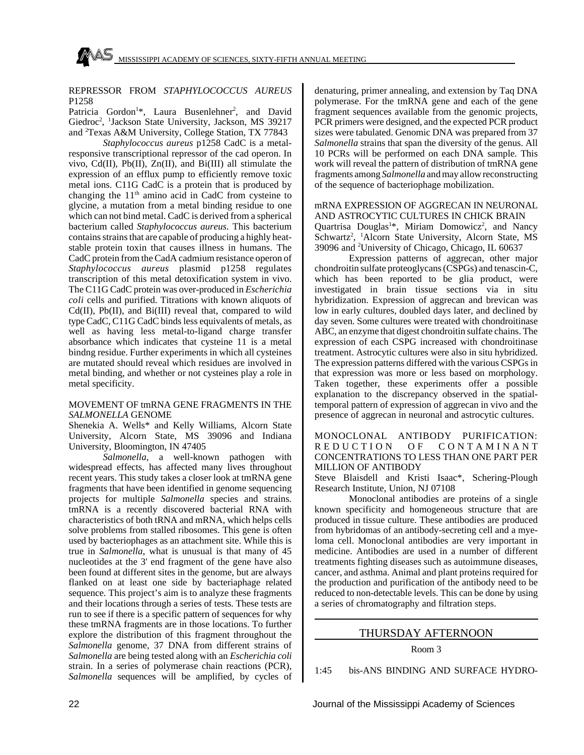#### REPRESSOR FROM *STAPHYLOCOCCUS AUREUS* P1258

Patricia Gordon<sup>1\*</sup>, Laura Busenlehner<sup>2</sup>, and David Giedroc<sup>2</sup>, <sup>1</sup>Jackson State University, Jackson, MS 39217 and <sup>2</sup>Texas A&M University, College Station, TX 77843

*Staphylococcus aureus* p1258 CadC is a metalresponsive transcriptional repressor of the cad operon. In vivo, Cd(II), Pb(II), Zn(II), and Bi(III) all stimulate the expression of an efflux pump to efficiently remove toxic metal ions. C11G CadC is a protein that is produced by changing the  $11<sup>th</sup>$  amino acid in CadC from cysteine to glycine, a mutation from a metal binding residue to one which can not bind metal. CadC is derived from a spherical bacterium called *Staphylococcus aureus*. This bacterium contains strains that are capable of producing a highly heatstable protein toxin that causes illness in humans. The CadC protein from the CadA cadmium resistance operon of *Staphylococcus aureus* plasmid p1258 regulates transcription of this metal detoxification system in vivo. The C11G CadC protein was over-produced in *Escherichia coli* cells and purified. Titrations with known aliquots of Cd(II), Pb(II), and Bi(III) reveal that, compared to wild type CadC, C11G CadC binds less equivalents of metals, as well as having less metal-to-ligand charge transfer absorbance which indicates that cysteine 11 is a metal bindng residue. Further experiments in which all cysteines are mutated should reveal which residues are involved in metal binding, and whether or not cysteines play a role in metal specificity.

#### MOVEMENT OF tmRNA GENE FRAGMENTS IN THE *SALMONELLA* GENOME

Shenekia A. Wells\* and Kelly Williams, Alcorn State University, Alcorn State, MS 39096 and Indiana University, Bloomington, IN 47405

*Salmonella*, a well-known pathogen with widespread effects, has affected many lives throughout recent years. This study takes a closer look at tmRNA gene fragments that have been identified in genome sequencing projects for multiple *Salmonella* species and strains. tmRNA is a recently discovered bacterial RNA with characteristics of both tRNA and mRNA, which helps cells solve problems from stalled ribosomes. This gene is often used by bacteriophages as an attachment site. While this is true in *Salmonella*, what is unusual is that many of 45 nucleotides at the 3' end fragment of the gene have also been found at different sites in the genome, but are always flanked on at least one side by bacteriaphage related sequence. This project's aim is to analyze these fragments and their locations through a series of tests. These tests are run to see if there is a specific pattern of sequences for why these tmRNA fragments are in those locations. To further explore the distribution of this fragment throughout the *Salmonella* genome, 37 DNA from different strains of *Salmonella* are being tested along with an *Escherichia coli* strain. In a series of polymerase chain reactions (PCR), *Salmonella* sequences will be amplified, by cycles of denaturing, primer annealing, and extension by Taq DNA polymerase. For the tmRNA gene and each of the gene fragment sequences available from the genomic projects, PCR primers were designed, and the expected PCR product sizes were tabulated. Genomic DNA was prepared from 37 *Salmonella* strains that span the diversity of the genus. All 10 PCRs will be performed on each DNA sample. This work will reveal the pattern of distribution of tmRNA gene fragments among *Salmonella* and may allow reconstructing of the sequence of bacteriophage mobilization.

mRNA EXPRESSION OF AGGRECAN IN NEURONAL AND ASTROCYTIC CULTURES IN CHICK BRAIN Quartrisa Douglas<sup>1\*</sup>, Miriam Domowicz<sup>2</sup>, and Nancy Schwartz<sup>2</sup>, <sup>1</sup>Alcorn State University, Alcorn State, MS 39096 and <sup>2</sup>University of Chicago, Chicago, IL 60637

Expression patterns of aggrecan, other major chondroitin sulfate proteoglycans (CSPGs) and tenascin-C, which has been reported to be glia product, were investigated in brain tissue sections via in situ hybridization. Expression of aggrecan and brevican was low in early cultures, doubled days later, and declined by day seven. Some cultures were treated with chondroitinase ABC, an enzyme that digest chondroitin sulfate chains. The expression of each CSPG increased with chondroitinase treatment. Astrocytic cultures were also in situ hybridized. The expression patterns differed with the various CSPGs in that expression was more or less based on morphology. Taken together, these experiments offer a possible explanation to the discrepancy observed in the spatialtemporal pattern of expression of aggrecan in vivo and the presence of aggrecan in neuronal and astrocytic cultures.

#### MONOCLONAL ANTIBODY PURIFICATION:<br>REDUCTION OF CONTAMINANT OF CONTAMINANT CONCENTRATIONS TO LESS THAN ONE PART PER MILLION OF ANTIBODY

Steve Blaisdell and Kristi Isaac\*, Schering-Plough Research Institute, Union, NJ 07108

Monoclonal antibodies are proteins of a single known specificity and homogeneous structure that are produced in tissue culture. These antibodies are produced from hybridomas of an antibody-secreting cell and a myeloma cell. Monoclonal antibodies are very important in medicine. Antibodies are used in a number of different treatments fighting diseases such as autoimmune diseases, cancer, and asthma. Animal and plant proteins required for the production and purification of the antibody need to be reduced to non-detectable levels. This can be done by using a series of chromatography and filtration steps.

#### THURSDAY AFTERNOON

#### Room 3

1:45 bis-ANS BINDING AND SURFACE HYDRO-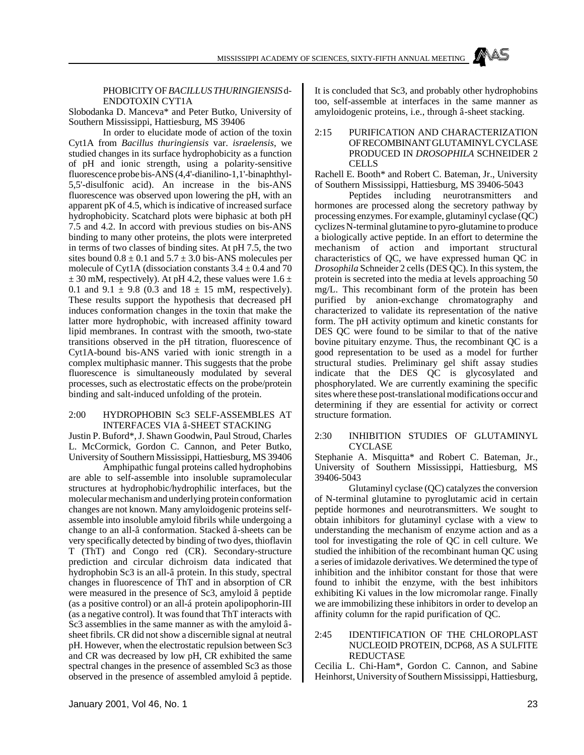

#### PHOBICITY OF *BACILLUS THURINGIENSIS* d-ENDOTOXIN CYT1A

Slobodanka D. Manceva\* and Peter Butko, University of Southern Mississippi, Hattiesburg, MS 39406

In order to elucidate mode of action of the toxin Cyt1A from *Bacillus thuringiensis* var. *israelensis*, we studied changes in its surface hydrophobicity as a function of pH and ionic strength, using a polarity-sensitive fluorescence probe bis-ANS (4,4'-dianilino-1,1'-binaphthyl-5,5'-disulfonic acid). An increase in the bis-ANS fluorescence was observed upon lowering the pH, with an apparent pK of 4.5, which is indicative of increased surface hydrophobicity. Scatchard plots were biphasic at both pH 7.5 and 4.2. In accord with previous studies on bis-ANS binding to many other proteins, the plots were interpreted in terms of two classes of binding sites. At pH 7.5, the two sites bound  $0.8 \pm 0.1$  and  $5.7 \pm 3.0$  bis-ANS molecules per molecule of Cyt1A (dissociation constants  $3.4 \pm 0.4$  and 70  $\pm$  30 mM, respectively). At pH 4.2, these values were 1.6  $\pm$ 0.1 and 9.1  $\pm$  9.8 (0.3 and 18  $\pm$  15 mM, respectively). These results support the hypothesis that decreased pH induces conformation changes in the toxin that make the latter more hydrophobic, with increased affinity toward lipid membranes. In contrast with the smooth, two-state transitions observed in the pH titration, fluorescence of Cyt1A-bound bis-ANS varied with ionic strength in a complex multiphasic manner. This suggests that the probe fluorescence is simultaneously modulated by several processes, such as electrostatic effects on the probe/protein binding and salt-induced unfolding of the protein.

#### 2:00 HYDROPHOBIN Sc3 SELF-ASSEMBLES AT INTERFACES VIA â-SHEET STACKING

Justin P. Buford\*, J. Shawn Goodwin, Paul Stroud, Charles L. McCormick, Gordon C. Cannon, and Peter Butko, University of Southern Mississippi, Hattiesburg, MS 39406

Amphipathic fungal proteins called hydrophobins are able to self-assemble into insoluble supramolecular structures at hydrophobic/hydrophilic interfaces, but the molecular mechanism and underlying protein conformation changes are not known. Many amyloidogenic proteins selfassemble into insoluble amyloid fibrils while undergoing a change to an all-â conformation. Stacked â-sheets can be very specifically detected by binding of two dyes, thioflavin T (ThT) and Congo red (CR). Secondary-structure prediction and circular dichroism data indicated that hydrophobin Sc3 is an all-â protein. In this study, spectral changes in fluorescence of ThT and in absorption of CR were measured in the presence of Sc3, amyloid â peptide (as a positive control) or an all-á protein apolipophorin-III (as a negative control). It was found that ThT interacts with Sc3 assemblies in the same manner as with the amyloid âsheet fibrils. CR did not show a discernible signal at neutral pH. However, when the electrostatic repulsion between Sc3 and CR was decreased by low pH, CR exhibited the same spectral changes in the presence of assembled Sc3 as those observed in the presence of assembled amyloid â peptide.

It is concluded that Sc3, and probably other hydrophobins too, self-assemble at interfaces in the same manner as amyloidogenic proteins, i.e., through â-sheet stacking.

#### 2:15 PURIFICATION AND CHARACTERIZATION OF RECOMBINANT GLUTAMINYL CYCLASE PRODUCED IN *DROSOPHILA* SCHNEIDER 2 CELLS

Rachell E. Booth\* and Robert C. Bateman, Jr., University of Southern Mississippi, Hattiesburg, MS 39406-5043

Peptides including neurotransmitters and hormones are processed along the secretory pathway by processing enzymes. For example, glutaminyl cyclase (QC) cyclizes N-terminal glutamine to pyro-glutamine to produce a biologically active peptide. In an effort to determine the mechanism of action and important structural characteristics of QC, we have expressed human QC in *Drosophila* Schneider 2 cells (DES QC). In this system, the protein is secreted into the media at levels approaching 50 mg/L. This recombinant form of the protein has been purified by anion-exchange chromatography and characterized to validate its representation of the native form. The pH activity optimum and kinetic constants for DES QC were found to be similar to that of the native bovine pituitary enzyme. Thus, the recombinant QC is a good representation to be used as a model for further structural studies. Preliminary gel shift assay studies indicate that the DES QC is glycosylated and phosphorylated. We are currently examining the specific sites where these post-translational modifications occur and determining if they are essential for activity or correct structure formation.

#### 2:30 INHIBITION STUDIES OF GLUTAMINYL **CYCLASE**

Stephanie A. Misquitta\* and Robert C. Bateman, Jr., University of Southern Mississippi, Hattiesburg, MS 39406-5043

Glutaminyl cyclase (QC) catalyzes the conversion of N-terminal glutamine to pyroglutamic acid in certain peptide hormones and neurotransmitters. We sought to obtain inhibitors for glutaminyl cyclase with a view to understanding the mechanism of enzyme action and as a tool for investigating the role of QC in cell culture. We studied the inhibition of the recombinant human QC using a series of imidazole derivatives. We determined the type of inhibition and the inhibitor constant for those that were found to inhibit the enzyme, with the best inhibitors exhibiting Ki values in the low micromolar range. Finally we are immobilizing these inhibitors in order to develop an affinity column for the rapid purification of QC.

#### 2:45 IDENTIFICATION OF THE CHLOROPLAST NUCLEOID PROTEIN, DCP68, AS A SULFITE REDUCTASE

Cecilia L. Chi-Ham\*, Gordon C. Cannon, and Sabine Heinhorst, University of Southern Mississippi, Hattiesburg,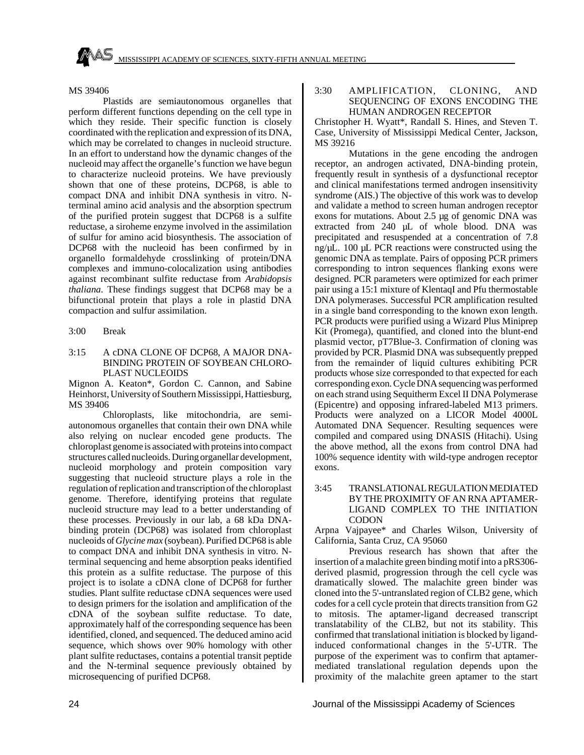#### MS 39406

Plastids are semiautonomous organelles that perform different functions depending on the cell type in which they reside. Their specific function is closely coordinated with the replication and expression of its DNA, which may be correlated to changes in nucleoid structure. In an effort to understand how the dynamic changes of the nucleoid may affect the organelle's function we have begun to characterize nucleoid proteins. We have previously shown that one of these proteins, DCP68, is able to compact DNA and inhibit DNA synthesis in vitro. Nterminal amino acid analysis and the absorption spectrum of the purified protein suggest that DCP68 is a sulfite reductase, a siroheme enzyme involved in the assimilation of sulfur for amino acid biosynthesis. The association of DCP68 with the nucleoid has been confirmed by in organello formaldehyde crosslinking of protein/DNA complexes and immuno-colocalization using antibodies against recombinant sulfite reductase from *Arabidopsis thaliana*. These findings suggest that DCP68 may be a bifunctional protein that plays a role in plastid DNA compaction and sulfur assimilation.

- 3:00 Break
- 3:15 A cDNA CLONE OF DCP68, A MAJOR DNA-BINDING PROTEIN OF SOYBEAN CHLORO-PLAST NUCLEOIDS

Mignon A. Keaton\*, Gordon C. Cannon, and Sabine Heinhorst, University of Southern Mississippi, Hattiesburg, MS 39406

Chloroplasts, like mitochondria, are semiautonomous organelles that contain their own DNA while also relying on nuclear encoded gene products. The chloroplast genome is associated with proteins into compact structures called nucleoids. During organellar development, nucleoid morphology and protein composition vary suggesting that nucleoid structure plays a role in the regulation of replication and transcription of the chloroplast genome. Therefore, identifying proteins that regulate nucleoid structure may lead to a better understanding of these processes. Previously in our lab, a 68 kDa DNAbinding protein (DCP68) was isolated from chloroplast nucleoids of *Glycine max* (soybean). Purified DCP68 is able to compact DNA and inhibit DNA synthesis in vitro. Nterminal sequencing and heme absorption peaks identified this protein as a sulfite reductase. The purpose of this project is to isolate a cDNA clone of DCP68 for further studies. Plant sulfite reductase cDNA sequences were used to design primers for the isolation and amplification of the cDNA of the soybean sulfite reductase. To date, approximately half of the corresponding sequence has been identified, cloned, and sequenced. The deduced amino acid sequence, which shows over 90% homology with other plant sulfite reductases, contains a potential transit peptide and the N-terminal sequence previously obtained by microsequencing of purified DCP68.

#### 3:30 AMPLIFICATION, CLONING, AND SEQUENCING OF EXONS ENCODING THE HUMAN ANDROGEN RECEPTOR

Christopher H. Wyatt\*, Randall S. Hines, and Steven T. Case, University of Mississippi Medical Center, Jackson, MS 39216

Mutations in the gene encoding the androgen receptor, an androgen activated, DNA-binding protein, frequently result in synthesis of a dysfunctional receptor and clinical manifestations termed androgen insensitivity syndrome (AIS.) The objective of this work was to develop and validate a method to screen human androgen receptor exons for mutations. About 2.5 µg of genomic DNA was extracted from 240 µL of whole blood. DNA was precipitated and resuspended at a concentration of 7.8 ng/µL. 100 µL PCR reactions were constructed using the genomic DNA as template. Pairs of opposing PCR primers corresponding to intron sequences flanking exons were designed. PCR parameters were optimized for each primer pair using a 15:1 mixture of KlentaqI and Pfu thermostable DNA polymerases. Successful PCR amplification resulted in a single band corresponding to the known exon length. PCR products were purified using a Wizard Plus Miniprep Kit (Promega), quantified, and cloned into the blunt-end plasmid vector, pT7Blue-3. Confirmation of cloning was provided by PCR. Plasmid DNA was subsequently prepped from the remainder of liquid cultures exhibiting PCR products whose size corresponded to that expected for each corresponding exon. Cycle DNA sequencing was performed on each strand using Sequitherm Excel II DNA Polymerase (Epicentre) and opposing infrared-labeled M13 primers. Products were analyzed on a LICOR Model 4000L Automated DNA Sequencer. Resulting sequences were compiled and compared using DNASIS (Hitachi). Using the above method, all the exons from control DNA had 100% sequence identity with wild-type androgen receptor exons.

3:45 TRANSLATIONAL REGULATION MEDIATED BY THE PROXIMITY OF AN RNA APTAMER-LIGAND COMPLEX TO THE INITIATION CODON

Arpna Vajpayee\* and Charles Wilson, University of California, Santa Cruz, CA 95060

Previous research has shown that after the insertion of a malachite green binding motif into a pRS306 derived plasmid, progression through the cell cycle was dramatically slowed. The malachite green binder was cloned into the 5'-untranslated region of CLB2 gene, which codes for a cell cycle protein that directs transition from G2 to mitosis. The aptamer-ligand decreased transcript translatability of the CLB2, but not its stability. This confirmed that translational initiation is blocked by ligandinduced conformational changes in the 5'-UTR. The purpose of the experiment was to confirm that aptamermediated translational regulation depends upon the proximity of the malachite green aptamer to the start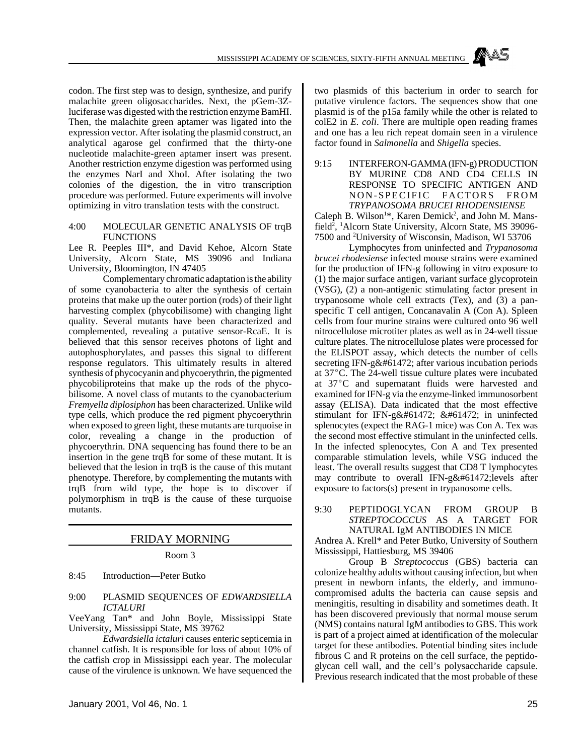

#### 4:00 MOLECULAR GENETIC ANALYSIS OF trqB **FUNCTIONS**

Lee R. Peeples III\*, and David Kehoe, Alcorn State University, Alcorn State, MS 39096 and Indiana University, Bloomington, IN 47405

Complementary chromatic adaptation is the ability of some cyanobacteria to alter the synthesis of certain proteins that make up the outer portion (rods) of their light harvesting complex (phycobilisome) with changing light quality. Several mutants have been characterized and complemented, revealing a putative sensor-RcaE. It is believed that this sensor receives photons of light and autophosphorylates, and passes this signal to different response regulators. This ultimately results in altered synthesis of phycocyanin and phycoerythrin, the pigmented phycobiliproteins that make up the rods of the phycobilisome. A novel class of mutants to the cyanobacterium *Fremyella diplosiphon* has been characterized. Unlike wild type cells, which produce the red pigment phycoerythrin when exposed to green light, these mutants are turquoise in color, revealing a change in the production of phycoerythrin. DNA sequencing has found there to be an insertion in the gene trqB for some of these mutant. It is believed that the lesion in trqB is the cause of this mutant phenotype. Therefore, by complementing the mutants with trqB from wild type, the hope is to discover if polymorphism in trqB is the cause of these turquoise mutants.

#### FRIDAY MORNING

#### Room 3

8:45 Introduction—Peter Butko

9:00 PLASMID SEQUENCES OF *EDWARDSIELLA ICTALURI*

VeeYang Tan\* and John Boyle, Mississippi State University, Mississippi State, MS 39762

*Edwardsiella ictaluri* causes enteric septicemia in channel catfish. It is responsible for loss of about 10% of the catfish crop in Mississippi each year. The molecular cause of the virulence is unknown. We have sequenced the

two plasmids of this bacterium in order to search for putative virulence factors. The sequences show that one plasmid is of the p15a family while the other is related to colE2 in *E. coli*. There are multiple open reading frames and one has a leu rich repeat domain seen in a virulence factor found in *Salmonella* and *Shigella* species.

#### 9:15 INTERFERON-GAMMA (IFN-g) PRODUCTION BY MURINE CD8 AND CD4 CELLS IN RESPONSE TO SPECIFIC ANTIGEN AND NON-SPECIFIC FACTORS FROM *TRYPANOSOMA BRUCEI RHODENSIENSE*

Caleph B. Wilson<sup>1\*</sup>, Karen Demick<sup>2</sup>, and John M. Mansfield<sup>2</sup>, <sup>1</sup>Alcorn State University, Alcorn State, MS 39096-7500 and <sup>2</sup>University of Wisconsin, Madison, WI 53706

Lymphocytes from uninfected and *Trypanosoma brucei rhodesiense* infected mouse strains were examined for the production of IFN-g following in vitro exposure to (1) the major surface antigen, variant surface glycoprotein (VSG), (2) a non-antigenic stimulating factor present in trypanosome whole cell extracts (Tex), and (3) a panspecific T cell antigen, Concanavalin A (Con A). Spleen cells from four murine strains were cultured onto 96 well nitrocellulose microtiter plates as well as in 24-well tissue culture plates. The nitrocellulose plates were processed for the ELISPOT assay, which detects the number of cells secreting IFN-g after various incubation periods at  $37^{\circ}$ C. The 24-well tissue culture plates were incubated at  $37^{\circ}$ C and supernatant fluids were harvested and examined for IFN-g via the enzyme-linked immunosorbent assay (ELISA). Data indicated that the most effective stimulant for IFN-g  in uninfected splenocytes (expect the RAG-1 mice) was Con A. Tex was the second most effective stimulant in the uninfected cells. In the infected splenocytes, Con A and Tex presented comparable stimulation levels, while VSG induced the least. The overall results suggest that CD8 T lymphocytes may contribute to overall IFN-g levels after exposure to factors(s) present in trypanosome cells.

#### 9:30 PEPTIDOGLYCAN FROM GROUP B *STREPTOCOCCUS* AS A TARGET FOR NATURAL IgM ANTIBODIES IN MICE

Andrea A. Krell\* and Peter Butko, University of Southern Mississippi, Hattiesburg, MS 39406

Group B *Streptococcus* (GBS) bacteria can colonize healthy adults without causing infection, but when present in newborn infants, the elderly, and immunocompromised adults the bacteria can cause sepsis and meningitis, resulting in disability and sometimes death. It has been discovered previously that normal mouse serum (NMS) contains natural IgM antibodies to GBS. This work is part of a project aimed at identification of the molecular target for these antibodies. Potential binding sites include fibrous C and R proteins on the cell surface, the peptidoglycan cell wall, and the cell's polysaccharide capsule. Previous research indicated that the most probable of these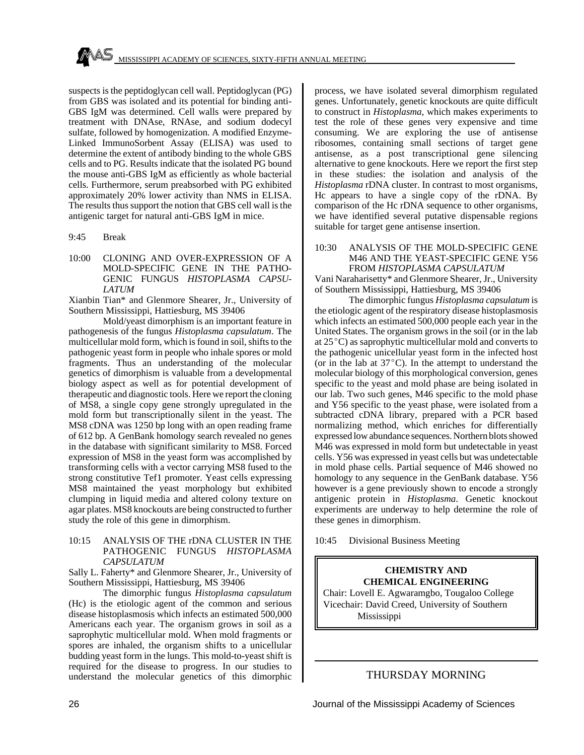suspects is the peptidoglycan cell wall. Peptidoglycan (PG) from GBS was isolated and its potential for binding anti-GBS IgM was determined. Cell walls were prepared by treatment with DNAse, RNAse, and sodium dodecyl sulfate, followed by homogenization. A modified Enzyme-Linked ImmunoSorbent Assay (ELISA) was used to determine the extent of antibody binding to the whole GBS cells and to PG. Results indicate that the isolated PG bound the mouse anti-GBS IgM as efficiently as whole bacterial cells. Furthermore, serum preabsorbed with PG exhibited approximately 20% lower activity than NMS in ELISA. The results thus support the notion that GBS cell wall is the antigenic target for natural anti-GBS IgM in mice.

- 9:45 Break
- 10:00 CLONING AND OVER-EXPRESSION OF A MOLD-SPECIFIC GENE IN THE PATHO-GENIC FUNGUS *HISTOPLASMA CAPSU-LATUM*

Xianbin Tian\* and Glenmore Shearer, Jr., University of Southern Mississippi, Hattiesburg, MS 39406

Mold/yeast dimorphism is an important feature in pathogenesis of the fungus *Histoplasma capsulatum*. The multicellular mold form, which is found in soil, shifts to the pathogenic yeast form in people who inhale spores or mold fragments. Thus an understanding of the molecular genetics of dimorphism is valuable from a developmental biology aspect as well as for potential development of therapeutic and diagnostic tools. Here we report the cloning of MS8, a single copy gene strongly upregulated in the mold form but transcriptionally silent in the yeast. The MS8 cDNA was 1250 bp long with an open reading frame of 612 bp. A GenBank homology search revealed no genes in the database with significant similarity to MS8. Forced expression of MS8 in the yeast form was accomplished by transforming cells with a vector carrying MS8 fused to the strong constitutive Tef1 promoter. Yeast cells expressing MS8 maintained the yeast morphology but exhibited clumping in liquid media and altered colony texture on agar plates. MS8 knockouts are being constructed to further study the role of this gene in dimorphism.

10:15 ANALYSIS OF THE rDNA CLUSTER IN THE PATHOGENIC FUNGUS *HISTOPLASMA CAPSULATUM*

Sally L. Faherty\* and Glenmore Shearer, Jr., University of Southern Mississippi, Hattiesburg, MS 39406

The dimorphic fungus *Histoplasma capsulatum* (Hc) is the etiologic agent of the common and serious disease histoplasmosis which infects an estimated 500,000 Americans each year. The organism grows in soil as a saprophytic multicellular mold. When mold fragments or spores are inhaled, the organism shifts to a unicellular budding yeast form in the lungs. This mold-to-yeast shift is required for the disease to progress. In our studies to understand the molecular genetics of this dimorphic process, we have isolated several dimorphism regulated genes. Unfortunately, genetic knockouts are quite difficult to construct in *Histoplasma*, which makes experiments to test the role of these genes very expensive and time consuming. We are exploring the use of antisense ribosomes, containing small sections of target gene antisense, as a post transcriptional gene silencing alternative to gene knockouts. Here we report the first step in these studies: the isolation and analysis of the *Histoplasma* rDNA cluster. In contrast to most organisms, Hc appears to have a single copy of the rDNA. By comparison of the Hc rDNA sequence to other organisms, we have identified several putative dispensable regions suitable for target gene antisense insertion.

#### 10:30 ANALYSIS OF THE MOLD-SPECIFIC GENE M46 AND THE YEAST-SPECIFIC GENE Y56 FROM *HISTOPLASMA CAPSULATUM*

Vani Naraharisetty\* and Glenmore Shearer, Jr., University of Southern Mississippi, Hattiesburg, MS 39406

The dimorphic fungus *Histoplasma capsulatum* is the etiologic agent of the respiratory disease histoplasmosis which infects an estimated 500,000 people each year in the United States. The organism grows in the soil (or in the lab at  $25^{\circ}$ C) as saprophytic multicellular mold and converts to the pathogenic unicellular yeast form in the infected host (or in the lab at  $37^{\circ}$ C). In the attempt to understand the molecular biology of this morphological conversion, genes specific to the yeast and mold phase are being isolated in our lab. Two such genes, M46 specific to the mold phase and Y56 specific to the yeast phase, were isolated from a subtracted cDNA library, prepared with a PCR based normalizing method, which enriches for differentially expressed low abundance sequences. Northern blots showed M46 was expressed in mold form but undetectable in yeast cells. Y56 was expressed in yeast cells but was undetectable in mold phase cells. Partial sequence of M46 showed no homology to any sequence in the GenBank database. Y56 however is a gene previously shown to encode a strongly antigenic protein in *Histoplasma*. Genetic knockout experiments are underway to help determine the role of these genes in dimorphism.

10:45 Divisional Business Meeting

#### **CHEMISTRY AND CHEMICAL ENGINEERING**

Chair: Lovell E. Agwaramgbo, Tougaloo College Vicechair: David Creed, University of Southern Mississippi

### THURSDAY MORNING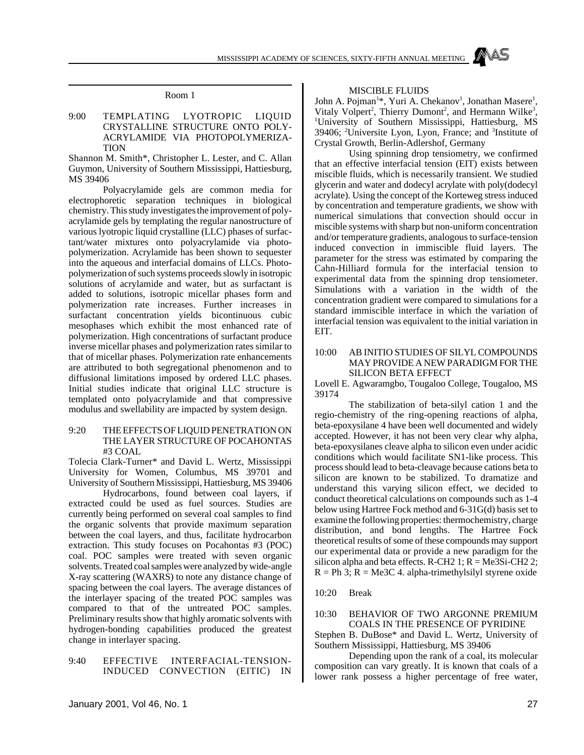#### Room 1

#### 9:00 TEMPLATING LYOTROPIC LIQUID CRYSTALLINE STRUCTURE ONTO POLY-ACRYLAMIDE VIA PHOTOPOLYMERIZA-**TION**

Shannon M. Smith\*, Christopher L. Lester, and C. Allan Guymon, University of Southern Mississippi, Hattiesburg, MS 39406

Polyacrylamide gels are common media for electrophoretic separation techniques in biological chemistry. This study investigates the improvement of polyacrylamide gels by templating the regular nanostructure of various lyotropic liquid crystalline (LLC) phases of surfactant/water mixtures onto polyacrylamide via photopolymerization. Acrylamide has been shown to sequester into the aqueous and interfacial domains of LLCs. Photopolymerization of such systems proceeds slowly in isotropic solutions of acrylamide and water, but as surfactant is added to solutions, isotropic micellar phases form and polymerization rate increases. Further increases in surfactant concentration yields bicontinuous cubic mesophases which exhibit the most enhanced rate of polymerization. High concentrations of surfactant produce inverse micellar phases and polymerization rates similar to that of micellar phases. Polymerization rate enhancements are attributed to both segregational phenomenon and to diffusional limitations imposed by ordered LLC phases. Initial studies indicate that original LLC structure is templated onto polyacrylamide and that compressive modulus and swellability are impacted by system design.

#### 9:20 THE EFFECTS OF LIQUID PENETRATION ON THE LAYER STRUCTURE OF POCAHONTAS #3 COAL

Tolecia Clark-Turner\* and David L. Wertz, Mississippi University for Women, Columbus, MS 39701 and University of Southern Mississippi, Hattiesburg, MS 39406

Hydrocarbons, found between coal layers, if extracted could be used as fuel sources. Studies are currently being performed on several coal samples to find the organic solvents that provide maximum separation between the coal layers, and thus, facilitate hydrocarbon extraction. This study focuses on Pocahontas #3 (POC) coal. POC samples were treated with seven organic solvents. Treated coal samples were analyzed by wide-angle X-ray scattering (WAXRS) to note any distance change of spacing between the coal layers. The average distances of the interlayer spacing of the treated POC samples was compared to that of the untreated POC samples. Preliminary results show that highly aromatic solvents with hydrogen-bonding capabilities produced the greatest change in interlayer spacing.

#### 9:40 EFFECTIVE INTERFACIAL-TENSION-INDUCED CONVECTION (EITIC) IN

#### MISCIBLE FLUIDS

John A. Pojman<sup>1\*</sup>, Yuri A. Chekanov<sup>1</sup>, Jonathan Masere<sup>1</sup>, Vitaly Volpert<sup>2</sup>, Thierry Dumont<sup>2</sup>, and Hermann Wilke<sup>3</sup>, <sup>1</sup>University of Southern Mississippi, Hattiesburg, MS 39406; <sup>2</sup>Universite Lyon, Lyon, France; and <sup>3</sup>Institute of Crystal Growth, Berlin-Adlershof, Germany

Using spinning drop tensiometry, we confirmed that an effective interfacial tension (EIT) exists between miscible fluids, which is necessarily transient. We studied glycerin and water and dodecyl acrylate with poly(dodecyl acrylate). Using the concept of the Korteweg stress induced by concentration and temperature gradients, we show with numerical simulations that convection should occur in miscible systems with sharp but non-uniform concentration and/or temperature gradients, analogous to surface-tension induced convection in immiscible fluid layers. The parameter for the stress was estimated by comparing the Cahn-Hilliard formula for the interfacial tension to experimental data from the spinning drop tensiometer. Simulations with a variation in the width of the concentration gradient were compared to simulations for a standard immiscible interface in which the variation of interfacial tension was equivalent to the initial variation in EIT.

#### 10:00 AB INITIO STUDIES OF SILYL COMPOUNDS MAY PROVIDE A NEW PARADIGM FOR THE SILICON BETA EFFECT

Lovell E. Agwaramgbo, Tougaloo College, Tougaloo, MS 39174

The stabilization of beta-silyl cation 1 and the regio-chemistry of the ring-opening reactions of alpha, beta-epoxysilane 4 have been well documented and widely accepted. However, it has not been very clear why alpha, beta-epoxysilanes cleave alpha to silicon even under acidic conditions which would facilitate SN1-like process. This process should lead to beta-cleavage because cations beta to silicon are known to be stabilized. To dramatize and understand this varying silicon effect, we decided to conduct theoretical calculations on compounds such as 1-4 below using Hartree Fock method and 6-31G(d) basis set to examine the following properties: thermochemistry, charge distribution, and bond lengths. The Hartree Fock theoretical results of some of these compounds may support our experimental data or provide a new paradigm for the silicon alpha and beta effects. R-CH2 1;  $R = Me3Si-CH22$ ;  $R = Ph 3$ ;  $R = Me3C 4$ . alpha-trimethylsilyl styrene oxide

10:20 Break

#### 10:30 BEHAVIOR OF TWO ARGONNE PREMIUM COALS IN THE PRESENCE OF PYRIDINE

Stephen B. DuBose\* and David L. Wertz, University of Southern Mississippi, Hattiesburg, MS 39406

Depending upon the rank of a coal, its molecular composition can vary greatly. It is known that coals of a lower rank possess a higher percentage of free water,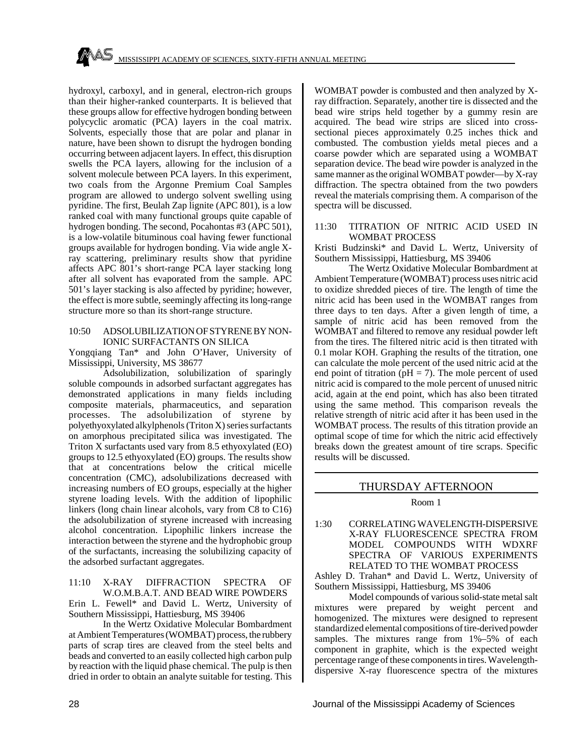hydroxyl, carboxyl, and in general, electron-rich groups than their higher-ranked counterparts. It is believed that these groups allow for effective hydrogen bonding between polycyclic aromatic (PCA) layers in the coal matrix. Solvents, especially those that are polar and planar in nature, have been shown to disrupt the hydrogen bonding occurring between adjacent layers. In effect, this disruption swells the PCA layers, allowing for the inclusion of a solvent molecule between PCA layers. In this experiment, two coals from the Argonne Premium Coal Samples program are allowed to undergo solvent swelling using pyridine. The first, Beulah Zap lignite (APC 801), is a low ranked coal with many functional groups quite capable of hydrogen bonding. The second, Pocahontas #3 (APC 501), is a low-volatile bituminous coal having fewer functional groups available for hydrogen bonding. Via wide angle Xray scattering, preliminary results show that pyridine affects APC 801's short-range PCA layer stacking long after all solvent has evaporated from the sample. APC 501's layer stacking is also affected by pyridine; however, the effect is more subtle, seemingly affecting its long-range structure more so than its short-range structure.

#### 10:50 ADSOLUBILIZATION OF STYRENE BY NON-IONIC SURFACTANTS ON SILICA

Yongqiang Tan\* and John O'Haver, University of Mississippi, University, MS 38677

Adsolubilization, solubilization of sparingly soluble compounds in adsorbed surfactant aggregates has demonstrated applications in many fields including composite materials, pharmaceutics, and separation processes. The adsolubilization of styrene by polyethyoxylated alkylphenols (Triton X) series surfactants on amorphous precipitated silica was investigated. The Triton X surfactants used vary from 8.5 ethyoxylated (EO) groups to 12.5 ethyoxylated (EO) groups. The results show that at concentrations below the critical micelle concentration (CMC), adsolubilizations decreased with increasing numbers of EO groups, especially at the higher styrene loading levels. With the addition of lipophilic linkers (long chain linear alcohols, vary from C8 to C16) the adsolubilization of styrene increased with increasing alcohol concentration. Lipophilic linkers increase the interaction between the styrene and the hydrophobic group of the surfactants, increasing the solubilizing capacity of the adsorbed surfactant aggregates.

#### 11:10 X-RAY DIFFRACTION SPECTRA OF W.O.M.B.A.T. AND BEAD WIRE POWDERS

Erin L. Fewell\* and David L. Wertz, University of Southern Mississippi, Hattiesburg, MS 39406

In the Wertz Oxidative Molecular Bombardment at Ambient Temperatures (WOMBAT) process, the rubbery parts of scrap tires are cleaved from the steel belts and beads and converted to an easily collected high carbon pulp by reaction with the liquid phase chemical. The pulp is then dried in order to obtain an analyte suitable for testing. This WOMBAT powder is combusted and then analyzed by Xray diffraction. Separately, another tire is dissected and the bead wire strips held together by a gummy resin are acquired. The bead wire strips are sliced into crosssectional pieces approximately 0.25 inches thick and combusted. The combustion yields metal pieces and a coarse powder which are separated using a WOMBAT separation device. The bead wire powder is analyzed in the same manner as the original WOMBAT powder—by X-ray diffraction. The spectra obtained from the two powders reveal the materials comprising them. A comparison of the spectra will be discussed.

#### 11:30 TITRATION OF NITRIC ACID USED IN WOMBAT PROCESS

Kristi Budzinski\* and David L. Wertz, University of Southern Mississippi, Hattiesburg, MS 39406

The Wertz Oxidative Molecular Bombardment at Ambient Temperature (WOMBAT) process uses nitric acid to oxidize shredded pieces of tire. The length of time the nitric acid has been used in the WOMBAT ranges from three days to ten days. After a given length of time, a sample of nitric acid has been removed from the WOMBAT and filtered to remove any residual powder left from the tires. The filtered nitric acid is then titrated with 0.1 molar KOH. Graphing the results of the titration, one can calculate the mole percent of the used nitric acid at the end point of titration ( $pH = 7$ ). The mole percent of used nitric acid is compared to the mole percent of unused nitric acid, again at the end point, which has also been titrated using the same method. This comparison reveals the relative strength of nitric acid after it has been used in the WOMBAT process. The results of this titration provide an optimal scope of time for which the nitric acid effectively breaks down the greatest amount of tire scraps. Specific results will be discussed.

#### THURSDAY AFTERNOON

#### Room 1

#### 1:30 CORRELATING WAVELENGTH-DISPERSIVE X-RAY FLUORESCENCE SPECTRA FROM MODEL COMPOUNDS WITH WDXRF SPECTRA OF VARIOUS EXPERIMENTS RELATED TO THE WOMBAT PROCESS

Ashley D. Trahan\* and David L. Wertz, University of Southern Mississippi, Hattiesburg, MS 39406

Model compounds of various solid-state metal salt mixtures were prepared by weight percent and homogenized. The mixtures were designed to represent standardized elemental compositions of tire-derived powder samples. The mixtures range from 1%–5% of each component in graphite, which is the expected weight percentage range of these components in tires. Wavelengthdispersive X-ray fluorescence spectra of the mixtures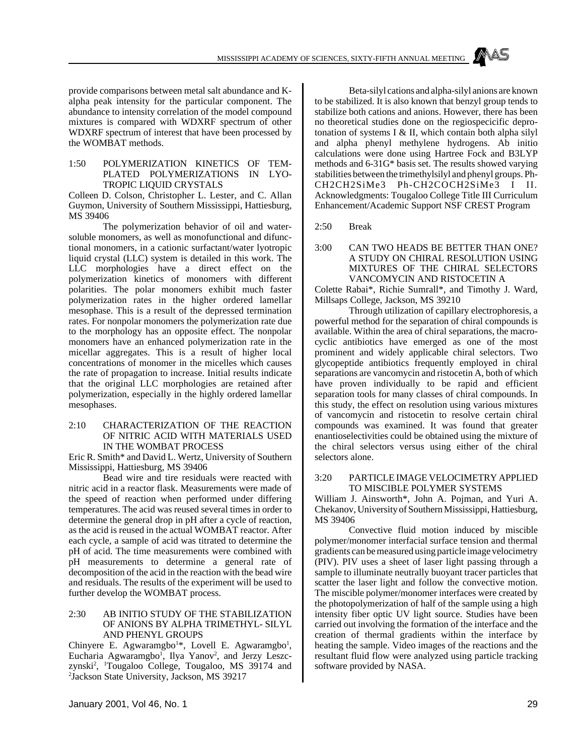provide comparisons between metal salt abundance and Kalpha peak intensity for the particular component. The abundance to intensity correlation of the model compound mixtures is compared with WDXRF spectrum of other WDXRF spectrum of interest that have been processed by the WOMBAT methods.

1:50 POLYMERIZATION KINETICS OF TEM-PLATED POLYMERIZATIONS IN LYO-TROPIC LIQUID CRYSTALS

Colleen D. Colson, Christopher L. Lester, and C. Allan Guymon, University of Southern Mississippi, Hattiesburg, MS 39406

The polymerization behavior of oil and watersoluble monomers, as well as monofunctional and difunctional monomers, in a cationic surfactant/water lyotropic liquid crystal (LLC) system is detailed in this work. The LLC morphologies have a direct effect on the polymerization kinetics of monomers with different polarities. The polar monomers exhibit much faster polymerization rates in the higher ordered lamellar mesophase. This is a result of the depressed termination rates. For nonpolar monomers the polymerization rate due to the morphology has an opposite effect. The nonpolar monomers have an enhanced polymerization rate in the micellar aggregates. This is a result of higher local concentrations of monomer in the micelles which causes the rate of propagation to increase. Initial results indicate that the original LLC morphologies are retained after polymerization, especially in the highly ordered lamellar mesophases.

#### 2:10 CHARACTERIZATION OF THE REACTION OF NITRIC ACID WITH MATERIALS USED IN THE WOMBAT PROCESS

Eric R. Smith\* and David L. Wertz, University of Southern Mississippi, Hattiesburg, MS 39406

Bead wire and tire residuals were reacted with nitric acid in a reactor flask. Measurements were made of the speed of reaction when performed under differing temperatures. The acid was reused several times in order to determine the general drop in pH after a cycle of reaction, as the acid is reused in the actual WOMBAT reactor. After each cycle, a sample of acid was titrated to determine the pH of acid. The time measurements were combined with pH measurements to determine a general rate of decomposition of the acid in the reaction with the bead wire and residuals. The results of the experiment will be used to further develop the WOMBAT process.

#### 2:30 AB INITIO STUDY OF THE STABILIZATION OF ANIONS BY ALPHA TRIMETHYL- SILYL AND PHENYL GROUPS

Chinyere E. Agwaramgbo<sup>1\*</sup>, Lovell E. Agwaramgbo<sup>1</sup>, Eucharia Agwaramgbo<sup>1</sup>, Ilya Yanov<sup>2</sup>, and Jerzy Leszczynski<sup>2</sup>, <sup>1</sup>Tougaloo College, Tougaloo, MS 39174 and 2 Jackson State University, Jackson, MS 39217

Beta-silyl cations and alpha-silyl anions are known to be stabilized. It is also known that benzyl group tends to stabilize both cations and anions. However, there has been no theoretical studies done on the regiospecicific deprotonation of systems I & II, which contain both alpha silyl and alpha phenyl methylene hydrogens. Ab initio calculations were done using Hartree Fock and B3LYP methods and 6-31G\* basis set. The results showed varying stabilities between the trimethylsilyl and phenyl groups. Ph-CH2CH2SiMe3 Ph-CH2COCH2SiMe3 I II. Acknowledgments: Tougaloo College Title III Curriculum Enhancement/Academic Support NSF CREST Program

- 2:50 Break
- 3:00 CAN TWO HEADS BE BETTER THAN ONE? A STUDY ON CHIRAL RESOLUTION USING MIXTURES OF THE CHIRAL SELECTORS VANCOMYCIN AND RISTOCETIN A

Colette Rabai\*, Richie Sumrall\*, and Timothy J. Ward, Millsaps College, Jackson, MS 39210

Through utilization of capillary electrophoresis, a powerful method for the separation of chiral compounds is available. Within the area of chiral separations, the macrocyclic antibiotics have emerged as one of the most prominent and widely applicable chiral selectors. Two glycopeptide antibiotics frequently employed in chiral separations are vancomycin and ristocetin A, both of which have proven individually to be rapid and efficient separation tools for many classes of chiral compounds. In this study, the effect on resolution using various mixtures of vancomycin and ristocetin to resolve certain chiral compounds was examined. It was found that greater enantioselectivities could be obtained using the mixture of the chiral selectors versus using either of the chiral selectors alone.

#### 3:20 PARTICLE IMAGE VELOCIMETRY APPLIED TO MISCIBLE POLYMER SYSTEMS

William J. Ainsworth\*, John A. Pojman, and Yuri A. Chekanov, University of Southern Mississippi, Hattiesburg, MS 39406

Convective fluid motion induced by miscible polymer/monomer interfacial surface tension and thermal gradients can be measured using particle image velocimetry (PIV). PIV uses a sheet of laser light passing through a sample to illuminate neutrally buoyant tracer particles that scatter the laser light and follow the convective motion. The miscible polymer/monomer interfaces were created by the photopolymerization of half of the sample using a high intensity fiber optic UV light source. Studies have been carried out involving the formation of the interface and the creation of thermal gradients within the interface by heating the sample. Video images of the reactions and the resultant fluid flow were analyzed using particle tracking software provided by NASA.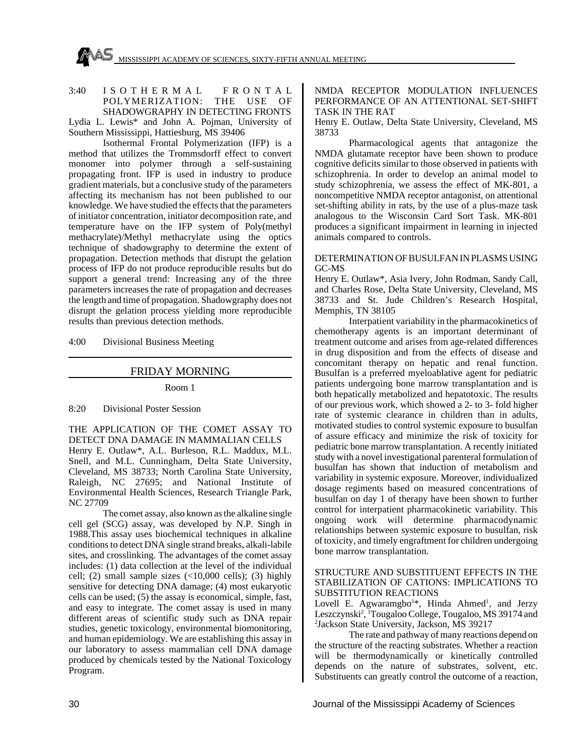

#### 3:40 ISOTHERMAL FRONTAL<br>POLYMERIZATION: THE USE OF POLYMERIZATION: SHADOWGRAPHY IN DETECTING FRONTS

Lydia L. Lewis\* and John A. Pojman, University of Southern Mississippi, Hattiesburg, MS 39406

Isothermal Frontal Polymerization (IFP) is a method that utilizes the Trommsdorff effect to convert monomer into polymer through a self-sustaining propagating front. IFP is used in industry to produce gradient materials, but a conclusive study of the parameters affecting its mechanism has not been published to our knowledge. We have studied the effects that the parameters of initiator concentration, initiator decomposition rate, and temperature have on the IFP system of Poly(methyl methacrylate)/Methyl methacrylate using the optics technique of shadowgraphy to determine the extent of propagation. Detection methods that disrupt the gelation process of IFP do not produce reproducible results but do support a general trend: Increasing any of the three parameters increases the rate of propagation and decreases the length and time of propagation. Shadowgraphy does not disrupt the gelation process yielding more reproducible results than previous detection methods.

4:00 Divisional Business Meeting

#### FRIDAY MORNING

#### Room 1

8:20 Divisional Poster Session

THE APPLICATION OF THE COMET ASSAY TO DETECT DNA DAMAGE IN MAMMALIAN CELLS Henry E. Outlaw\*, A.L. Burleson, R.L. Maddux, M.L. Snell, and M.L. Cunningham, Delta State University, Cleveland, MS 38733; North Carolina State University, Raleigh, NC 27695; and National Institute of Environmental Health Sciences, Research Triangle Park, NC 27709

The comet assay, also known as the alkaline single cell gel (SCG) assay, was developed by N.P. Singh in 1988.This assay uses biochemical techniques in alkaline conditions to detect DNA single strand breaks, alkali-labile sites, and crosslinking. The advantages of the comet assay includes: (1) data collection at the level of the individual cell; (2) small sample sizes  $\left($ <10,000 cells); (3) highly sensitive for detecting DNA damage; (4) most eukaryotic cells can be used; (5) the assay is economical, simple, fast, and easy to integrate. The comet assay is used in many different areas of scientific study such as DNA repair studies, genetic toxicology, environmental biomonitoring, and human epidemiology. We are establishing this assay in our laboratory to assess mammalian cell DNA damage produced by chemicals tested by the National Toxicology Program.

#### NMDA RECEPTOR MODULATION INFLUENCES PERFORMANCE OF AN ATTENTIONAL SET-SHIFT TASK IN THE RAT

Henry E. Outlaw, Delta State University, Cleveland, MS 38733

Pharmacological agents that antagonize the NMDA glutamate receptor have been shown to produce cognitive deficits similar to those observed in patients with schizophrenia. In order to develop an animal model to study schizophrenia, we assess the effect of MK-801, a noncompetitive NMDA receptor antagonist, on attentional set-shifting ability in rats, by the use of a plus-maze task analogous to the Wisconsin Card Sort Task. MK-801 produces a significant impairment in learning in injected animals compared to controls.

#### DETERMINATION OF BUSULFAN IN PLASMS USING GC-MS

Henry E. Outlaw\*, Asia Ivery, John Rodman, Sandy Call, and Charles Rose, Delta State University, Cleveland, MS 38733 and St. Jude Children's Research Hospital, Memphis, TN 38105

Interpatient variability in the pharmacokinetics of chemotherapy agents is an important determinant of treatment outcome and arises from age-related differences in drug disposition and from the effects of disease and concomitant therapy on hepatic and renal function. Busulfan is a preferred myeloablative agent for pediatric patients undergoing bone marrow transplantation and is both hepatically metabolized and hepatotoxic. The results of our previous work, which showed a 2- to 3- fold higher rate of systemic clearance in children than in adults, motivated studies to control systemic exposure to busulfan of assure efficacy and minimize the risk of toxicity for pediatric bone marrow transplantation. A recently initiated study with a novel investigational parenteral formulation of busulfan has shown that induction of metabolism and variability in systemic exposure. Moreover, individualized dosage regiments based on measured concentrations of busulfan on day 1 of therapy have been shown to further control for interpatient pharmacokinetic variability. This ongoing work will determine pharmacodynamic relationships between systemic exposure to busulfan, risk of toxicity, and timely engraftment for children undergoing bone marrow transplantation.

#### STRUCTURE AND SUBSTITUENT EFFECTS IN THE STABILIZATION OF CATIONS: IMPLICATIONS TO SUBSTITUTION REACTIONS

Lovell E. Agwaramgbo<sup>1\*</sup>, Hinda Ahmed<sup>1</sup>, and Jerzy Leszczynski<sup>2</sup>, <sup>1</sup>Tougaloo College, Tougaloo, MS 39174 and 2 Jackson State University, Jackson, MS 39217

The rate and pathway of many reactions depend on the structure of the reacting substrates. Whether a reaction will be thermodynamically or kinetically controlled depends on the nature of substrates, solvent, etc. Substituents can greatly control the outcome of a reaction,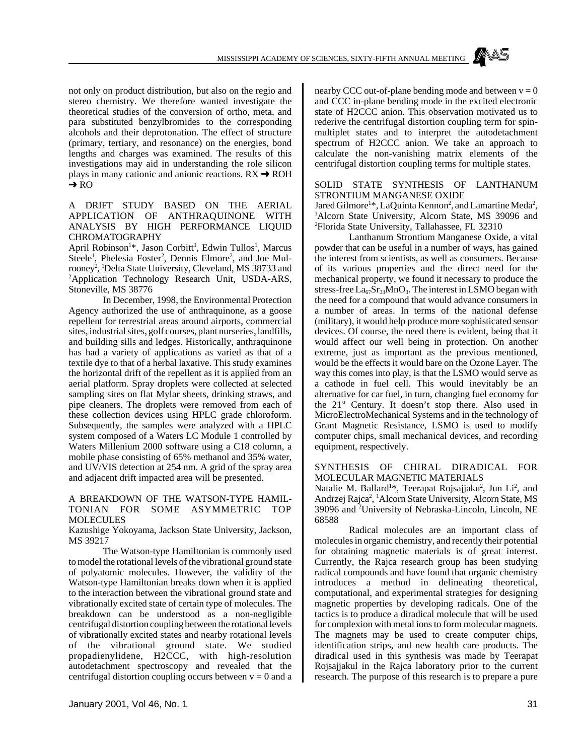

#### A DRIFT STUDY BASED ON THE AERIAL APPLICATION OF ANTHRAQUINONE WITH ANALYSIS BY HIGH PERFORMANCE LIQUID CHROMATOGRAPHY

April Robinson<sup>1\*</sup>, Jason Corbitt<sup>1</sup>, Edwin Tullos<sup>1</sup>, Marcus Steele<sup>1</sup>, Phelesia Foster<sup>2</sup>, Dennis Elmore<sup>2</sup>, and Joe Mulrooney<sup>2</sup>, <sup>1</sup>Delta State University, Cleveland, MS 38733 and <sup>2</sup>Application Technology Research Unit, USDA-ARS, Stoneville, MS 38776

In December, 1998, the Environmental Protection Agency authorized the use of anthraquinone, as a goose repellent for terrestrial areas around airports, commercial sites, industrial sites, golf courses, plant nurseries, landfills, and building sills and ledges. Historically, anthraquinone has had a variety of applications as varied as that of a textile dye to that of a herbal laxative. This study examines the horizontal drift of the repellent as it is applied from an aerial platform. Spray droplets were collected at selected sampling sites on flat Mylar sheets, drinking straws, and pipe cleaners. The droplets were removed from each of these collection devices using HPLC grade chloroform. Subsequently, the samples were analyzed with a HPLC system composed of a Waters LC Module 1 controlled by Waters Millenium 2000 software using a C18 column, a mobile phase consisting of 65% methanol and 35% water, and UV/VIS detection at 254 nm. A grid of the spray area and adjacent drift impacted area will be presented.

#### A BREAKDOWN OF THE WATSON-TYPE HAMIL-TONIAN FOR SOME ASYMMETRIC TOP MOLECULES

Kazushige Yokoyama, Jackson State University, Jackson, MS 39217

The Watson-type Hamiltonian is commonly used to model the rotational levels of the vibrational ground state of polyatomic molecules. However, the validity of the Watson-type Hamiltonian breaks down when it is applied to the interaction between the vibrational ground state and vibrationally excited state of certain type of molecules. The breakdown can be understood as a non-negligible centrifugal distortion coupling between the rotational levels of vibrationally excited states and nearby rotational levels of the vibrational ground state. We studied propadienylidene, H2CCC, with high-resolution autodetachment spectroscopy and revealed that the centrifugal distortion coupling occurs between  $v = 0$  and a

rederive the centrifugal distortion coupling term for spinmultiplet states and to interpret the autodetachment spectrum of H2CCC anion. We take an approach to calculate the non-vanishing matrix elements of the centrifugal distortion coupling terms for multiple states. SOLID STATE SYNTHESIS OF LANTHANUM STRONTIUM MANGANESE OXIDE

Jared Gilmore<sup>1\*</sup>, LaQuinta Kennon<sup>2</sup>, and Lamartine Meda<sup>2</sup>, <sup>1</sup>Alcorn State University, Alcorn State, MS 39096 and <sup>2</sup>Florida State University, Tallahassee, FL 32310

nearby CCC out-of-plane bending mode and between  $v = 0$ and CCC in-plane bending mode in the excited electronic state of H2CCC anion. This observation motivated us to

Lanthanum Strontium Manganese Oxide, a vital powder that can be useful in a number of ways, has gained the interest from scientists, as well as consumers. Because of its various properties and the direct need for the mechanical property, we found it necessary to produce the stress-free  $\text{La}_{67}\text{Sr}_{33}\text{MnO}_3$ . The interest in LSMO began with the need for a compound that would advance consumers in a number of areas. In terms of the national defense (military), it would help produce more sophisticated sensor devices. Of course, the need there is evident, being that it would affect our well being in protection. On another extreme, just as important as the previous mentioned, would be the effects it would bare on the Ozone Layer. The way this comes into play, is that the LSMO would serve as a cathode in fuel cell. This would inevitably be an alternative for car fuel, in turn, changing fuel economy for the 21st Century. It doesn't stop there. Also used in MicroElectroMechanical Systems and in the technology of Grant Magnetic Resistance, LSMO is used to modify computer chips, small mechanical devices, and recording equipment, respectively.

#### SYNTHESIS OF CHIRAL DIRADICAL FOR MOLECULAR MAGNETIC MATERIALS

Natalie M. Ballard<sup>1\*</sup>, Teerapat Rojsajjaku<sup>2</sup>, Jun Li<sup>2</sup>, and Andrzej Rajca<sup>2</sup>, <sup>1</sup>Alcorn State University, Alcorn State, MS 39096 and <sup>2</sup>University of Nebraska-Lincoln, Lincoln, NE 68588

Radical molecules are an important class of molecules in organic chemistry, and recently their potential for obtaining magnetic materials is of great interest. Currently, the Rajca research group has been studying radical compounds and have found that organic chemistry introduces a method in delineating theoretical, computational, and experimental strategies for designing magnetic properties by developing radicals. One of the tactics is to produce a diradical molecule that will be used for complexion with metal ions to form molecular magnets. The magnets may be used to create computer chips, identification strips, and new health care products. The diradical used in this synthesis was made by Teerapat Rojsajjakul in the Rajca laboratory prior to the current research. The purpose of this research is to prepare a pure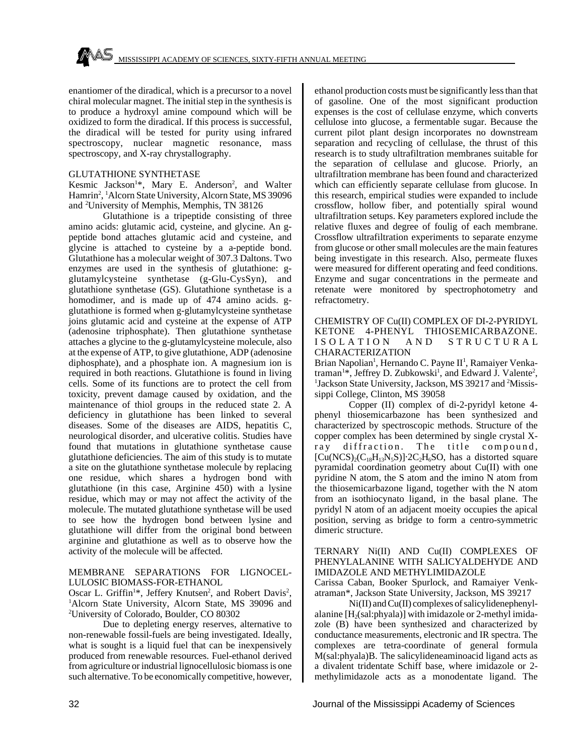enantiomer of the diradical, which is a precursor to a novel chiral molecular magnet. The initial step in the synthesis is to produce a hydroxyl amine compound which will be oxidized to form the diradical. If this process is successful, the diradical will be tested for purity using infrared spectroscopy, nuclear magnetic resonance, mass spectroscopy, and X-ray chrystallography.

#### GLUTATHIONE SYNTHETASE

Kesmic Jackson<sup>1\*</sup>, Mary E. Anderson<sup>2</sup>, and Walter Hamrin<sup>2</sup>, <sup>1</sup>Alcorn State University, Alcorn State, MS 39096 and <sup>2</sup>University of Memphis, Memphis, TN 38126

Glutathione is a tripeptide consisting of three amino acids: glutamic acid, cysteine, and glycine. An gpeptide bond attaches glutamic acid and cysteine, and glycine is attached to cysteine by a a-peptide bond. Glutathione has a molecular weight of 307.3 Daltons. Two enzymes are used in the synthesis of glutathione: gglutamylcysteine synthetase (g-Glu-CysSyn), and glutathione synthetase (GS). Glutathione synthetase is a homodimer, and is made up of 474 amino acids. gglutathione is formed when g-glutamylcysteine synthetase joins glutamic acid and cysteine at the expense of ATP (adenosine triphosphate). Then glutathione synthetase attaches a glycine to the g-glutamylcysteine molecule, also at the expense of ATP, to give glutathione, ADP (adenosine diphosphate), and a phosphate ion. A magnesium ion is required in both reactions. Glutathione is found in living cells. Some of its functions are to protect the cell from toxicity, prevent damage caused by oxidation, and the maintenance of thiol groups in the reduced state 2. A deficiency in glutathione has been linked to several diseases. Some of the diseases are AIDS, hepatitis C, neurological disorder, and ulcerative colitis. Studies have found that mutations in glutathione synthetase cause glutathione deficiencies. The aim of this study is to mutate a site on the glutathione synthetase molecule by replacing one residue, which shares a hydrogen bond with glutathione (in this case, Arginine 450) with a lysine residue, which may or may not affect the activity of the molecule. The mutated glutathione synthetase will be used to see how the hydrogen bond between lysine and glutathione will differ from the original bond between arginine and glutathione as well as to observe how the activity of the molecule will be affected.

#### MEMBRANE SEPARATIONS FOR LIGNOCEL-LULOSIC BIOMASS-FOR-ETHANOL

Oscar L. Griffin<sup>1\*</sup>, Jeffery Knutsen<sup>2</sup>, and Robert Davis<sup>2</sup>, <sup>1</sup>Alcorn State University, Alcorn State, MS 39096 and <sup>2</sup>University of Colorado, Boulder, CO 80302

Due to depleting energy reserves, alternative to non-renewable fossil-fuels are being investigated. Ideally, what is sought is a liquid fuel that can be inexpensively produced from renewable resources. Fuel-ethanol derived from agriculture or industrial lignocellulosic biomass is one such alternative. To be economically competitive, however, ethanol production costs must be significantly less than that of gasoline. One of the most significant production expenses is the cost of cellulase enzyme, which converts cellulose into glucose, a fermentable sugar. Because the current pilot plant design incorporates no downstream separation and recycling of cellulase, the thrust of this research is to study ultrafiltration membranes suitable for the separation of cellulase and glucose. Priorly, an ultrafiltration membrane has been found and characterized which can efficiently separate cellulase from glucose. In this research, empirical studies were expanded to include crossflow, hollow fiber, and potentially spiral wound ultrafiltration setups. Key parameters explored include the relative fluxes and degree of foulig of each membrane. Crossflow ultrafiltration experiments to separate enzyme from glucose or other small molecules are the main features being investigate in this research. Also, permeate fluxes were measured for different operating and feed conditions. Enzyme and sugar concentrations in the permeate and retenate were monitored by spectrophotometry and refractometry.

#### CHEMISTRY OF Cu(II) COMPLEX OF DI-2-PYRIDYL KETONE 4-PHENYL THIOSEMICARBAZONE. ISOLATION AND STRUCTURA L CHARACTERIZATION

Brian Napolian<sup>1</sup>, Hernando C. Payne II<sup>1</sup>, Ramaiyer Venkatraman<sup>1\*</sup>, Jeffrey D. Zubkowski<sup>1</sup>, and Edward J. Valente<sup>2</sup>, <sup>1</sup>Jackson State University, Jackson, MS 39217 and <sup>2</sup>Mississippi College, Clinton, MS 39058

Copper (II) complex of di-2-pyridyl ketone 4 phenyl thiosemicarbazone has been synthesized and characterized by spectroscopic methods. Structure of the copper complex has been determined by single crystal Xray diffraction. The title compound,  $[Cu(NCS)<sub>2</sub>(C<sub>18</sub>H<sub>13</sub>N<sub>5</sub>S)]$  2C<sub>2</sub>H<sub>6</sub>SO, has a distorted square pyramidal coordination geometry about Cu(II) with one pyridine N atom, the S atom and the imino N atom from the thiosemicarbazone ligand, together with the N atom from an isothiocynato ligand, in the basal plane. The pyridyl N atom of an adjacent moeity occupies the apical position, serving as bridge to form a centro-symmetric dimeric structure.

#### TERNARY Ni(II) AND Cu(II) COMPLEXES OF PHENYLALANINE WITH SALICYALDEHYDE AND IMIDAZOLE AND METHYLIMIDAZOLE

Carissa Caban, Booker Spurlock, and Ramaiyer Venkatraman\*, Jackson State University, Jackson, MS 39217

Ni(II) and Cu(II) complexes of salicylidenephenylalanine [H<sub>2</sub>(sal:phyala)] with imidazole or 2-methyl imidazole (B) have been synthesized and characterized by conductance measurements, electronic and IR spectra. The complexes are tetra-coordinate of general formula M(sal:phyala)B. The salicylideneaminoacid ligand acts as a divalent tridentate Schiff base, where imidazole or 2 methylimidazole acts as a monodentate ligand. The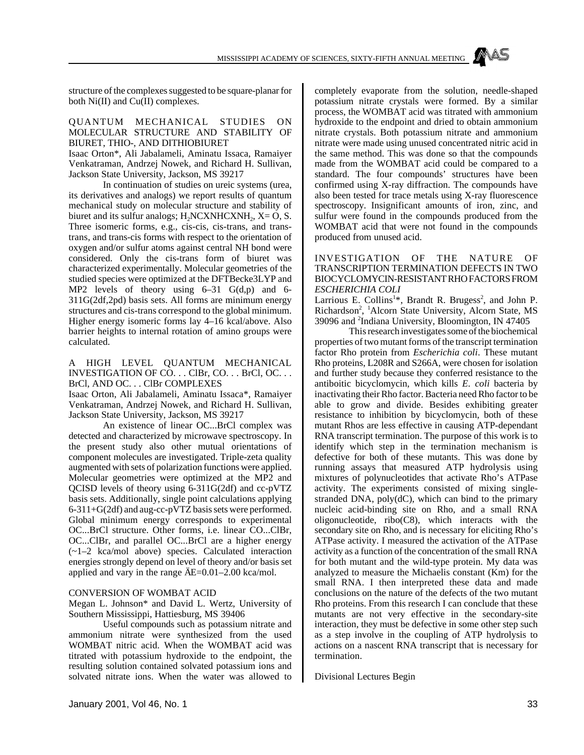structure of the complexes suggested to be square-planar for both Ni(II) and Cu(II) complexes.

#### QUANTUM MECHANICAL STUDIES ON MOLECULAR STRUCTURE AND STABILITY OF BIURET, THIO-, AND DITHIOBIURET

Isaac Orton\*, Ali Jabalameli, Aminatu Issaca, Ramaiyer Venkatraman, Andrzej Nowek, and Richard H. Sullivan, Jackson State University, Jackson, MS 39217

In continuation of studies on ureic systems (urea, its derivatives and analogs) we report results of quantum mechanical study on molecular structure and stability of biuret and its sulfur analogs;  $H_2NCXNHCXNH_2$ ,  $X=O$ , S. Three isomeric forms, e.g., cis-cis, cis-trans, and transtrans, and trans-cis forms with respect to the orientation of oxygen and/or sulfur atoms against central NH bond were considered. Only the cis-trans form of biuret was characterized experimentally. Molecular geometries of the studied species were optimized at the DFTBecke3LYP and MP2 levels of theory using  $6-31$   $G(d,p)$  and  $6-$ 311G(2df,2pd) basis sets. All forms are minimum energy structures and cis-trans correspond to the global minimum. Higher energy isomeric forms lay 4–16 kcal/above. Also barrier heights to internal rotation of amino groups were calculated.

#### A HIGH LEVEL QUANTUM MECHANICAL INVESTIGATION OF CO. . . ClBr, CO. . . BrCl, OC. . . BrCl, AND OC. . . ClBr COMPLEXES

Isaac Orton, Ali Jabalameli, Aminatu Issaca\*, Ramaiyer Venkatraman, Andrzej Nowek, and Richard H. Sullivan, Jackson State University, Jackson, MS 39217

An existence of linear OC...BrCl complex was detected and characterized by microwave spectroscopy. In the present study also other mutual orientations of component molecules are investigated. Triple-zeta quality augmented with sets of polarization functions were applied. Molecular geometries were optimized at the MP2 and QCISD levels of theory using 6-311G(2df) and cc-pVTZ basis sets. Additionally, single point calculations applying 6-311+G(2df) and aug-cc-pVTZ basis sets were performed. Global minimum energy corresponds to experimental OC...BrCl structure. Other forms, i.e. linear CO...ClBr, OC...ClBr, and parallel OC...BrCl are a higher energy (~1–2 kca/mol above) species. Calculated interaction energies strongly depend on level of theory and/or basis set applied and vary in the range ÄE=0.01–2.00 kca/mol.

#### CONVERSION OF WOMBAT ACID

Megan L. Johnson\* and David L. Wertz, University of Southern Mississippi, Hattiesburg, MS 39406

Useful compounds such as potassium nitrate and ammonium nitrate were synthesized from the used WOMBAT nitric acid. When the WOMBAT acid was titrated with potassium hydroxide to the endpoint, the resulting solution contained solvated potassium ions and solvated nitrate ions. When the water was allowed to completely evaporate from the solution, needle-shaped potassium nitrate crystals were formed. By a similar process, the WOMBAT acid was titrated with ammonium hydroxide to the endpoint and dried to obtain ammonium nitrate crystals. Both potassium nitrate and ammonium nitrate were made using unused concentrated nitric acid in the same method. This was done so that the compounds made from the WOMBAT acid could be compared to a standard. The four compounds' structures have been confirmed using X-ray diffraction. The compounds have also been tested for trace metals using X-ray fluorescence spectroscopy. Insignificant amounts of iron, zinc, and sulfur were found in the compounds produced from the WOMBAT acid that were not found in the compounds produced from unused acid.

#### INVESTIGATION OF THE NATURE OF TRANSCRIPTION TERMINATION DEFECTS IN TWO BIOCYCLOMYCIN-RESISTANT RHO FACTORS FROM *ESCHERICHIA COLI*

Larrious E. Collins<sup>1\*</sup>, Brandt R. Brugess<sup>2</sup>, and John P. Richardson<sup>2</sup>, <sup>1</sup>Alcorn State University, Alcorn State, MS 39096 and <sup>2</sup> Indiana University, Bloomington, IN 47405

This research investigates some of the biochemical properties of two mutant forms of the transcript termination factor Rho protein from *Escherichia coli*. These mutant Rho proteins, L208R and S266A, were chosen for isolation and further study because they conferred resistance to the antiboitic bicyclomycin, which kills *E. coli* bacteria by inactivating their Rho factor. Bacteria need Rho factor to be able to grow and divide. Besides exhibiting greater resistance to inhibition by bicyclomycin, both of these mutant Rhos are less effective in causing ATP-dependant RNA transcript termination. The purpose of this work is to identify which step in the termination mechanism is defective for both of these mutants. This was done by running assays that measured ATP hydrolysis using mixtures of polynucleotides that activate Rho's ATPase activity. The experiments consisted of mixing singlestranded DNA, poly(dC), which can bind to the primary nucleic acid-binding site on Rho, and a small RNA oligonucleotide, ribo(C8), which interacts with the secondary site on Rho, and is necessary for eliciting Rho's ATPase activity. I measured the activation of the ATPase activity as a function of the concentration of the small RNA for both mutant and the wild-type protein. My data was analyzed to measure the Michaelis constant (Km) for the small RNA. I then interpreted these data and made conclusions on the nature of the defects of the two mutant Rho proteins. From this research I can conclude that these mutants are not very effective in the secondary-site interaction, they must be defective in some other step such as a step involve in the coupling of ATP hydrolysis to actions on a nascent RNA transcript that is necessary for termination.

Divisional Lectures Begin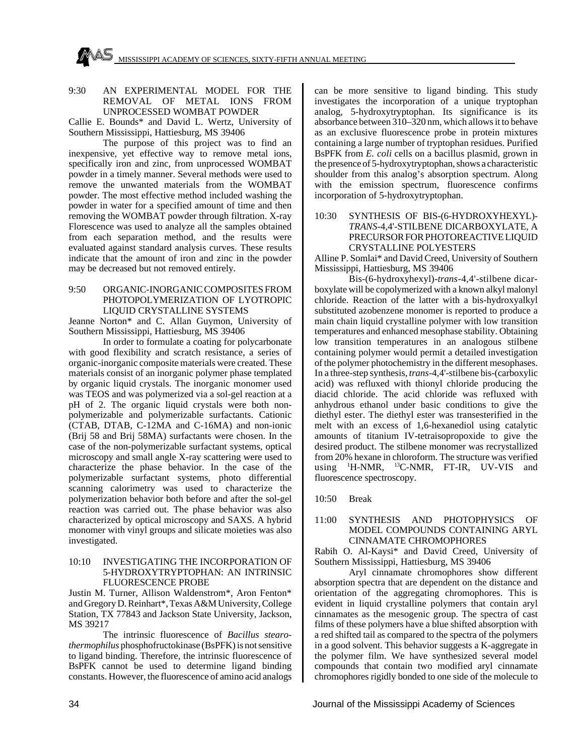

#### 9:30 AN EXPERIMENTAL MODEL FOR THE REMOVAL OF METAL IONS FROM UNPROCESSED WOMBAT POWDER

Callie E. Bounds\* and David L. Wertz, University of Southern Mississippi, Hattiesburg, MS 39406

The purpose of this project was to find an inexpensive, yet effective way to remove metal ions, specifically iron and zinc, from unprocessed WOMBAT powder in a timely manner. Several methods were used to remove the unwanted materials from the WOMBAT powder. The most effective method included washing the powder in water for a specified amount of time and then removing the WOMBAT powder through filtration. X-ray Florescence was used to analyze all the samples obtained from each separation method, and the results were evaluated against standard analysis curves. These results indicate that the amount of iron and zinc in the powder may be decreased but not removed entirely.

#### 9:50 ORGANIC-INORGANIC COMPOSITES FROM PHOTOPOLYMERIZATION OF LYOTROPIC LIQUID CRYSTALLINE SYSTEMS

Jeanne Norton\* and C. Allan Guymon, University of Southern Mississippi, Hattiesburg, MS 39406

In order to formulate a coating for polycarbonate with good flexibility and scratch resistance, a series of organic-inorganic composite materials were created. These materials consist of an inorganic polymer phase templated by organic liquid crystals. The inorganic monomer used was TEOS and was polymerized via a sol-gel reaction at a pH of 2. The organic liquid crystals were both nonpolymerizable and polymerizable surfactants. Cationic (CTAB, DTAB, C-12MA and C-16MA) and non-ionic (Brij 58 and Brij 58MA) surfactants were chosen. In the case of the non-polymerizable surfactant systems, optical microscopy and small angle X-ray scattering were used to characterize the phase behavior. In the case of the polymerizable surfactant systems, photo differential scanning calorimetry was used to characterize the polymerization behavior both before and after the sol-gel reaction was carried out. The phase behavior was also characterized by optical microscopy and SAXS. A hybrid monomer with vinyl groups and silicate moieties was also investigated.

#### 10:10 INVESTIGATING THE INCORPORATION OF 5-HYDROXYTRYPTOPHAN: AN INTRINSIC FLUORESCENCE PROBE

Justin M. Turner, Allison Waldenstrom\*, Aron Fenton\* and Gregory D. Reinhart\*, Texas A&M University, College Station, TX 77843 and Jackson State University, Jackson, MS 39217

The intrinsic fluorescence of *Bacillus stearothermophilus* phosphofructokinase (BsPFK) is not sensitive to ligand binding. Therefore, the intrinsic fluorescence of BsPFK cannot be used to determine ligand binding constants. However, the fluorescence of amino acid analogs can be more sensitive to ligand binding. This study investigates the incorporation of a unique tryptophan analog, 5-hydroxytryptophan. Its significance is its absorbance between 310–320 nm, which allows it to behave as an exclusive fluorescence probe in protein mixtures containing a large number of tryptophan residues. Purified BsPFK from *E. coli* cells on a bacillus plasmid, grown in the presence of 5-hydroxytryptophan, shows a characteristic shoulder from this analog's absorption spectrum. Along with the emission spectrum, fluorescence confirms incorporation of 5-hydroxytryptophan.

#### 10:30 SYNTHESIS OF BIS-(6-HYDROXYHEXYL)- *TRANS*-4,4'-STILBENE DICARBOXYLATE, A PRECURSOR FOR PHOTOREACTIVE LIQUID CRYSTALLINE POLYESTERS

Alline P. Somlai\* and David Creed, University of Southern Mississippi, Hattiesburg, MS 39406

Bis-(6-hydroxyhexyl)-*trans*-4,4'-stilbene dicarboxylate will be copolymerized with a known alkyl malonyl chloride. Reaction of the latter with a bis-hydroxyalkyl substituted azobenzene monomer is reported to produce a main chain liquid crystalline polymer with low transition temperatures and enhanced mesophase stability. Obtaining low transition temperatures in an analogous stilbene containing polymer would permit a detailed investigation of the polymer photochemistry in the different mesophases. In a three-step synthesis, *trans*-4,4'-stilbene bis-(carboxylic acid) was refluxed with thionyl chloride producing the diacid chloride. The acid chloride was refluxed with anhydrous ethanol under basic conditions to give the diethyl ester. The diethyl ester was transesterified in the melt with an excess of 1,6-hexanediol using catalytic amounts of titanium IV-tetraisopropoxide to give the desired product. The stilbene monomer was recrystallized from 20% hexane in chloroform. The structure was verified using <sup>1</sup>H-NMR, <sup>13</sup>C-NMR, FT-IR, UV-VIS and fluorescence spectroscopy.

10:50 Break

#### 11:00 SYNTHESIS AND PHOTOPHYSICS OF MODEL COMPOUNDS CONTAINING ARYL CINNAMATE CHROMOPHORES

Rabih O. Al-Kaysi\* and David Creed, University of Southern Mississippi, Hattiesburg, MS 39406

Aryl cinnamate chromophores show different absorption spectra that are dependent on the distance and orientation of the aggregating chromophores. This is evident in liquid crystalline polymers that contain aryl cinnamates as the mesogenic group. The spectra of cast films of these polymers have a blue shifted absorption with a red shifted tail as compared to the spectra of the polymers in a good solvent. This behavior suggests a K-aggregate in the polymer film. We have synthesized several model compounds that contain two modified aryl cinnamate chromophores rigidly bonded to one side of the molecule to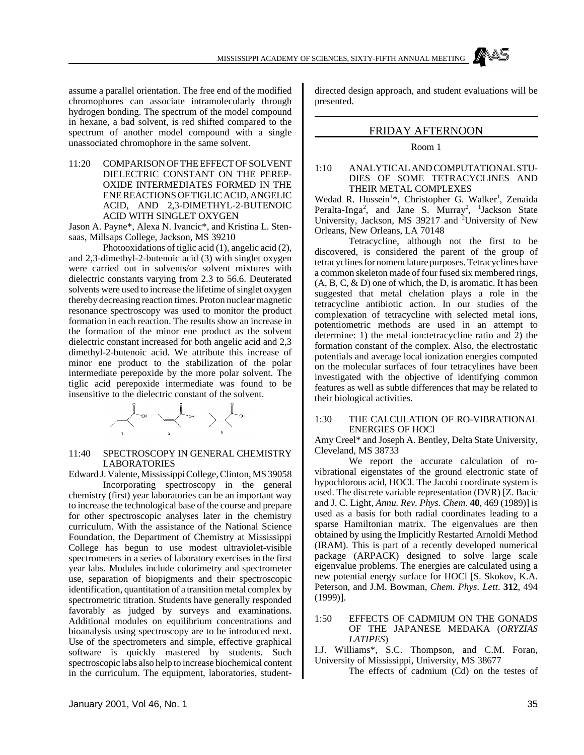assume a parallel orientation. The free end of the modified chromophores can associate intramolecularly through hydrogen bonding. The spectrum of the model compound in hexane, a bad solvent, is red shifted compared to the spectrum of another model compound with a single unassociated chromophore in the same solvent.

11:20 COMPARISON OF THE EFFECT OF SOLVENT DIELECTRIC CONSTANT ON THE PEREP-OXIDE INTERMEDIATES FORMED IN THE ENE REACTIONS OF TIGLIC ACID, ANGELIC ACID, AND 2,3-DIMETHYL-2-BUTENOIC ACID WITH SINGLET OXYGEN

Jason A. Payne\*, Alexa N. Ivancic\*, and Kristina L. Stensaas, Millsaps College, Jackson, MS 39210

Photooxidations of tiglic acid (1), angelic acid (2), and 2,3-dimethyl-2-butenoic acid (3) with singlet oxygen were carried out in solvents/or solvent mixtures with dielectric constants varying from 2.3 to 56.6. Deuterated solvents were used to increase the lifetime of singlet oxygen thereby decreasing reaction times. Proton nuclear magnetic resonance spectroscopy was used to monitor the product formation in each reaction. The results show an increase in the formation of the minor ene product as the solvent dielectric constant increased for both angelic acid and 2,3 dimethyl-2-butenoic acid. We attribute this increase of minor ene product to the stabilization of the polar intermediate perepoxide by the more polar solvent. The tiglic acid perepoxide intermediate was found to be insensitive to the dielectric constant of the solvent.



#### 11:40 SPECTROSCOPY IN GENERAL CHEMISTRY LABORATORIES

Edward J. Valente, Mississippi College, Clinton, MS 39058

Incorporating spectroscopy in the general chemistry (first) year laboratories can be an important way to increase the technological base of the course and prepare for other spectroscopic analyses later in the chemistry curriculum. With the assistance of the National Science Foundation, the Department of Chemistry at Mississippi College has begun to use modest ultraviolet-visible spectrometers in a series of laboratory exercises in the first year labs. Modules include colorimetry and spectrometer use, separation of biopigments and their spectroscopic identification, quantitation of a transition metal complex by spectrometric titration. Students have generally responded favorably as judged by surveys and examinations. Additional modules on equilibrium concentrations and bioanalysis using spectroscopy are to be introduced next. Use of the spectrometers and simple, effective graphical software is quickly mastered by students. Such spectroscopic labs also help to increase biochemical content in the curriculum. The equipment, laboratories, studentdirected design approach, and student evaluations will be presented.

#### FRIDAY AFTERNOON

#### Room 1

#### 1:10 ANALYTICAL AND COMPUTATIONAL STU-DIES OF SOME TETRACYCLINES AND THEIR METAL COMPLEXES

Wedad R. Hussein<sup>1\*</sup>, Christopher G. Walker<sup>1</sup>, Zenaida Peralta-Inga<sup>2</sup>, and Jane S. Murray<sup>2</sup>, <sup>1</sup>Jackson State University, Jackson, MS 39217 and <sup>2</sup>University of New Orleans, New Orleans, LA 70148

Tetracycline, although not the first to be discovered, is considered the parent of the group of tetracyclines for nomenclature purposes. Tetracyclines have a common skeleton made of four fused six membered rings,  $(A, B, C, \& D)$  one of which, the D, is aromatic. It has been suggested that metal chelation plays a role in the tetracycline antibiotic action. In our studies of the complexation of tetracycline with selected metal ions, potentiometric methods are used in an attempt to determine: 1) the metal ion:tetracycline ratio and 2) the formation constant of the complex. Also, the electrostatic potentials and average local ionization energies computed on the molecular surfaces of four tetracylines have been investigated with the objective of identifying common features as well as subtle differences that may be related to their biological activities.

#### 1:30 THE CALCULATION OF RO-VIBRATIONAL ENERGIES OF HOCl

Amy Creel\* and Joseph A. Bentley, Delta State University, Cleveland, MS 38733

We report the accurate calculation of rovibrational eigenstates of the ground electronic state of hypochlorous acid, HOCl. The Jacobi coordinate system is used. The discrete variable representation (DVR) [Z. Bacic and J. C. Light, *Annu. Rev. Phys. Chem*. **40**, 469 (1989)] is used as a basis for both radial coordinates leading to a sparse Hamiltonian matrix. The eigenvalues are then obtained by using the Implicitly Restarted Arnoldi Method (IRAM). This is part of a recently developed numerical package (ARPACK) designed to solve large scale eigenvalue problems. The energies are calculated using a new potential energy surface for HOCl [S. Skokov, K.A. Peterson, and J.M. Bowman, *Chem. Phys. Lett*. **312**, 494 (1999)].

#### 1:50 EFFECTS OF CADMIUM ON THE GONADS OF THE JAPANESE MEDAKA (*ORYZIAS LATIPES*)

I.J. Williams\*, S.C. Thompson, and C.M. Foran, University of Mississippi, University, MS 38677

The effects of cadmium (Cd) on the testes of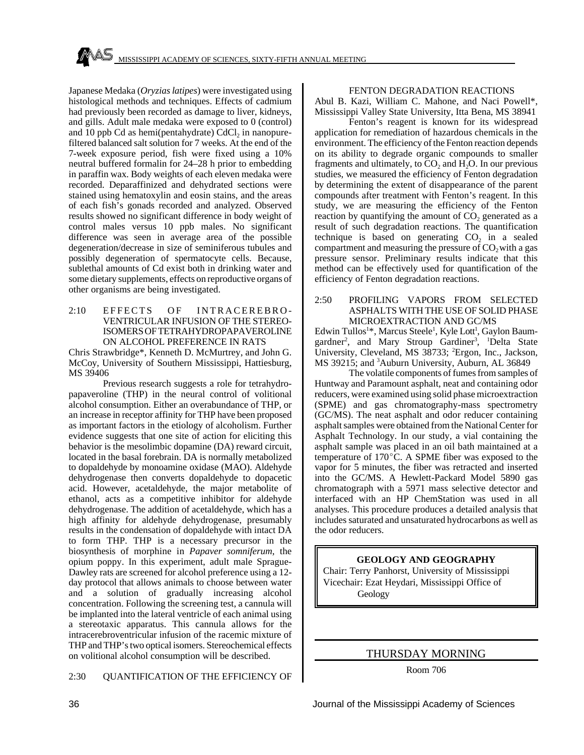Japanese Medaka (*Oryzias latipes*) were investigated using histological methods and techniques. Effects of cadmium had previously been recorded as damage to liver, kidneys, and gills. Adult male medaka were exposed to 0 (control) and 10 ppb Cd as hemi(pentahydrate)  $CdCl<sub>2</sub>$  in nanopurefiltered balanced salt solution for 7 weeks. At the end of the 7-week exposure period, fish were fixed using a 10% neutral buffered formalin for 24–28 h prior to embedding in paraffin wax. Body weights of each eleven medaka were recorded. Deparaffinized and dehydrated sections were stained using hematoxylin and eosin stains, and the areas of each fish's gonads recorded and analyzed. Observed results showed no significant difference in body weight of control males versus 10 ppb males. No significant difference was seen in average area of the possible degeneration/decrease in size of seminiferous tubules and possibly degeneration of spermatocyte cells. Because, sublethal amounts of Cd exist both in drinking water and some dietary supplements, effects on reproductive organs of other organisms are being investigated.

2:10 EFFECTS OF INTRACEREBRO-VENTRICULAR INFUSION OF THE STEREO-ISOMERS OF TETRAHYDROPAPAVEROLINE ON ALCOHOL PREFERENCE IN RATS

Chris Strawbridge\*, Kenneth D. McMurtrey, and John G. McCoy, University of Southern Mississippi, Hattiesburg, MS 39406

Previous research suggests a role for tetrahydropapaveroline (THP) in the neural control of volitional alcohol consumption. Either an overabundance of THP, or an increase in receptor affinity for THP have been proposed as important factors in the etiology of alcoholism. Further evidence suggests that one site of action for eliciting this behavior is the mesolimbic dopamine (DA) reward circuit, located in the basal forebrain. DA is normally metabolized to dopaldehyde by monoamine oxidase (MAO). Aldehyde dehydrogenase then converts dopaldehyde to dopacetic acid. However, acetaldehyde, the major metabolite of ethanol, acts as a competitive inhibitor for aldehyde dehydrogenase. The addition of acetaldehyde, which has a high affinity for aldehyde dehydrogenase, presumably results in the condensation of dopaldehyde with intact DA to form THP. THP is a necessary precursor in the biosynthesis of morphine in *Papaver somniferum*, the opium poppy. In this experiment, adult male Sprague-Dawley rats are screened for alcohol preference using a 12 day protocol that allows animals to choose between water and a solution of gradually increasing alcohol concentration. Following the screening test, a cannula will be implanted into the lateral ventricle of each animal using a stereotaxic apparatus. This cannula allows for the intracerebroventricular infusion of the racemic mixture of THP and THP's two optical isomers. Stereochemical effects on volitional alcohol consumption will be described.

#### 2:30 QUANTIFICATION OF THE EFFICIENCY OF

#### FENTON DEGRADATION REACTIONS

Abul B. Kazi, William C. Mahone, and Naci Powell\*, Mississippi Valley State University, Itta Bena, MS 38941

Fenton's reagent is known for its widespread application for remediation of hazardous chemicals in the environment. The efficiency of the Fenton reaction depends on its ability to degrade organic compounds to smaller fragments and ultimately, to  $CO_2$  and  $H_2O$ . In our previous studies, we measured the efficiency of Fenton degradation by determining the extent of disappearance of the parent compounds after treatment with Fenton's reagent. In this study, we are measuring the efficiency of the Fenton reaction by quantifying the amount of  $CO<sub>2</sub>$  generated as a result of such degradation reactions. The quantification technique is based on generating  $CO<sub>2</sub>$  in a sealed compartment and measuring the pressure of  $CO<sub>2</sub>$  with a gas pressure sensor. Preliminary results indicate that this method can be effectively used for quantification of the efficiency of Fenton degradation reactions.

#### 2:50 PROFILING VAPORS FROM SELECTED ASPHALTS WITH THE USE OF SOLID PHASE MICROEXTRACTION AND GC/MS

Edwin Tullos<sup>1\*</sup>, Marcus Steele<sup>1</sup>, Kyle Lott<sup>1</sup>, Gaylon Baumgardner<sup>2</sup>, and Mary Stroup Gardiner<sup>3</sup>, <sup>1</sup>Delta State University, Cleveland, MS 38733; <sup>2</sup>Ergon, Inc., Jackson, MS 39215; and <sup>3</sup>Auburn University, Auburn, AL 36849

The volatile components of fumes from samples of Huntway and Paramount asphalt, neat and containing odor reducers, were examined using solid phase microextraction (SPME) and gas chromatography-mass spectrometry (GC/MS). The neat asphalt and odor reducer containing asphalt samples were obtained from the National Center for Asphalt Technology. In our study, a vial containing the asphalt sample was placed in an oil bath maintained at a temperature of  $170^{\circ}$ C. A SPME fiber was exposed to the vapor for 5 minutes, the fiber was retracted and inserted into the GC/MS. A Hewlett-Packard Model 5890 gas chromatograph with a 5971 mass selective detector and interfaced with an HP ChemStation was used in all analyses. This procedure produces a detailed analysis that includes saturated and unsaturated hydrocarbons as well as the odor reducers.

#### **GEOLOGY AND GEOGRAPHY**

Chair: Terry Panhorst, University of Mississippi Vicechair: Ezat Heydari, Mississippi Office of Geology

### THURSDAY MORNING

Room 706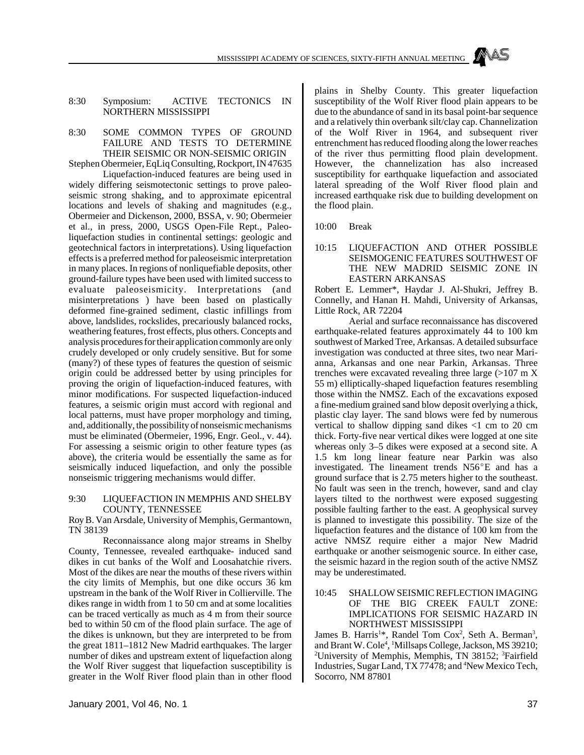

## 8:30 Symposium: ACTIVE TECTONICS IN NORTHERN MISSISSIPPI

8:30 SOME COMMON TYPES OF GROUND FAILURE AND TESTS TO DETERMINE THEIR SEISMIC OR NON-SEISMIC ORIGIN Stephen Obermeier, EqLiq Consulting, Rockport, IN 47635

Liquefaction-induced features are being used in widely differing seismotectonic settings to prove paleoseismic strong shaking, and to approximate epicentral locations and levels of shaking and magnitudes (e.g., Obermeier and Dickenson, 2000, BSSA, v. 90; Obermeier et al., in press, 2000, USGS Open-File Rept., Paleoliquefaction studies in continental settings: geologic and geotechnical factors in interpretations). Using liquefaction effects is a preferred method for paleoseismic interpretation in many places. In regions of nonliquefiable deposits, other ground-failure types have been used with limited success to evaluate paleoseismicity. Interpretations (and misinterpretations ) have been based on plastically deformed fine-grained sediment, clastic infillings from above, landslides, rockslides, precariously balanced rocks, weathering features, frost effects, plus others. Concepts and analysis procedures for their application commonly are only crudely developed or only crudely sensitive. But for some (many?) of these types of features the question of seismic origin could be addressed better by using principles for proving the origin of liquefaction-induced features, with minor modifications. For suspected liquefaction-induced features, a seismic origin must accord with regional and local patterns, must have proper morphology and timing, and, additionally, the possibility of nonseismic mechanisms must be eliminated (Obermeier, 1996, Engr. Geol., v. 44). For assessing a seismic origin to other feature types (as above), the criteria would be essentially the same as for seismically induced liquefaction, and only the possible nonseismic triggering mechanisms would differ.

## 9:30 LIQUEFACTION IN MEMPHIS AND SHELBY COUNTY, TENNESSEE

Roy B. Van Arsdale, University of Memphis, Germantown, TN 38139

Reconnaissance along major streams in Shelby County, Tennessee, revealed earthquake- induced sand dikes in cut banks of the Wolf and Loosahatchie rivers. Most of the dikes are near the mouths of these rivers within the city limits of Memphis, but one dike occurs 36 km upstream in the bank of the Wolf River in Collierville. The dikes range in width from 1 to 50 cm and at some localities can be traced vertically as much as 4 m from their source bed to within 50 cm of the flood plain surface. The age of the dikes is unknown, but they are interpreted to be from the great 1811–1812 New Madrid earthquakes. The larger number of dikes and upstream extent of liquefaction along the Wolf River suggest that liquefaction susceptibility is greater in the Wolf River flood plain than in other flood

plains in Shelby County. This greater liquefaction susceptibility of the Wolf River flood plain appears to be due to the abundance of sand in its basal point-bar sequence and a relatively thin overbank silt/clay cap. Channelization of the Wolf River in 1964, and subsequent river entrenchment has reduced flooding along the lower reaches of the river thus permitting flood plain development. However, the channelization has also increased susceptibility for earthquake liquefaction and associated lateral spreading of the Wolf River flood plain and increased earthquake risk due to building development on the flood plain.

10:00 Break

10:15 LIQUEFACTION AND OTHER POSSIBLE SEISMOGENIC FEATURES SOUTHWEST OF THE NEW MADRID SEISMIC ZONE IN EASTERN ARKANSAS

Robert E. Lemmer\*, Haydar J. Al-Shukri, Jeffrey B. Connelly, and Hanan H. Mahdi, University of Arkansas, Little Rock, AR 72204

Aerial and surface reconnaissance has discovered earthquake-related features approximately 44 to 100 km southwest of Marked Tree, Arkansas. A detailed subsurface investigation was conducted at three sites, two near Marianna, Arkansas and one near Parkin, Arkansas. Three trenches were excavated revealing three large  $(>107 \text{ m X})$ 55 m) elliptically-shaped liquefaction features resembling those within the NMSZ. Each of the excavations exposed a fine-medium grained sand blow deposit overlying a thick, plastic clay layer. The sand blows were fed by numerous vertical to shallow dipping sand dikes <1 cm to 20 cm thick. Forty-five near vertical dikes were logged at one site whereas only 3–5 dikes were exposed at a second site. A 1.5 km long linear feature near Parkin was also investigated. The lineament trends N56°E and has a ground surface that is 2.75 meters higher to the southeast. No fault was seen in the trench, however, sand and clay layers tilted to the northwest were exposed suggesting possible faulting farther to the east. A geophysical survey is planned to investigate this possibility. The size of the liquefaction features and the distance of 100 km from the active NMSZ require either a major New Madrid earthquake or another seismogenic source. In either case, the seismic hazard in the region south of the active NMSZ may be underestimated.

## 10:45 SHALLOW SEISMIC REFLECTION IMAGING OF THE BIG CREEK FAULT ZONE: IMPLICATIONS FOR SEISMIC HAZARD IN NORTHWEST MISSISSIPPI

James B. Harris<sup>1\*</sup>, Randel Tom Cox<sup>2</sup>, Seth A. Berman<sup>3</sup>, and Brant W. Cole<sup>4</sup>, <sup>1</sup>Millsaps College, Jackson, MS 39210; <sup>2</sup>University of Memphis, Memphis, TN 38152; <sup>3</sup>Fairfield Industries, Sugar Land, TX 77478; and <sup>4</sup>New Mexico Tech, Socorro, NM 87801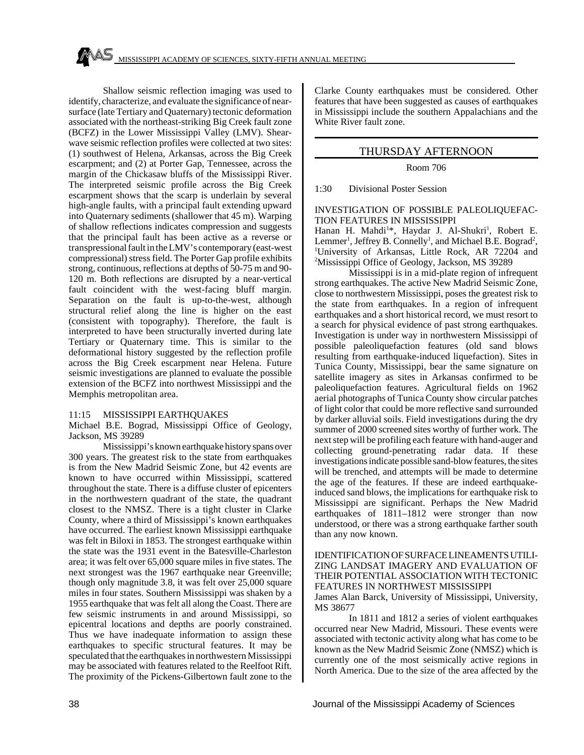Shallow seismic reflection imaging was used to identify, characterize, and evaluate the significance of nearsurface (late Tertiary and Quaternary) tectonic deformation associated with the northeast-striking Big Creek fault zone (BCFZ) in the Lower Mississippi Valley (LMV). Shearwave seismic reflection profiles were collected at two sites: (1) southwest of Helena, Arkansas, across the Big Creek escarpment; and (2) at Porter Gap, Tennessee, across the margin of the Chickasaw bluffs of the Mississippi River. The interpreted seismic profile across the Big Creek escarpment shows that the scarp is underlain by several high-angle faults, with a principal fault extending upward into Quaternary sediments (shallower that 45 m). Warping of shallow reflections indicates compression and suggests that the principal fault has been active as a reverse or transpressional fault in the LMV's contemporary (east-west compressional) stress field. The Porter Gap profile exhibits strong, continuous, reflections at depths of 50-75 m and 90- 120 m. Both reflections are disrupted by a near-vertical fault coincident with the west-facing bluff margin. Separation on the fault is up-to-the-west, although structural relief along the line is higher on the east (consistent with topography). Therefore, the fault is interpreted to have been structurally inverted during late Tertiary or Quaternary time. This is similar to the deformational history suggested by the reflection profile across the Big Creek escarpment near Helena. Future seismic investigations are planned to evaluate the possible extension of the BCFZ into northwest Mississippi and the Memphis metropolitan area.

## 11:15 MISSISSIPPI EARTHQUAKES

Michael B.E. Bograd, Mississippi Office of Geology, Jackson, MS 39289

Mississippi's known earthquake history spans over 300 years. The greatest risk to the state from earthquakes is from the New Madrid Seismic Zone, but 42 events are known to have occurred within Mississippi, scattered throughout the state. There is a diffuse cluster of epicenters in the northwestern quadrant of the state, the quadrant closest to the NMSZ. There is a tight cluster in Clarke County, where a third of Mississippi's known earthquakes have occurred. The earliest known Mississippi earthquake was felt in Biloxi in 1853. The strongest earthquake within the state was the 1931 event in the Batesville-Charleston area; it was felt over 65,000 square miles in five states. The next strongest was the 1967 earthquake near Greenville; though only magnitude 3.8, it was felt over 25,000 square miles in four states. Southern Mississippi was shaken by a 1955 earthquake that was felt all along the Coast. There are few seismic instruments in and around Mississippi, so epicentral locations and depths are poorly constrained. Thus we have inadequate information to assign these earthquakes to specific structural features. It may be speculated that the earthquakes in northwestern Mississippi may be associated with features related to the Reelfoot Rift. The proximity of the Pickens-Gilbertown fault zone to the Clarke County earthquakes must be considered. Other features that have been suggested as causes of earthquakes in Mississippi include the southern Appalachians and the White River fault zone.

# THURSDAY AFTERNOON

## Room 706

1:30 Divisional Poster Session

## INVESTIGATION OF POSSIBLE PALEOLIQUEFAC-TION FEATURES IN MISSISSIPPI

Hanan H. Mahdi<sup>1\*</sup>, Haydar J. Al-Shukri<sup>1</sup>, Robert E. Lemmer<sup>1</sup>, Jeffrey B. Connelly<sup>1</sup>, and Michael B.E. Bograd<sup>2</sup>, <sup>1</sup>University of Arkansas, Little Rock, AR 72204 and <sup>2</sup>Mississippi Office of Geology, Jackson, MS 39289

Mississippi is in a mid-plate region of infrequent strong earthquakes. The active New Madrid Seismic Zone, close to northwestern Mississippi, poses the greatest risk to the state from earthquakes. In a region of infrequent earthquakes and a short historical record, we must resort to a search for physical evidence of past strong earthquakes. Investigation is under way in northwestern Mississippi of possible paleoliquefaction features (old sand blows resulting from earthquake-induced liquefaction). Sites in Tunica County, Mississippi, bear the same signature on satellite imagery as sites in Arkansas confirmed to be paleoliquefaction features. Agricultural fields on 1962 aerial photographs of Tunica County show circular patches of light color that could be more reflective sand surrounded by darker alluvial soils. Field investigations during the dry summer of 2000 screened sites worthy of further work. The next step will be profiling each feature with hand-auger and collecting ground-penetrating radar data. If these investigations indicate possible sand-blow features, the sites will be trenched, and attempts will be made to determine the age of the features. If these are indeed earthquakeinduced sand blows, the implications for earthquake risk to Mississippi are significant. Perhaps the New Madrid earthquakes of 1811–1812 were stronger than now understood, or there was a strong earthquake farther south than any now known.

## IDENTIFICATION OF SURFACE LINEAMENTS UTILI-ZING LANDSAT IMAGERY AND EVALUATION OF THEIR POTENTIAL ASSOCIATION WITH TECTONIC FEATURES IN NORTHWEST MISSISSIPPI

James Alan Barck, University of Mississippi, University, MS 38677

In 1811 and 1812 a series of violent earthquakes occurred near New Madrid, Missouri. These events were associated with tectonic activity along what has come to be known as the New Madrid Seismic Zone (NMSZ) which is currently one of the most seismically active regions in North America. Due to the size of the area affected by the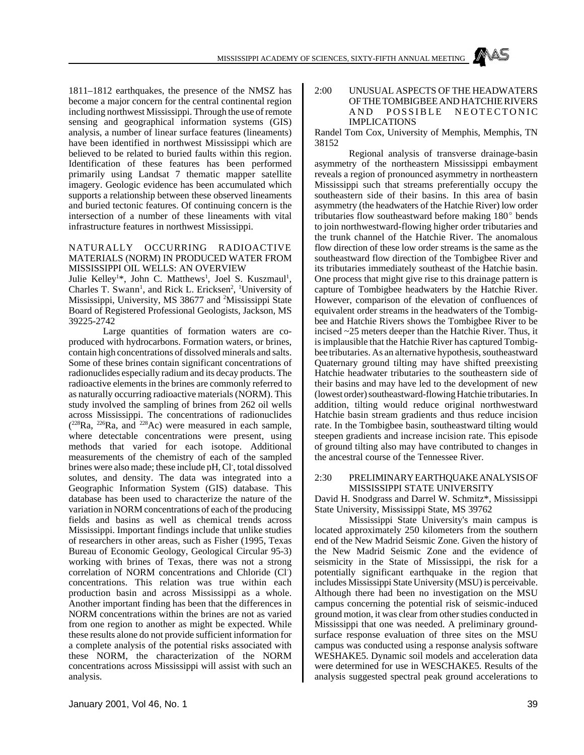1811–1812 earthquakes, the presence of the NMSZ has become a major concern for the central continental region including northwest Mississippi. Through the use of remote sensing and geographical information systems (GIS) analysis, a number of linear surface features (lineaments) have been identified in northwest Mississippi which are believed to be related to buried faults within this region. Identification of these features has been performed primarily using Landsat 7 thematic mapper satellite imagery. Geologic evidence has been accumulated which supports a relationship between these observed lineaments and buried tectonic features. Of continuing concern is the intersection of a number of these lineaments with vital infrastructure features in northwest Mississippi.

#### NATURALLY OCCURRING RADIOACTIVE MATERIALS (NORM) IN PRODUCED WATER FROM MISSISSIPPI OIL WELLS: AN OVERVIEW

Julie Kelley<sup>1\*</sup>, John C. Matthews<sup>1</sup>, Joel S. Kuszmaul<sup>1</sup>, Charles T. Swann<sup>1</sup>, and Rick L. Ericksen<sup>2</sup>, <sup>1</sup>University of Mississippi, University, MS 38677 and <sup>2</sup>Mississippi State Board of Registered Professional Geologists, Jackson, MS 39225-2742

Large quantities of formation waters are coproduced with hydrocarbons. Formation waters, or brines, contain high concentrations of dissolved minerals and salts. Some of these brines contain significant concentrations of radionuclides especially radium and its decay products. The radioactive elements in the brines are commonly referred to as naturally occurring radioactive materials (NORM). This study involved the sampling of brines from 262 oil wells across Mississippi. The concentrations of radionuclides  $(^{228}Ra, {^{226}Ra, and {^{228}Ac})$  were measured in each sample, where detectable concentrations were present, using methods that varied for each isotope. Additional measurements of the chemistry of each of the sampled brines were also made; these include pH, Cl- , total dissolved solutes, and density. The data was integrated into a Geographic Information System (GIS) database. This database has been used to characterize the nature of the variation in NORM concentrations of each of the producing fields and basins as well as chemical trends across Mississippi. Important findings include that unlike studies of researchers in other areas, such as Fisher (1995, Texas Bureau of Economic Geology, Geological Circular 95-3) working with brines of Texas, there was not a strong correlation of NORM concentrations and Chloride (Cl) concentrations. This relation was true within each production basin and across Mississippi as a whole. Another important finding has been that the differences in NORM concentrations within the brines are not as varied from one region to another as might be expected. While these results alone do not provide sufficient information for a complete analysis of the potential risks associated with these NORM, the characterization of the NORM concentrations across Mississippi will assist with such an analysis.

## 2:00 UNUSUAL ASPECTS OF THE HEADWATERS OF THE TOMBIGBEE AND HATCHIE RIVERS AND POSSIBLE NEOTECTONIC IMPLICATIONS

Randel Tom Cox, University of Memphis, Memphis, TN 38152

Regional analysis of transverse drainage-basin asymmetry of the northeastern Mississippi embayment reveals a region of pronounced asymmetry in northeastern Mississippi such that streams preferentially occupy the southeastern side of their basins. In this area of basin asymmetry (the headwaters of the Hatchie River) low order tributaries flow southeastward before making  $180^{\circ}$  bends to join northwestward-flowing higher order tributaries and the trunk channel of the Hatchie River. The anomalous flow direction of these low order streams is the same as the southeastward flow direction of the Tombigbee River and its tributaries immediately southeast of the Hatchie basin. One process that might give rise to this drainage pattern is capture of Tombigbee headwaters by the Hatchie River. However, comparison of the elevation of confluences of equivalent order streams in the headwaters of the Tombigbee and Hatchie Rivers shows the Tombigbee River to be incised ~25 meters deeper than the Hatchie River. Thus, it is implausible that the Hatchie River has captured Tombigbee tributaries. As an alternative hypothesis, southeastward Quaternary ground tilting may have shifted preexisting Hatchie headwater tributaries to the southeastern side of their basins and may have led to the development of new (lowest order) southeastward-flowing Hatchie tributaries. In addition, tilting would reduce original northwestward Hatchie basin stream gradients and thus reduce incision rate. In the Tombigbee basin, southeastward tilting would steepen gradients and increase incision rate. This episode of ground tilting also may have contributed to changes in the ancestral course of the Tennessee River.

#### 2:30 PRELIMINARY EARTHQUAKE ANALYSIS OF MISSISSIPPI STATE UNIVERSITY

David H. Snodgrass and Darrel W. Schmitz\*, Mississippi State University, Mississippi State, MS 39762

Mississippi State University's main campus is located approximately 250 kilometers from the southern end of the New Madrid Seismic Zone. Given the history of the New Madrid Seismic Zone and the evidence of seismicity in the State of Mississippi, the risk for a potentially significant earthquake in the region that includes Mississippi State University (MSU) is perceivable. Although there had been no investigation on the MSU campus concerning the potential risk of seismic-induced ground motion, it was clear from other studies conducted in Mississippi that one was needed. A preliminary groundsurface response evaluation of three sites on the MSU campus was conducted using a response analysis software WESHAKE5. Dynamic soil models and acceleration data were determined for use in WESCHAKE5. Results of the analysis suggested spectral peak ground accelerations to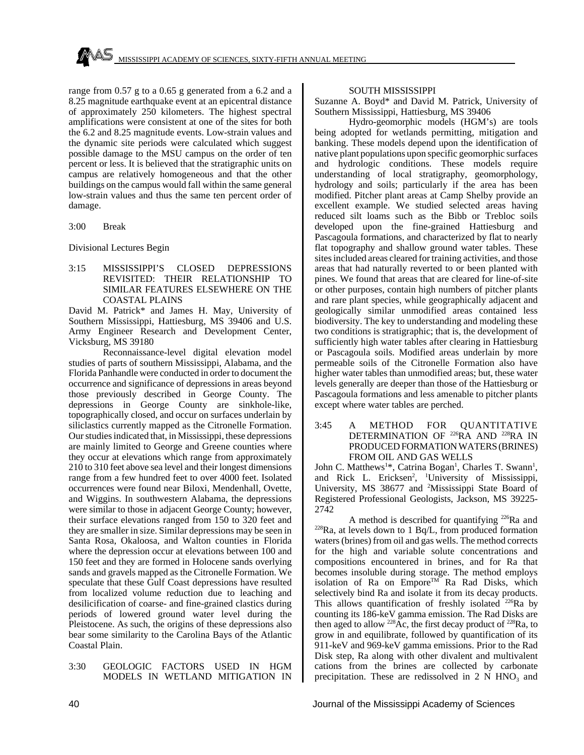range from 0.57 g to a 0.65 g generated from a 6.2 and a 8.25 magnitude earthquake event at an epicentral distance of approximately 250 kilometers. The highest spectral amplifications were consistent at one of the sites for both the 6.2 and 8.25 magnitude events. Low-strain values and the dynamic site periods were calculated which suggest possible damage to the MSU campus on the order of ten percent or less. It is believed that the stratigraphic units on campus are relatively homogeneous and that the other buildings on the campus would fall within the same general low-strain values and thus the same ten percent order of damage.

3:00 Break

Divisional Lectures Begin

3:15 MISSISSIPPI'S CLOSED DEPRESSIONS REVISITED: THEIR RELATIONSHIP TO SIMILAR FEATURES ELSEWHERE ON THE COASTAL PLAINS

David M. Patrick\* and James H. May, University of Southern Mississippi, Hattiesburg, MS 39406 and U.S. Army Engineer Research and Development Center, Vicksburg, MS 39180

Reconnaissance-level digital elevation model studies of parts of southern Mississippi, Alabama, and the Florida Panhandle were conducted in order to document the occurrence and significance of depressions in areas beyond those previously described in George County. The depressions in George County are sinkhole-like, topographically closed, and occur on surfaces underlain by siliclastics currently mapped as the Citronelle Formation. Our studies indicated that, in Mississippi, these depressions are mainly limited to George and Greene counties where they occur at elevations which range from approximately 210 to 310 feet above sea level and their longest dimensions range from a few hundred feet to over 4000 feet. Isolated occurrences were found near Biloxi, Mendenhall, Ovette, and Wiggins. In southwestern Alabama, the depressions were similar to those in adjacent George County; however, their surface elevations ranged from 150 to 320 feet and they are smaller in size. Similar depressions may be seen in Santa Rosa, Okaloosa, and Walton counties in Florida where the depression occur at elevations between 100 and 150 feet and they are formed in Holocene sands overlying sands and gravels mapped as the Citronelle Formation. We speculate that these Gulf Coast depressions have resulted from localized volume reduction due to leaching and desilicification of coarse- and fine-grained clastics during periods of lowered ground water level during the Pleistocene. As such, the origins of these depressions also bear some similarity to the Carolina Bays of the Atlantic Coastal Plain.

3:30 GEOLOGIC FACTORS USED IN HGM MODELS IN WETLAND MITIGATION IN

## SOUTH MISSISSIPPI

Suzanne A. Boyd\* and David M. Patrick, University of Southern Mississippi, Hattiesburg, MS 39406

Hydro-geomorphic models (HGM's) are tools being adopted for wetlands permitting, mitigation and banking. These models depend upon the identification of native plant populations upon specific geomorphic surfaces and hydrologic conditions. These models require understanding of local stratigraphy, geomorphology, hydrology and soils; particularly if the area has been modified. Pitcher plant areas at Camp Shelby provide an excellent example. We studied selected areas having reduced silt loams such as the Bibb or Trebloc soils developed upon the fine-grained Hattiesburg and Pascagoula formations, and characterized by flat to nearly flat topography and shallow ground water tables. These sites included areas cleared for training activities, and those areas that had naturally reverted to or been planted with pines. We found that areas that are cleared for line-of-site or other purposes, contain high numbers of pitcher plants and rare plant species, while geographically adjacent and geologically similar unmodified areas contained less biodiversity. The key to understanding and modeling these two conditions is stratigraphic; that is, the development of sufficiently high water tables after clearing in Hattiesburg or Pascagoula soils. Modified areas underlain by more permeable soils of the Citronelle Formation also have higher water tables than unmodified areas; but, these water levels generally are deeper than those of the Hattiesburg or Pascagoula formations and less amenable to pitcher plants except where water tables are perched.

3:45 A METHOD FOR QUANTITATIVE DETERMINATION OF <sup>226</sup>RA AND <sup>228</sup>RA IN PRODUCED FORMATION WATERS (BRINES) FROM OIL AND GAS WELLS

John C. Matthews<sup>1\*</sup>, Catrina Bogan<sup>1</sup>, Charles T. Swann<sup>1</sup>, and Rick L. Ericksen<sup>2</sup>, <sup>1</sup>University of Mississippi, University, MS 38677 and <sup>2</sup>Mississippi State Board of Registered Professional Geologists, Jackson, MS 39225- 2742

A method is described for quantifying <sup>226</sup>Ra and  $228$ Ra, at levels down to 1 Bq/L, from produced formation waters (brines) from oil and gas wells. The method corrects for the high and variable solute concentrations and compositions encountered in brines, and for Ra that becomes insoluble during storage. The method employs isolation of Ra on Empore<sup>TM</sup> Ra Rad Disks, which selectively bind Ra and isolate it from its decay products. This allows quantification of freshly isolated  $226Ra$  by counting its 186-keV gamma emission. The Rad Disks are then aged to allow <sup>228</sup>Ac, the first decay product of <sup>228</sup>Ra, to grow in and equilibrate, followed by quantification of its 911-keV and 969-keV gamma emissions. Prior to the Rad Disk step, Ra along with other divalent and multivalent cations from the brines are collected by carbonate precipitation. These are redissolved in  $2 \text{ N HNO}_3$  and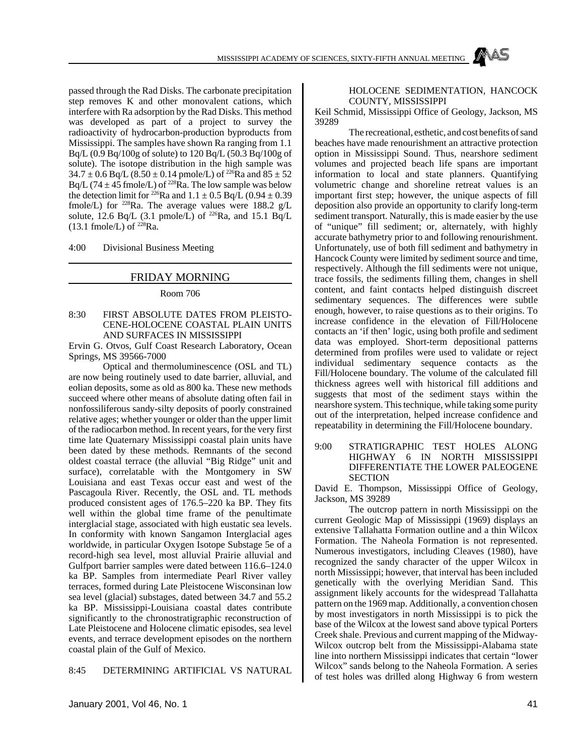passed through the Rad Disks. The carbonate precipitation step removes K and other monovalent cations, which interfere with Ra adsorption by the Rad Disks. This method was developed as part of a project to survey the radioactivity of hydrocarbon-production byproducts from Mississippi. The samples have shown Ra ranging from 1.1 Bq/L (0.9 Bq/100g of solute) to 120 Bq/L (50.3 Bq/100g of solute). The isotope distribution in the high sample was  $34.7 \pm 0.6$  Bq/L (8.50  $\pm$  0.14 pmole/L) of <sup>226</sup>Ra and  $85 \pm 52$ Bq/L (74  $\pm$  45 fmole/L) of <sup>228</sup>R<sub>a</sub>. The low sample was below the detection limit for <sup>226</sup>Ra and  $1.1 \pm 0.5$  Bq/L (0.94  $\pm$  0.39 fmole/L) for <sup>228</sup>Ra. The average values were 188.2 g/L solute, 12.6 Bq/L (3.1 pmole/L) of  $^{226}$ Ra, and 15.1 Bq/L  $(13.1 \text{ fmole/L})$  of <sup>228</sup>Ra.

4:00 Divisional Business Meeting

## FRIDAY MORNING

#### Room 706

8:30 FIRST ABSOLUTE DATES FROM PLEISTO-CENE-HOLOCENE COASTAL PLAIN UNITS AND SURFACES IN MISSISSIPPI

Ervin G. Otvos, Gulf Coast Research Laboratory, Ocean Springs, MS 39566-7000

Optical and thermoluminescence (OSL and TL) are now being routinely used to date barrier, alluvial, and eolian deposits, some as old as 800 ka. These new methods succeed where other means of absolute dating often fail in nonfossiliferous sandy-silty deposits of poorly constrained relative ages; whether younger or older than the upper limit of the radiocarbon method. In recent years, for the very first time late Quaternary Mississippi coastal plain units have been dated by these methods. Remnants of the second oldest coastal terrace (the alluvial "Big Ridge" unit and surface), correlatable with the Montgomery in SW Louisiana and east Texas occur east and west of the Pascagoula River. Recently, the OSL and. TL methods produced consistent ages of 176.5–220 ka BP. They fits well within the global time frame of the penultimate interglacial stage, associated with high eustatic sea levels. In conformity with known Sangamon Interglacial ages worldwide, in particular Oxygen Isotope Substage 5e of a record-high sea level, most alluvial Prairie alluvial and Gulfport barrier samples were dated between 116.6–124.0 ka BP. Samples from intermediate Pearl River valley terraces, formed during Late Pleistocene Wisconsinan low sea level (glacial) substages, dated between 34.7 and 55.2 ka BP. Mississippi-Louisiana coastal dates contribute significantly to the chronostratigraphic reconstruction of Late Pleistocene and Holocene climatic episodes, sea level events, and terrace development episodes on the northern coastal plain of the Gulf of Mexico.

## 8:45 DETERMINING ARTIFICIAL VS NATURAL

Keil Schmid, Mississippi Office of Geology, Jackson, MS 39289

The recreational, esthetic, and cost benefits of sand beaches have made renourishment an attractive protection option in Mississippi Sound. Thus, nearshore sediment volumes and projected beach life spans are important information to local and state planners. Quantifying volumetric change and shoreline retreat values is an important first step; however, the unique aspects of fill deposition also provide an opportunity to clarify long-term sediment transport. Naturally, this is made easier by the use of "unique" fill sediment; or, alternately, with highly accurate bathymetry prior to and following renourishment. Unfortunately, use of both fill sediment and bathymetry in Hancock County were limited by sediment source and time, respectively. Although the fill sediments were not unique, trace fossils, the sediments filling them, changes in shell content, and faint contacts helped distinguish discreet sedimentary sequences. The differences were subtle enough, however, to raise questions as to their origins. To increase confidence in the elevation of Fill/Holocene contacts an 'if then' logic, using both profile and sediment data was employed. Short-term depositional patterns determined from profiles were used to validate or reject individual sedimentary sequence contacts as the Fill/Holocene boundary. The volume of the calculated fill thickness agrees well with historical fill additions and suggests that most of the sediment stays within the nearshore system. This technique, while taking some purity out of the interpretation, helped increase confidence and repeatability in determining the Fill/Holocene boundary.

9:00 STRATIGRAPHIC TEST HOLES ALONG HIGHWAY 6 IN NORTH MISSISSIPPI DIFFERENTIATE THE LOWER PALEOGENE **SECTION** 

David E. Thompson, Mississippi Office of Geology, Jackson, MS 39289

The outcrop pattern in north Mississippi on the current Geologic Map of Mississippi (1969) displays an extensive Tallahatta Formation outline and a thin Wilcox Formation. The Naheola Formation is not represented. Numerous investigators, including Cleaves (1980), have recognized the sandy character of the upper Wilcox in north Mississippi; however, that interval has been included genetically with the overlying Meridian Sand. This assignment likely accounts for the widespread Tallahatta pattern on the 1969 map. Additionally, a convention chosen by most investigators in north Mississippi is to pick the base of the Wilcox at the lowest sand above typical Porters Creek shale. Previous and current mapping of the Midway-Wilcox outcrop belt from the Mississippi-Alabama state line into northern Mississippi indicates that certain "lower Wilcox" sands belong to the Naheola Formation. A series of test holes was drilled along Highway 6 from western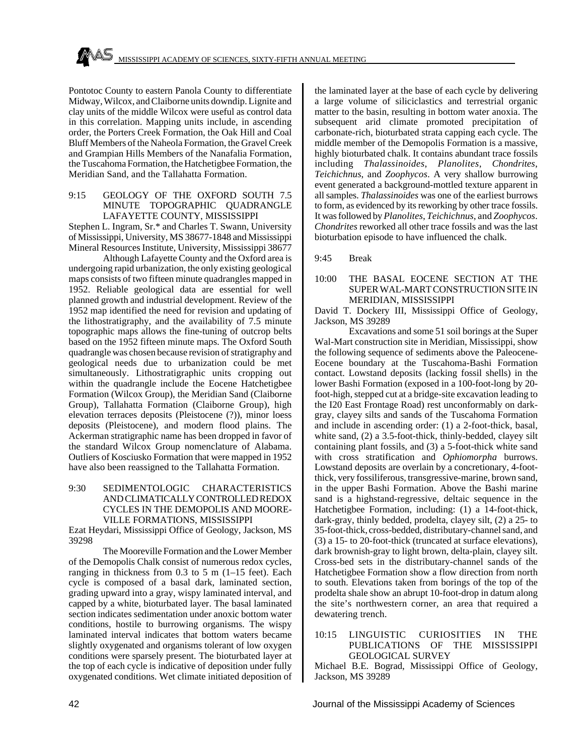Pontotoc County to eastern Panola County to differentiate Midway, Wilcox, and Claiborne units downdip. Lignite and clay units of the middle Wilcox were useful as control data in this correlation. Mapping units include, in ascending order, the Porters Creek Formation, the Oak Hill and Coal Bluff Members of the Naheola Formation, the Gravel Creek and Grampian Hills Members of the Nanafalia Formation, the Tuscahoma Formation, the Hatchetigbee Formation, the Meridian Sand, and the Tallahatta Formation.

## 9:15 GEOLOGY OF THE OXFORD SOUTH 7.5 MINUTE TOPOGRAPHIC QUADRANGLE LAFAYETTE COUNTY, MISSISSIPPI

Stephen L. Ingram, Sr.\* and Charles T. Swann, University of Mississippi, University, MS 38677-1848 and Mississippi Mineral Resources Institute, University, Mississippi 38677

Although Lafayette County and the Oxford area is undergoing rapid urbanization, the only existing geological maps consists of two fifteen minute quadrangles mapped in 1952. Reliable geological data are essential for well planned growth and industrial development. Review of the 1952 map identified the need for revision and updating of the lithostratigraphy, and the availability of 7.5 minute topographic maps allows the fine-tuning of outcrop belts based on the 1952 fifteen minute maps. The Oxford South quadrangle was chosen because revision of stratigraphy and geological needs due to urbanization could be met simultaneously. Lithostratigraphic units cropping out within the quadrangle include the Eocene Hatchetigbee Formation (Wilcox Group), the Meridian Sand (Claiborne Group), Tallahatta Formation (Claiborne Group), high elevation terraces deposits (Pleistocene (?)), minor loess deposits (Pleistocene), and modern flood plains. The Ackerman stratigraphic name has been dropped in favor of the standard Wilcox Group nomenclature of Alabama. Outliers of Kosciusko Formation that were mapped in 1952 have also been reassigned to the Tallahatta Formation.

## 9:30 SEDIMENTOLOGIC CHARACTERISTICS AND CLIMATICALLY CONTROLLED REDOX CYCLES IN THE DEMOPOLIS AND MOORE-VILLE FORMATIONS, MISSISSIPPI

Ezat Heydari, Mississippi Office of Geology, Jackson, MS 39298

The Mooreville Formation and the Lower Member of the Demopolis Chalk consist of numerous redox cycles, ranging in thickness from  $0.3$  to 5 m  $(1-15$  feet). Each cycle is composed of a basal dark, laminated section, grading upward into a gray, wispy laminated interval, and capped by a white, bioturbated layer. The basal laminated section indicates sedimentation under anoxic bottom water conditions, hostile to burrowing organisms. The wispy laminated interval indicates that bottom waters became slightly oxygenated and organisms tolerant of low oxygen conditions were sparsely present. The bioturbated layer at the top of each cycle is indicative of deposition under fully oxygenated conditions. Wet climate initiated deposition of

the laminated layer at the base of each cycle by delivering a large volume of siliciclastics and terrestrial organic matter to the basin, resulting in bottom water anoxia. The subsequent arid climate promoted precipitation of carbonate-rich, bioturbated strata capping each cycle. The middle member of the Demopolis Formation is a massive, highly bioturbated chalk. It contains abundant trace fossils including *Thalassinoides*, *Planolites*, *Chondrites*, *Teichichnus*, and *Zoophycos*. A very shallow burrowing event generated a background-mottled texture apparent in all samples. *Thalassinoides* was one of the earliest burrows to form, as evidenced by its reworking by other trace fossils. It was followed by *Planolites*, *Teichichnus*, and *Zoophycos*. *Chondrites* reworked all other trace fossils and was the last bioturbation episode to have influenced the chalk.

9:45 Break

## 10:00 THE BASAL EOCENE SECTION AT THE SUPER WAL-MART CONSTRUCTION SITE IN MERIDIAN, MISSISSIPPI

David T. Dockery III, Mississippi Office of Geology, Jackson, MS 39289

Excavations and some 51 soil borings at the Super Wal-Mart construction site in Meridian, Mississippi, show the following sequence of sediments above the Paleocene-Eocene boundary at the Tuscahoma-Bashi Formation contact. Lowstand deposits (lacking fossil shells) in the lower Bashi Formation (exposed in a 100-foot-long by 20 foot-high, stepped cut at a bridge-site excavation leading to the I20 East Frontage Road) rest unconformably on darkgray, clayey silts and sands of the Tuscahoma Formation and include in ascending order: (1) a 2-foot-thick, basal, white sand, (2) a 3.5-foot-thick, thinly-bedded, clayey silt containing plant fossils, and (3) a 5-foot-thick white sand with cross stratification and *Ophiomorpha* burrows. Lowstand deposits are overlain by a concretionary, 4-footthick, very fossiliferous, transgressive-marine, brown sand, in the upper Bashi Formation. Above the Bashi marine sand is a highstand-regressive, deltaic sequence in the Hatchetigbee Formation, including: (1) a 14-foot-thick, dark-gray, thinly bedded, prodelta, clayey silt, (2) a 25- to 35-foot-thick, cross-bedded, distributary-channel sand, and (3) a 15- to 20-foot-thick (truncated at surface elevations), dark brownish-gray to light brown, delta-plain, clayey silt. Cross-bed sets in the distributary-channel sands of the Hatchetigbee Formation show a flow direction from north to south. Elevations taken from borings of the top of the prodelta shale show an abrupt 10-foot-drop in datum along the site's northwestern corner, an area that required a dewatering trench.

## 10:15 LINGUISTIC CURIOSITIES IN THE PUBLICATIONS OF THE MISSISSIPPI GEOLOGICAL SURVEY

Michael B.E. Bograd, Mississippi Office of Geology, Jackson, MS 39289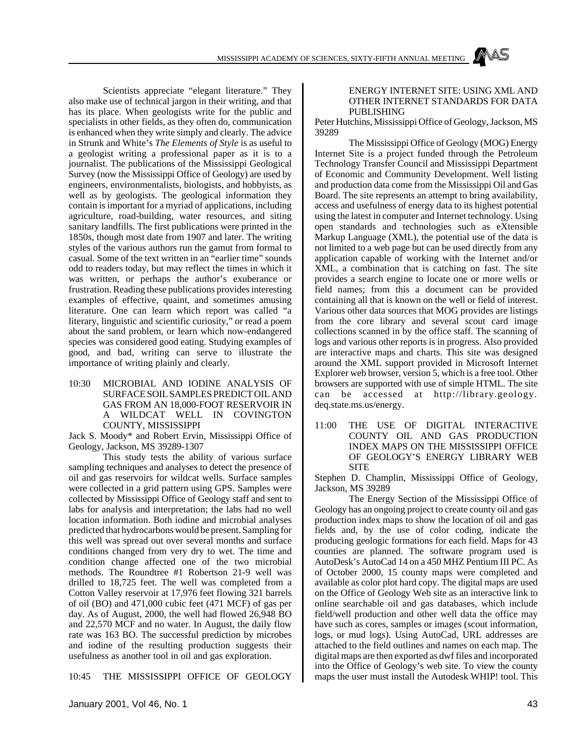Scientists appreciate "elegant literature." They also make use of technical jargon in their writing, and that has its place. When geologists write for the public and specialists in other fields, as they often do, communication is enhanced when they write simply and clearly. The advice in Strunk and White's *The Elements of Style* is as useful to a geologist writing a professional paper as it is to a journalist. The publications of the Mississippi Geological Survey (now the Mississippi Office of Geology) are used by engineers, environmentalists, biologists, and hobbyists, as well as by geologists. The geological information they contain is important for a myriad of applications, including agriculture, road-building, water resources, and siting sanitary landfills. The first publications were printed in the 1850s, though most date from 1907 and later. The writing styles of the various authors run the gamut from formal to casual. Some of the text written in an "earlier time" sounds odd to readers today, but may reflect the times in which it was written, or perhaps the author's exuberance or frustration. Reading these publications provides interesting examples of effective, quaint, and sometimes amusing literature. One can learn which report was called "a literary, linguistic and scientific curiosity," or read a poem about the sand problem, or learn which now-endangered species was considered good eating. Studying examples of good, and bad, writing can serve to illustrate the importance of writing plainly and clearly.

10:30 MICROBIAL AND IODINE ANALYSIS OF SURFACE SOIL SAMPLES PREDICT OIL AND GAS FROM AN 18,000-FOOT RESERVOIR IN A WILDCAT WELL IN COVINGTON COUNTY, MISSISSIPPI

Jack S. Moody\* and Robert Ervin, Mississippi Office of Geology, Jackson, MS 39289-1307

This study tests the ability of various surface sampling techniques and analyses to detect the presence of oil and gas reservoirs for wildcat wells. Surface samples were collected in a grid pattern using GPS. Samples were collected by Mississippi Office of Geology staff and sent to labs for analysis and interpretation; the labs had no well location information. Both iodine and microbial analyses predicted that hydrocarbons would be present. Sampling for this well was spread out over several months and surface conditions changed from very dry to wet. The time and condition change affected one of the two microbial methods. The Roundtree #1 Robertson 21-9 well was drilled to 18,725 feet. The well was completed from a Cotton Valley reservoir at 17,976 feet flowing 321 barrels of oil (BO) and 471,000 cubic feet (471 MCF) of gas per day. As of August, 2000, the well had flowed 26,948 BO and 22,570 MCF and no water. In August, the daily flow rate was 163 BO. The successful prediction by microbes and iodine of the resulting production suggests their usefulness as another tool in oil and gas exploration.

10:45 THE MISSISSIPPI OFFICE OF GEOLOGY

## ENERGY INTERNET SITE: USING XML AND OTHER INTERNET STANDARDS FOR DATA PUBLISHING

Peter Hutchins, Mississippi Office of Geology, Jackson, MS 39289

The Mississippi Office of Geology (MOG) Energy Internet Site is a project funded through the Petroleum Technology Transfer Council and Mississippi Department of Economic and Community Development. Well listing and production data come from the Mississippi Oil and Gas Board. The site represents an attempt to bring availability, access and usefulness of energy data to its highest potential using the latest in computer and Internet technology. Using open standards and technologies such as eXtensible Markup Language (XML), the potential use of the data is not limited to a web page but can be used directly from any application capable of working with the Internet and/or XML, a combination that is catching on fast. The site provides a search engine to locate one or more wells or field names; from this a document can be provided containing all that is known on the well or field of interest. Various other data sources that MOG provides are listings from the core library and several scout card image collections scanned in by the office staff. The scanning of logs and various other reports is in progress. Also provided are interactive maps and charts. This site was designed around the XML support provided in Microsoft Internet Explorer web browser, version 5, which is a free tool. Other browsers are supported with use of simple HTML. The site can be accessed at http://library.geology. deq.state.ms.us/energy.

11:00 THE USE OF DIGITAL INTERACTIVE COUNTY OIL AND GAS PRODUCTION INDEX MAPS ON THE MISSISSIPPI OFFICE OF GEOLOGY'S ENERGY LIBRARY WEB SITE

Stephen D. Champlin, Mississippi Office of Geology, Jackson, MS 39289

The Energy Section of the Mississippi Office of Geology has an ongoing project to create county oil and gas production index maps to show the location of oil and gas fields and, by the use of color coding, indicate the producing geologic formations for each field. Maps for 43 counties are planned. The software program used is AutoDesk's AutoCad 14 on a 450 MHZ Pentium III PC. As of October 2000, 15 county maps were completed and available as color plot hard copy. The digital maps are used on the Office of Geology Web site as an interactive link to online searchable oil and gas databases, which include field/well production and other well data the office may have such as cores, samples or images (scout information, logs, or mud logs). Using AutoCad, URL addresses are attached to the field outlines and names on each map. The digital maps are then exported as dwf files and incorporated into the Office of Geology's web site. To view the county maps the user must install the Autodesk WHIP! tool. This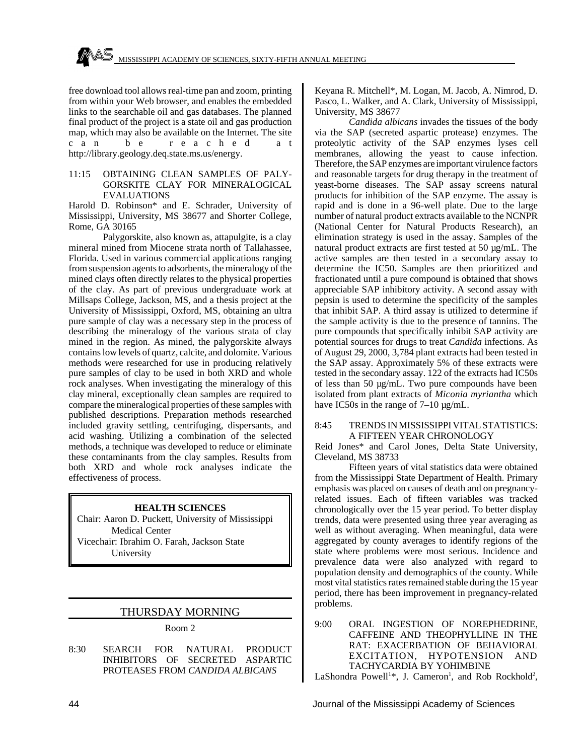free download tool allows real-time pan and zoom, printing from within your Web browser, and enables the embedded links to the searchable oil and gas databases. The planned final product of the project is a state oil and gas production map, which may also be available on the Internet. The site can be reached a t http://library.geology.deq.state.ms.us/energy.

11:15 OBTAINING CLEAN SAMPLES OF PALY-GORSKITE CLAY FOR MINERALOGICAL EVALUATIONS

Harold D. Robinson\* and E. Schrader, University of Mississippi, University, MS 38677 and Shorter College, Rome, GA 30165

Palygorskite, also known as, attapulgite, is a clay mineral mined from Miocene strata north of Tallahassee, Florida. Used in various commercial applications ranging from suspension agents to adsorbents, the mineralogy of the mined clays often directly relates to the physical properties of the clay. As part of previous undergraduate work at Millsaps College, Jackson, MS, and a thesis project at the University of Mississippi, Oxford, MS, obtaining an ultra pure sample of clay was a necessary step in the process of describing the mineralogy of the various strata of clay mined in the region. As mined, the palygorskite always contains low levels of quartz, calcite, and dolomite. Various methods were researched for use in producing relatively pure samples of clay to be used in both XRD and whole rock analyses. When investigating the mineralogy of this clay mineral, exceptionally clean samples are required to compare the mineralogical properties of these samples with published descriptions. Preparation methods researched included gravity settling, centrifuging, dispersants, and acid washing. Utilizing a combination of the selected methods, a technique was developed to reduce or eliminate these contaminants from the clay samples. Results from both XRD and whole rock analyses indicate the effectiveness of process.

# **HEALTH SCIENCES**

Chair: Aaron D. Puckett, University of Mississippi Medical Center Vicechair: Ibrahim O. Farah, Jackson State University

# THURSDAY MORNING

Room 2

8:30 SEARCH FOR NATURAL PRODUCT INHIBITORS OF SECRETED ASPARTIC PROTEASES FROM *CANDIDA ALBICANS*

Keyana R. Mitchell\*, M. Logan, M. Jacob, A. Nimrod, D. Pasco, L. Walker, and A. Clark, University of Mississippi, University, MS 38677

*Candida albicans* invades the tissues of the body via the SAP (secreted aspartic protease) enzymes. The proteolytic activity of the SAP enzymes lyses cell membranes, allowing the yeast to cause infection. Therefore, the SAP enzymes are important virulence factors and reasonable targets for drug therapy in the treatment of yeast-borne diseases. The SAP assay screens natural products for inhibition of the SAP enzyme. The assay is rapid and is done in a 96-well plate. Due to the large number of natural product extracts available to the NCNPR (National Center for Natural Products Research), an elimination strategy is used in the assay. Samples of the natural product extracts are first tested at 50 µg/mL. The active samples are then tested in a secondary assay to determine the IC50. Samples are then prioritized and fractionated until a pure compound is obtained that shows appreciable SAP inhibitory activity. A second assay with pepsin is used to determine the specificity of the samples that inhibit SAP. A third assay is utilized to determine if the sample activity is due to the presence of tannins. The pure compounds that specifically inhibit SAP activity are potential sources for drugs to treat *Candida* infections. As of August 29, 2000, 3,784 plant extracts had been tested in the SAP assay. Approximately 5% of these extracts were tested in the secondary assay. 122 of the extracts had IC50s of less than 50 µg/mL. Two pure compounds have been isolated from plant extracts of *Miconia myriantha* which have IC50s in the range of 7–10  $\mu$ g/mL.

## 8:45 TRENDS IN MISSISSIPPI VITAL STATISTICS: A FIFTEEN YEAR CHRONOLOGY

Reid Jones\* and Carol Jones, Delta State University, Cleveland, MS 38733

Fifteen years of vital statistics data were obtained from the Mississippi State Department of Health. Primary emphasis was placed on causes of death and on pregnancyrelated issues. Each of fifteen variables was tracked chronologically over the 15 year period. To better display trends, data were presented using three year averaging as well as without averaging. When meaningful, data were aggregated by county averages to identify regions of the state where problems were most serious. Incidence and prevalence data were also analyzed with regard to population density and demographics of the county. While most vital statistics rates remained stable during the 15 year period, there has been improvement in pregnancy-related problems.

9:00 ORAL INGESTION OF NOREPHEDRINE, CAFFEINE AND THEOPHYLLINE IN THE RAT: EXACERBATION OF BEHAVIORAL EXCITATION, HYPOTENSION AND TACHYCARDIA BY YOHIMBINE

LaShondra Powell<sup>1\*</sup>, J. Cameron<sup>1</sup>, and Rob Rockhold<sup>2</sup>,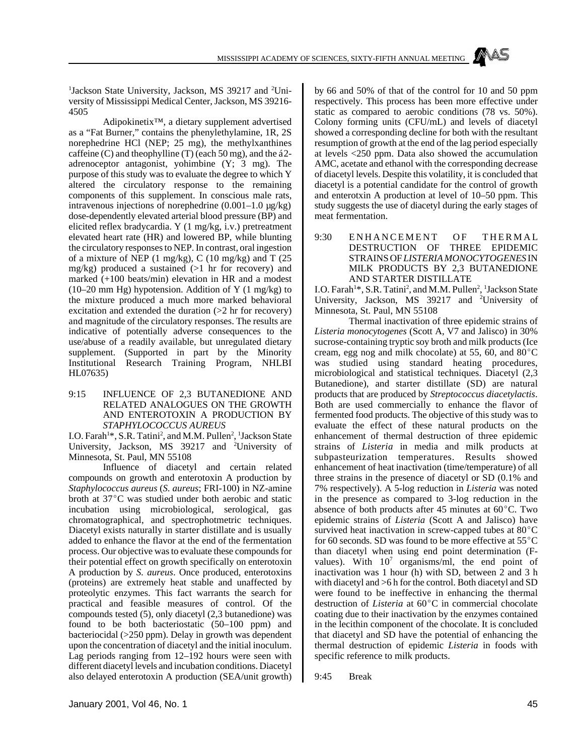<sup>1</sup>Jackson State University, Jackson, MS 39217 and <sup>2</sup>University of Mississippi Medical Center, Jackson, MS 39216- 4505

Adipokinetix™, a dietary supplement advertised as a "Fat Burner," contains the phenylethylamine, 1R, 2S norephedrine HCl (NEP; 25 mg), the methylxanthines caffeine (C) and theophylline (T) (each 50 mg), and the  $\acute{a}2$ adrenoceptor antagonist, yohimbine (Y; 3 mg). The purpose of this study was to evaluate the degree to which Y altered the circulatory response to the remaining components of this supplement. In conscious male rats, intravenous injections of norephedrine  $(0.001-1.0 \text{ µg/kg})$ dose-dependently elevated arterial blood pressure (BP) and elicited reflex bradycardia. Y (1 mg/kg, i.v.) pretreatment elevated heart rate (HR) and lowered BP, while blunting the circulatory responses to NEP. In contrast, oral ingestion of a mixture of NEP  $(1 \text{ mg/kg})$ , C  $(10 \text{ mg/kg})$  and T  $(25 \text{ mg/kg})$ mg/kg) produced a sustained  $(>1$  hr for recovery) and marked (+100 beats/min) elevation in HR and a modest  $(10-20 \text{ mm Hg})$  hypotension. Addition of Y  $(1 \text{ mg/kg})$  to the mixture produced a much more marked behavioral excitation and extended the duration (>2 hr for recovery) and magnitude of the circulatory responses. The results are indicative of potentially adverse consequences to the use/abuse of a readily available, but unregulated dietary supplement. (Supported in part by the Minority Institutional Research Training Program, NHLBI HL07635)

9:15 INFLUENCE OF 2,3 BUTANEDIONE AND RELATED ANALOGUES ON THE GROWTH AND ENTEROTOXIN A PRODUCTION BY *STAPHYLOCOCCUS AUREUS*

I.O. Farah<sup>1\*</sup>, S.R. Tatini<sup>2</sup>, and M.M. Pullen<sup>2</sup>, <sup>1</sup>Jackson State University, Jackson, MS 39217 and <sup>2</sup>University of Minnesota, St. Paul, MN 55108

Influence of diacetyl and certain related compounds on growth and enterotoxin A production by *Staphylococcus aureus* (*S. aureus*; FRI-100) in NZ-amine broth at 37°C was studied under both aerobic and static incubation using microbiological, serological, gas chromatographical, and spectrophotmetric techniques. Diacetyl exists naturally in starter distillate and is usually added to enhance the flavor at the end of the fermentation process. Our objective was to evaluate these compounds for their potential effect on growth specifically on enterotoxin A production by *S. aureus*. Once produced, enterotoxins (proteins) are extremely heat stable and unaffected by proteolytic enzymes. This fact warrants the search for practical and feasible measures of control. Of the compounds tested (5), only diacetyl (2,3 butanedione) was found to be both bacteriostatic (50–100 ppm) and bacteriocidal (>250 ppm). Delay in growth was dependent upon the concentration of diacetyl and the initial inoculum. Lag periods ranging from 12–192 hours were seen with different diacetyl levels and incubation conditions. Diacetyl also delayed enterotoxin A production (SEA/unit growth)

by 66 and 50% of that of the control for 10 and 50 ppm respectively. This process has been more effective under static as compared to aerobic conditions (78 vs. 50%). Colony forming units (CFU/mL) and levels of diacetyl showed a corresponding decline for both with the resultant resumption of growth at the end of the lag period especially at levels <250 ppm. Data also showed the accumulation AMC, acetate and ethanol with the corresponding decrease of diacetyl levels. Despite this volatility, it is concluded that diacetyl is a potential candidate for the control of growth and enterotxin A production at level of 10–50 ppm. This study suggests the use of diacetyl during the early stages of meat fermentation.

9:30 ENHANCEMENT OF THERMAL DESTRUCTION OF THREE EPIDEMIC STRAINS OF *LISTERIA MONOCYTOGENES* IN MILK PRODUCTS BY 2,3 BUTANEDIONE AND STARTER DISTILLATE

I.O. Farah<sup>1\*</sup>, S.R. Tatini<sup>2</sup>, and M.M. Pullen<sup>2</sup>, <sup>1</sup>Jackson State University, Jackson, MS 39217 and <sup>2</sup>University of Minnesota, St. Paul, MN 55108

Thermal inactivation of three epidemic strains of *Listeria monocytogenes* (Scott A, V7 and Jalisco) in 30% sucrose-containing tryptic soy broth and milk products (Ice cream, egg nog and milk chocolate) at 55, 60, and  $80^{\circ}$ C was studied using standard heating procedures, microbiological and statistical techniques. Diacetyl (2,3 Butanedione), and starter distillate (SD) are natural products that are produced by *Streptococcus diacetylactis*. Both are used commercially to enhance the flavor of fermented food products. The objective of this study was to evaluate the effect of these natural products on the enhancement of thermal destruction of three epidemic strains of *Listeria* in media and milk products at subpasteurization temperatures. Results showed enhancement of heat inactivation (time/temperature) of all three strains in the presence of diacetyl or SD (0.1% and 7% respectively). A 5-log reduction in *Listeria* was noted in the presence as compared to 3-log reduction in the absence of both products after 45 minutes at  $60^{\circ}$ C. Two epidemic strains of *Listeria* (Scott A and Jalisco) have survived heat inactivation in screw-capped tubes at  $80^{\circ}$ C for 60 seconds. SD was found to be more effective at  $55^{\circ}$ C than diacetyl when using end point determination (Fvalues). With  $10^7$  organisms/ml, the end point of inactivation was 1 hour (h) with SD, between 2 and 3 h with diacetyl and >6 h for the control. Both diacetyl and SD were found to be ineffective in enhancing the thermal destruction of *Listeria* at 60°C in commercial chocolate coating due to their inactivation by the enzymes contained in the lecithin component of the chocolate. It is concluded that diacetyl and SD have the potential of enhancing the thermal destruction of epidemic *Listeria* in foods with specific reference to milk products.

9:45 Break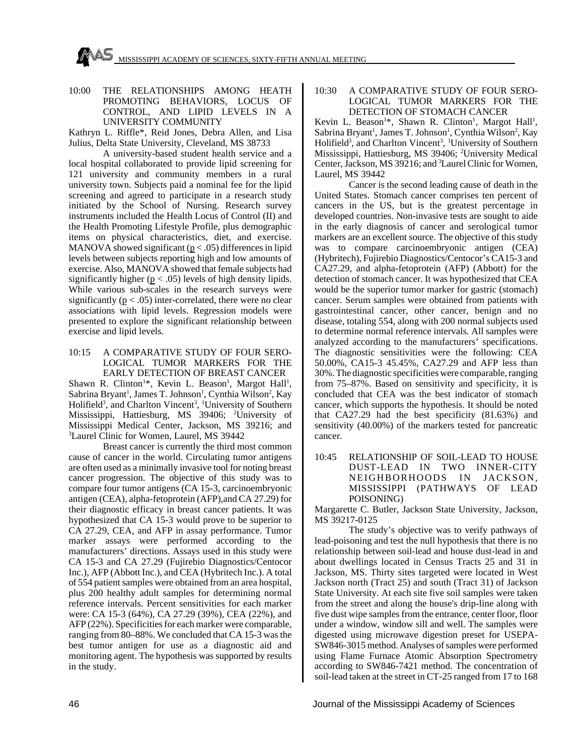

## 10:00 THE RELATIONSHIPS AMONG HEATH PROMOTING BEHAVIORS, LOCUS OF CONTROL, AND LIPID LEVELS IN A UNIVERSITY COMMUNITY

Kathryn L. Riffle\*, Reid Jones, Debra Allen, and Lisa Julius, Delta State University, Cleveland, MS 38733

A university-based student health service and a local hospital collaborated to provide lipid screening for 121 university and community members in a rural university town. Subjects paid a nominal fee for the lipid screening and agreed to participate in a research study initiated by the School of Nursing. Research survey instruments included the Health Locus of Control (II) and the Health Promoting Lifestyle Profile, plus demographic items on physical characteristics, diet, and exercise. MANOVA showed significant ( $p < .05$ ) differences in lipid levels between subjects reporting high and low amounts of exercise. Also, MANOVA showed that female subjects had significantly higher ( $p < .05$ ) levels of high density lipids. While various sub-scales in the research surveys were significantly ( $p < .05$ ) inter-correlated, there were no clear associations with lipid levels. Regression models were presented to explore the significant relationship between exercise and lipid levels.

10:15 A COMPARATIVE STUDY OF FOUR SERO-LOGICAL TUMOR MARKERS FOR THE EARLY DETECTION OF BREAST CANCER Shawn R. Clinton<sup>1\*</sup>, Kevin L. Beason<sup>1</sup>, Margot Hall<sup>1</sup>, Sabrina Bryant<sup>1</sup>, James T. Johnson<sup>1</sup>, Cynthia Wilson<sup>2</sup>, Kay

Holifield<sup>3</sup>, and Charlton Vincent<sup>3</sup>, <sup>1</sup>University of Southern Mississippi, Hattiesburg, MS 39406; <sup>2</sup>University of Mississippi Medical Center, Jackson, MS 39216; and <sup>3</sup>Laurel Clinic for Women, Laurel, MS 39442

Breast cancer is currently the third most common cause of cancer in the world. Circulating tumor antigens are often used as a minimally invasive tool for noting breast cancer progression. The objective of this study was to compare four tumor antigens (CA 15-3, carcinoembryonic antigen (CEA), alpha-fetoprotein (AFP),and CA 27.29) for their diagnostic efficacy in breast cancer patients. It was hypothesized that CA 15-3 would prove to be superior to CA 27.29, CEA, and AFP in assay performance. Tumor marker assays were performed according to the manufacturers' directions. Assays used in this study were CA 15-3 and CA 27.29 (Fujirebio Diagnostics/Centocor Inc.), AFP (Abbott Inc.), and CEA (Hybritech Inc.). A total of 554 patient samples were obtained from an area hospital, plus 200 healthy adult samples for determining normal reference intervals. Percent sensitivities for each marker were: CA 15-3 (64%), CA 27.29 (39%), CEA (22%), and AFP (22%). Specificities for each marker were comparable, ranging from 80–88%. We concluded that CA 15-3 was the best tumor antigen for use as a diagnostic aid and monitoring agent. The hypothesis was supported by results in the study.

## 10:30 A COMPARATIVE STUDY OF FOUR SERO-LOGICAL TUMOR MARKERS FOR THE DETECTION OF STOMACH CANCER

Kevin L. Beason<sup>1\*</sup>, Shawn R. Clinton<sup>1</sup>, Margot Hall<sup>1</sup>, Sabrina Bryant<sup>1</sup>, James T. Johnson<sup>1</sup>, Cynthia Wilson<sup>2</sup>, Kay Holifield<sup>3</sup>, and Charlton Vincent<sup>3</sup>, <sup>1</sup>University of Southern Mississippi, Hattiesburg, MS 39406; <sup>2</sup>University Medical Center, Jackson, MS 39216; and <sup>3</sup>Laurel Clinic for Women, Laurel, MS 39442

Cancer is the second leading cause of death in the United States. Stomach cancer comprises ten percent of cancers in the US, but is the greatest percentage in developed countries. Non-invasive tests are sought to aide in the early diagnosis of cancer and serological tumor markers are an excellent source. The objective of this study was to compare carcinoembryonic antigen (CEA) (Hybritech), Fujirebio Diagnostics/Centocor's CA15-3 and CA27.29, and alpha-fetoprotein (AFP) (Abbott) for the detection of stomach cancer. It was hypothesized that CEA would be the superior tumor marker for gastric (stomach) cancer. Serum samples were obtained from patients with gastrointestinal cancer, other cancer, benign and no disease, totaling 554, along with 200 normal subjects used to determine normal reference intervals. All samples were analyzed according to the manufacturers' specifications. The diagnostic sensitivities were the following: CEA 50.00%, CA15-3 45.45%, CA27.29 and AFP less than 30%. The diagnostic specificities were comparable, ranging from 75–87%. Based on sensitivity and specificity, it is concluded that CEA was the best indicator of stomach cancer, which supports the hypothesis. It should be noted that CA27.29 had the best specificity (81.63%) and sensitivity (40.00%) of the markers tested for pancreatic cancer.

10:45 RELATIONSHIP OF SOIL-LEAD TO HOUSE DUST-LEAD IN TWO INNER-CITY NEIGHBORHOODS IN JACKSON, MISSISSIPPI (PATHWAYS OF LEAD POISONING)

Margarette C. Butler, Jackson State University, Jackson, MS 39217-0125

The study's objective was to verify pathways of lead-poisoning and test the null hypothesis that there is no relationship between soil-lead and house dust-lead in and about dwellings located in Census Tracts 25 and 31 in Jackson, MS. Thirty sites targeted were located in West Jackson north (Tract 25) and south (Tract 31) of Jackson State University. At each site five soil samples were taken from the street and along the house's drip-line along with five dust wipe samples from the entrance, center floor, floor under a window, window sill and well. The samples were digested using microwave digestion preset for USEPA-SW846-3015 method. Analyses of samples were performed using Flame Furnace Atomic Absorption Spectrometry according to SW846-7421 method. The concentration of soil-lead taken at the street in CT-25 ranged from 17 to 168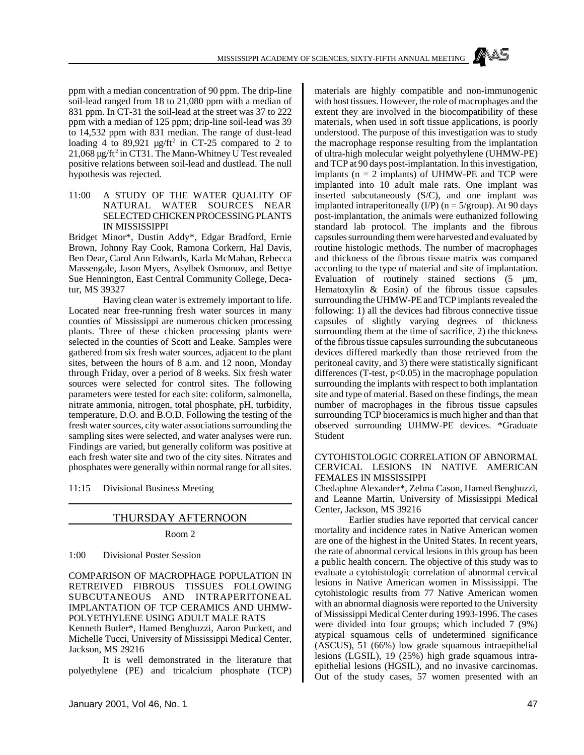ppm with a median concentration of 90 ppm. The drip-line soil-lead ranged from 18 to 21,080 ppm with a median of 831 ppm. In CT-31 the soil-lead at the street was 37 to 222 ppm with a median of 125 ppm; drip-line soil-lead was 39 to 14,532 ppm with 831 median. The range of dust-lead loading 4 to 89,921  $\mu$ g/ft<sup>2</sup> in CT-25 compared to 2 to  $21,068$  µg/ft<sup>2</sup> in CT31. The Mann-Whitney U Test revealed positive relations between soil-lead and dustlead. The null hypothesis was rejected.

## 11:00 A STUDY OF THE WATER QUALITY OF NATURAL WATER SOURCES NEAR SELECTED CHICKEN PROCESSING PLANTS IN MISSISSIPPI

Bridget Minor\*, Dustin Addy\*, Edgar Bradford, Ernie Brown, Johnny Ray Cook, Ramona Corkern, Hal Davis, Ben Dear, Carol Ann Edwards, Karla McMahan, Rebecca Massengale, Jason Myers, Asylbek Osmonov, and Bettye Sue Hennington, East Central Community College, Decatur, MS 39327

Having clean water is extremely important to life. Located near free-running fresh water sources in many counties of Mississippi are numerous chicken processing plants. Three of these chicken processing plants were selected in the counties of Scott and Leake. Samples were gathered from six fresh water sources, adjacent to the plant sites, between the hours of 8 a.m. and 12 noon, Monday through Friday, over a period of 8 weeks. Six fresh water sources were selected for control sites. The following parameters were tested for each site: coliform, salmonella, nitrate ammonia, nitrogen, total phosphate, pH, turbidity, temperature, D.O. and B.O.D. Following the testing of the fresh water sources, city water associations surrounding the sampling sites were selected, and water analyses were run. Findings are varied, but generally coliform was positive at each fresh water site and two of the city sites. Nitrates and phosphates were generally within normal range for all sites.

11:15 Divisional Business Meeting

# THURSDAY AFTERNOON

Room 2

1:00 Divisional Poster Session

COMPARISON OF MACROPHAGE POPULATION IN RETREIVED FIBROUS TISSUES FOLLOWING SUBCUTANEOUS AND INTRAPERITONEAL IMPLANTATION OF TCP CERAMICS AND UHMW-POLYETHYLENE USING ADULT MALE RATS Kenneth Butler\*, Hamed Benghuzzi, Aaron Puckett, and Michelle Tucci, University of Mississippi Medical Center, Jackson, MS 29216

It is well demonstrated in the literature that polyethylene (PE) and tricalcium phosphate (TCP)

materials are highly compatible and non-immunogenic with host tissues. However, the role of macrophages and the extent they are involved in the biocompatibility of these materials, when used in soft tissue applications, is poorly understood. The purpose of this investigation was to study the macrophage response resulting from the implantation of ultra-high molecular weight polyethylene (UHMW-PE) and TCP at 90 days post-implantation. In this investigation, implants  $(n = 2 \text{ implands})$  of UHMW-PE and TCP were implanted into 10 adult male rats. One implant was inserted subcutaneously (S/C), and one implant was implanted intraperitoneally  $(I/P)$  (n = 5/group). At 90 days post-implantation, the animals were euthanized following standard lab protocol. The implants and the fibrous capsules surrounding them were harvested and evaluated by routine histologic methods. The number of macrophages and thickness of the fibrous tissue matrix was compared according to the type of material and site of implantation. Evaluation of routinely stained sections (5  $\mu$ m, Hematoxylin & Eosin) of the fibrous tissue capsules surrounding the UHMW-PE and TCP implants revealed the following: 1) all the devices had fibrous connective tissue capsules of slightly varying degrees of thickness surrounding them at the time of sacrifice, 2) the thickness of the fibrous tissue capsules surrounding the subcutaneous devices differed markedly than those retrieved from the peritoneal cavity, and 3) there were statistically significant differences (T-test,  $p<0.05$ ) in the macrophage population surrounding the implants with respect to both implantation site and type of material. Based on these findings, the mean number of macrophages in the fibrous tissue capsules surrounding TCP bioceramics is much higher and than that observed surrounding UHMW-PE devices. \*Graduate Student

#### CYTOHISTOLOGIC CORRELATION OF ABNORMAL CERVICAL LESIONS IN NATIVE AMERICAN FEMALES IN MISSISSIPPI

Chedaphne Alexander\*, Zelma Cason, Hamed Benghuzzi, and Leanne Martin, University of Mississippi Medical Center, Jackson, MS 39216

Earlier studies have reported that cervical cancer mortality and incidence rates in Native American women are one of the highest in the United States. In recent years, the rate of abnormal cervical lesions in this group has been a public health concern. The objective of this study was to evaluate a cytohistologic correlation of abnormal cervical lesions in Native American women in Mississippi. The cytohistologic results from 77 Native American women with an abnormal diagnosis were reported to the University of Mississippi Medical Center during 1993-1996. The cases were divided into four groups; which included 7 (9%) atypical squamous cells of undetermined significance (ASCUS), 51 (66%) low grade squamous intraepithelial lesions (LGSIL), 19 (25%) high grade squamous intraepithelial lesions (HGSIL), and no invasive carcinomas. Out of the study cases, 57 women presented with an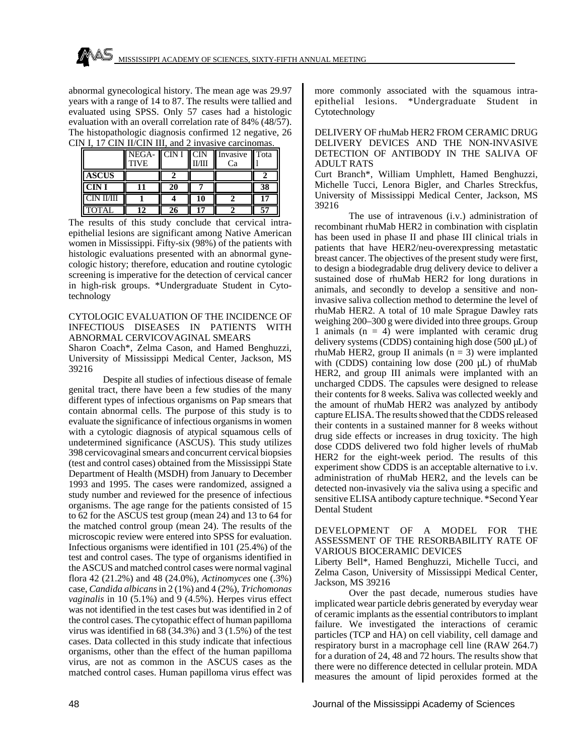abnormal gynecological history. The mean age was 29.97 years with a range of 14 to 87. The results were tallied and evaluated using SPSS. Only 57 cases had a histologic evaluation with an overall correlation rate of 84% (48/57). The histopathologic diagnosis confirmed 12 negative, 26 CIN I, 17 CIN II/CIN III, and 2 invasive carcinomas.

|              | NEGA-CINICIN<br><b>TIVE</b> |    |    | Invasive Tota |    |
|--------------|-----------------------------|----|----|---------------|----|
| <b>ASCUS</b> |                             |    |    |               |    |
| <b>CINI</b>  |                             | 20 |    |               | 38 |
|              |                             |    | 10 |               |    |
|              |                             |    |    |               |    |

The results of this study conclude that cervical intraepithelial lesions are significant among Native American women in Mississippi. Fifty-six (98%) of the patients with histologic evaluations presented with an abnormal gynecologic history; therefore, education and routine cytologic screening is imperative for the detection of cervical cancer in high-risk groups. \*Undergraduate Student in Cytotechnology

## CYTOLOGIC EVALUATION OF THE INCIDENCE OF INFECTIOUS DISEASES IN PATIENTS WITH ABNORMAL CERVICOVAGINAL SMEARS

Sharon Coach\*, Zelma Cason, and Hamed Benghuzzi, University of Mississippi Medical Center, Jackson, MS 39216

Despite all studies of infectious disease of female genital tract, there have been a few studies of the many different types of infectious organisms on Pap smears that contain abnormal cells. The purpose of this study is to evaluate the significance of infectious organisms in women with a cytologic diagnosis of atypical squamous cells of undetermined significance (ASCUS). This study utilizes 398 cervicovaginal smears and concurrent cervical biopsies (test and control cases) obtained from the Mississippi State Department of Health (MSDH) from January to December 1993 and 1995. The cases were randomized, assigned a study number and reviewed for the presence of infectious organisms. The age range for the patients consisted of 15 to 62 for the ASCUS test group (mean 24) and 13 to 64 for the matched control group (mean 24). The results of the microscopic review were entered into SPSS for evaluation. Infectious organisms were identified in 101 (25.4%) of the test and control cases. The type of organisms identified in the ASCUS and matched control cases were normal vaginal flora 42 (21.2%) and 48 (24.0%), *Actinomyces* one (.3%) case, *Candida albicans* in 2 (1%) and 4 (2%), *Trichomonas vaginalis* in 10 (5.1%) and 9 (4.5%). Herpes virus effect was not identified in the test cases but was identified in 2 of the control cases. The cytopathic effect of human papilloma virus was identified in 68 (34.3%) and 3 (1.5%) of the test cases. Data collected in this study indicate that infectious organisms, other than the effect of the human papilloma virus, are not as common in the ASCUS cases as the matched control cases. Human papilloma virus effect was more commonly associated with the squamous intraepithelial lesions. \*Undergraduate Student in Cytotechnology

DELIVERY OF rhuMab HER2 FROM CERAMIC DRUG DELIVERY DEVICES AND THE NON-INVASIVE DETECTION OF ANTIBODY IN THE SALIVA OF ADULT RATS

Curt Branch\*, William Umphlett, Hamed Benghuzzi, Michelle Tucci, Lenora Bigler, and Charles Streckfus, University of Mississippi Medical Center, Jackson, MS 39216

The use of intravenous (i.v.) administration of recombinant rhuMab HER2 in combination with cisplatin has been used in phase II and phase III clinical trials in patients that have HER2/neu-overexpressing metastatic breast cancer. The objectives of the present study were first, to design a biodegradable drug delivery device to deliver a sustained dose of rhuMab HER2 for long durations in animals, and secondly to develop a sensitive and noninvasive saliva collection method to determine the level of rhuMab HER2. A total of 10 male Sprague Dawley rats weighing 200–300 g were divided into three groups. Group 1 animals  $(n = 4)$  were implanted with ceramic drug delivery systems (CDDS) containing high dose  $(500 \,\mu L)$  of rhuMab HER2, group II animals  $(n = 3)$  were implanted with (CDDS) containing low dose (200 µL) of rhuMab HER2, and group III animals were implanted with an uncharged CDDS. The capsules were designed to release their contents for 8 weeks. Saliva was collected weekly and the amount of rhuMab HER2 was analyzed by antibody capture ELISA. The results showed that the CDDS released their contents in a sustained manner for 8 weeks without drug side effects or increases in drug toxicity. The high dose CDDS delivered two fold higher levels of rhuMab HER2 for the eight-week period. The results of this experiment show CDDS is an acceptable alternative to i.v. administration of rhuMab HER2, and the levels can be detected non-invasively via the saliva using a specific and sensitive ELISA antibody capture technique. \*Second Year Dental Student

## DEVELOPMENT OF A MODEL FOR THE ASSESSMENT OF THE RESORBABILITY RATE OF VARIOUS BIOCERAMIC DEVICES

Liberty Bell\*, Hamed Benghuzzi, Michelle Tucci, and Zelma Cason, University of Mississippi Medical Center, Jackson, MS 39216

Over the past decade, numerous studies have implicated wear particle debris generated by everyday wear of ceramic implants as the essential contributors to implant failure. We investigated the interactions of ceramic particles (TCP and HA) on cell viability, cell damage and respiratory burst in a macrophage cell line (RAW 264.7) for a duration of 24, 48 and 72 hours. The results show that there were no difference detected in cellular protein. MDA measures the amount of lipid peroxides formed at the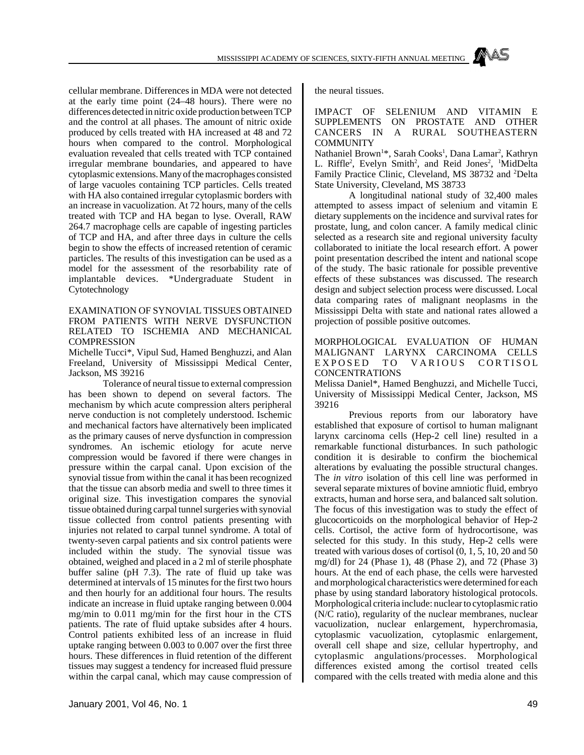cellular membrane. Differences in MDA were not detected at the early time point (24–48 hours). There were no differences detected in nitric oxide production between TCP and the control at all phases. The amount of nitric oxide produced by cells treated with HA increased at 48 and 72 hours when compared to the control. Morphological evaluation revealed that cells treated with TCP contained irregular membrane boundaries, and appeared to have cytoplasmic extensions. Many of the macrophages consisted of large vacuoles containing TCP particles. Cells treated with HA also contained irregular cytoplasmic borders with an increase in vacuolization. At 72 hours, many of the cells treated with TCP and HA began to lyse. Overall, RAW 264.7 macrophage cells are capable of ingesting particles of TCP and HA, and after three days in culture the cells begin to show the effects of increased retention of ceramic particles. The results of this investigation can be used as a model for the assessment of the resorbability rate of implantable devices. \*Undergraduate Student in Cytotechnology

## EXAMINATION OF SYNOVIAL TISSUES OBTAINED FROM PATIENTS WITH NERVE DYSFUNCTION RELATED TO ISCHEMIA AND MECHANICAL **COMPRESSION**

Michelle Tucci\*, Vipul Sud, Hamed Benghuzzi, and Alan Freeland, University of Mississippi Medical Center, Jackson, MS 39216

Tolerance of neural tissue to external compression has been shown to depend on several factors. The mechanism by which acute compression alters peripheral nerve conduction is not completely understood. Ischemic and mechanical factors have alternatively been implicated as the primary causes of nerve dysfunction in compression syndromes. An ischemic etiology for acute nerve compression would be favored if there were changes in pressure within the carpal canal. Upon excision of the synovial tissue from within the canal it has been recognized that the tissue can absorb media and swell to three times it original size. This investigation compares the synovial tissue obtained during carpal tunnel surgeries with synovial tissue collected from control patients presenting with injuries not related to carpal tunnel syndrome. A total of twenty-seven carpal patients and six control patients were included within the study. The synovial tissue was obtained, weighed and placed in a 2 ml of sterile phosphate buffer saline (pH 7.3). The rate of fluid up take was determined at intervals of 15 minutes for the first two hours and then hourly for an additional four hours. The results indicate an increase in fluid uptake ranging between 0.004 mg/min to 0.011 mg/min for the first hour in the CTS patients. The rate of fluid uptake subsides after 4 hours. Control patients exhibited less of an increase in fluid uptake ranging between 0.003 to 0.007 over the first three hours. These differences in fluid retention of the different tissues may suggest a tendency for increased fluid pressure within the carpal canal, which may cause compression of the neural tissues.

#### IMPACT OF SELENIUM AND VITAMIN E SUPPLEMENTS ON PROSTATE AND OTHER CANCERS IN A RURAL SOUTHEASTERN **COMMUNITY**

Nathaniel Brown<sup>1\*</sup>, Sarah Cooks<sup>1</sup>, Dana Lamar<sup>2</sup>, Kathryn L. Riffle<sup>2</sup>, Evelyn Smith<sup>2</sup>, and Reid Jones<sup>2</sup>, <sup>1</sup>MidDelta Family Practice Clinic, Cleveland, MS 38732 and <sup>2</sup>Delta State University, Cleveland, MS 38733

A longitudinal national study of 32,400 males attempted to assess impact of selenium and vitamin E dietary supplements on the incidence and survival rates for prostate, lung, and colon cancer. A family medical clinic selected as a research site and regional university faculty collaborated to initiate the local research effort. A power point presentation described the intent and national scope of the study. The basic rationale for possible preventive effects of these substances was discussed. The research design and subject selection process were discussed. Local data comparing rates of malignant neoplasms in the Mississippi Delta with state and national rates allowed a projection of possible positive outcomes.

## MORPHOLOGICAL EVALUATION OF HUMAN MALIGNANT LARYNX CARCINOMA CELLS EXPOSED TO VARIOUS CORTISOL CONCENTRATIONS

Melissa Daniel\*, Hamed Benghuzzi, and Michelle Tucci, University of Mississippi Medical Center, Jackson, MS 39216

Previous reports from our laboratory have established that exposure of cortisol to human malignant larynx carcinoma cells (Hep-2 cell line) resulted in a remarkable functional disturbances. In such pathologic condition it is desirable to confirm the biochemical alterations by evaluating the possible structural changes. The *in vitro* isolation of this cell line was performed in several separate mixtures of bovine amniotic fluid, embryo extracts, human and horse sera, and balanced salt solution. The focus of this investigation was to study the effect of glucocorticoids on the morphological behavior of Hep-2 cells. Cortisol, the active form of hydrocortisone, was selected for this study. In this study, Hep-2 cells were treated with various doses of cortisol (0, 1, 5, 10, 20 and 50 mg/dl) for 24 (Phase 1), 48 (Phase 2), and 72 (Phase 3) hours. At the end of each phase, the cells were harvested and morphological characteristics were determined for each phase by using standard laboratory histological protocols. Morphological criteria include: nuclear to cytoplasmic ratio (N/C ratio), regularity of the nuclear membranes, nuclear vacuolization, nuclear enlargement, hyperchromasia, cytoplasmic vacuolization, cytoplasmic enlargement, overall cell shape and size, cellular hypertrophy, and cytoplasmic angulations/processes. Morphological differences existed among the cortisol treated cells compared with the cells treated with media alone and this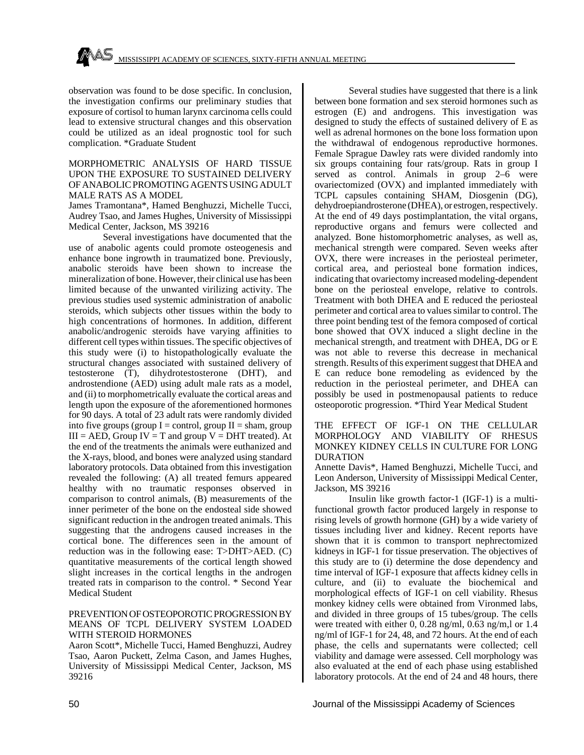observation was found to be dose specific. In conclusion, the investigation confirms our preliminary studies that exposure of cortisol to human larynx carcinoma cells could lead to extensive structural changes and this observation could be utilized as an ideal prognostic tool for such complication. \*Graduate Student

## MORPHOMETRIC ANALYSIS OF HARD TISSUE UPON THE EXPOSURE TO SUSTAINED DELIVERY OF ANABOLIC PROMOTING AGENTS USING ADULT MALE RATS AS A MODEL

James Tramontana\*, Hamed Benghuzzi, Michelle Tucci, Audrey Tsao, and James Hughes, University of Mississippi Medical Center, Jackson, MS 39216

Several investigations have documented that the use of anabolic agents could promote osteogenesis and enhance bone ingrowth in traumatized bone. Previously, anabolic steroids have been shown to increase the mineralization of bone. However, their clinical use has been limited because of the unwanted virilizing activity. The previous studies used systemic administration of anabolic steroids, which subjects other tissues within the body to high concentrations of hormones. In addition, different anabolic/androgenic steroids have varying affinities to different cell types within tissues. The specific objectives of this study were (i) to histopathologically evaluate the structural changes associated with sustained delivery of testosterone (T), dihydrotestosterone (DHT), and androstendione (AED) using adult male rats as a model, and (ii) to morphometrically evaluate the cortical areas and length upon the exposure of the aforementioned hormones for 90 days. A total of 23 adult rats were randomly divided into five groups (group  $I =$  control, group  $II =$  sham, group  $III = AED$ , Group  $IV = T$  and group  $V = DHT$  treated). At the end of the treatments the animals were euthanized and the X-rays, blood, and bones were analyzed using standard laboratory protocols. Data obtained from this investigation revealed the following: (A) all treated femurs appeared healthy with no traumatic responses observed in comparison to control animals, (B) measurements of the inner perimeter of the bone on the endosteal side showed significant reduction in the androgen treated animals. This suggesting that the androgens caused increases in the cortical bone. The differences seen in the amount of reduction was in the following ease: T>DHT>AED. (C) quantitative measurements of the cortical length showed slight increases in the cortical lengths in the androgen treated rats in comparison to the control. \* Second Year Medical Student

## PREVENTION OF OSTEOPOROTIC PROGRESSION BY MEANS OF TCPL DELIVERY SYSTEM LOADED WITH STEROID HORMONES

Aaron Scott\*, Michelle Tucci, Hamed Benghuzzi, Audrey Tsao, Aaron Puckett, Zelma Cason, and James Hughes, University of Mississippi Medical Center, Jackson, MS 39216

Several studies have suggested that there is a link between bone formation and sex steroid hormones such as estrogen (E) and androgens. This investigation was designed to study the effects of sustained delivery of E as well as adrenal hormones on the bone loss formation upon the withdrawal of endogenous reproductive hormones. Female Sprague Dawley rats were divided randomly into six groups containing four rats/group. Rats in group I served as control. Animals in group 2–6 were ovariectomized (OVX) and implanted immediately with TCPL capsules containing SHAM, Diosgenin (DG), dehydroepiandrosterone (DHEA), or estrogen, respectively. At the end of 49 days postimplantation, the vital organs, reproductive organs and femurs were collected and analyzed. Bone histomorphometric analyses, as well as, mechanical strength were compared. Seven weeks after OVX, there were increases in the periosteal perimeter, cortical area, and periosteal bone formation indices, indicating that ovariectomy increased modeling-dependent bone on the periosteal envelope, relative to controls. Treatment with both DHEA and E reduced the periosteal perimeter and cortical area to values similar to control. The three point bending test of the femora composed of cortical bone showed that OVX induced a slight decline in the mechanical strength, and treatment with DHEA, DG or E was not able to reverse this decrease in mechanical strength. Results of this experiment suggest that DHEA and E can reduce bone remodeling as evidenced by the reduction in the periosteal perimeter, and DHEA can possibly be used in postmenopausal patients to reduce osteoporotic progression. \*Third Year Medical Student

## THE EFFECT OF IGF-1 ON THE CELLULAR MORPHOLOGY AND VIABILITY OF RHESUS MONKEY KIDNEY CELLS IN CULTURE FOR LONG DURATION

Annette Davis\*, Hamed Benghuzzi, Michelle Tucci, and Leon Anderson, University of Mississippi Medical Center, Jackson, MS 39216

Insulin like growth factor-1 (IGF-1) is a multifunctional growth factor produced largely in response to rising levels of growth hormone (GH) by a wide variety of tissues including liver and kidney. Recent reports have shown that it is common to transport nephrectomized kidneys in IGF-1 for tissue preservation. The objectives of this study are to (i) determine the dose dependency and time interval of IGF-1 exposure that affects kidney cells in culture, and (ii) to evaluate the biochemical and morphological effects of IGF-1 on cell viability. Rhesus monkey kidney cells were obtained from Vironmed labs, and divided in three groups of 15 tubes/group. The cells were treated with either 0, 0.28 ng/ml, 0.63 ng/m,l or 1.4 ng/ml of IGF-1 for 24, 48, and 72 hours. At the end of each phase, the cells and supernatants were collected; cell viability and damage were assessed. Cell morphology was also evaluated at the end of each phase using established laboratory protocols. At the end of 24 and 48 hours, there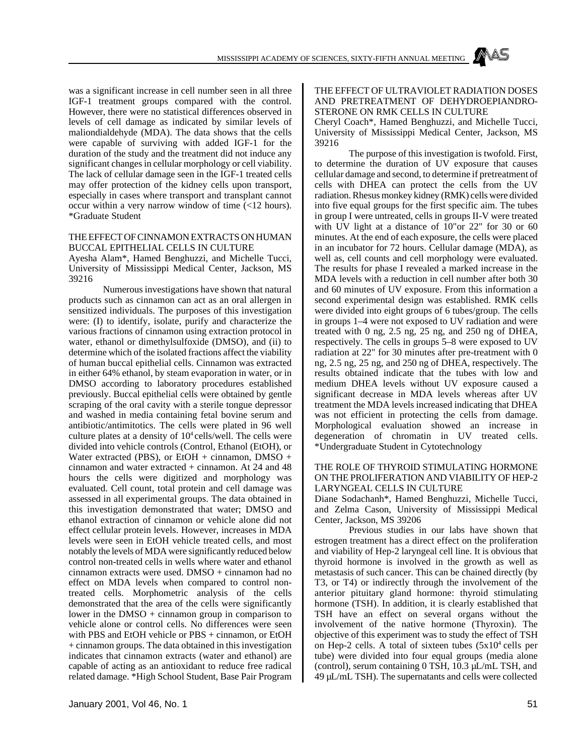was a significant increase in cell number seen in all three IGF-1 treatment groups compared with the control. However, there were no statistical differences observed in levels of cell damage as indicated by similar levels of maliondialdehyde (MDA). The data shows that the cells were capable of surviving with added IGF-1 for the duration of the study and the treatment did not induce any significant changes in cellular morphology or cell viability. The lack of cellular damage seen in the IGF-1 treated cells may offer protection of the kidney cells upon transport, especially in cases where transport and transplant cannot occur within a very narrow window of time (<12 hours). \*Graduate Student

## THE EFFECT OF CINNAMON EXTRACTS ON HUMAN BUCCAL EPITHELIAL CELLS IN CULTURE

Ayesha Alam\*, Hamed Benghuzzi, and Michelle Tucci, University of Mississippi Medical Center, Jackson, MS 39216

Numerous investigations have shown that natural products such as cinnamon can act as an oral allergen in sensitized individuals. The purposes of this investigation were: (I) to identify, isolate, purify and characterize the various fractions of cinnamon using extraction protocol in water, ethanol or dimethylsulfoxide (DMSO), and (ii) to determine which of the isolated fractions affect the viability of human buccal epithelial cells. Cinnamon was extracted in either 64% ethanol, by steam evaporation in water, or in DMSO according to laboratory procedures established previously. Buccal epithelial cells were obtained by gentle scraping of the oral cavity with a sterile tongue depressor and washed in media containing fetal bovine serum and antibiotic/antimitotics. The cells were plated in 96 well culture plates at a density of  $10<sup>4</sup>$  cells/well. The cells were divided into vehicle controls (Control, Ethanol (EtOH), or Water extracted (PBS), or EtOH  $+$  cinnamon, DMSO  $+$ cinnamon and water extracted + cinnamon. At 24 and 48 hours the cells were digitized and morphology was evaluated. Cell count, total protein and cell damage was assessed in all experimental groups. The data obtained in this investigation demonstrated that water; DMSO and ethanol extraction of cinnamon or vehicle alone did not effect cellular protein levels. However, increases in MDA levels were seen in EtOH vehicle treated cells, and most notably the levels of MDA were significantly reduced below control non-treated cells in wells where water and ethanol cinnamon extracts were used. DMSO + cinnamon had no effect on MDA levels when compared to control nontreated cells. Morphometric analysis of the cells demonstrated that the area of the cells were significantly lower in the DMSO + cinnamon group in comparison to vehicle alone or control cells. No differences were seen with PBS and EtOH vehicle or PBS + cinnamon, or EtOH + cinnamon groups. The data obtained in this investigation indicates that cinnamon extracts (water and ethanol) are capable of acting as an antioxidant to reduce free radical related damage. \*High School Student, Base Pair Program

THE EFFECT OF ULTRAVIOLET RADIATION DOSES AND PRETREATMENT OF DEHYDROEPIANDRO-STERONE ON RMK CELLS IN CULTURE

Cheryl Coach\*, Hamed Benghuzzi, and Michelle Tucci, University of Mississippi Medical Center, Jackson, MS 39216

The purpose of this investigation is twofold. First, to determine the duration of UV exposure that causes cellular damage and second, to determine if pretreatment of cells with DHEA can protect the cells from the UV radiation. Rhesus monkey kidney (RMK) cells were divided into five equal groups for the first specific aim. The tubes in group I were untreated, cells in groups II-V were treated with UV light at a distance of 10"or 22" for 30 or 60 minutes. At the end of each exposure, the cells were placed in an incubator for 72 hours. Cellular damage (MDA), as well as, cell counts and cell morphology were evaluated. The results for phase I revealed a marked increase in the MDA levels with a reduction in cell number after both 30 and 60 minutes of UV exposure. From this information a second experimental design was established. RMK cells were divided into eight groups of 6 tubes/group. The cells in groups 1–4 were not exposed to UV radiation and were treated with 0 ng, 2.5 ng, 25 ng, and 250 ng of DHEA, respectively. The cells in groups 5–8 were exposed to UV radiation at 22" for 30 minutes after pre-treatment with 0 ng, 2.5 ng, 25 ng, and 250 ng of DHEA, respectively. The results obtained indicate that the tubes with low and medium DHEA levels without UV exposure caused a significant decrease in MDA levels whereas after UV treatment the MDA levels increased indicating that DHEA was not efficient in protecting the cells from damage. Morphological evaluation showed an increase in degeneration of chromatin in UV treated cells. \*Undergraduate Student in Cytotechnology

### THE ROLE OF THYROID STIMULATING HORMONE ON THE PROLIFERATION AND VIABILITY OF HEP-2 LARYNGEAL CELLS IN CULTURE

Diane Sodachanh\*, Hamed Benghuzzi, Michelle Tucci, and Zelma Cason, University of Mississippi Medical Center, Jackson, MS 39206

Previous studies in our labs have shown that estrogen treatment has a direct effect on the proliferation and viability of Hep-2 laryngeal cell line. It is obvious that thyroid hormone is involved in the growth as well as metastasis of such cancer. This can be chained directly (by T3, or T4) or indirectly through the involvement of the anterior pituitary gland hormone: thyroid stimulating hormone (TSH). In addition, it is clearly established that TSH have an effect on several organs without the involvement of the native hormone (Thyroxin). The objective of this experiment was to study the effect of TSH on Hep-2 cells. A total of sixteen tubes (5x10<sup>4</sup> cells per tube) were divided into four equal groups (media alone (control), serum containing 0 TSH, 10.3 µL/mL TSH, and 49 µL/mL TSH). The supernatants and cells were collected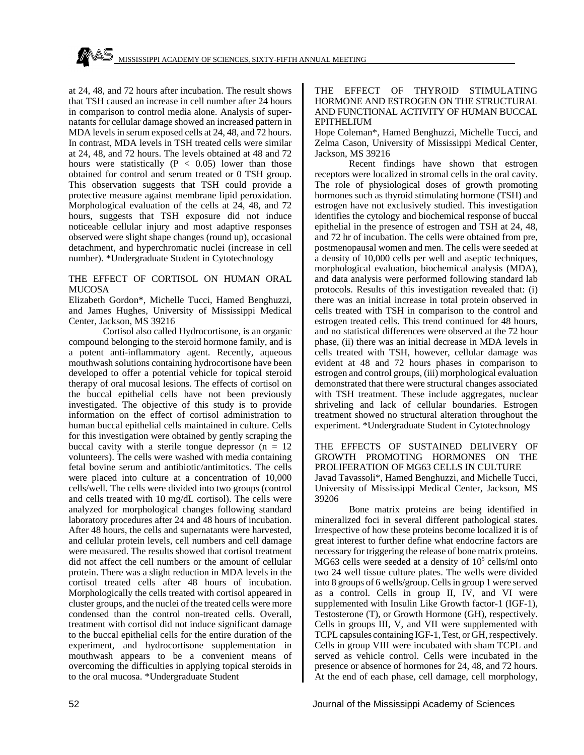at 24, 48, and 72 hours after incubation. The result shows that TSH caused an increase in cell number after 24 hours in comparison to control media alone. Analysis of supernatants for cellular damage showed an increased pattern in MDA levels in serum exposed cells at 24, 48, and 72 hours. In contrast, MDA levels in TSH treated cells were similar at 24, 48, and 72 hours. The levels obtained at 48 and 72 hours were statistically  $(P < 0.05)$  lower than those obtained for control and serum treated or 0 TSH group. This observation suggests that TSH could provide a protective measure against membrane lipid peroxidation. Morphological evaluation of the cells at 24, 48, and 72 hours, suggests that TSH exposure did not induce noticeable cellular injury and most adaptive responses observed were slight shape changes (round up), occasional detachment, and hyperchromatic nuclei (increase in cell number). \*Undergraduate Student in Cytotechnology

## THE EFFECT OF CORTISOL ON HUMAN ORAL MUCOSA

Elizabeth Gordon\*, Michelle Tucci, Hamed Benghuzzi, and James Hughes, University of Mississippi Medical Center, Jackson, MS 39216

Cortisol also called Hydrocortisone, is an organic compound belonging to the steroid hormone family, and is a potent anti-inflammatory agent. Recently, aqueous mouthwash solutions containing hydrocortisone have been developed to offer a potential vehicle for topical steroid therapy of oral mucosal lesions. The effects of cortisol on the buccal epithelial cells have not been previously investigated. The objective of this study is to provide information on the effect of cortisol administration to human buccal epithelial cells maintained in culture. Cells for this investigation were obtained by gently scraping the buccal cavity with a sterile tongue depressor  $(n = 12)$ volunteers). The cells were washed with media containing fetal bovine serum and antibiotic/antimitotics. The cells were placed into culture at a concentration of 10,000 cells/well. The cells were divided into two groups (control and cells treated with 10 mg/dL cortisol). The cells were analyzed for morphological changes following standard laboratory procedures after 24 and 48 hours of incubation. After 48 hours, the cells and supernatants were harvested, and cellular protein levels, cell numbers and cell damage were measured. The results showed that cortisol treatment did not affect the cell numbers or the amount of cellular protein. There was a slight reduction in MDA levels in the cortisol treated cells after 48 hours of incubation. Morphologically the cells treated with cortisol appeared in cluster groups, and the nuclei of the treated cells were more condensed than the control non-treated cells. Overall, treatment with cortisol did not induce significant damage to the buccal epithelial cells for the entire duration of the experiment, and hydrocortisone supplementation in mouthwash appears to be a convenient means of overcoming the difficulties in applying topical steroids in to the oral mucosa. \*Undergraduate Student

## THE EFFECT OF THYROID STIMULATING HORMONE AND ESTROGEN ON THE STRUCTURAL AND FUNCTIONAL ACTIVITY OF HUMAN BUCCAL EPITHELIUM

Hope Coleman\*, Hamed Benghuzzi, Michelle Tucci, and Zelma Cason, University of Mississippi Medical Center, Jackson, MS 39216

Recent findings have shown that estrogen receptors were localized in stromal cells in the oral cavity. The role of physiological doses of growth promoting hormones such as thyroid stimulating hormone (TSH) and estrogen have not exclusively studied. This investigation identifies the cytology and biochemical response of buccal epithelial in the presence of estrogen and TSH at 24, 48, and 72 hr of incubation. The cells were obtained from pre, postmenopausal women and men. The cells were seeded at a density of 10,000 cells per well and aseptic techniques, morphological evaluation, biochemical analysis (MDA), and data analysis were performed following standard lab protocols. Results of this investigation revealed that: (i) there was an initial increase in total protein observed in cells treated with TSH in comparison to the control and estrogen treated cells. This trend continued for 48 hours, and no statistical differences were observed at the 72 hour phase, (ii) there was an initial decrease in MDA levels in cells treated with TSH, however, cellular damage was evident at 48 and 72 hours phases in comparison to estrogen and control groups, (iii) morphological evaluation demonstrated that there were structural changes associated with TSH treatment. These include aggregates, nuclear shriveling and lack of cellular boundaries. Estrogen treatment showed no structural alteration throughout the experiment. \*Undergraduate Student in Cytotechnology

THE EFFECTS OF SUSTAINED DELIVERY OF GROWTH PROMOTING HORMONES ON THE PROLIFERATION OF MG63 CELLS IN CULTURE Javad Tavassoli\*, Hamed Benghuzzi, and Michelle Tucci, University of Mississippi Medical Center, Jackson, MS 39206

Bone matrix proteins are being identified in mineralized foci in several different pathological states. Irrespective of how these proteins become localized it is of great interest to further define what endocrine factors are necessary for triggering the release of bone matrix proteins. MG63 cells were seeded at a density of 10<sup>5</sup> cells/ml onto two 24 well tissue culture plates. The wells were divided into 8 groups of 6 wells/group. Cells in group 1 were served as a control. Cells in group II, IV, and VI were supplemented with Insulin Like Growth factor-1 (IGF-1), Testosterone (T), or Growth Hormone (GH), respectively. Cells in groups III, V, and VII were supplemented with TCPL capsules containing IGF-1, Test, or GH, respectively. Cells in group VIII were incubated with sham TCPL and served as vehicle control. Cells were incubated in the presence or absence of hormones for 24, 48, and 72 hours. At the end of each phase, cell damage, cell morphology,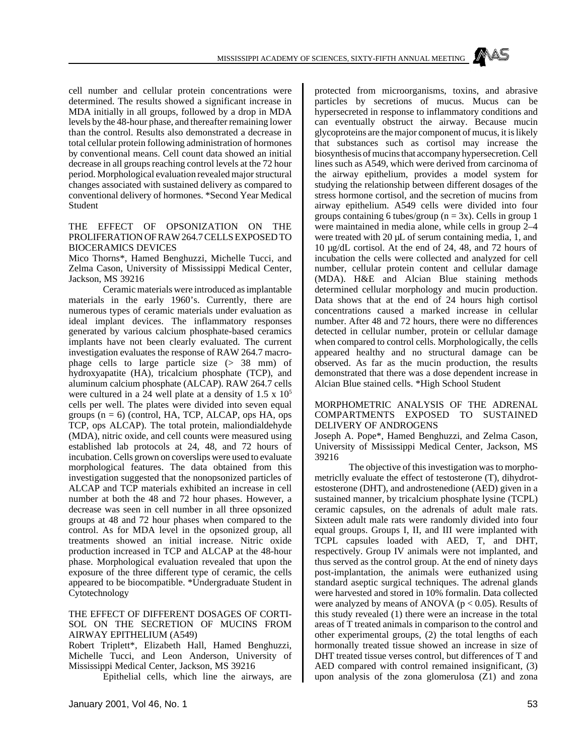cell number and cellular protein concentrations were determined. The results showed a significant increase in MDA initially in all groups, followed by a drop in MDA levels by the 48-hour phase, and thereafter remaining lower than the control. Results also demonstrated a decrease in total cellular protein following administration of hormones by conventional means. Cell count data showed an initial decrease in all groups reaching control levels at the 72 hour period. Morphological evaluation revealed major structural changes associated with sustained delivery as compared to conventional delivery of hormones. \*Second Year Medical Student

## THE EFFECT OF OPSONIZATION ON THE PROLIFERATION OF RAW 264.7 CELLS EXPOSED TO BIOCERAMICS DEVICES

Mico Thorns\*, Hamed Benghuzzi, Michelle Tucci, and Zelma Cason, University of Mississippi Medical Center, Jackson, MS 39216

Ceramic materials were introduced as implantable materials in the early 1960's. Currently, there are numerous types of ceramic materials under evaluation as ideal implant devices. The inflammatory responses generated by various calcium phosphate-based ceramics implants have not been clearly evaluated. The current investigation evaluates the response of RAW 264.7 macrophage cells to large particle size (> 38 mm) of hydroxyapatite (HA), tricalcium phosphate (TCP), and aluminum calcium phosphate (ALCAP). RAW 264.7 cells were cultured in a 24 well plate at a density of  $1.5 \times 10^5$ cells per well. The plates were divided into seven equal groups  $(n = 6)$  (control, HA, TCP, ALCAP, ops HA, ops TCP, ops ALCAP). The total protein, maliondialdehyde (MDA), nitric oxide, and cell counts were measured using established lab protocols at 24, 48, and 72 hours of incubation. Cells grown on coverslips were used to evaluate morphological features. The data obtained from this investigation suggested that the nonopsonized particles of ALCAP and TCP materials exhibited an increase in cell number at both the 48 and 72 hour phases. However, a decrease was seen in cell number in all three opsonized groups at 48 and 72 hour phases when compared to the control. As for MDA level in the opsonized group, all treatments showed an initial increase. Nitric oxide production increased in TCP and ALCAP at the 48-hour phase. Morphological evaluation revealed that upon the exposure of the three different type of ceramic, the cells appeared to be biocompatible. \*Undergraduate Student in Cytotechnology

## THE EFFECT OF DIFFERENT DOSAGES OF CORTI-SOL ON THE SECRETION OF MUCINS FROM AIRWAY EPITHELIUM (A549)

Robert Triplett\*, Elizabeth Hall, Hamed Benghuzzi, Michelle Tucci, and Leon Anderson, University of Mississippi Medical Center, Jackson, MS 39216

Epithelial cells, which line the airways, are

protected from microorganisms, toxins, and abrasive particles by secretions of mucus. Mucus can be hypersecreted in response to inflammatory conditions and can eventually obstruct the airway. Because mucin glycoproteins are the major component of mucus, it is likely that substances such as cortisol may increase the biosynthesis of mucins that accompany hypersecretion. Cell lines such as A549, which were derived from carcinoma of the airway epithelium, provides a model system for studying the relationship between different dosages of the stress hormone cortisol, and the secretion of mucins from airway epithelium. A549 cells were divided into four groups containing 6 tubes/group ( $n = 3x$ ). Cells in group 1 were maintained in media alone, while cells in group 2–4 were treated with 20  $\mu$ L of serum containing media, 1, and 10 µg/dL cortisol. At the end of 24, 48, and 72 hours of incubation the cells were collected and analyzed for cell number, cellular protein content and cellular damage (MDA). H&E and Alcian Blue staining methods determined cellular morphology and mucin production. Data shows that at the end of 24 hours high cortisol concentrations caused a marked increase in cellular number. After 48 and 72 hours, there were no differences detected in cellular number, protein or cellular damage when compared to control cells. Morphologically, the cells appeared healthy and no structural damage can be observed. As far as the mucin production, the results demonstrated that there was a dose dependent increase in Alcian Blue stained cells. \*High School Student

### MORPHOMETRIC ANALYSIS OF THE ADRENAL COMPARTMENTS EXPOSED TO SUSTAINED DELIVERY OF ANDROGENS

Joseph A. Pope\*, Hamed Benghuzzi, and Zelma Cason, University of Mississippi Medical Center, Jackson, MS 39216

The objective of this investigation was to morphometriclly evaluate the effect of testosterone (T), dihydrotestosterone (DHT), and androstenedione (AED) given in a sustained manner, by tricalcium phosphate lysine (TCPL) ceramic capsules, on the adrenals of adult male rats. Sixteen adult male rats were randomly divided into four equal groups. Groups I, II, and III were implanted with TCPL capsules loaded with AED, T, and DHT, respectively. Group IV animals were not implanted, and thus served as the control group. At the end of ninety days post-implantation, the animals were euthanized using standard aseptic surgical techniques. The adrenal glands were harvested and stored in 10% formalin. Data collected were analyzed by means of ANOVA ( $p < 0.05$ ). Results of this study revealed (1) there were an increase in the total areas of T treated animals in comparison to the control and other experimental groups, (2) the total lengths of each hormonally treated tissue showed an increase in size of DHT treated tissue verses control, but differences of T and AED compared with control remained insignificant, (3) upon analysis of the zona glomerulosa (Z1) and zona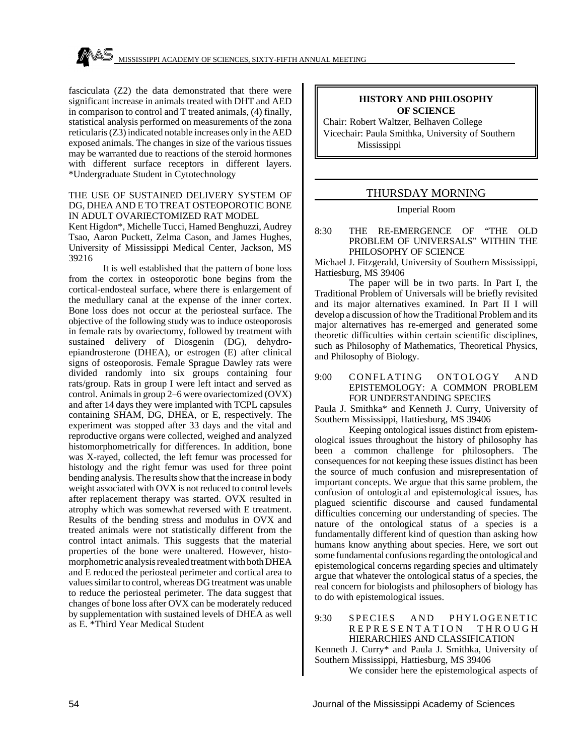fasciculata (Z2) the data demonstrated that there were significant increase in animals treated with DHT and AED in comparison to control and T treated animals, (4) finally, statistical analysis performed on measurements of the zona reticularis (Z3) indicated notable increases only in the AED exposed animals. The changes in size of the various tissues may be warranted due to reactions of the steroid hormones with different surface receptors in different layers. \*Undergraduate Student in Cytotechnology

## THE USE OF SUSTAINED DELIVERY SYSTEM OF DG, DHEA AND E TO TREAT OSTEOPOROTIC BONE IN ADULT OVARIECTOMIZED RAT MODEL

Kent Higdon\*, Michelle Tucci, Hamed Benghuzzi, Audrey Tsao, Aaron Puckett, Zelma Cason, and James Hughes, University of Mississippi Medical Center, Jackson, MS 39216

It is well established that the pattern of bone loss from the cortex in osteoporotic bone begins from the cortical-endosteal surface, where there is enlargement of the medullary canal at the expense of the inner cortex. Bone loss does not occur at the periosteal surface. The objective of the following study was to induce osteoporosis in female rats by ovariectomy, followed by treatment with sustained delivery of Diosgenin (DG), dehydroepiandrosterone (DHEA), or estrogen (E) after clinical signs of osteoporosis. Female Sprague Dawley rats were divided randomly into six groups containing four rats/group. Rats in group I were left intact and served as control. Animals in group 2–6 were ovariectomized (OVX) and after 14 days they were implanted with TCPL capsules containing SHAM, DG, DHEA, or E, respectively. The experiment was stopped after 33 days and the vital and reproductive organs were collected, weighed and analyzed histomorphometrically for differences. In addition, bone was X-rayed, collected, the left femur was processed for histology and the right femur was used for three point bending analysis. The results show that the increase in body weight associated with OVX is not reduced to control levels after replacement therapy was started. OVX resulted in atrophy which was somewhat reversed with E treatment. Results of the bending stress and modulus in OVX and treated animals were not statistically different from the control intact animals. This suggests that the material properties of the bone were unaltered. However, histomorphometric analysis revealed treatment with both DHEA and E reduced the periosteal perimeter and cortical area to values similar to control, whereas DG treatment was unable to reduce the periosteal perimeter. The data suggest that changes of bone loss after OVX can be moderately reduced by supplementation with sustained levels of DHEA as well as E. \*Third Year Medical Student

## **HISTORY AND PHILOSOPHY OF SCIENCE**

Chair: Robert Waltzer, Belhaven College Vicechair: Paula Smithka, University of Southern Mississippi

# THURSDAY MORNING

Imperial Room

8:30 THE RE-EMERGENCE OF "THE OLD PROBLEM OF UNIVERSALS" WITHIN THE PHILOSOPHY OF SCIENCE

Michael J. Fitzgerald, University of Southern Mississippi, Hattiesburg, MS 39406

The paper will be in two parts. In Part I, the Traditional Problem of Universals will be briefly revisited and its major alternatives examined. In Part II I will develop a discussion of how the Traditional Problem and its major alternatives has re-emerged and generated some theoretic difficulties within certain scientific disciplines, such as Philosophy of Mathematics, Theoretical Physics, and Philosophy of Biology.

## 9:00 CONFLATING ONTOLOGY AND EPISTEMOLOGY: A COMMON PROBLEM FOR UNDERSTANDING SPECIES

Paula J. Smithka\* and Kenneth J. Curry, University of Southern Mississippi, Hattiesburg, MS 39406

Keeping ontological issues distinct from epistemological issues throughout the history of philosophy has been a common challenge for philosophers. The consequences for not keeping these issues distinct has been the source of much confusion and misrepresentation of important concepts. We argue that this same problem, the confusion of ontological and epistemological issues, has plagued scientific discourse and caused fundamental difficulties concerning our understanding of species. The nature of the ontological status of a species is a fundamentally different kind of question than asking how humans know anything about species. Here, we sort out some fundamental confusions regarding the ontological and epistemological concerns regarding species and ultimately argue that whatever the ontological status of a species, the real concern for biologists and philosophers of biology has to do with epistemological issues.

## 9:30 SPECIES AND PHYLOGENETIC REPRESENTATION THROUG H HIERARCHIES AND CLASSIFICATION

Kenneth J. Curry\* and Paula J. Smithka, University of Southern Mississippi, Hattiesburg, MS 39406

We consider here the epistemological aspects of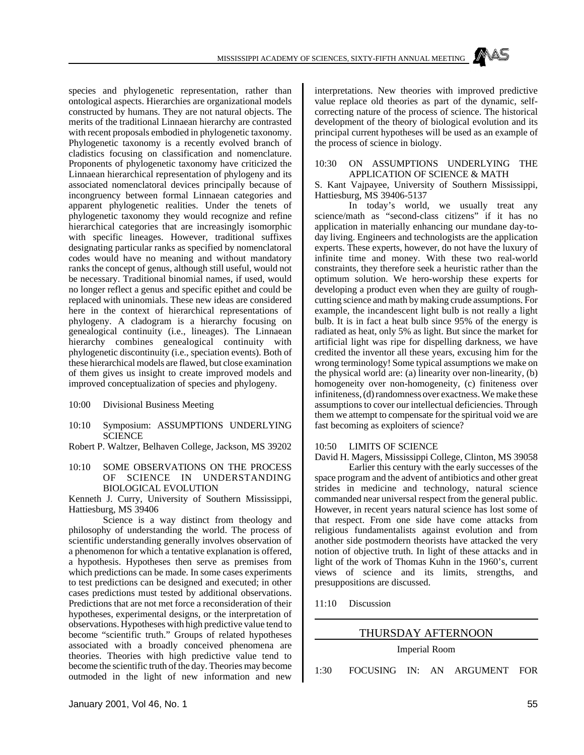

species and phylogenetic representation, rather than ontological aspects. Hierarchies are organizational models constructed by humans. They are not natural objects. The merits of the traditional Linnaean hierarchy are contrasted with recent proposals embodied in phylogenetic taxonomy. Phylogenetic taxonomy is a recently evolved branch of cladistics focusing on classification and nomenclature. Proponents of phylogenetic taxonomy have criticized the Linnaean hierarchical representation of phylogeny and its associated nomenclatoral devices principally because of incongruency between formal Linnaean categories and apparent phylogenetic realities. Under the tenets of phylogenetic taxonomy they would recognize and refine hierarchical categories that are increasingly isomorphic with specific lineages. However, traditional suffixes designating particular ranks as specified by nomenclatoral codes would have no meaning and without mandatory ranks the concept of genus, although still useful, would not be necessary. Traditional binomial names, if used, would no longer reflect a genus and specific epithet and could be replaced with uninomials. These new ideas are considered here in the context of hierarchical representations of phylogeny. A cladogram is a hierarchy focusing on genealogical continuity (i.e., lineages). The Linnaean hierarchy combines genealogical continuity with phylogenetic discontinuity (i.e., speciation events). Both of these hierarchical models are flawed, but close examination of them gives us insight to create improved models and improved conceptualization of species and phylogeny.

- 10:00 Divisional Business Meeting
- 10:10 Symposium: ASSUMPTIONS UNDERLYING **SCIENCE**
- Robert P. Waltzer, Belhaven College, Jackson, MS 39202
- 10:10 SOME OBSERVATIONS ON THE PROCESS OF SCIENCE IN UNDERSTANDING BIOLOGICAL EVOLUTION

Kenneth J. Curry, University of Southern Mississippi, Hattiesburg, MS 39406

Science is a way distinct from theology and philosophy of understanding the world. The process of scientific understanding generally involves observation of a phenomenon for which a tentative explanation is offered, a hypothesis. Hypotheses then serve as premises from which predictions can be made. In some cases experiments to test predictions can be designed and executed; in other cases predictions must tested by additional observations. Predictions that are not met force a reconsideration of their hypotheses, experimental designs, or the interpretation of observations. Hypotheses with high predictive value tend to become "scientific truth." Groups of related hypotheses associated with a broadly conceived phenomena are theories. Theories with high predictive value tend to become the scientific truth of the day. Theories may become outmoded in the light of new information and new

interpretations. New theories with improved predictive value replace old theories as part of the dynamic, selfcorrecting nature of the process of science. The historical development of the theory of biological evolution and its principal current hypotheses will be used as an example of the process of science in biology.

#### 10:30 ON ASSUMPTIONS UNDERLYING THE APPLICATION OF SCIENCE & MATH

S. Kant Vajpayee, University of Southern Mississippi, Hattiesburg, MS 39406-5137

In today's world, we usually treat any science/math as "second-class citizens" if it has no application in materially enhancing our mundane day-today living. Engineers and technologists are the application experts. These experts, however, do not have the luxury of infinite time and money. With these two real-world constraints, they therefore seek a heuristic rather than the optimum solution. We hero-worship these experts for developing a product even when they are guilty of roughcutting science and math by making crude assumptions. For example, the incandescent light bulb is not really a light bulb. It is in fact a heat bulb since 95% of the energy is radiated as heat, only 5% as light. But since the market for artificial light was ripe for dispelling darkness, we have credited the inventor all these years, excusing him for the wrong terminology! Some typical assumptions we make on the physical world are: (a) linearity over non-linearity, (b) homogeneity over non-homogeneity, (c) finiteness over infiniteness, (d) randomness over exactness. We make these assumptions to cover our intellectual deficiencies. Through them we attempt to compensate for the spiritual void we are fast becoming as exploiters of science?

## 10:50 LIMITS OF SCIENCE

David H. Magers, Mississippi College, Clinton, MS 39058 Earlier this century with the early successes of the space program and the advent of antibiotics and other great strides in medicine and technology, natural science commanded near universal respect from the general public. However, in recent years natural science has lost some of that respect. From one side have come attacks from religious fundamentalists against evolution and from another side postmodern theorists have attacked the very notion of objective truth. In light of these attacks and in light of the work of Thomas Kuhn in the 1960's, current views of science and its limits, strengths, and presuppositions are discussed.

11:10 Discussion

## THURSDAY AFTERNOON

## Imperial Room

1:30 FOCUSING IN: AN ARGUMENT FOR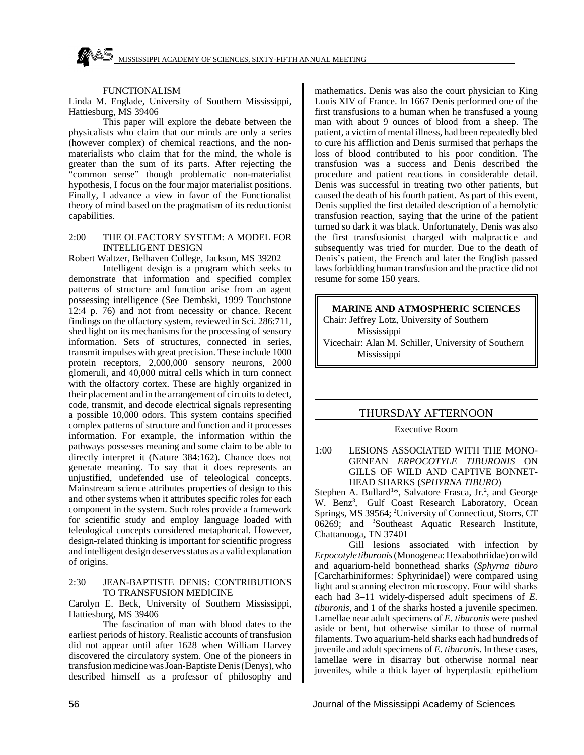

## FUNCTIONALISM

Linda M. Englade, University of Southern Mississippi, Hattiesburg, MS 39406

This paper will explore the debate between the physicalists who claim that our minds are only a series (however complex) of chemical reactions, and the nonmaterialists who claim that for the mind, the whole is greater than the sum of its parts. After rejecting the "common sense" though problematic non-materialist hypothesis, I focus on the four major materialist positions. Finally, I advance a view in favor of the Functionalist theory of mind based on the pragmatism of its reductionist capabilities.

## 2:00 THE OLFACTORY SYSTEM: A MODEL FOR INTELLIGENT DESIGN

Robert Waltzer, Belhaven College, Jackson, MS 39202

Intelligent design is a program which seeks to demonstrate that information and specified complex patterns of structure and function arise from an agent possessing intelligence (See Dembski, 1999 Touchstone 12:4 p. 76) and not from necessity or chance. Recent findings on the olfactory system, reviewed in Sci. 286:711, shed light on its mechanisms for the processing of sensory information. Sets of structures, connected in series, transmit impulses with great precision. These include 1000 protein receptors, 2,000,000 sensory neurons, 2000 glomeruli, and 40,000 mitral cells which in turn connect with the olfactory cortex. These are highly organized in their placement and in the arrangement of circuits to detect, code, transmit, and decode electrical signals representing a possible 10,000 odors. This system contains specified complex patterns of structure and function and it processes information. For example, the information within the pathways possesses meaning and some claim to be able to directly interpret it (Nature 384:162). Chance does not generate meaning. To say that it does represents an unjustified, undefended use of teleological concepts. Mainstream science attributes properties of design to this and other systems when it attributes specific roles for each component in the system. Such roles provide a framework for scientific study and employ language loaded with teleological concepts considered metaphorical. However, design-related thinking is important for scientific progress and intelligent design deserves status as a valid explanation of origins.

## 2:30 JEAN-BAPTISTE DENIS: CONTRIBUTIONS TO TRANSFUSION MEDICINE

Carolyn E. Beck, University of Southern Mississippi, Hattiesburg, MS 39406

The fascination of man with blood dates to the earliest periods of history. Realistic accounts of transfusion did not appear until after 1628 when William Harvey discovered the circulatory system. One of the pioneers in transfusion medicine was Joan-Baptiste Denis (Denys), who described himself as a professor of philosophy and mathematics. Denis was also the court physician to King Louis XIV of France. In 1667 Denis performed one of the first transfusions to a human when he transfused a young man with about 9 ounces of blood from a sheep. The patient, a victim of mental illness, had been repeatedly bled to cure his affliction and Denis surmised that perhaps the loss of blood contributed to his poor condition. The transfusion was a success and Denis described the procedure and patient reactions in considerable detail. Denis was successful in treating two other patients, but caused the death of his fourth patient. As part of this event, Denis supplied the first detailed description of a hemolytic transfusion reaction, saying that the urine of the patient turned so dark it was black. Unfortunately, Denis was also the first transfusionist charged with malpractice and subsequently was tried for murder. Due to the death of Denis's patient, the French and later the English passed laws forbidding human transfusion and the practice did not resume for some 150 years.

# **MARINE AND ATMOSPHERIC SCIENCES**

Chair: Jeffrey Lotz, University of Southern Mississippi Vicechair: Alan M. Schiller, University of Southern Mississippi

# THURSDAY AFTERNOON

Executive Room

## 1:00 LESIONS ASSOCIATED WITH THE MONO-GENEAN *ERPOCOTYLE TIBURONIS* ON GILLS OF WILD AND CAPTIVE BONNET-HEAD SHARKS (*SPHYRNA TIBURO*)

Stephen A. Bullard<sup>1\*</sup>, Salvatore Frasca, Jr.<sup>2</sup>, and George W. Benz<sup>3</sup>, <sup>1</sup>Gulf Coast Research Laboratory, Ocean Springs, MS 39564; <sup>2</sup>University of Connecticut, Storrs, CT 06269; and <sup>3</sup>Southeast Aquatic Research Institute, Chattanooga, TN 37401

Gill lesions associated with infection by *Erpocotyle tiburonis* (Monogenea: Hexabothriidae) on wild and aquarium-held bonnethead sharks (*Sphyrna tiburo* [Carcharhiniformes: Sphyrinidae]) were compared using light and scanning electron microscopy. Four wild sharks each had 3–11 widely-dispersed adult specimens of *E. tiburonis*, and 1 of the sharks hosted a juvenile specimen. Lamellae near adult specimens of *E. tiburonis* were pushed aside or bent, but otherwise similar to those of normal filaments. Two aquarium-held sharks each had hundreds of juvenile and adult specimens of *E. tiburonis*. In these cases, lamellae were in disarray but otherwise normal near juveniles, while a thick layer of hyperplastic epithelium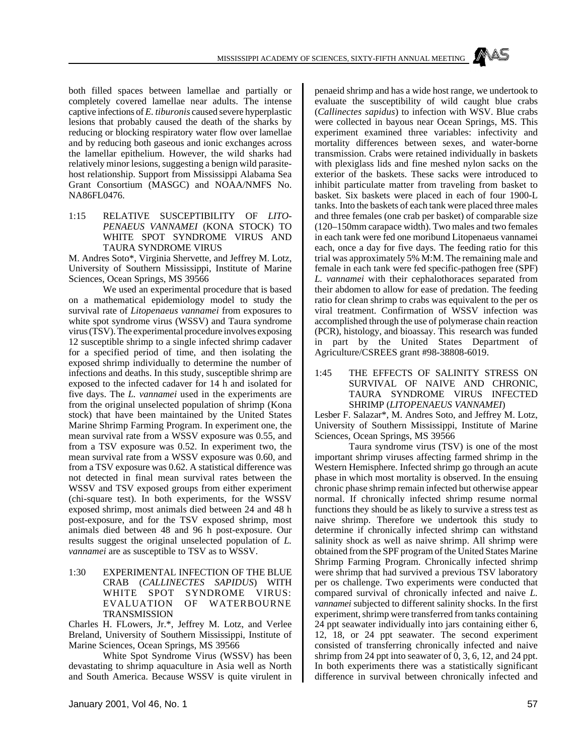both filled spaces between lamellae and partially or completely covered lamellae near adults. The intense captive infections of *E. tiburonis* caused severe hyperplastic lesions that probably caused the death of the sharks by reducing or blocking respiratory water flow over lamellae and by reducing both gaseous and ionic exchanges across the lamellar epithelium. However, the wild sharks had relatively minor lesions, suggesting a benign wild parasitehost relationship. Support from Mississippi Alabama Sea Grant Consortium (MASGC) and NOAA/NMFS No. NA86FL0476.

## 1:15 RELATIVE SUSCEPTIBILITY OF *LITO-PENAEUS VANNAMEI* (KONA STOCK) TO WHITE SPOT SYNDROME VIRUS AND TAURA SYNDROME VIRUS

M. Andres Soto\*, Virginia Shervette, and Jeffrey M. Lotz, University of Southern Mississippi, Institute of Marine Sciences, Ocean Springs, MS 39566

We used an experimental procedure that is based on a mathematical epidemiology model to study the survival rate of *Litopenaeus vannamei* from exposures to white spot syndrome virus (WSSV) and Taura syndrome virus (TSV). The experimental procedure involves exposing 12 susceptible shrimp to a single infected shrimp cadaver for a specified period of time, and then isolating the exposed shrimp individually to determine the number of infections and deaths. In this study, susceptible shrimp are exposed to the infected cadaver for 14 h and isolated for five days. The *L. vannamei* used in the experiments are from the original unselected population of shrimp (Kona stock) that have been maintained by the United States Marine Shrimp Farming Program. In experiment one, the mean survival rate from a WSSV exposure was 0.55, and from a TSV exposure was 0.52. In experiment two, the mean survival rate from a WSSV exposure was 0.60, and from a TSV exposure was 0.62. A statistical difference was not detected in final mean survival rates between the WSSV and TSV exposed groups from either experiment (chi-square test). In both experiments, for the WSSV exposed shrimp, most animals died between 24 and 48 h post-exposure, and for the TSV exposed shrimp, most animals died between 48 and 96 h post-exposure. Our results suggest the original unselected population of *L. vannamei* are as susceptible to TSV as to WSSV.

## 1:30 EXPERIMENTAL INFECTION OF THE BLUE CRAB (*CALLINECTES SAPIDUS*) WITH WHITE SPOT SYNDROME VIRUS: EVALUATION OF WATERBOURNE **TRANSMISSION**

Charles H. FLowers, Jr.\*, Jeffrey M. Lotz, and Verlee Breland, University of Southern Mississippi, Institute of Marine Sciences, Ocean Springs, MS 39566

White Spot Syndrome Virus (WSSV) has been devastating to shrimp aquaculture in Asia well as North and South America. Because WSSV is quite virulent in penaeid shrimp and has a wide host range, we undertook to evaluate the susceptibility of wild caught blue crabs (*Callinectes sapidus*) to infection with WSV. Blue crabs were collected in bayous near Ocean Springs, MS. This experiment examined three variables: infectivity and mortality differences between sexes, and water-borne transmission. Crabs were retained individually in baskets with plexiglass lids and fine meshed nylon sacks on the exterior of the baskets. These sacks were introduced to inhibit particulate matter from traveling from basket to basket. Six baskets were placed in each of four 1900-L tanks. Into the baskets of each tank were placed three males and three females (one crab per basket) of comparable size (120–150mm carapace width). Two males and two females in each tank were fed one moribund Litopenaeus vannamei each, once a day for five days. The feeding ratio for this trial was approximately 5% M:M. The remaining male and female in each tank were fed specific-pathogen free (SPF) *L. vannamei* with their cephalothoraces separated from their abdomen to allow for ease of predation. The feeding ratio for clean shrimp to crabs was equivalent to the per os viral treatment. Confirmation of WSSV infection was accomplished through the use of polymerase chain reaction (PCR), histology, and bioassay. This research was funded in part by the United States Department of Agriculture/CSREES grant #98-38808-6019.

## 1:45 THE EFFECTS OF SALINITY STRESS ON SURVIVAL OF NAIVE AND CHRONIC, TAURA SYNDROME VIRUS INFECTED SHRIMP (*LITOPENAEUS VANNAMEI*)

Lesber F. Salazar\*, M. Andres Soto, and Jeffrey M. Lotz, University of Southern Mississippi, Institute of Marine Sciences, Ocean Springs, MS 39566

Taura syndrome virus (TSV) is one of the most important shrimp viruses affecting farmed shrimp in the Western Hemisphere. Infected shrimp go through an acute phase in which most mortality is observed. In the ensuing chronic phase shrimp remain infected but otherwise appear normal. If chronically infected shrimp resume normal functions they should be as likely to survive a stress test as naive shrimp. Therefore we undertook this study to determine if chronically infected shrimp can withstand salinity shock as well as naive shrimp. All shrimp were obtained from the SPF program of the United States Marine Shrimp Farming Program. Chronically infected shrimp were shrimp that had survived a previous TSV laboratory per os challenge. Two experiments were conducted that compared survival of chronically infected and naive *L. vannamei* subjected to different salinity shocks. In the first experiment, shrimp were transferred from tanks containing 24 ppt seawater individually into jars containing either 6, 12, 18, or 24 ppt seawater. The second experiment consisted of transferring chronically infected and naive shrimp from 24 ppt into seawater of 0, 3, 6, 12, and 24 ppt. In both experiments there was a statistically significant difference in survival between chronically infected and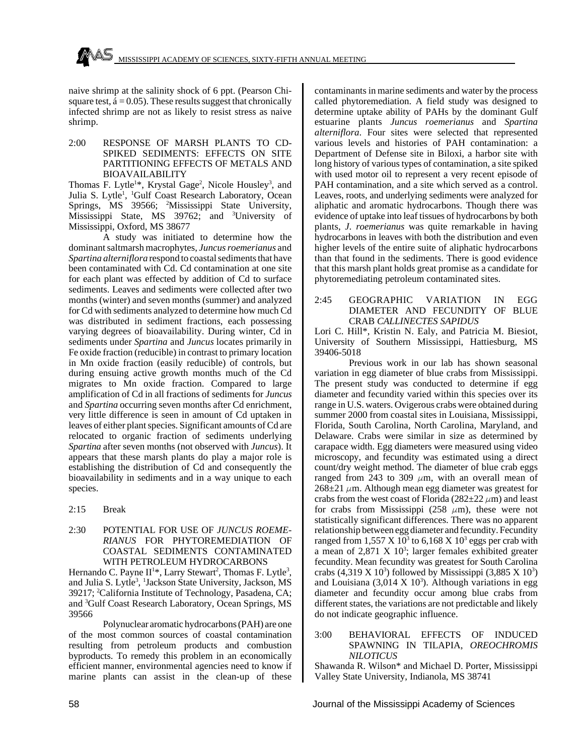naive shrimp at the salinity shock of 6 ppt. (Pearson Chisquare test,  $\acute{a} = 0.05$ . These results suggest that chronically infected shrimp are not as likely to resist stress as naive shrimp.

2:00 RESPONSE OF MARSH PLANTS TO CD-SPIKED SEDIMENTS: EFFECTS ON SITE PARTITIONING EFFECTS OF METALS AND BIOAVAILABILITY

Thomas F. Lytle<sup>1\*</sup>, Krystal Gage<sup>2</sup>, Nicole Housley<sup>3</sup>, and Julia S. Lytle<sup>1</sup>, <sup>1</sup>Gulf Coast Research Laboratory, Ocean Springs, MS 39566; <sup>2</sup>Mississippi State University, Mississippi State, MS 39762; and <sup>3</sup>University of Mississippi, Oxford, MS 38677

A study was initiated to determine how the dominant saltmarsh macrophytes, *Juncus roemerianus* and *Spartina alterniflora* respond to coastal sediments that have been contaminated with Cd. Cd contamination at one site for each plant was effected by addition of Cd to surface sediments. Leaves and sediments were collected after two months (winter) and seven months (summer) and analyzed for Cd with sediments analyzed to determine how much Cd was distributed in sediment fractions, each possessing varying degrees of bioavailability. During winter, Cd in sediments under *Spartina* and *Juncus* locates primarily in Fe oxide fraction (reducible) in contrast to primary location in Mn oxide fraction (easily reducible) of controls, but during ensuing active growth months much of the Cd migrates to Mn oxide fraction. Compared to large amplification of Cd in all fractions of sediments for *Juncus* and *Spartina* occurring seven months after Cd enrichment, very little difference is seen in amount of Cd uptaken in leaves of either plant species. Significant amounts of Cd are relocated to organic fraction of sediments underlying *Spartina* after seven months (not observed with *Juncus*). It appears that these marsh plants do play a major role is establishing the distribution of Cd and consequently the bioavailability in sediments and in a way unique to each species.

- 2:15 Break
- 2:30 POTENTIAL FOR USE OF *JUNCUS ROEME-RIANUS* FOR PHYTOREMEDIATION OF COASTAL SEDIMENTS CONTAMINATED WITH PETROLEUM HYDROCARBONS

Hernando C. Payne  $II^{1*}$ , Larry Stewart<sup>2</sup>, Thomas F. Lytle<sup>3</sup>, and Julia S. Lytle<sup>3</sup>, <sup>1</sup>Jackson State University, Jackson, MS 39217; <sup>2</sup>California Institute of Technology, Pasadena, CA; and <sup>3</sup>Gulf Coast Research Laboratory, Ocean Springs, MS 39566

Polynuclear aromatic hydrocarbons (PAH) are one of the most common sources of coastal contamination resulting from petroleum products and combustion byproducts. To remedy this problem in an economically efficient manner, environmental agencies need to know if marine plants can assist in the clean-up of these

contaminants in marine sediments and water by the process called phytoremediation. A field study was designed to determine uptake ability of PAHs by the dominant Gulf estuarine plants *Juncus roemerianus* and *Spartina alterniflora*. Four sites were selected that represented various levels and histories of PAH contamination: a Department of Defense site in Biloxi, a harbor site with long history of various types of contamination, a site spiked with used motor oil to represent a very recent episode of PAH contamination, and a site which served as a control. Leaves, roots, and underlying sediments were analyzed for aliphatic and aromatic hydrocarbons. Though there was evidence of uptake into leaf tissues of hydrocarbons by both plants, *J. roemerianus* was quite remarkable in having hydrocarbons in leaves with both the distribution and even higher levels of the entire suite of aliphatic hydrocarbons than that found in the sediments. There is good evidence that this marsh plant holds great promise as a candidate for phytoremediating petroleum contaminated sites.

2:45 GEOGRAPHIC VARIATION IN EGG DIAMETER AND FECUNDITY OF BLUE CRAB *CALLINECTES SAPIDUS*

Lori C. Hill\*, Kristin N. Ealy, and Patricia M. Biesiot, University of Southern Mississippi, Hattiesburg, MS 39406-5018

Previous work in our lab has shown seasonal variation in egg diameter of blue crabs from Mississippi. The present study was conducted to determine if egg diameter and fecundity varied within this species over its range in U.S. waters. Ovigerous crabs were obtained during summer 2000 from coastal sites in Louisiana, Mississippi, Florida, South Carolina, North Carolina, Maryland, and Delaware. Crabs were similar in size as determined by carapace width. Egg diameters were measured using video microscopy, and fecundity was estimated using a direct count/dry weight method. The diameter of blue crab eggs ranged from 243 to 309  $\mu$ m, with an overall mean of  $268 \pm 21$   $\mu$ m. Although mean egg diameter was greatest for crabs from the west coast of Florida ( $282\pm22 \ \mu m$ ) and least for crabs from Mississippi (258  $\mu$ m), these were not statistically significant differences. There was no apparent relationship between egg diameter and fecundity. Fecundity ranged from  $1,557 \times 10^3$  to  $6,168 \times 10^3$  eggs per crab with a mean of 2,871 X  $10<sup>3</sup>$ ; larger females exhibited greater fecundity. Mean fecundity was greatest for South Carolina crabs  $(4,319 \times 10^3)$  followed by Mississippi  $(3,885 \times 10^3)$ and Louisiana  $(3,014 \times 10^3)$ . Although variations in egg diameter and fecundity occur among blue crabs from different states, the variations are not predictable and likely do not indicate geographic influence.

## 3:00 BEHAVIORAL EFFECTS OF INDUCED SPAWNING IN TILAPIA, *OREOCHROMIS NILOTICUS*

Shawanda R. Wilson\* and Michael D. Porter, Mississippi Valley State University, Indianola, MS 38741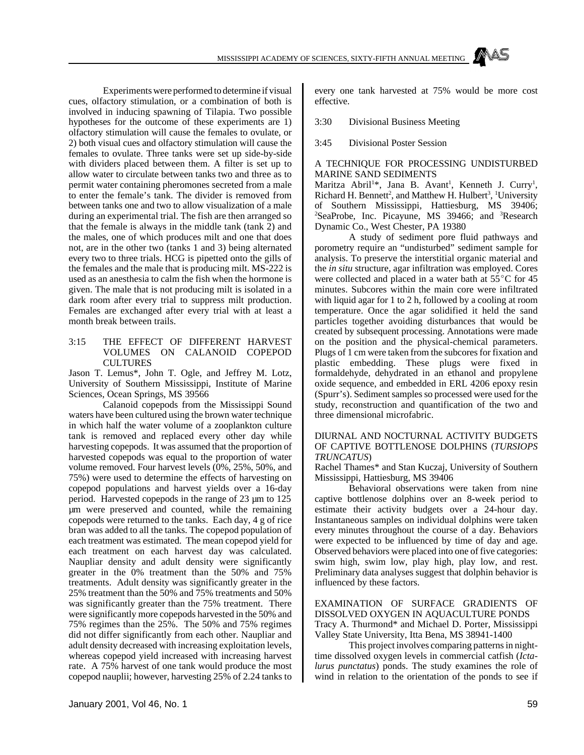Experiments were performed to determine if visual cues, olfactory stimulation, or a combination of both is involved in inducing spawning of Tilapia. Two possible hypotheses for the outcome of these experiments are 1) olfactory stimulation will cause the females to ovulate, or 2) both visual cues and olfactory stimulation will cause the females to ovulate. Three tanks were set up side-by-side with dividers placed between them. A filter is set up to allow water to circulate between tanks two and three as to permit water containing pheromones secreted from a male to enter the female's tank. The divider is removed from between tanks one and two to allow visualization of a male during an experimental trial. The fish are then arranged so that the female is always in the middle tank (tank 2) and the males, one of which produces milt and one that does not, are in the other two (tanks 1 and 3) being alternated every two to three trials. HCG is pipetted onto the gills of the females and the male that is producing milt. MS-222 is used as an anesthesia to calm the fish when the hormone is given. The male that is not producing milt is isolated in a dark room after every trial to suppress milt production. Females are exchanged after every trial with at least a month break between trails.

#### 3:15 THE EFFECT OF DIFFERENT HARVEST VOLUMES ON CALANOID COPEPOD CULTURES

Jason T. Lemus\*, John T. Ogle, and Jeffrey M. Lotz, University of Southern Mississippi, Institute of Marine Sciences, Ocean Springs, MS 39566

Calanoid copepods from the Mississippi Sound waters have been cultured using the brown water technique in which half the water volume of a zooplankton culture tank is removed and replaced every other day while harvesting copepods. It was assumed that the proportion of harvested copepods was equal to the proportion of water volume removed. Four harvest levels (0%, 25%, 50%, and 75%) were used to determine the effects of harvesting on copepod populations and harvest yields over a 16-day period. Harvested copepods in the range of 23 µm to 125 µm were preserved and counted, while the remaining copepods were returned to the tanks. Each day, 4 g of rice bran was added to all the tanks. The copepod population of each treatment was estimated. The mean copepod yield for each treatment on each harvest day was calculated. Naupliar density and adult density were significantly greater in the 0% treatment than the 50% and 75% treatments. Adult density was significantly greater in the 25% treatment than the 50% and 75% treatments and 50% was significantly greater than the 75% treatment. There were significantly more copepods harvested in the 50% and 75% regimes than the 25%. The 50% and 75% regimes did not differ significantly from each other. Naupliar and adult density decreased with increasing exploitation levels, whereas copepod yield increased with increasing harvest rate. A 75% harvest of one tank would produce the most copepod nauplii; however, harvesting 25% of 2.24 tanks to

every one tank harvested at 75% would be more cost effective.

3:30 Divisional Business Meeting

3:45 Divisional Poster Session

## A TECHNIQUE FOR PROCESSING UNDISTURBED MARINE SAND SEDIMENTS

Maritza Abril<sup>1\*</sup>, Jana B. Avant<sup>1</sup>, Kenneth J. Curry<sup>1</sup>, Richard H. Bennett<sup>2</sup>, and Matthew H. Hulbert<sup>3</sup>, <sup>1</sup>University of Southern Mississippi, Hattiesburg, MS 39406; <sup>2</sup>SeaProbe, Inc. Picayune, MS 39466; and <sup>3</sup>Research Dynamic Co., West Chester, PA 19380

A study of sediment pore fluid pathways and porometry require an "undisturbed" sediment sample for analysis. To preserve the interstitial organic material and the *in situ* structure, agar infiltration was employed. Cores were collected and placed in a water bath at  $55^{\circ}$ C for 45 minutes. Subcores within the main core were infiltrated with liquid agar for 1 to 2 h, followed by a cooling at room temperature. Once the agar solidified it held the sand particles together avoiding disturbances that would be created by subsequent processing. Annotations were made on the position and the physical-chemical parameters. Plugs of 1 cm were taken from the subcores for fixation and plastic embedding. These plugs were fixed in formaldehyde, dehydrated in an ethanol and propylene oxide sequence, and embedded in ERL 4206 epoxy resin (Spurr's). Sediment samples so processed were used for the study, reconstruction and quantification of the two and three dimensional microfabric.

## DIURNAL AND NOCTURNAL ACTIVITY BUDGETS OF CAPTIVE BOTTLENOSE DOLPHINS (*TURSIOPS TRUNCATUS*)

Rachel Thames\* and Stan Kuczaj, University of Southern Mississippi, Hattiesburg, MS 39406

Behavioral observations were taken from nine captive bottlenose dolphins over an 8-week period to estimate their activity budgets over a 24-hour day. Instantaneous samples on individual dolphins were taken every minutes throughout the course of a day. Behaviors were expected to be influenced by time of day and age. Observed behaviors were placed into one of five categories: swim high, swim low, play high, play low, and rest. Preliminary data analyses suggest that dolphin behavior is influenced by these factors.

EXAMINATION OF SURFACE GRADIENTS OF DISSOLVED OXYGEN IN AQUACULTURE PONDS Tracy A. Thurmond\* and Michael D. Porter, Mississippi Valley State University, Itta Bena, MS 38941-1400

This project involves comparing patterns in nighttime dissolved oxygen levels in commercial catfish (*Ictalurus punctatus*) ponds. The study examines the role of wind in relation to the orientation of the ponds to see if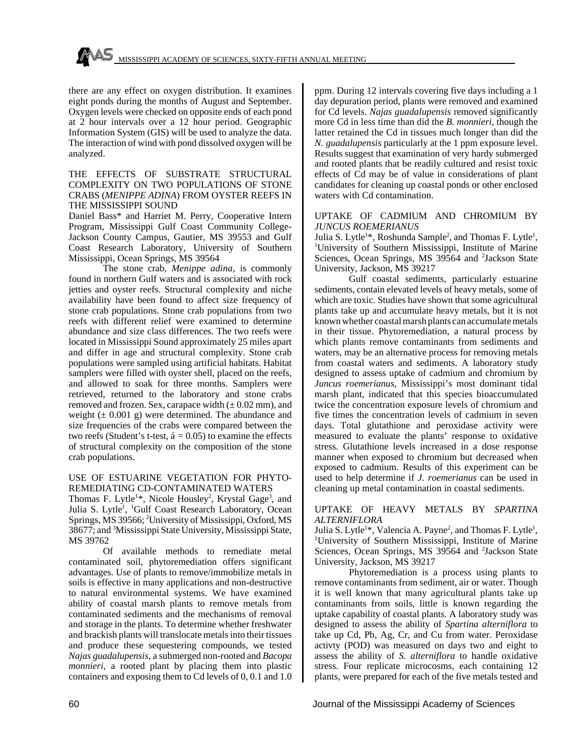there are any effect on oxygen distribution. It examines eight ponds during the months of August and September. Oxygen levels were checked on opposite ends of each pond at 2 hour intervals over a 12 hour period. Geographic Information System (GIS) will be used to analyze the data. The interaction of wind with pond dissolved oxygen will be analyzed.

## THE EFFECTS OF SUBSTRATE STRUCTURAL COMPLEXITY ON TWO POPULATIONS OF STONE CRABS (*MENIPPE ADINA*) FROM OYSTER REEFS IN THE MISSISSIPPI SOUND

Daniel Bass\* and Harriet M. Perry, Cooperative Intern Program, Mississippi Gulf Coast Community College-Jackson County Campus, Gautier, MS 39553 and Gulf Coast Research Laboratory, University of Southern Mississippi, Ocean Springs, MS 39564

The stone crab, *Menippe adina*, is commonly found in northern Gulf waters and is associated with rock jetties and oyster reefs. Structural complexity and niche availability have been found to affect size frequency of stone crab populations. Stone crab populations from two reefs with different relief were examined to determine abundance and size class differences. The two reefs were located in Mississippi Sound approximately 25 miles apart and differ in age and structural complexity. Stone crab populations were sampled using artificial habitats. Habitat samplers were filled with oyster shell, placed on the reefs, and allowed to soak for three months. Samplers were retrieved, returned to the laboratory and stone crabs removed and frozen. Sex, carapace width  $(\pm 0.02 \text{ mm})$ , and weight  $(\pm 0.001 \text{ g})$  were determined. The abundance and size frequencies of the crabs were compared between the two reefs (Student's t-test,  $\acute{a} = 0.05$ ) to examine the effects of structural complexity on the composition of the stone crab populations.

## USE OF ESTUARINE VEGETATION FOR PHYTO-REMEDIATING CD-CONTAMINATED WATERS

Thomas F. Lytle<sup>1\*</sup>, Nicole Housley<sup>2</sup>, Krystal Gage<sup>3</sup>, and Julia S. Lytle<sup>1</sup>, <sup>1</sup>Gulf Coast Research Laboratory, Ocean Springs, MS 39566; <sup>2</sup>University of Mississippi, Oxford, MS 38677; and <sup>3</sup>Mississippi State University, Mississippi State, MS 39762

Of available methods to remediate metal contaminated soil, phytoremediation offers significant advantages. Use of plants to remove/immobilize metals in soils is effective in many applications and non-destructive to natural environmental systems. We have examined ability of coastal marsh plants to remove metals from contaminated sediments and the mechanisms of removal and storage in the plants. To determine whether freshwater and brackish plants will translocate metals into their tissues and produce these sequestering compounds, we tested *Najas guadalupensis*, a submerged non-rooted and *Bacopa monnieri*, a rooted plant by placing them into plastic containers and exposing them to Cd levels of 0, 0.1 and 1.0 ppm. During 12 intervals covering five days including a 1 day depuration period, plants were removed and examined for Cd levels. *Najas guadalupensis* removed significantly more Cd in less time than did the *B. monnieri*, though the latter retained the Cd in tissues much longer than did the *N. guadalupensis* particularly at the 1 ppm exposure level. Results suggest that examination of very hardy submerged and rooted plants that be readily cultured and resist toxic effects of Cd may be of value in considerations of plant candidates for cleaning up coastal ponds or other enclosed waters with Cd contamination.

## UPTAKE OF CADMIUM AND CHROMIUM BY *JUNCUS ROEMERIANUS*

Julia S. Lytle<sup>1\*</sup>, Roshunda Sample<sup>2</sup>, and Thomas F. Lytle<sup>1</sup>, <sup>1</sup>University of Southern Mississippi, Institute of Marine Sciences, Ocean Springs, MS 39564 and <sup>2</sup>Jackson State University, Jackson, MS 39217

Gulf coastal sediments, particularly estuarine sediments, contain elevated levels of heavy metals, some of which are toxic. Studies have shown that some agricultural plants take up and accumulate heavy metals, but it is not known whether coastal marsh plants can accumulate metals in their tissue. Phytoremediation, a natural process by which plants remove contaminants from sediments and waters, may be an alternative process for removing metals from coastal waters and sediments. A laboratory study designed to assess uptake of cadmium and chromium by *Juncus roemerianus*, Mississippi's most dominant tidal marsh plant, indicated that this species bioaccumulated twice the concentration exposure levels of chromium and five times the concentration levels of cadmium in seven days. Total glutathione and peroxidase activity were measured to evaluate the plants' response to oxidative stress. Glutathione levels increased in a dose response manner when exposed to chromium but decreased when exposed to cadmium. Results of this experiment can be used to help determine if *J. roemerianus* can be used in cleaning up metal contamination in coastal sediments.

## UPTAKE OF HEAVY METALS BY *SPARTINA ALTERNIFLORA*

Julia S. Lytle<sup>1\*</sup>, Valencia A. Payne<sup>2</sup>, and Thomas F. Lytle<sup>1</sup>, <sup>1</sup>University of Southern Mississippi, Institute of Marine Sciences, Ocean Springs, MS 39564 and <sup>2</sup>Jackson State University, Jackson, MS 39217

Phytoremediation is a process using plants to remove contaminants from sediment, air or water. Though it is well known that many agricultural plants take up contaminants from soils, little is known regarding the uptake capability of coastal plants. A laboratory study was designed to assess the ability of *Spartina alterniflora* to take up Cd, Pb, Ag, Cr, and Cu from water. Peroxidase activty (POD) was measured on days two and eight to assess the ability of *S. alterniflora* to handle oxidative stress. Four replicate microcosms, each containing 12 plants, were prepared for each of the five metals tested and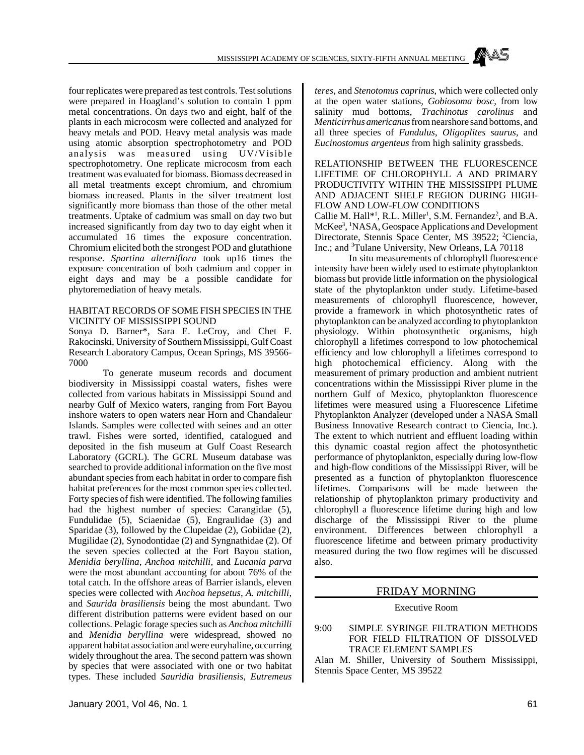four replicates were prepared as test controls. Test solutions were prepared in Hoagland's solution to contain 1 ppm metal concentrations. On days two and eight, half of the plants in each microcosm were collected and analyzed for heavy metals and POD. Heavy metal analysis was made using atomic absorption spectrophotometry and POD analysis was measured using UV/Visible spectrophotometry. One replicate microcosm from each treatment was evaluated for biomass. Biomass decreased in all metal treatments except chromium, and chromium biomass increased. Plants in the silver treatment lost significantly more biomass than those of the other metal treatments. Uptake of cadmium was small on day two but increased significantly from day two to day eight when it accumulated 16 times the exposure concentration. Chromium elicited both the strongest POD and glutathione response. *Spartina alterniflora* took up16 times the exposure concentration of both cadmium and copper in eight days and may be a possible candidate for phytoremediation of heavy metals.

#### HABITAT RECORDS OF SOME FISH SPECIES IN THE VICINITY OF MISSISSIPPI SOUND

Sonya D. Barner\*, Sara E. LeCroy, and Chet F. Rakocinski, University of Southern Mississippi, Gulf Coast Research Laboratory Campus, Ocean Springs, MS 39566- 7000

To generate museum records and document biodiversity in Mississippi coastal waters, fishes were collected from various habitats in Mississippi Sound and nearby Gulf of Mexico waters, ranging from Fort Bayou inshore waters to open waters near Horn and Chandaleur Islands. Samples were collected with seines and an otter trawl. Fishes were sorted, identified, catalogued and deposited in the fish museum at Gulf Coast Research Laboratory (GCRL). The GCRL Museum database was searched to provide additional information on the five most abundant species from each habitat in order to compare fish habitat preferences for the most common species collected. Forty species of fish were identified. The following families had the highest number of species: Carangidae (5), Fundulidae (5), Sciaenidae (5), Engraulidae (3) and Sparidae (3), followed by the Clupeidae (2), Gobiidae (2), Mugilidae (2), Synodontidae (2) and Syngnathidae (2). Of the seven species collected at the Fort Bayou station, *Menidia beryllina*, *Anchoa mitchilli*, and *Lucania parva* were the most abundant accounting for about 76% of the total catch. In the offshore areas of Barrier islands, eleven species were collected with *Anchoa hepsetus*, *A. mitchilli*, and *Saurida brasiliensis* being the most abundant. Two different distribution patterns were evident based on our collections. Pelagic forage species such as *Anchoa mitchilli* and *Menidia beryllina* were widespread, showed no apparent habitat association and were euryhaline, occurring widely throughout the area. The second pattern was shown by species that were associated with one or two habitat types. These included *Sauridia brasiliensis*, *Eutremeus*

*teres*, and *Stenotomus caprinus*, which were collected only at the open water stations, *Gobiosoma bosc*, from low salinity mud bottoms, *Trachinotus carolinus* and *Menticirrhus americanus* from nearshore sand bottoms, and all three species of *Fundulus*, *Oligoplites saurus*, and *Eucinostomus argenteus* from high salinity grassbeds.

## RELATIONSHIP BETWEEN THE FLUORESCENCE LIFETIME OF CHLOROPHYLL *A* AND PRIMARY PRODUCTIVITY WITHIN THE MISSISSIPPI PLUME AND ADJACENT SHELF REGION DURING HIGH-FLOW AND LOW-FLOW CONDITIONS

Callie M. Hall $*$ <sup>1</sup>, R.L. Miller<sup>1</sup>, S.M. Fernandez<sup>2</sup>, and B.A. McKee<sup>3</sup>, <sup>1</sup>NASA, Geospace Applications and Development Directorate, Stennis Space Center, MS 39522; <sup>2</sup>Ciencia, Inc.; and <sup>3</sup>Tulane University, New Orleans, LA 70118

In situ measurements of chlorophyll fluorescence intensity have been widely used to estimate phytoplankton biomass but provide little information on the physiological state of the phytoplankton under study. Lifetime-based measurements of chlorophyll fluorescence, however, provide a framework in which photosynthetic rates of phytoplankton can be analyzed according to phytoplankton physiology. Within photosynthetic organisms, high chlorophyll a lifetimes correspond to low photochemical efficiency and low chlorophyll a lifetimes correspond to high photochemical efficiency. Along with the measurement of primary production and ambient nutrient concentrations within the Mississippi River plume in the northern Gulf of Mexico, phytoplankton fluorescence lifetimes were measured using a Fluorescence Lifetime Phytoplankton Analyzer (developed under a NASA Small Business Innovative Research contract to Ciencia, Inc.). The extent to which nutrient and effluent loading within this dynamic coastal region affect the photosynthetic performance of phytoplankton, especially during low-flow and high-flow conditions of the Mississippi River, will be presented as a function of phytoplankton fluorescence lifetimes. Comparisons will be made between the relationship of phytoplankton primary productivity and chlorophyll a fluorescence lifetime during high and low discharge of the Mississippi River to the plume environment. Differences between chlorophyll a fluorescence lifetime and between primary productivity measured during the two flow regimes will be discussed also.

## FRIDAY MORNING

#### Executive Room

#### 9:00 SIMPLE SYRINGE FILTRATION METHODS FOR FIELD FILTRATION OF DISSOLVED TRACE ELEMENT SAMPLES

Alan M. Shiller, University of Southern Mississippi, Stennis Space Center, MS 39522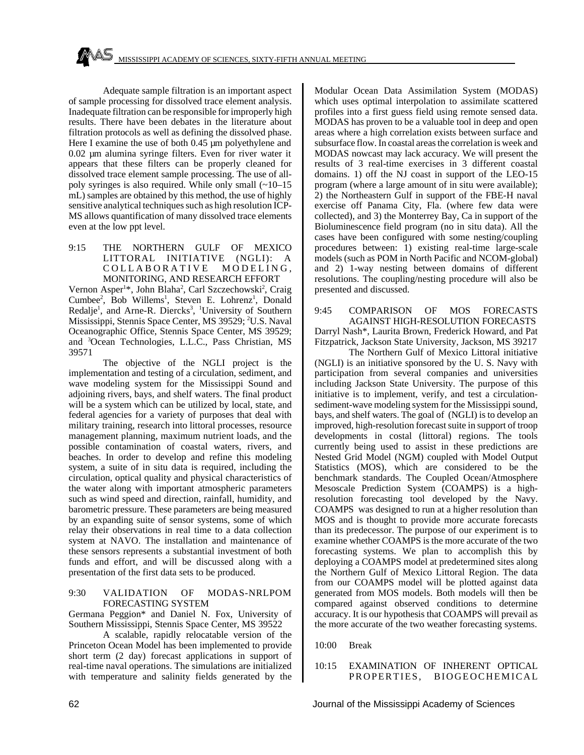Adequate sample filtration is an important aspect of sample processing for dissolved trace element analysis. Inadequate filtration can be responsible for improperly high results. There have been debates in the literature about filtration protocols as well as defining the dissolved phase. Here I examine the use of both 0.45  $\mu$ m polyethylene and 0.02 µm alumina syringe filters. Even for river water it appears that these filters can be properly cleaned for dissolved trace element sample processing. The use of allpoly syringes is also required. While only small  $(-10-15)$ mL) samples are obtained by this method, the use of highly sensitive analytical techniques such as high resolution ICP-MS allows quantification of many dissolved trace elements even at the low ppt level.

## 9:15 THE NORTHERN GULF OF MEXICO LITTORAL INITIATIVE (NGLI): A COLLABORATIVE MODELING , MONITORING, AND RESEARCH EFFORT

Vernon Asper<sup>1\*</sup>, John Blaha<sup>2</sup>, Carl Szczechowski<sup>2</sup>, Craig Cumbee<sup>2</sup>, Bob Willems<sup>1</sup>, Steven E. Lohrenz<sup>1</sup>, Donald Redalje<sup>1</sup>, and Arne-R. Diercks<sup>3</sup>, <sup>1</sup>University of Southern Mississippi, Stennis Space Center, MS 39529; <sup>2</sup>U.S. Naval Oceanographic Office, Stennis Space Center, MS 39529; and <sup>3</sup>Ocean Technologies, L.L.C., Pass Christian, MS 39571

The objective of the NGLI project is the implementation and testing of a circulation, sediment, and wave modeling system for the Mississippi Sound and adjoining rivers, bays, and shelf waters. The final product will be a system which can be utilized by local, state, and federal agencies for a variety of purposes that deal with military training, research into littoral processes, resource management planning, maximum nutrient loads, and the possible contamination of coastal waters, rivers, and beaches. In order to develop and refine this modeling system, a suite of in situ data is required, including the circulation, optical quality and physical characteristics of the water along with important atmospheric parameters such as wind speed and direction, rainfall, humidity, and barometric pressure. These parameters are being measured by an expanding suite of sensor systems, some of which relay their observations in real time to a data collection system at NAVO. The installation and maintenance of these sensors represents a substantial investment of both funds and effort, and will be discussed along with a presentation of the first data sets to be produced.

## 9:30 VALIDATION OF MODAS-NRLPOM FORECASTING SYSTEM

Germana Peggion\* and Daniel N. Fox, University of Southern Mississippi, Stennis Space Center, MS 39522

A scalable, rapidly relocatable version of the Princeton Ocean Model has been implemented to provide short term (2 day) forecast applications in support of real-time naval operations. The simulations are initialized with temperature and salinity fields generated by the Modular Ocean Data Assimilation System (MODAS) which uses optimal interpolation to assimilate scattered profiles into a first guess field using remote sensed data. MODAS has proven to be a valuable tool in deep and open areas where a high correlation exists between surface and subsurface flow. In coastal areas the correlation is week and MODAS nowcast may lack accuracy. We will present the results of 3 real-time exercises in 3 different coastal domains. 1) off the NJ coast in support of the LEO-15 program (where a large amount of in situ were available); 2) the Northeastern Gulf in support of the FBE-H naval exercise off Panama City, Fla. (where few data were collected), and 3) the Monterrey Bay, Ca in support of the Bioluminescence field program (no in situ data). All the cases have been configured with some nesting/coupling procedures between: 1) existing real-time large-scale models (such as POM in North Pacific and NCOM-global) and 2) 1-way nesting between domains of different resolutions. The coupling/nesting procedure will also be presented and discussed.

9:45 COMPARISON OF MOS FORECASTS AGAINST HIGH-RESOLUTION FORECASTS Darryl Nash\*, Laurita Brown, Frederick Howard, and Pat Fitzpatrick, Jackson State University, Jackson, MS 39217

The Northern Gulf of Mexico Littoral initiative (NGLI) is an initiative sponsored by the U. S. Navy with participation from several companies and universities including Jackson State University. The purpose of this initiative is to implement, verify, and test a circulationsediment-wave modeling system for the Mississippi sound, bays, and shelf waters. The goal of (NGLI) is to develop an improved, high-resolution forecast suite in support of troop developments in costal (littoral) regions. The tools currently being used to assist in these predictions are Nested Grid Model (NGM) coupled with Model Output Statistics (MOS), which are considered to be the benchmark standards. The Coupled Ocean/Atmosphere Mesoscale Prediction System (COAMPS) is a highresolution forecasting tool developed by the Navy. COAMPS was designed to run at a higher resolution than MOS and is thought to provide more accurate forecasts than its predecessor. The purpose of our experiment is to examine whether COAMPS is the more accurate of the two forecasting systems. We plan to accomplish this by deploying a COAMPS model at predetermined sites along the Northern Gulf of Mexico Littoral Region. The data from our COAMPS model will be plotted against data generated from MOS models. Both models will then be compared against observed conditions to determine accuracy. It is our hypothesis that COAMPS will prevail as the more accurate of the two weather forecasting systems.

- 10:00 Break
- 10:15 EXAMINATION OF INHERENT OPTICAL PROPERTIES, BIOGEOCHEMICAL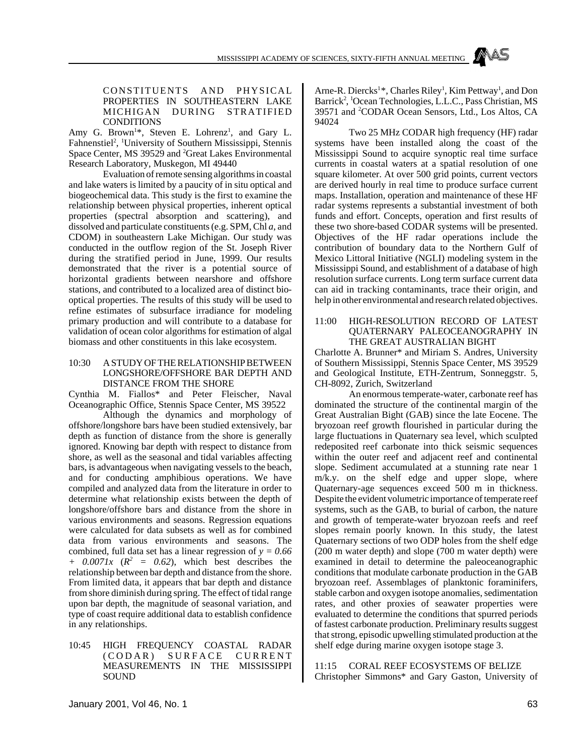## CONSTITUENTS AND PHYSICAL PROPERTIES IN SOUTHEASTERN LAKE MICHIGAN DURING STRATIFIED **CONDITIONS**

Amy G. Brown<sup>1\*</sup>, Steven E. Lohrenz<sup>1</sup>, and Gary L. Fahnenstiel<sup>2</sup>, <sup>1</sup>University of Southern Mississippi, Stennis Space Center, MS 39529 and <sup>2</sup>Great Lakes Environmental Research Laboratory, Muskegon, MI 49440

Evaluation of remote sensing algorithms in coastal and lake waters is limited by a paucity of in situ optical and biogeochemical data. This study is the first to examine the relationship between physical properties, inherent optical properties (spectral absorption and scattering), and dissolved and particulate constituents (e.g. SPM, Chl *a*, and CDOM) in southeastern Lake Michigan. Our study was conducted in the outflow region of the St. Joseph River during the stratified period in June, 1999. Our results demonstrated that the river is a potential source of horizontal gradients between nearshore and offshore stations, and contributed to a localized area of distinct biooptical properties. The results of this study will be used to refine estimates of subsurface irradiance for modeling primary production and will contribute to a database for validation of ocean color algorithms for estimation of algal biomass and other constituents in this lake ecosystem.

## 10:30 A STUDY OF THE RELATIONSHIP BETWEEN LONGSHORE/OFFSHORE BAR DEPTH AND DISTANCE FROM THE SHORE

Cynthia M. Fiallos\* and Peter Fleischer, Naval Oceanographic Office, Stennis Space Center, MS 39522

Although the dynamics and morphology of offshore/longshore bars have been studied extensively, bar depth as function of distance from the shore is generally ignored. Knowing bar depth with respect to distance from shore, as well as the seasonal and tidal variables affecting bars, is advantageous when navigating vessels to the beach, and for conducting amphibious operations. We have compiled and analyzed data from the literature in order to determine what relationship exists between the depth of longshore/offshore bars and distance from the shore in various environments and seasons. Regression equations were calculated for data subsets as well as for combined data from various environments and seasons. The combined, full data set has a linear regression of  $y = 0.66$  $+$  0.0071x ( $R^2$  = 0.62), which best describes the relationship between bar depth and distance from the shore. From limited data, it appears that bar depth and distance from shore diminish during spring. The effect of tidal range upon bar depth, the magnitude of seasonal variation, and type of coast require additional data to establish confidence in any relationships.

10:45 HIGH FREQUENCY COASTAL RADAR (CODAR) SURFACE CURRENT MEASUREMENTS IN THE MISSISSIPPI SOUND

Arne-R. Diercks<sup>1\*</sup>, Charles Riley<sup>1</sup>, Kim Pettway<sup>1</sup>, and Don Barrick<sup>2</sup>, <sup>1</sup>Ocean Technologies, L.L.C., Pass Christian, MS 39571 and <sup>2</sup>CODAR Ocean Sensors, Ltd., Los Altos, CA 94024

Two 25 MHz CODAR high frequency (HF) radar systems have been installed along the coast of the Mississippi Sound to acquire synoptic real time surface currents in coastal waters at a spatial resolution of one square kilometer. At over 500 grid points, current vectors are derived hourly in real time to produce surface current maps. Installation, operation and maintenance of these HF radar systems represents a substantial investment of both funds and effort. Concepts, operation and first results of these two shore-based CODAR systems will be presented. Objectives of the HF radar operations include the contribution of boundary data to the Northern Gulf of Mexico Littoral Initiative (NGLI) modeling system in the Mississippi Sound, and establishment of a database of high resolution surface currents. Long term surface current data can aid in tracking contaminants, trace their origin, and help in other environmental and research related objectives.

## 11:00 HIGH-RESOLUTION RECORD OF LATEST QUATERNARY PALEOCEANOGRAPHY IN THE GREAT AUSTRALIAN BIGHT

Charlotte A. Brunner\* and Miriam S. Andres, University of Southern Mississippi, Stennis Space Center, MS 39529 and Geological Institute, ETH-Zentrum, Sonneggstr. 5, CH-8092, Zurich, Switzerland

An enormous temperate-water, carbonate reef has dominated the structure of the continental margin of the Great Australian Bight (GAB) since the late Eocene. The bryozoan reef growth flourished in particular during the large fluctuations in Quaternary sea level, which sculpted redeposited reef carbonate into thick seismic sequences within the outer reef and adjacent reef and continental slope. Sediment accumulated at a stunning rate near 1 m/k.y. on the shelf edge and upper slope, where Quaternary-age sequences exceed 500 m in thickness. Despite the evident volumetric importance of temperate reef systems, such as the GAB, to burial of carbon, the nature and growth of temperate-water bryozoan reefs and reef slopes remain poorly known. In this study, the latest Quaternary sections of two ODP holes from the shelf edge (200 m water depth) and slope (700 m water depth) were examined in detail to determine the paleoceanographic conditions that modulate carbonate production in the GAB bryozoan reef. Assemblages of planktonic foraminifers, stable carbon and oxygen isotope anomalies, sedimentation rates, and other proxies of seawater properties were evaluated to determine the conditions that spurred periods of fastest carbonate production. Preliminary results suggest that strong, episodic upwelling stimulated production at the shelf edge during marine oxygen isotope stage 3.

11:15 CORAL REEF ECOSYSTEMS OF BELIZE Christopher Simmons\* and Gary Gaston, University of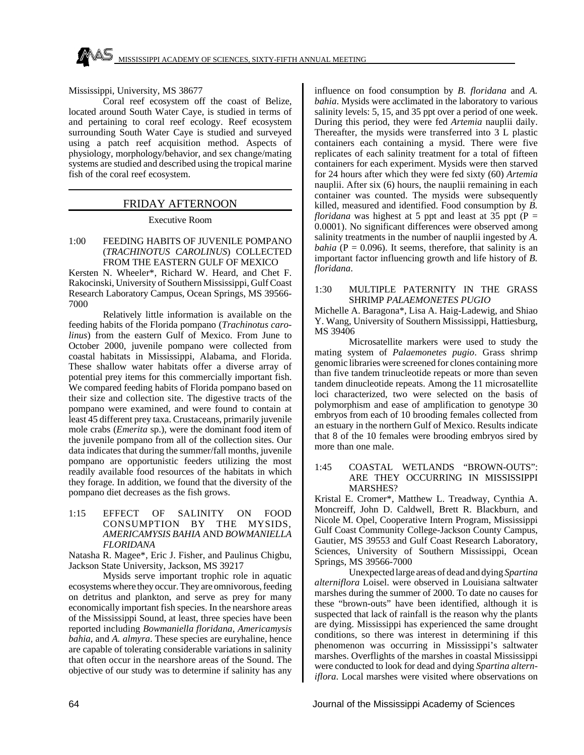## Mississippi, University, MS 38677

Coral reef ecosystem off the coast of Belize, located around South Water Caye, is studied in terms of and pertaining to coral reef ecology. Reef ecosystem surrounding South Water Caye is studied and surveyed using a patch reef acquisition method. Aspects of physiology, morphology/behavior, and sex change/mating systems are studied and described using the tropical marine fish of the coral reef ecosystem.

# FRIDAY AFTERNOON

Executive Room

## 1:00 FEEDING HABITS OF JUVENILE POMPANO (*TRACHINOTUS CAROLINUS*) COLLECTED FROM THE EASTERN GULF OF MEXICO

Kersten N. Wheeler\*, Richard W. Heard, and Chet F. Rakocinski, University of Southern Mississippi, Gulf Coast Research Laboratory Campus, Ocean Springs, MS 39566- 7000

Relatively little information is available on the feeding habits of the Florida pompano (*Trachinotus carolinus*) from the eastern Gulf of Mexico. From June to October 2000, juvenile pompano were collected from coastal habitats in Mississippi, Alabama, and Florida. These shallow water habitats offer a diverse array of potential prey items for this commercially important fish. We compared feeding habits of Florida pompano based on their size and collection site. The digestive tracts of the pompano were examined, and were found to contain at least 45 different prey taxa. Crustaceans, primarily juvenile mole crabs (*Emerita* sp.), were the dominant food item of the juvenile pompano from all of the collection sites. Our data indicates that during the summer/fall months, juvenile pompano are opportunistic feeders utilizing the most readily available food resources of the habitats in which they forage. In addition, we found that the diversity of the pompano diet decreases as the fish grows.

1:15 EFFECT OF SALINITY ON FOOD CONSUMPTION BY THE MYSIDS, *AMERICAMYSIS BAHIA* AND *BOWMANIELLA FLORIDANA*

Natasha R. Magee\*, Eric J. Fisher, and Paulinus Chigbu, Jackson State University, Jackson, MS 39217

Mysids serve important trophic role in aquatic ecosystems where they occur. They are omnivorous, feeding on detritus and plankton, and serve as prey for many economically important fish species. In the nearshore areas of the Mississippi Sound, at least, three species have been reported including *Bowmaniella floridana*, *Americamysis bahia*, and *A. almyra*. These species are euryhaline, hence are capable of tolerating considerable variations in salinity that often occur in the nearshore areas of the Sound. The objective of our study was to determine if salinity has any

influence on food consumption by *B. floridana* and *A. bahia*. Mysids were acclimated in the laboratory to various salinity levels: 5, 15, and 35 ppt over a period of one week. During this period, they were fed *Artemia* nauplii daily. Thereafter, the mysids were transferred into 3 L plastic containers each containing a mysid. There were five replicates of each salinity treatment for a total of fifteen containers for each experiment. Mysids were then starved for 24 hours after which they were fed sixty (60) *Artemia* nauplii. After six (6) hours, the nauplii remaining in each container was counted. The mysids were subsequently killed, measured and identified. Food consumption by *B. floridana* was highest at 5 ppt and least at 35 ppt ( $P =$ 0.0001). No significant differences were observed among salinity treatments in the number of nauplii ingested by *A. bahia* ( $P = 0.096$ ). It seems, therefore, that salinity is an important factor influencing growth and life history of *B. floridana*.

#### 1:30 MULTIPLE PATERNITY IN THE GRASS SHRIMP *PALAEMONETES PUGIO*

Michelle A. Baragona\*, Lisa A. Haig-Ladewig, and Shiao Y. Wang, University of Southern Mississippi, Hattiesburg, MS 39406

Microsatellite markers were used to study the mating system of *Palaemonetes pugio*. Grass shrimp genomic libraries were screened for clones containing more than five tandem trinucleotide repeats or more than seven tandem dinucleotide repeats. Among the 11 microsatellite loci characterized, two were selected on the basis of polymorphism and ease of amplification to genotype 30 embryos from each of 10 brooding females collected from an estuary in the northern Gulf of Mexico. Results indicate that 8 of the 10 females were brooding embryos sired by more than one male.

## 1:45 COASTAL WETLANDS "BROWN-OUTS": ARE THEY OCCURRING IN MISSISSIPPI MARSHES?

Kristal E. Cromer\*, Matthew L. Treadway, Cynthia A. Moncreiff, John D. Caldwell, Brett R. Blackburn, and Nicole M. Opel, Cooperative Intern Program, Mississippi Gulf Coast Community College-Jackson County Campus, Gautier, MS 39553 and Gulf Coast Research Laboratory, Sciences, University of Southern Mississippi, Ocean Springs, MS 39566-7000

Unexpected large areas of dead and dying *Spartina alterniflora* Loisel. were observed in Louisiana saltwater marshes during the summer of 2000. To date no causes for these "brown-outs" have been identified, although it is suspected that lack of rainfall is the reason why the plants are dying. Mississippi has experienced the same drought conditions, so there was interest in determining if this phenomenon was occurring in Mississippi's saltwater marshes. Overflights of the marshes in coastal Mississippi were conducted to look for dead and dying *Spartina alterniflora*. Local marshes were visited where observations on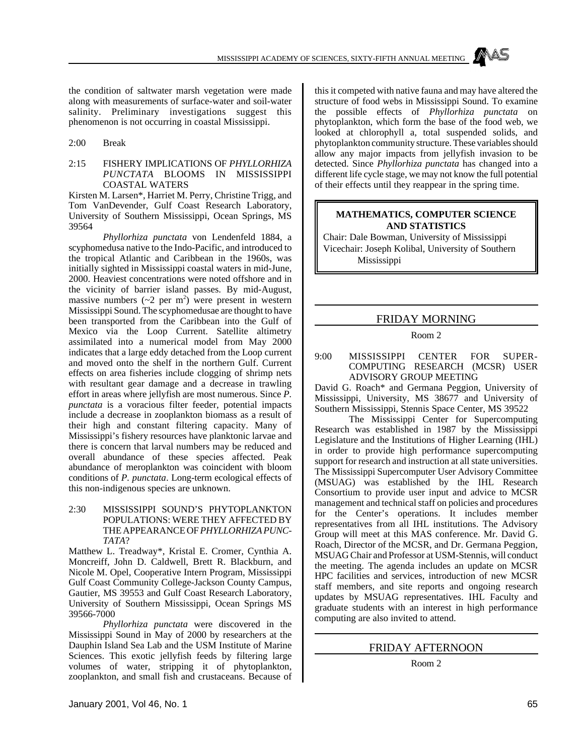the condition of saltwater marsh vegetation were made along with measurements of surface-water and soil-water salinity. Preliminary investigations suggest this phenomenon is not occurring in coastal Mississippi.

2:00 Break

## 2:15 FISHERY IMPLICATIONS OF *PHYLLORHIZA PUNCTATA* BLOOMS IN MISSISSIPPI COASTAL WATERS

Kirsten M. Larsen\*, Harriet M. Perry, Christine Trigg, and Tom VanDevender, Gulf Coast Research Laboratory, University of Southern Mississippi, Ocean Springs, MS 39564

*Phyllorhiza punctata* von Lendenfeld 1884, a scyphomedusa native to the Indo-Pacific, and introduced to the tropical Atlantic and Caribbean in the 1960s, was initially sighted in Mississippi coastal waters in mid-June, 2000. Heaviest concentrations were noted offshore and in the vicinity of barrier island passes. By mid-August, massive numbers  $({\sim}2$  per m<sup>2</sup>) were present in western Mississippi Sound. The scyphomedusae are thought to have been transported from the Caribbean into the Gulf of Mexico via the Loop Current. Satellite altimetry assimilated into a numerical model from May 2000 indicates that a large eddy detached from the Loop current and moved onto the shelf in the northern Gulf. Current effects on area fisheries include clogging of shrimp nets with resultant gear damage and a decrease in trawling effort in areas where jellyfish are most numerous. Since *P. punctata* is a voracious filter feeder, potential impacts include a decrease in zooplankton biomass as a result of their high and constant filtering capacity. Many of Mississippi's fishery resources have planktonic larvae and there is concern that larval numbers may be reduced and overall abundance of these species affected. Peak abundance of meroplankton was coincident with bloom conditions of *P. punctata*. Long-term ecological effects of this non-indigenous species are unknown.

## 2:30 MISSISSIPPI SOUND'S PHYTOPLANKTON POPULATIONS: WERE THEY AFFECTED BY THE APPEARANCE OF *PHYLLORHIZA PUNC-TATA*?

Matthew L. Treadway\*, Kristal E. Cromer, Cynthia A. Moncreiff, John D. Caldwell, Brett R. Blackburn, and Nicole M. Opel, Cooperative Intern Program, Mississippi Gulf Coast Community College-Jackson County Campus, Gautier, MS 39553 and Gulf Coast Research Laboratory, University of Southern Mississippi, Ocean Springs MS 39566-7000

*Phyllorhiza punctata* were discovered in the Mississippi Sound in May of 2000 by researchers at the Dauphin Island Sea Lab and the USM Institute of Marine Sciences. This exotic jellyfish feeds by filtering large volumes of water, stripping it of phytoplankton, zooplankton, and small fish and crustaceans. Because of this it competed with native fauna and may have altered the structure of food webs in Mississippi Sound. To examine the possible effects of *Phyllorhiza punctata* on phytoplankton, which form the base of the food web, we looked at chlorophyll a, total suspended solids, and phytoplankton community structure. These variables should allow any major impacts from jellyfish invasion to be detected. Since *Phyllorhiza punctata* has changed into a different life cycle stage, we may not know the full potential of their effects until they reappear in the spring time.

## **MATHEMATICS, COMPUTER SCIENCE AND STATISTICS**

Chair: Dale Bowman, University of Mississippi Vicechair: Joseph Kolibal, University of Southern Mississippi

# FRIDAY MORNING

## Room 2

## 9:00 MISSISSIPPI CENTER FOR SUPER-COMPUTING RESEARCH (MCSR) USER ADVISORY GROUP MEETING

David G. Roach\* and Germana Peggion, University of Mississippi, University, MS 38677 and University of Southern Mississippi, Stennis Space Center, MS 39522

The Mississippi Center for Supercomputing Research was established in 1987 by the Mississippi Legislature and the Institutions of Higher Learning (IHL) in order to provide high performance supercomputing support for research and instruction at all state universities. The Mississippi Supercomputer User Advisory Committee (MSUAG) was established by the IHL Research Consortium to provide user input and advice to MCSR management and technical staff on policies and procedures for the Center's operations. It includes member representatives from all IHL institutions. The Advisory Group will meet at this MAS conference. Mr. David G. Roach, Director of the MCSR, and Dr. Germana Peggion, MSUAG Chair and Professor at USM-Stennis, will conduct the meeting. The agenda includes an update on MCSR HPC facilities and services, introduction of new MCSR staff members, and site reports and ongoing research updates by MSUAG representatives. IHL Faculty and graduate students with an interest in high performance computing are also invited to attend.

# FRIDAY AFTERNOON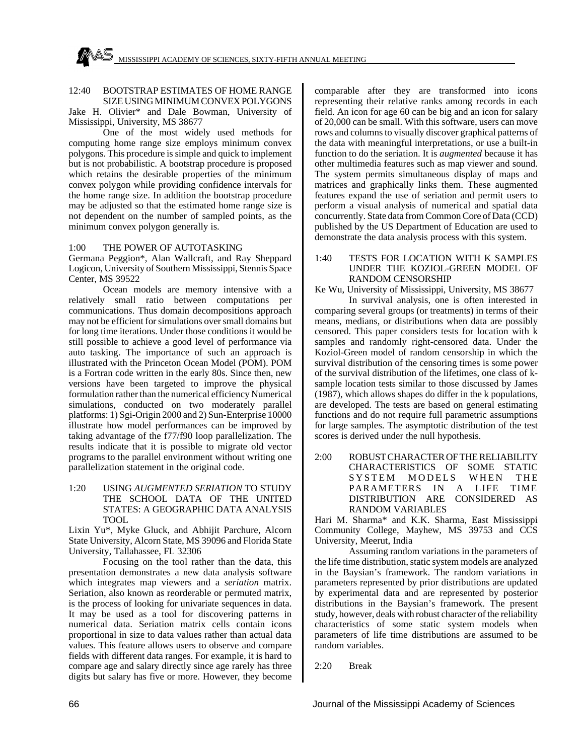## 12:40 BOOTSTRAP ESTIMATES OF HOME RANGE SIZE USING MINIMUM CONVEX POLYGONS

Jake H. Olivier\* and Dale Bowman, University of Mississippi, University, MS 38677

One of the most widely used methods for computing home range size employs minimum convex polygons. This procedure is simple and quick to implement but is not probabilistic. A bootstrap procedure is proposed which retains the desirable properties of the minimum convex polygon while providing confidence intervals for the home range size. In addition the bootstrap procedure may be adjusted so that the estimated home range size is not dependent on the number of sampled points, as the minimum convex polygon generally is.

## 1:00 THE POWER OF AUTOTASKING

Germana Peggion\*, Alan Wallcraft, and Ray Sheppard Logicon, University of Southern Mississippi, Stennis Space Center, MS 39522

Ocean models are memory intensive with a relatively small ratio between computations per communications. Thus domain decompositions approach may not be efficient for simulations over small domains but for long time iterations. Under those conditions it would be still possible to achieve a good level of performance via auto tasking. The importance of such an approach is illustrated with the Princeton Ocean Model (POM). POM is a Fortran code written in the early 80s. Since then, new versions have been targeted to improve the physical formulation rather than the numerical efficiency Numerical simulations, conducted on two moderately parallel platforms: 1) Sgi-Origin 2000 and 2) Sun-Enterprise 10000 illustrate how model performances can be improved by taking advantage of the f77/f90 loop parallelization. The results indicate that it is possible to migrate old vector programs to the parallel environment without writing one parallelization statement in the original code.

1:20 USING *AUGMENTED SERIATION* TO STUDY THE SCHOOL DATA OF THE UNITED STATES: A GEOGRAPHIC DATA ANALYSIS TOOL

Lixin Yu\*, Myke Gluck, and Abhijit Parchure, Alcorn State University, Alcorn State, MS 39096 and Florida State University, Tallahassee, FL 32306

Focusing on the tool rather than the data, this presentation demonstrates a new data analysis software which integrates map viewers and a *seriation* matrix. Seriation, also known as reorderable or permuted matrix, is the process of looking for univariate sequences in data. It may be used as a tool for discovering patterns in numerical data. Seriation matrix cells contain icons proportional in size to data values rather than actual data values. This feature allows users to observe and compare fields with different data ranges. For example, it is hard to compare age and salary directly since age rarely has three digits but salary has five or more. However, they become comparable after they are transformed into icons representing their relative ranks among records in each field. An icon for age 60 can be big and an icon for salary of 20,000 can be small. With this software, users can move rows and columns to visually discover graphical patterns of the data with meaningful interpretations, or use a built-in function to do the seriation. It is *augmented* because it has other multimedia features such as map viewer and sound. The system permits simultaneous display of maps and matrices and graphically links them. These augmented features expand the use of seriation and permit users to perform a visual analysis of numerical and spatial data concurrently. State data from Common Core of Data (CCD) published by the US Department of Education are used to demonstrate the data analysis process with this system.

## 1:40 TESTS FOR LOCATION WITH K SAMPLES UNDER THE KOZIOL-GREEN MODEL OF RANDOM CENSORSHIP

Ke Wu, University of Mississippi, University, MS 38677

In survival analysis, one is often interested in comparing several groups (or treatments) in terms of their means, medians, or distributions when data are possibly censored. This paper considers tests for location with k samples and randomly right-censored data. Under the Koziol-Green model of random censorship in which the survival distribution of the censoring times is some power of the survival distribution of the lifetimes, one class of ksample location tests similar to those discussed by James (1987), which allows shapes do differ in the k populations, are developed. The tests are based on general estimating functions and do not require full parametric assumptions for large samples. The asymptotic distribution of the test scores is derived under the null hypothesis.

2:00 ROBUST CHARACTER OF THE RELIABILITY CHARACTERISTICS OF SOME STATIC SYSTEM MODELS WHEN THE PARAMETERS IN A LIFE TIME DISTRIBUTION ARE CONSIDERED AS RANDOM VARIABLES

Hari M. Sharma\* and K.K. Sharma, East Mississippi Community College, Mayhew, MS 39753 and CCS University, Meerut, India

Assuming random variations in the parameters of the life time distribution, static system models are analyzed in the Baysian's framework. The random variations in parameters represented by prior distributions are updated by experimental data and are represented by posterior distributions in the Baysian's framework. The present study, however, deals with robust character of the reliability characteristics of some static system models when parameters of life time distributions are assumed to be random variables.

2:20 Break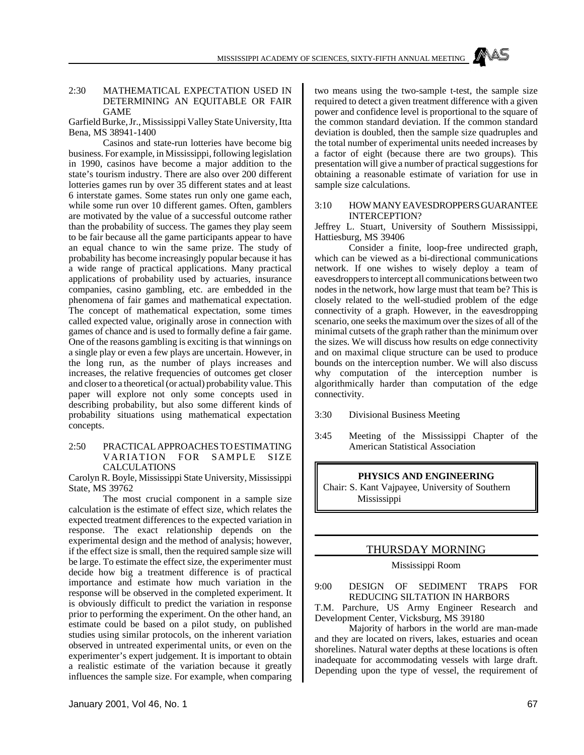## 2:30 MATHEMATICAL EXPECTATION USED IN DETERMINING AN EQUITABLE OR FAIR GAME

Garfield Burke, Jr., Mississippi Valley State University, Itta Bena, MS 38941-1400

Casinos and state-run lotteries have become big business. For example, in Mississippi, following legislation in 1990, casinos have become a major addition to the state's tourism industry. There are also over 200 different lotteries games run by over 35 different states and at least 6 interstate games. Some states run only one game each, while some run over 10 different games. Often, gamblers are motivated by the value of a successful outcome rather than the probability of success. The games they play seem to be fair because all the game participants appear to have an equal chance to win the same prize. The study of probability has become increasingly popular because it has a wide range of practical applications. Many practical applications of probability used by actuaries, insurance companies, casino gambling, etc. are embedded in the phenomena of fair games and mathematical expectation. The concept of mathematical expectation, some times called expected value, originally arose in connection with games of chance and is used to formally define a fair game. One of the reasons gambling is exciting is that winnings on a single play or even a few plays are uncertain. However, in the long run, as the number of plays increases and increases, the relative frequencies of outcomes get closer and closer to a theoretical (or actual) probability value. This paper will explore not only some concepts used in describing probability, but also some different kinds of probability situations using mathematical expectation concepts.

## 2:50 PRACTICAL APPROACHES TO ESTIMATING VARIATION FOR SAMPLE SIZE CALCULATIONS

Carolyn R. Boyle, Mississippi State University, Mississippi State, MS 39762

The most crucial component in a sample size calculation is the estimate of effect size, which relates the expected treatment differences to the expected variation in response. The exact relationship depends on the experimental design and the method of analysis; however, if the effect size is small, then the required sample size will be large. To estimate the effect size, the experimenter must decide how big a treatment difference is of practical importance and estimate how much variation in the response will be observed in the completed experiment. It is obviously difficult to predict the variation in response prior to performing the experiment. On the other hand, an estimate could be based on a pilot study, on published studies using similar protocols, on the inherent variation observed in untreated experimental units, or even on the experimenter's expert judgement. It is important to obtain a realistic estimate of the variation because it greatly influences the sample size. For example, when comparing

two means using the two-sample t-test, the sample size required to detect a given treatment difference with a given power and confidence level is proportional to the square of the common standard deviation. If the common standard deviation is doubled, then the sample size quadruples and the total number of experimental units needed increases by a factor of eight (because there are two groups). This presentation will give a number of practical suggestions for obtaining a reasonable estimate of variation for use in sample size calculations.

## 3:10 HOW MANY EAVESDROPPERS GUARANTEE INTERCEPTION?

Jeffrey L. Stuart, University of Southern Mississippi, Hattiesburg, MS 39406

Consider a finite, loop-free undirected graph, which can be viewed as a bi-directional communications network. If one wishes to wisely deploy a team of eavesdroppers to intercept all communications between two nodes in the network, how large must that team be? This is closely related to the well-studied problem of the edge connectivity of a graph. However, in the eavesdropping scenario, one seeks the maximum over the sizes of all of the minimal cutsets of the graph rather than the minimum over the sizes. We will discuss how results on edge connectivity and on maximal clique structure can be used to produce bounds on the interception number. We will also discuss why computation of the interception number is algorithmically harder than computation of the edge connectivity.

- 3:30 Divisional Business Meeting
- 3:45 Meeting of the Mississippi Chapter of the American Statistical Association

## **PHYSICS AND ENGINEERING**

Chair: S. Kant Vajpayee, University of Southern Mississippi

## THURSDAY MORNING

## Mississippi Room

## 9:00 DESIGN OF SEDIMENT TRAPS FOR REDUCING SILTATION IN HARBORS

T.M. Parchure, US Army Engineer Research and Development Center, Vicksburg, MS 39180

Majority of harbors in the world are man-made and they are located on rivers, lakes, estuaries and ocean shorelines. Natural water depths at these locations is often inadequate for accommodating vessels with large draft. Depending upon the type of vessel, the requirement of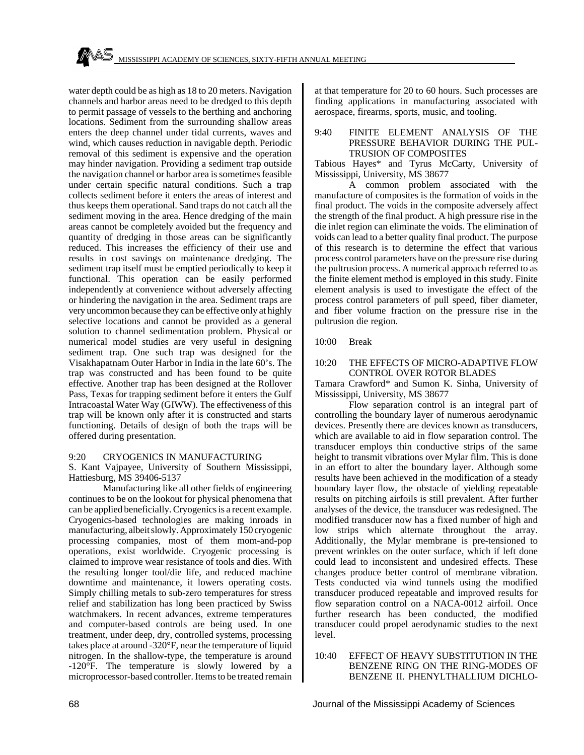water depth could be as high as 18 to 20 meters. Navigation channels and harbor areas need to be dredged to this depth to permit passage of vessels to the berthing and anchoring locations. Sediment from the surrounding shallow areas enters the deep channel under tidal currents, waves and wind, which causes reduction in navigable depth. Periodic removal of this sediment is expensive and the operation may hinder navigation. Providing a sediment trap outside the navigation channel or harbor area is sometimes feasible under certain specific natural conditions. Such a trap collects sediment before it enters the areas of interest and thus keeps them operational. Sand traps do not catch all the sediment moving in the area. Hence dredging of the main areas cannot be completely avoided but the frequency and quantity of dredging in those areas can be significantly reduced. This increases the efficiency of their use and results in cost savings on maintenance dredging. The sediment trap itself must be emptied periodically to keep it functional. This operation can be easily performed independently at convenience without adversely affecting or hindering the navigation in the area. Sediment traps are very uncommon because they can be effective only at highly selective locations and cannot be provided as a general solution to channel sedimentation problem. Physical or numerical model studies are very useful in designing sediment trap. One such trap was designed for the Visakhapatnam Outer Harbor in India in the late 60's. The trap was constructed and has been found to be quite effective. Another trap has been designed at the Rollover Pass, Texas for trapping sediment before it enters the Gulf Intracoastal Water Way (GIWW). The effectiveness of this trap will be known only after it is constructed and starts functioning. Details of design of both the traps will be offered during presentation.

## 9:20 CRYOGENICS IN MANUFACTURING

S. Kant Vajpayee, University of Southern Mississippi, Hattiesburg, MS 39406-5137

Manufacturing like all other fields of engineering continues to be on the lookout for physical phenomena that can be applied beneficially. Cryogenics is a recent example. Cryogenics-based technologies are making inroads in manufacturing, albeit slowly. Approximately 150 cryogenic processing companies, most of them mom-and-pop operations, exist worldwide. Cryogenic processing is claimed to improve wear resistance of tools and dies. With the resulting longer tool/die life, and reduced machine downtime and maintenance, it lowers operating costs. Simply chilling metals to sub-zero temperatures for stress relief and stabilization has long been practiced by Swiss watchmakers. In recent advances, extreme temperatures and computer-based controls are being used. In one treatment, under deep, dry, controlled systems, processing takes place at around -320°F, near the temperature of liquid nitrogen. In the shallow-type, the temperature is around -120°F. The temperature is slowly lowered by a microprocessor-based controller. Items to be treated remain at that temperature for 20 to 60 hours. Such processes are finding applications in manufacturing associated with aerospace, firearms, sports, music, and tooling.

## 9:40 FINITE ELEMENT ANALYSIS OF THE PRESSURE BEHAVIOR DURING THE PUL-TRUSION OF COMPOSITES

Tabious Hayes\* and Tyrus McCarty, University of Mississippi, University, MS 38677

A common problem associated with the manufacture of composites is the formation of voids in the final product. The voids in the composite adversely affect the strength of the final product. A high pressure rise in the die inlet region can eliminate the voids. The elimination of voids can lead to a better quality final product. The purpose of this research is to determine the effect that various process control parameters have on the pressure rise during the pultrusion process. A numerical approach referred to as the finite element method is employed in this study. Finite element analysis is used to investigate the effect of the process control parameters of pull speed, fiber diameter, and fiber volume fraction on the pressure rise in the pultrusion die region.

10:00 Break

## 10:20 THE EFFECTS OF MICRO-ADAPTIVE FLOW CONTROL OVER ROTOR BLADES

Tamara Crawford\* and Sumon K. Sinha, University of Mississippi, University, MS 38677

Flow separation control is an integral part of controlling the boundary layer of numerous aerodynamic devices. Presently there are devices known as transducers, which are available to aid in flow separation control. The transducer employs thin conductive strips of the same height to transmit vibrations over Mylar film. This is done in an effort to alter the boundary layer. Although some results have been achieved in the modification of a steady boundary layer flow, the obstacle of yielding repeatable results on pitching airfoils is still prevalent. After further analyses of the device, the transducer was redesigned. The modified transducer now has a fixed number of high and low strips which alternate throughout the array. Additionally, the Mylar membrane is pre-tensioned to prevent wrinkles on the outer surface, which if left done could lead to inconsistent and undesired effects. These changes produce better control of membrane vibration. Tests conducted via wind tunnels using the modified transducer produced repeatable and improved results for flow separation control on a NACA-0012 airfoil. Once further research has been conducted, the modified transducer could propel aerodynamic studies to the next level.

## 10:40 EFFECT OF HEAVY SUBSTITUTION IN THE BENZENE RING ON THE RING-MODES OF BENZENE II. PHENYLTHALLIUM DICHLO-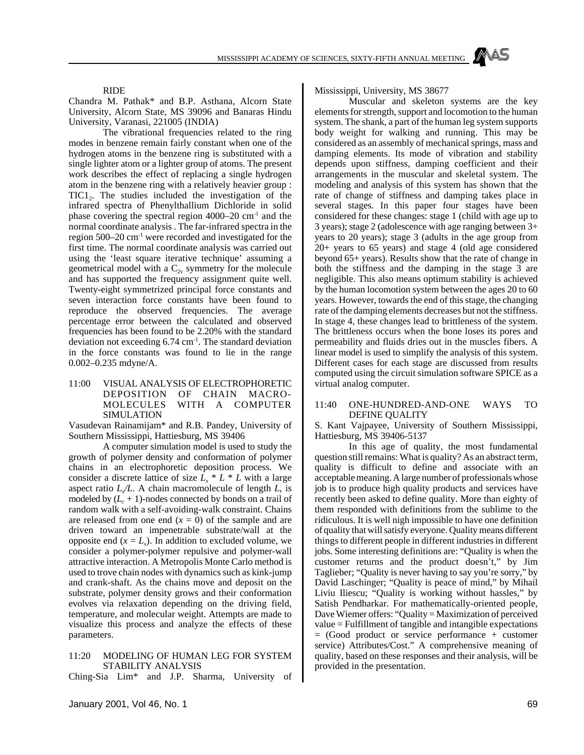MISSISSIPPI ACADEMY OF SCIENCES, SIXTY-FIFTH ANNUAL MEETING

RIDE

Chandra M. Pathak\* and B.P. Asthana, Alcorn State University, Alcorn State, MS 39096 and Banaras Hindu University, Varanasi, 221005 (INDIA)

The vibrational frequencies related to the ring modes in benzene remain fairly constant when one of the hydrogen atoms in the benzene ring is substituted with a single lighter atom or a lighter group of atoms. The present work describes the effect of replacing a single hydrogen atom in the benzene ring with a relatively heavier group :  $TIC1<sub>2</sub>$ . The studies included the investigation of the infrared spectra of Phenylthallium Dichloride in solid phase covering the spectral region  $4000-20$  cm<sup>-1</sup> and the normal coordinate analysis . The far-infrared spectra in the region 500–20 cm-1 were recorded and investigated for the first time. The normal coordinate analysis was carried out using the 'least square iterative technique' assuming a geometrical model with a  $C_{2v}$  symmetry for the molecule and has supported the frequency assignment quite well. Twenty-eight symmetrized principal force constants and seven interaction force constants have been found to reproduce the observed frequencies. The average percentage error between the calculated and observed frequencies has been found to be 2.20% with the standard deviation not exceeding 6.74 cm<sup>-1</sup>. The standard deviation in the force constants was found to lie in the range 0.002–0.235 mdyne/A.

11:00 VISUAL ANALYSIS OF ELECTROPHORETIC DEPOSITION OF CHAIN MACRO-MOLECULES WITH A COMPUTER SIMULATION

Vasudevan Rainamijam\* and R.B. Pandey, University of Southern Mississippi, Hattiesburg, MS 39406

A computer simulation model is used to study the growth of polymer density and conformation of polymer chains in an electrophoretic deposition process. We consider a discrete lattice of size  $L_x * L * L$  with a large aspect ratio *L<sup>x</sup> /L*. A chain macromolecule of length *L*, is modeled by  $(L_c + 1)$ -nodes connected by bonds on a trail of random walk with a self-avoiding-walk constraint. Chains are released from one end  $(x = 0)$  of the sample and are driven toward an impenetrable substrate/wall at the opposite end  $(x = L_x)$ . In addition to excluded volume, we consider a polymer-polymer repulsive and polymer-wall attractive interaction. A Metropolis Monte Carlo method is used to trove chain nodes with dynamics such as kink-jump and crank-shaft. As the chains move and deposit on the substrate, polymer density grows and their conformation evolves via relaxation depending on the driving field, temperature, and molecular weight. Attempts are made to visualize this process and analyze the effects of these parameters.

#### 11:20 MODELING OF HUMAN LEG FOR SYSTEM STABILITY ANALYSIS

Ching-Sia Lim\* and J.P. Sharma, University of

Mississippi, University, MS 38677

Muscular and skeleton systems are the key elements for strength, support and locomotion to the human system. The shank, a part of the human leg system supports body weight for walking and running. This may be considered as an assembly of mechanical springs, mass and damping elements. Its mode of vibration and stability depends upon stiffness, damping coefficient and their arrangements in the muscular and skeletal system. The modeling and analysis of this system has shown that the rate of change of stiffness and damping takes place in several stages. In this paper four stages have been considered for these changes: stage 1 (child with age up to 3 years); stage 2 (adolescence with age ranging between 3+ years to 20 years); stage 3 (adults in the age group from  $20+$  years to 65 years) and stage 4 (old age considered beyond 65+ years). Results show that the rate of change in both the stiffness and the damping in the stage 3 are negligible. This also means optimum stability is achieved by the human locomotion system between the ages 20 to 60 years. However, towards the end of this stage, the changing rate of the damping elements decreases but not the stiffness. In stage 4, these changes lead to brittleness of the system. The brittleness occurs when the bone loses its pores and permeability and fluids dries out in the muscles fibers. A linear model is used to simplify the analysis of this system. Different cases for each stage are discussed from results computed using the circuit simulation software SPICE as a virtual analog computer.

#### 11:40 ONE-HUNDRED-AND-ONE WAYS TO DEFINE QUALITY

S. Kant Vajpayee, University of Southern Mississippi, Hattiesburg, MS 39406-5137

In this age of quality, the most fundamental question still remains: What is quality? As an abstract term, quality is difficult to define and associate with an acceptable meaning. A large number of professionals whose job is to produce high quality products and services have recently been asked to define quality. More than eighty of them responded with definitions from the sublime to the ridiculous. It is well nigh impossible to have one definition of quality that will satisfy everyone. Quality means different things to different people in different industries in different jobs. Some interesting definitions are: "Quality is when the customer returns and the product doesn't," by Jim Taglieber; "Quality is never having to say you're sorry," by David Laschinger; "Quality is peace of mind," by Mihail Liviu Iliescu; "Quality is working without hassles," by Satish Pendharkar. For mathematically-oriented people, Dave Wiemer offers: "Quality = Maximization of perceived value = Fulfillment of tangible and intangible expectations = (Good product or service performance + customer service) Attributes/Cost." A comprehensive meaning of quality, based on these responses and their analysis, will be provided in the presentation.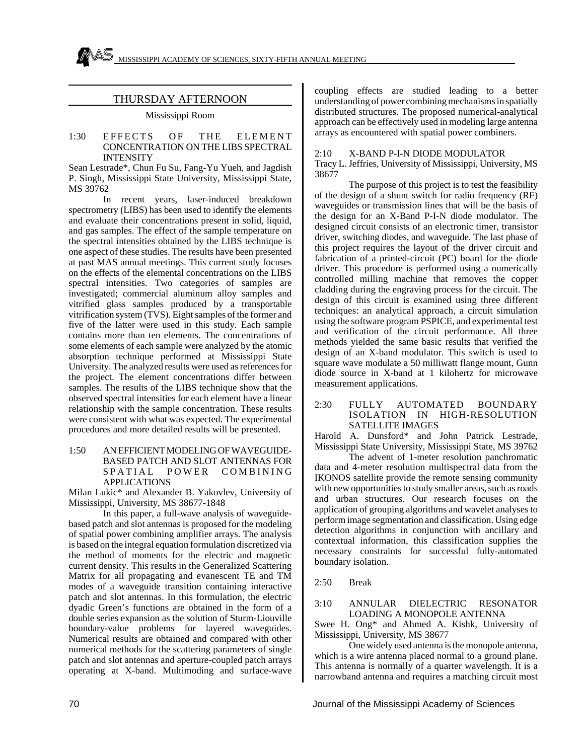## THURSDAY AFTERNOON

## Mississippi Room

## 1:30 EFFECTS OF THE ELEMENT CONCENTRATION ON THE LIBS SPECTRAL INTENSITY

Sean Lestrade\*, Chun Fu Su, Fang-Yu Yueh, and Jagdish P. Singh, Mississippi State University, Mississippi State, MS 39762

In recent years, laser-induced breakdown spectrometry (LIBS) has been used to identify the elements and evaluate their concentrations present in solid, liquid, and gas samples. The effect of the sample temperature on the spectral intensities obtained by the LIBS technique is one aspect of these studies. The results have been presented at past MAS annual meetings. This current study focuses on the effects of the elemental concentrations on the LIBS spectral intensities. Two categories of samples are investigated; commercial aluminum alloy samples and vitrified glass samples produced by a transportable vitrification system (TVS). Eight samples of the former and five of the latter were used in this study. Each sample contains more than ten elements. The concentrations of some elements of each sample were analyzed by the atomic absorption technique performed at Mississippi State University. The analyzed results were used as references for the project. The element concentrations differ between samples. The results of the LIBS technique show that the observed spectral intensities for each element have a linear relationship with the sample concentration. These results were consistent with what was expected. The experimental procedures and more detailed results will be presented.

## 1:50 AN EFFICIENT MODELING OF WAVEGUIDE-BASED PATCH AND SLOT ANTENNAS FOR SPATIAL POWER COMBINING APPLICATIONS

Milan Lukic\* and Alexander B. Yakovlev, University of Mississippi, University, MS 38677-1848

In this paper, a full-wave analysis of waveguidebased patch and slot antennas is proposed for the modeling of spatial power combining amplifier arrays. The analysis is based on the integral equation formulation discretized via the method of moments for the electric and magnetic current density. This results in the Generalized Scattering Matrix for all propagating and evanescent TE and TM modes of a waveguide transition containing interactive patch and slot antennas. In this formulation, the electric dyadic Green's functions are obtained in the form of a double series expansion as the solution of Sturm-Liouville boundary-value problems for layered waveguides. Numerical results are obtained and compared with other numerical methods for the scattering parameters of single patch and slot antennas and aperture-coupled patch arrays operating at X-band. Multimoding and surface-wave

coupling effects are studied leading to a better understanding of power combining mechanisms in spatially distributed structures. The proposed numerical-analytical approach can be effectively used in modeling large antenna arrays as encountered with spatial power combiners.

#### 2:10 X-BAND P-I-N DIODE MODULATOR

Tracy L. Jeffries, University of Mississippi, University, MS 38677

The purpose of this project is to test the feasibility of the design of a shunt switch for radio frequency (RF) waveguides or transmission lines that will be the basis of the design for an X-Band P-I-N diode modulator. The designed circuit consists of an electronic timer, transistor driver, switching diodes, and waveguide. The last phase of this project requires the layout of the driver circuit and fabrication of a printed-circuit (PC) board for the diode driver. This procedure is performed using a numerically controlled milling machine that removes the copper cladding during the engraving process for the circuit. The design of this circuit is examined using three different techniques: an analytical approach, a circuit simulation using the software program PSPICE, and experimental test and verification of the circuit performance. All three methods yielded the same basic results that verified the design of an X-band modulator. This switch is used to square wave modulate a 50 milliwatt flange mount, Gunn diode source in X-band at 1 kilohertz for microwave measurement applications.

### 2:30 FULLY AUTOMATED BOUNDARY ISOLATION IN HIGH-RESOLUTION SATELLITE IMAGES

Harold A. Dunsford\* and John Patrick Lestrade, Mississippi State University, Mississippi State, MS 39762

The advent of 1-meter resolution panchromatic data and 4-meter resolution multispectral data from the IKONOS satellite provide the remote sensing community with new opportunities to study smaller areas, such as roads and urban structures. Our research focuses on the application of grouping algorithms and wavelet analyses to perform image segmentation and classification. Using edge detection algorithms in conjunction with ancillary and contextual information, this classification supplies the necessary constraints for successful fully-automated boundary isolation.

## 2:50 Break

#### 3:10 ANNULAR DIELECTRIC RESONATOR LOADING A MONOPOLE ANTENNA

Swee H. Ong\* and Ahmed A. Kishk, University of Mississippi, University, MS 38677

One widely used antenna is the monopole antenna, which is a wire antenna placed normal to a ground plane. This antenna is normally of a quarter wavelength. It is a narrowband antenna and requires a matching circuit most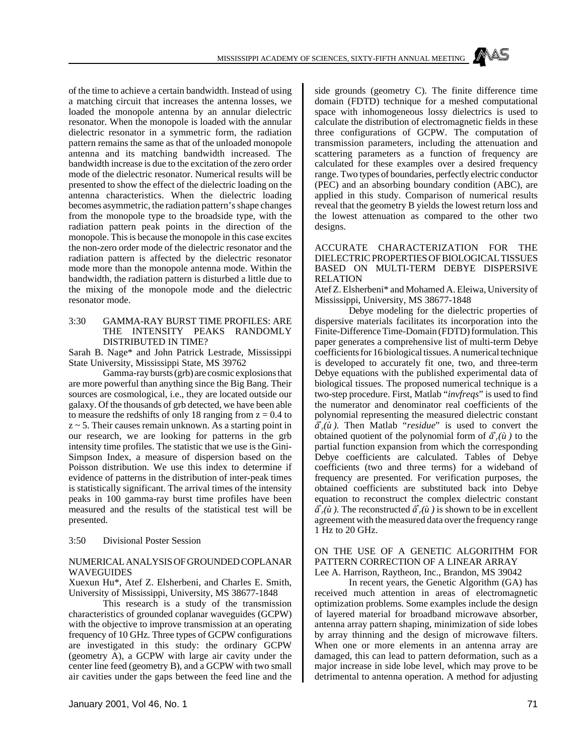of the time to achieve a certain bandwidth. Instead of using a matching circuit that increases the antenna losses, we loaded the monopole antenna by an annular dielectric resonator. When the monopole is loaded with the annular dielectric resonator in a symmetric form, the radiation pattern remains the same as that of the unloaded monopole antenna and its matching bandwidth increased. The bandwidth increase is due to the excitation of the zero order mode of the dielectric resonator. Numerical results will be presented to show the effect of the dielectric loading on the antenna characteristics. When the dielectric loading becomes asymmetric, the radiation pattern's shape changes from the monopole type to the broadside type, with the radiation pattern peak points in the direction of the monopole. This is because the monopole in this case excites the non-zero order mode of the dielectric resonator and the radiation pattern is affected by the dielectric resonator mode more than the monopole antenna mode. Within the bandwidth, the radiation pattern is disturbed a little due to the mixing of the monopole mode and the dielectric resonator mode.

3:30 GAMMA-RAY BURST TIME PROFILES: ARE THE INTENSITY PEAKS RANDOMLY DISTRIBUTED IN TIME?

Sarah B. Nage\* and John Patrick Lestrade, Mississippi State University, Mississippi State, MS 39762

Gamma-ray bursts (grb) are cosmic explosions that are more powerful than anything since the Big Bang. Their sources are cosmological, i.e., they are located outside our galaxy. Of the thousands of grb detected, we have been able to measure the redshifts of only 18 ranging from  $z = 0.4$  to  $z \sim 5$ . Their causes remain unknown. As a starting point in our research, we are looking for patterns in the grb intensity time profiles. The statistic that we use is the Gini-Simpson Index, a measure of dispersion based on the Poisson distribution. We use this index to determine if evidence of patterns in the distribution of inter-peak times is statistically significant. The arrival times of the intensity peaks in 100 gamma-ray burst time profiles have been measured and the results of the statistical test will be presented.

## 3:50 Divisional Poster Session

## NUMERICAL ANALYSIS OF GROUNDED COPLANAR **WAVEGUIDES**

Xuexun Hu\*, Atef Z. Elsherbeni, and Charles E. Smith, University of Mississippi, University, MS 38677-1848

This research is a study of the transmission characteristics of grounded coplanar waveguides (GCPW) with the objective to improve transmission at an operating frequency of 10 GHz. Three types of GCPW configurations are investigated in this study: the ordinary GCPW (geometry A), a GCPW with large air cavity under the center line feed (geometry B), and a GCPW with two small air cavities under the gaps between the feed line and the

side grounds (geometry C). The finite difference time domain (FDTD) technique for a meshed computational space with inhomogeneous lossy dielectrics is used to calculate the distribution of electromagnetic fields in these three configurations of GCPW. The computation of transmission parameters, including the attenuation and scattering parameters as a function of frequency are calculated for these examples over a desired frequency range. Two types of boundaries, perfectly electric conductor (PEC) and an absorbing boundary condition (ABC), are applied in this study. Comparison of numerical results reveal that the geometry B yields the lowest return loss and the lowest attenuation as compared to the other two designs.

ACCURATE CHARACTERIZATION FOR THE DIELECTRIC PROPERTIES OF BIOLOGICAL TISSUES BASED ON MULTI-TERM DEBYE DISPERSIVE RELATION

Atef Z. Elsherbeni\* and Mohamed A. Eleiwa, University of Mississippi, University, MS 38677-1848

Debye modeling for the dielectric properties of dispersive materials facilitates its incorporation into the Finite-Difference Time-Domain (FDTD) formulation. This paper generates a comprehensive list of multi-term Debye coefficients for 16 biological tissues. A numerical technique is developed to accurately fit one, two, and three-term Debye equations with the published experimental data of biological tissues. The proposed numerical technique is a two-step procedure. First, Matlab "*invfreqs*" is used to find the numerator and denominator real coefficients of the polynomial representing the measured dielectric constant *å \* r (ù )*. Then Matlab "*residue*" is used to convert the obtained quotient of the polynomial form of  $\hat{a}^*_{r}(\hat{u})$  to the partial function expansion from which the corresponding Debye coefficients are calculated. Tables of Debye coefficients (two and three terms) for a wideband of frequency are presented. For verification purposes, the obtained coefficients are substituted back into Debye equation to reconstruct the complex dielectric constant  $\hat{a}^*$ ,  $(\hat{u})$ . The reconstructed  $\hat{a}^*$ ,  $(\hat{u})$  is shown to be in excellent agreement with the measured data over the frequency range 1 Hz to 20 GHz.

## ON THE USE OF A GENETIC ALGORITHM FOR PATTERN CORRECTION OF A LINEAR ARRAY Lee A. Harrison, Raytheon, Inc., Brandon, MS 39042

In recent years, the Genetic Algorithm (GA) has received much attention in areas of electromagnetic optimization problems. Some examples include the design of layered material for broadband microwave absorber, antenna array pattern shaping, minimization of side lobes by array thinning and the design of microwave filters. When one or more elements in an antenna array are damaged, this can lead to pattern deformation, such as a major increase in side lobe level, which may prove to be detrimental to antenna operation. A method for adjusting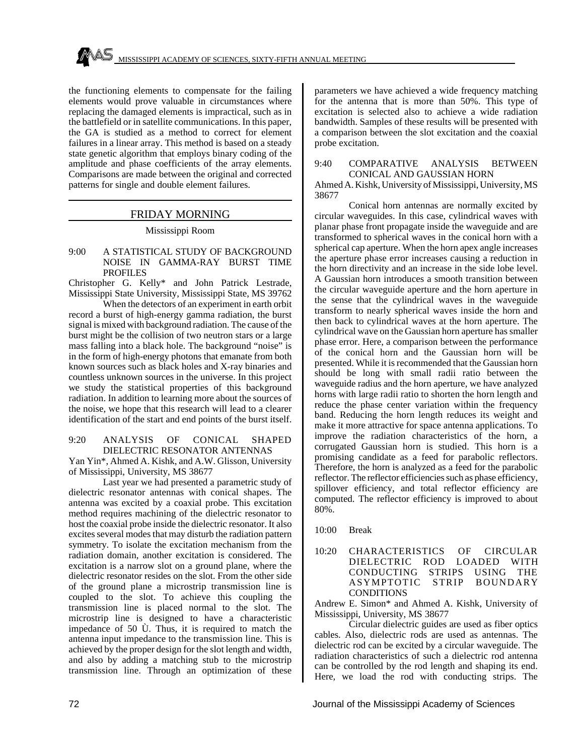the functioning elements to compensate for the failing elements would prove valuable in circumstances where replacing the damaged elements is impractical, such as in the battlefield or in satellite communications. In this paper, the GA is studied as a method to correct for element failures in a linear array. This method is based on a steady state genetic algorithm that employs binary coding of the amplitude and phase coefficients of the array elements. Comparisons are made between the original and corrected patterns for single and double element failures.

# FRIDAY MORNING

## Mississippi Room

9:00 A STATISTICAL STUDY OF BACKGROUND NOISE IN GAMMA-RAY BURST TIME PROFILES

Christopher G. Kelly\* and John Patrick Lestrade, Mississippi State University, Mississippi State, MS 39762

When the detectors of an experiment in earth orbit record a burst of high-energy gamma radiation, the burst signal is mixed with background radiation. The cause of the burst might be the collision of two neutron stars or a large mass falling into a black hole. The background "noise" is in the form of high-energy photons that emanate from both known sources such as black holes and X-ray binaries and countless unknown sources in the universe. In this project we study the statistical properties of this background radiation. In addition to learning more about the sources of the noise, we hope that this research will lead to a clearer identification of the start and end points of the burst itself.

## 9:20 ANALYSIS OF CONICAL SHAPED DIELECTRIC RESONATOR ANTENNAS

Yan Yin\*, Ahmed A. Kishk, and A.W. Glisson, University of Mississippi, University, MS 38677

Last year we had presented a parametric study of dielectric resonator antennas with conical shapes. The antenna was excited by a coaxial probe. This excitation method requires machining of the dielectric resonator to host the coaxial probe inside the dielectric resonator. It also excites several modes that may disturb the radiation pattern symmetry. To isolate the excitation mechanism from the radiation domain, another excitation is considered. The excitation is a narrow slot on a ground plane, where the dielectric resonator resides on the slot. From the other side of the ground plane a microstrip transmission line is coupled to the slot. To achieve this coupling the transmission line is placed normal to the slot. The microstrip line is designed to have a characteristic impedance of 50 Ù. Thus, it is required to match the antenna input impedance to the transmission line. This is achieved by the proper design for the slot length and width, and also by adding a matching stub to the microstrip transmission line. Through an optimization of these

parameters we have achieved a wide frequency matching for the antenna that is more than 50%. This type of excitation is selected also to achieve a wide radiation bandwidth. Samples of these results will be presented with a comparison between the slot excitation and the coaxial probe excitation.

#### 9:40 COMPARATIVE ANALYSIS BETWEEN CONICAL AND GAUSSIAN HORN

Ahmed A. Kishk, University of Mississippi, University, MS 38677

Conical horn antennas are normally excited by circular waveguides. In this case, cylindrical waves with planar phase front propagate inside the waveguide and are transformed to spherical waves in the conical horn with a spherical cap aperture. When the horn apex angle increases the aperture phase error increases causing a reduction in the horn directivity and an increase in the side lobe level. A Gaussian horn introduces a smooth transition between the circular waveguide aperture and the horn aperture in the sense that the cylindrical waves in the waveguide transform to nearly spherical waves inside the horn and then back to cylindrical waves at the horn aperture. The cylindrical wave on the Gaussian horn aperture has smaller phase error. Here, a comparison between the performance of the conical horn and the Gaussian horn will be presented. While it is recommended that the Gaussian horn should be long with small radii ratio between the waveguide radius and the horn aperture, we have analyzed horns with large radii ratio to shorten the horn length and reduce the phase center variation within the frequency band. Reducing the horn length reduces its weight and make it more attractive for space antenna applications. To improve the radiation characteristics of the horn, a corrugated Gaussian horn is studied. This horn is a promising candidate as a feed for parabolic reflectors. Therefore, the horn is analyzed as a feed for the parabolic reflector. The reflector efficiencies such as phase efficiency, spillover efficiency, and total reflector efficiency are computed. The reflector efficiency is improved to about 80%.

10:00 Break

10:20 CHARACTERISTICS OF CIRCULAR DIELECTRIC ROD LOADED WITH CONDUCTING STRIPS USING THE<br>ASYMPTOTIC STRIP BOUNDARY ASYMPTOTIC STRIP **CONDITIONS** 

Andrew E. Simon\* and Ahmed A. Kishk, University of Mississippi, University, MS 38677

Circular dielectric guides are used as fiber optics cables. Also, dielectric rods are used as antennas. The dielectric rod can be excited by a circular waveguide. The radiation characteristics of such a dielectric rod antenna can be controlled by the rod length and shaping its end. Here, we load the rod with conducting strips. The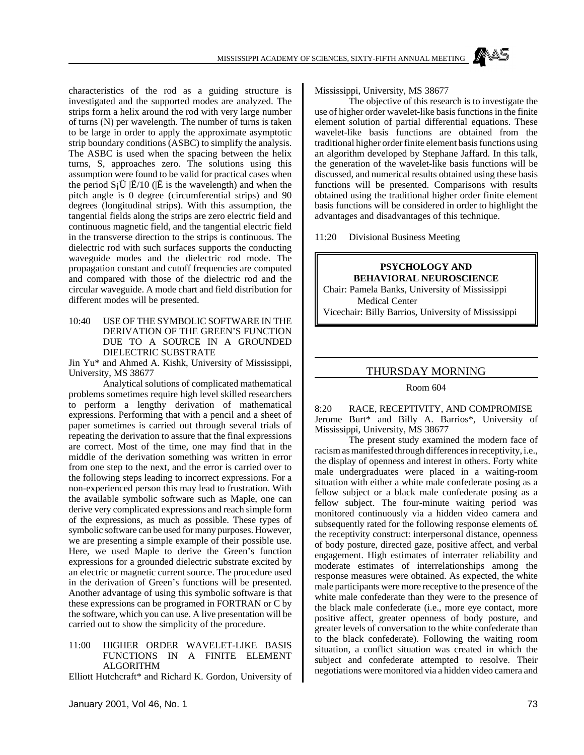characteristics of the rod as a guiding structure is investigated and the supported modes are analyzed. The strips form a helix around the rod with very large number of turns (N) per wavelength. The number of turns is taken to be large in order to apply the approximate asymptotic strip boundary conditions (ASBC) to simplify the analysis. The ASBC is used when the spacing between the helix turns, S, approaches zero. The solutions using this assumption were found to be valid for practical cases when the period  $S_i \ddot{U} |\ddot{E}/10$  ( $|\ddot{E}|$  is the wavelength) and when the pitch angle is 0 degree (circumferential strips) and 90 degrees (longitudinal strips). With this assumption, the tangential fields along the strips are zero electric field and continuous magnetic field, and the tangential electric field in the transverse direction to the strips is continuous. The dielectric rod with such surfaces supports the conducting waveguide modes and the dielectric rod mode. The propagation constant and cutoff frequencies are computed and compared with those of the dielectric rod and the circular waveguide. A mode chart and field distribution for different modes will be presented.

10:40 USE OF THE SYMBOLIC SOFTWARE IN THE DERIVATION OF THE GREEN'S FUNCTION DUE TO A SOURCE IN A GROUNDED DIELECTRIC SUBSTRATE

Jin Yu\* and Ahmed A. Kishk, University of Mississippi, University, MS 38677

Analytical solutions of complicated mathematical problems sometimes require high level skilled researchers to perform a lengthy derivation of mathematical expressions. Performing that with a pencil and a sheet of paper sometimes is carried out through several trials of repeating the derivation to assure that the final expressions are correct. Most of the time, one may find that in the middle of the derivation something was written in error from one step to the next, and the error is carried over to the following steps leading to incorrect expressions. For a non-experienced person this may lead to frustration. With the available symbolic software such as Maple, one can derive very complicated expressions and reach simple form of the expressions, as much as possible. These types of symbolic software can be used for many purposes. However, we are presenting a simple example of their possible use. Here, we used Maple to derive the Green's function expressions for a grounded dielectric substrate excited by an electric or magnetic current source. The procedure used in the derivation of Green's functions will be presented. Another advantage of using this symbolic software is that these expressions can be programed in FORTRAN or C by the software, which you can use. A live presentation will be carried out to show the simplicity of the procedure.

#### 11:00 HIGHER ORDER WAVELET-LIKE BASIS FUNCTIONS IN A FINITE ELEMENT ALGORITHM

Elliott Hutchcraft\* and Richard K. Gordon, University of

January 2001, Vol 46, No. 1 73

Mississippi, University, MS 38677

The objective of this research is to investigate the use of higher order wavelet-like basis functions in the finite element solution of partial differential equations. These wavelet-like basis functions are obtained from the traditional higher order finite element basis functions using an algorithm developed by Stephane Jaffard. In this talk, the generation of the wavelet-like basis functions will be discussed, and numerical results obtained using these basis functions will be presented. Comparisons with results obtained using the traditional higher order finite element basis functions will be considered in order to highlight the advantages and disadvantages of this technique.

11:20 Divisional Business Meeting

**PSYCHOLOGY AND BEHAVIORAL NEUROSCIENCE** Chair: Pamela Banks, University of Mississippi Medical Center Vicechair: Billy Barrios, University of Mississippi

# THURSDAY MORNING

## Room 604

8:20 RACE, RECEPTIVITY, AND COMPROMISE Jerome Burt\* and Billy A. Barrios\*, University of Mississippi, University, MS 38677

The present study examined the modern face of racism as manifested through differences in receptivity, i.e., the display of openness and interest in others. Forty white male undergraduates were placed in a waiting-room situation with either a white male confederate posing as a fellow subject or a black male confederate posing as a fellow subject. The four-minute waiting period was monitored continuously via a hidden video camera and subsequently rated for the following response elements o£ the receptivity construct: interpersonal distance, openness of body posture, directed gaze, positive affect, and verbal engagement. High estimates of interrater reliability and moderate estimates of interrelationships among the response measures were obtained. As expected, the white male participants were more receptive to the presence of the white male confederate than they were to the presence of the black male confederate (i.e., more eye contact, more positive affect, greater openness of body posture, and greater levels of conversation to the white confederate than to the black confederate). Following the waiting room situation, a conflict situation was created in which the subject and confederate attempted to resolve. Their negotiations were monitored via a hidden video camera and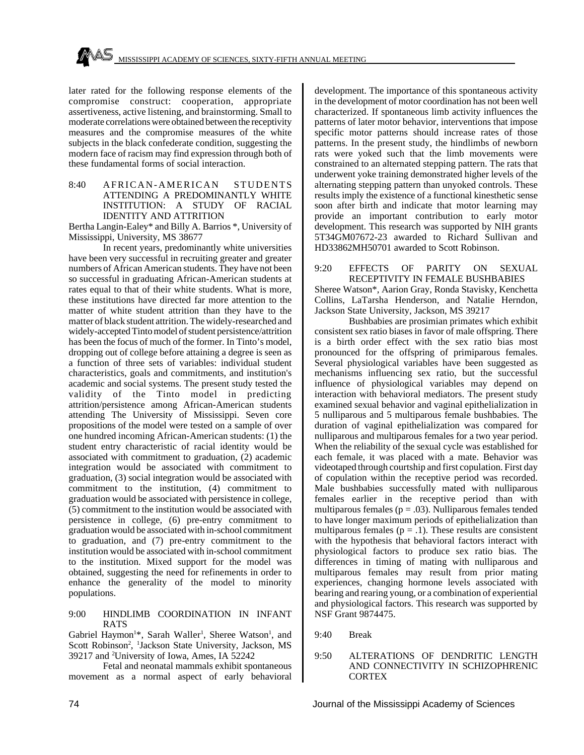later rated for the following response elements of the compromise construct: cooperation, appropriate assertiveness, active listening, and brainstorming. Small to moderate correlations were obtained between the receptivity measures and the compromise measures of the white subjects in the black confederate condition, suggesting the modern face of racism may find expression through both of these fundamental forms of social interaction.

8:40 AFRICAN-AMERICAN STUDENTS ATTENDING A PREDOMINANTLY WHITE INSTITUTION: A STUDY OF RACIAL IDENTITY AND ATTRITION

Bertha Langin-Ealey\* and Billy A. Barrios \*, University of Mississippi, University, MS 38677

In recent years, predominantly white universities have been very successful in recruiting greater and greater numbers of African American students. They have not been so successful in graduating African-American students at rates equal to that of their white students. What is more, these institutions have directed far more attention to the matter of white student attrition than they have to the matter of black student attrition. The widely-researched and widely-accepted Tinto model of student persistence/attrition has been the focus of much of the former. In Tinto's model, dropping out of college before attaining a degree is seen as a function of three sets of variables: individual student characteristics, goals and commitments, and institution's academic and social systems. The present study tested the validity of the Tinto model in predicting attrition/persistence among African-American students attending The University of Mississippi. Seven core propositions of the model were tested on a sample of over one hundred incoming African-American students: (1) the student entry characteristic of racial identity would be associated with commitment to graduation, (2) academic integration would be associated with commitment to graduation, (3) social integration would be associated with commitment to the institution, (4) commitment to graduation would be associated with persistence in college, (5) commitment to the institution would be associated with persistence in college, (6) pre-entry commitment to graduation would be associated with in-school commitment to graduation, and (7) pre-entry commitment to the institution would be associated with in-school commitment to the institution. Mixed support for the model was obtained, suggesting the need for refinements in order to enhance the generality of the model to minority populations.

#### 9:00 HINDLIMB COORDINATION IN INFANT RATS

Gabriel Haymon<sup>1\*</sup>, Sarah Waller<sup>1</sup>, Sheree Watson<sup>1</sup>, and Scott Robinson<sup>2</sup>, <sup>1</sup>Jackson State University, Jackson, MS 39217 and <sup>2</sup>University of Iowa, Ames, IA 52242

Fetal and neonatal mammals exhibit spontaneous movement as a normal aspect of early behavioral development. The importance of this spontaneous activity in the development of motor coordination has not been well characterized. If spontaneous limb activity influences the patterns of later motor behavior, interventions that impose specific motor patterns should increase rates of those patterns. In the present study, the hindlimbs of newborn rats were yoked such that the limb movements were constrained to an alternated stepping pattern. The rats that underwent yoke training demonstrated higher levels of the alternating stepping pattern than unyoked controls. These results imply the existence of a functional kinesthetic sense soon after birth and indicate that motor learning may provide an important contribution to early motor development. This research was supported by NIH grants 5T34GM07672-23 awarded to Richard Sullivan and HD33862MH50701 awarded to Scott Robinson.

9:20 EFFECTS OF PARITY ON SEXUAL RECEPTIVITY IN FEMALE BUSHBABIES

Sheree Watson\*, Aarion Gray, Ronda Stavisky, Kenchetta Collins, LaTarsha Henderson, and Natalie Herndon, Jackson State University, Jackson, MS 39217

Bushbabies are prosimian primates which exhibit consistent sex ratio biases in favor of male offspring. There is a birth order effect with the sex ratio bias most pronounced for the offspring of primiparous females. Several physiological variables have been suggested as mechanisms influencing sex ratio, but the successful influence of physiological variables may depend on interaction with behavioral mediators. The present study examined sexual behavior and vaginal epithelialization in 5 nulliparous and 5 multiparous female bushbabies. The duration of vaginal epithelialization was compared for nulliparous and multiparous females for a two year period. When the reliability of the sexual cycle was established for each female, it was placed with a mate. Behavior was videotaped through courtship and first copulation. First day of copulation within the receptive period was recorded. Male bushbabies successfully mated with nulliparous females earlier in the receptive period than with multiparous females ( $p = .03$ ). Nulliparous females tended to have longer maximum periods of epithelialization than multiparous females ( $p = .1$ ). These results are consistent with the hypothesis that behavioral factors interact with physiological factors to produce sex ratio bias. The differences in timing of mating with nulliparous and multiparous females may result from prior mating experiences, changing hormone levels associated with bearing and rearing young, or a combination of experiential and physiological factors. This research was supported by NSF Grant 9874475.

9:40 Break

## 9:50 ALTERATIONS OF DENDRITIC LENGTH AND CONNECTIVITY IN SCHIZOPHRENIC **CORTEX**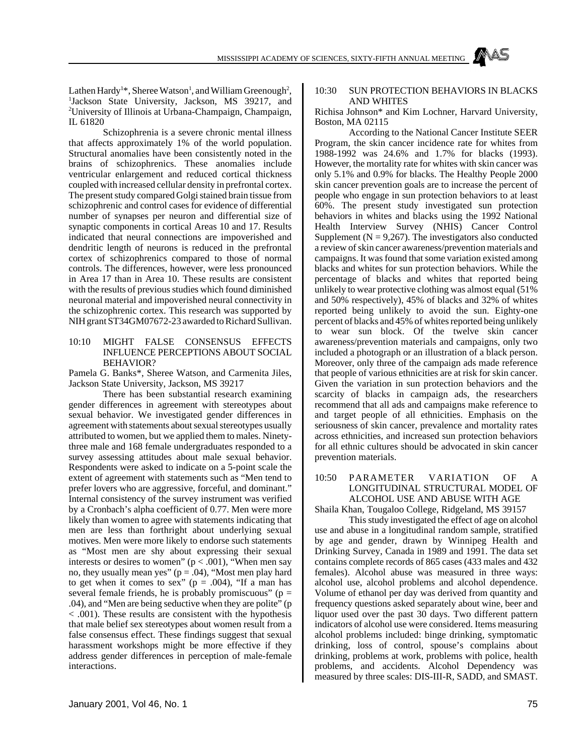

Schizophrenia is a severe chronic mental illness that affects approximately 1% of the world population. Structural anomalies have been consistently noted in the brains of schizophrenics. These anomalies include ventricular enlargement and reduced cortical thickness coupled with increased cellular density in prefrontal cortex. The present study compared Golgi stained brain tissue from schizophrenic and control cases for evidence of differential number of synapses per neuron and differential size of synaptic components in cortical Areas 10 and 17. Results indicated that neural connections are impoverished and dendritic length of neurons is reduced in the prefrontal cortex of schizophrenics compared to those of normal controls. The differences, however, were less pronounced in Area 17 than in Area 10. These results are consistent with the results of previous studies which found diminished neuronal material and impoverished neural connectivity in the schizophrenic cortex. This research was supported by NIH grant ST34GM07672-23 awarded to Richard Sullivan.

#### 10:10 MIGHT FALSE CONSENSUS EFFECTS INFLUENCE PERCEPTIONS ABOUT SOCIAL BEHAVIOR?

Pamela G. Banks\*, Sheree Watson, and Carmenita Jiles, Jackson State University, Jackson, MS 39217

There has been substantial research examining gender differences in agreement with stereotypes about sexual behavior. We investigated gender differences in agreement with statements about sexual stereotypes usually attributed to women, but we applied them to males. Ninetythree male and 168 female undergraduates responded to a survey assessing attitudes about male sexual behavior. Respondents were asked to indicate on a 5-point scale the extent of agreement with statements such as "Men tend to prefer lovers who are aggressive, forceful, and dominant." Internal consistency of the survey instrument was verified by a Cronbach's alpha coefficient of 0.77. Men were more likely than women to agree with statements indicating that men are less than forthright about underlying sexual motives. Men were more likely to endorse such statements as "Most men are shy about expressing their sexual interests or desires to women" ( $p < .001$ ), "When men say no, they usually mean yes" ( $p = .04$ ), "Most men play hard to get when it comes to sex" ( $p = .004$ ), "If a man has several female friends, he is probably promiscuous" ( $p =$ .04), and "Men are being seductive when they are polite" (p < .001). These results are consistent with the hypothesis that male belief sex stereotypes about women result from a false consensus effect. These findings suggest that sexual harassment workshops might be more effective if they address gender differences in perception of male-female interactions.

#### 10:30 SUN PROTECTION BEHAVIORS IN BLACKS AND WHITES

Richisa Johnson\* and Kim Lochner, Harvard University, Boston, MA 02115

According to the National Cancer Institute SEER Program, the skin cancer incidence rate for whites from 1988-1992 was 24.6% and 1.7% for blacks (1993). However, the mortality rate for whites with skin cancer was only 5.1% and 0.9% for blacks. The Healthy People 2000 skin cancer prevention goals are to increase the percent of people who engage in sun protection behaviors to at least 60%. The present study investigated sun protection behaviors in whites and blacks using the 1992 National Health Interview Survey (NHIS) Cancer Control Supplement ( $N = 9.267$ ). The investigators also conducted a review of skin cancer awareness/prevention materials and campaigns. It was found that some variation existed among blacks and whites for sun protection behaviors. While the percentage of blacks and whites that reported being unlikely to wear protective clothing was almost equal (51% and 50% respectively), 45% of blacks and 32% of whites reported being unlikely to avoid the sun. Eighty-one percent of blacks and 45% of whites reported being unlikely to wear sun block. Of the twelve skin cancer awareness/prevention materials and campaigns, only two included a photograph or an illustration of a black person. Moreover, only three of the campaign ads made reference that people of various ethnicities are at risk for skin cancer. Given the variation in sun protection behaviors and the scarcity of blacks in campaign ads, the researchers recommend that all ads and campaigns make reference to and target people of all ethnicities. Emphasis on the seriousness of skin cancer, prevalence and mortality rates across ethnicities, and increased sun protection behaviors for all ethnic cultures should be advocated in skin cancer prevention materials.

10:50 PARAMETER VARIATION OF A LONGITUDINAL STRUCTURAL MODEL OF ALCOHOL USE AND ABUSE WITH AGE

Shaila Khan, Tougaloo College, Ridgeland, MS 39157

This study investigated the effect of age on alcohol use and abuse in a longitudinal random sample, stratified by age and gender, drawn by Winnipeg Health and Drinking Survey, Canada in 1989 and 1991. The data set contains complete records of 865 cases (433 males and 432 females). Alcohol abuse was measured in three ways: alcohol use, alcohol problems and alcohol dependence. Volume of ethanol per day was derived from quantity and frequency questions asked separately about wine, beer and liquor used over the past 30 days. Two different pattern indicators of alcohol use were considered. Items measuring alcohol problems included: binge drinking, symptomatic drinking, loss of control, spouse's complains about drinking, problems at work, problems with police, health problems, and accidents. Alcohol Dependency was measured by three scales: DIS-III-R, SADD, and SMAST.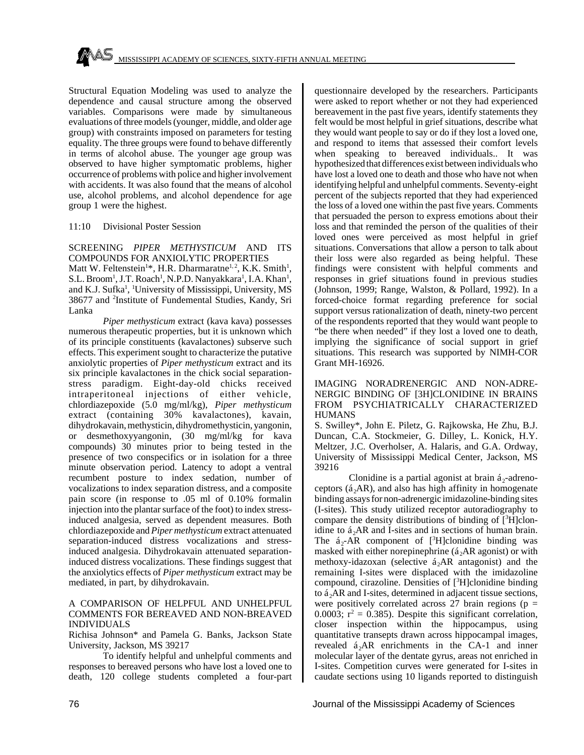Structural Equation Modeling was used to analyze the dependence and causal structure among the observed variables. Comparisons were made by simultaneous evaluations of three models (younger, middle, and older age group) with constraints imposed on parameters for testing equality. The three groups were found to behave differently in terms of alcohol abuse. The younger age group was observed to have higher symptomatic problems, higher occurrence of problems with police and higher involvement with accidents. It was also found that the means of alcohol use, alcohol problems, and alcohol dependence for age group 1 were the highest.

# 11:10 Divisional Poster Session

SCREENING *PIPER METHYSTICUM* AND ITS COMPOUNDS FOR ANXIOLYTIC PROPERTIES Matt W. Feltenstein<sup>1\*</sup>, H.R. Dharmaratne<sup>1,2</sup>, K.K. Smith<sup>1</sup>, S.L. Broom<sup>1</sup>, J.T. Roach<sup>1</sup>, N.P.D. Nanyakkara<sup>1</sup>, I.A. Khan<sup>1</sup>, and K.J. Sufka<sup>1</sup>, <sup>1</sup>University of Mississippi, University, MS 38677 and <sup>2</sup>Institute of Fundemental Studies, Kandy, Sri Lanka

*Piper methysticum* extract (kava kava) possesses numerous therapeutic properties, but it is unknown which of its principle constituents (kavalactones) subserve such effects. This experiment sought to characterize the putative anxiolytic properties of *Piper methysticum* extract and its six principle kavalactones in the chick social separationstress paradigm. Eight-day-old chicks received intraperitoneal injections of either vehicle, chlordiazepoxide (5.0 mg/ml/kg), *Piper methysticum* extract (containing 30% kavalactones), kavain, dihydrokavain, methysticin, dihydromethysticin, yangonin, or desmethoxyyangonin, (30 mg/ml/kg for kava compounds) 30 minutes prior to being tested in the presence of two conspecifics or in isolation for a three minute observation period. Latency to adopt a ventral recumbent posture to index sedation, number of vocalizations to index separation distress, and a composite pain score (in response to .05 ml of 0.10% formalin injection into the plantar surface of the foot) to index stressinduced analgesia, served as dependent measures. Both chlordiazepoxide and *Piper methysticum* extract attenuated separation-induced distress vocalizations and stressinduced analgesia. Dihydrokavain attenuated separationinduced distress vocalizations. These findings suggest that the anxiolytics effects of *Piper methysticum* extract may be mediated, in part, by dihydrokavain.

#### A COMPARISON OF HELPFUL AND UNHELPFUL COMMENTS FOR BEREAVED AND NON-BREAVED INDIVIDUALS

Richisa Johnson\* and Pamela G. Banks, Jackson State University, Jackson, MS 39217

To identify helpful and unhelpful comments and responses to bereaved persons who have lost a loved one to death, 120 college students completed a four-part questionnaire developed by the researchers. Participants were asked to report whether or not they had experienced bereavement in the past five years, identify statements they felt would be most helpful in grief situations, describe what they would want people to say or do if they lost a loved one, and respond to items that assessed their comfort levels when speaking to bereaved individuals.. It was hypothesized that differences exist between individuals who have lost a loved one to death and those who have not when identifying helpful and unhelpful comments. Seventy-eight percent of the subjects reported that they had experienced the loss of a loved one within the past five years. Comments that persuaded the person to express emotions about their loss and that reminded the person of the qualities of their loved ones were perceived as most helpful in grief situations. Conversations that allow a person to talk about their loss were also regarded as being helpful. These findings were consistent with helpful comments and responses in grief situations found in previous studies (Johnson, 1999; Range, Walston, & Pollard, 1992). In a forced-choice format regarding preference for social support versus rationalization of death, ninety-two percent of the respondents reported that they would want people to "be there when needed" if they lost a loved one to death, implying the significance of social support in grief situations. This research was supported by NIMH-COR Grant MH-16926.

# IMAGING NORADRENERGIC AND NON-ADRE-NERGIC BINDING OF [3H]CLONIDINE IN BRAINS FROM PSYCHIATRICALLY CHARACTERIZED HUMANS

S. Swilley\*, John E. Piletz, G. Rajkowska, He Zhu, B.J. Duncan, C.A. Stockmeier, G. Dilley, L. Konick, H.Y. Meltzer, J.C. Overholser, A. Halaris, and G.A. Ordway, University of Mississippi Medical Center, Jackson, MS 39216

Clonidine is a partial agonist at brain  $a_2$ -adrenoceptors  $(\hat{a}_2AR)$ , and also has high affinity in homogenate binding assays for non-adrenergic imidazoline-binding sites (I-sites). This study utilized receptor autoradiography to compare the density distributions of binding of  $[3H]$ clonidine to  $\acute{a}$ , AR and I-sites and in sections of human brain. The  $a_2$ -AR component of [<sup>3</sup>H]clonidine binding was masked with either norepinephrine  $(\hat{a}_2AR$  agonist) or with methoxy-idazoxan (selective  $\acute{a}_2$ AR antagonist) and the remaining I-sites were displaced with the imidazoline compound, cirazoline. Densities of [<sup>3</sup>H]clonidine binding to  $a<sub>2</sub>AR$  and I-sites, determined in adjacent tissue sections, were positively correlated across 27 brain regions ( $p =$ 0.0003;  $r^2 = 0.385$ ). Despite this significant correlation, closer inspection within the hippocampus, using quantitative transepts drawn across hippocampal images, revealed  $á<sub>2</sub>AR$  enrichments in the CA-1 and inner molecular layer of the dentate gyrus, areas not enriched in I-sites. Competition curves were generated for I-sites in caudate sections using 10 ligands reported to distinguish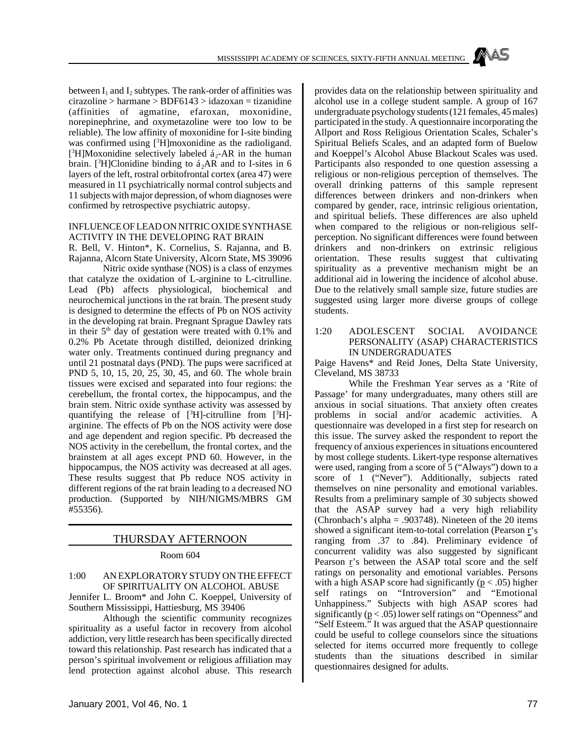between  $I_1$  and  $I_2$  subtypes. The rank-order of affinities was cirazoline > harmane > BDF6143 > idazoxan = tizanidine (affinities of agmatine, efaroxan, moxonidine, norepinephrine, and oxymetazoline were too low to be reliable). The low affinity of moxonidine for I-site binding was confirmed using  $[3H]$ moxonidine as the radioligand. [<sup>3</sup>H]Moxonidine selectively labeled  $\acute{a}_2$ -AR in the human brain. [<sup>3</sup>H]Clonidine binding to  $\acute{a}_2$ AR and to I-sites in 6 layers of the left, rostral orbitofrontal cortex (area 47) were measured in 11 psychiatrically normal control subjects and 11 subjects with major depression, of whom diagnoses were confirmed by retrospective psychiatric autopsy.

### INFLUENCE OF LEAD ON NITRIC OXIDE SYNTHASE ACTIVITY IN THE DEVELOPING RAT BRAIN

R. Bell, V. Hinton\*, K. Cornelius, S. Rajanna, and B. Rajanna, Alcorn State University, Alcorn State, MS 39096

Nitric oxide synthase (NOS) is a class of enzymes that catalyze the oxidation of L-arginine to L-citrulline. Lead (Pb) affects physiological, biochemical and neurochemical junctions in the rat brain. The present study is designed to determine the effects of Pb on NOS activity in the developing rat brain. Pregnant Sprague Dawley rats in their  $5<sup>th</sup>$  day of gestation were treated with 0.1% and 0.2% Pb Acetate through distilled, deionized drinking water only. Treatments continued during pregnancy and until 21 postnatal days (PND). The pups were sacrificed at PND 5, 10, 15, 20, 25, 30, 45, and 60. The whole brain tissues were excised and separated into four regions: the cerebellum, the frontal cortex, the hippocampus, and the brain stem. Nitric oxide synthase activity was assessed by quantifying the release of  $[3H]$ -citrulline from  $[3H]$ arginine. The effects of Pb on the NOS activity were dose and age dependent and region specific. Pb decreased the NOS activity in the cerebellum, the frontal cortex, and the brainstem at all ages except PND 60. However, in the hippocampus, the NOS activity was decreased at all ages. These results suggest that Pb reduce NOS activity in different regions of the rat brain leading to a decreased NO production. (Supported by NIH/NIGMS/MBRS GM #55356).

# THURSDAY AFTERNOON

#### Room 604

#### 1:00 AN EXPLORATORY STUDY ON THE EFFECT OF SPIRITUALITY ON ALCOHOL ABUSE

Jennifer L. Broom\* and John C. Koeppel, University of Southern Mississippi, Hattiesburg, MS 39406

Although the scientific community recognizes spirituality as a useful factor in recovery from alcohol addiction, very little research has been specifically directed toward this relationship. Past research has indicated that a person's spiritual involvement or religious affiliation may lend protection against alcohol abuse. This research

provides data on the relationship between spirituality and alcohol use in a college student sample. A group of 167 undergraduate psychology students (121 females, 45 males) participated in the study. A questionnaire incorporating the Allport and Ross Religious Orientation Scales, Schaler's Spiritual Beliefs Scales, and an adapted form of Buelow and Koeppel's Alcohol Abuse Blackout Scales was used. Participants also responded to one question assessing a religious or non-religious perception of themselves. The overall drinking patterns of this sample represent differences between drinkers and non-drinkers when compared by gender, race, intrinsic religious orientation, and spiritual beliefs. These differences are also upheld when compared to the religious or non-religious selfperception. No significant differences were found between drinkers and non-drinkers on extrinsic religious orientation. These results suggest that cultivating spirituality as a preventive mechanism might be an additional aid in lowering the incidence of alcohol abuse. Due to the relatively small sample size, future studies are suggested using larger more diverse groups of college students.

1:20 ADOLESCENT SOCIAL AVOIDANCE PERSONALITY (ASAP) CHARACTERISTICS IN UNDERGRADUATES

Paige Havens\* and Reid Jones, Delta State University, Cleveland, MS 38733

While the Freshman Year serves as a 'Rite of Passage' for many undergraduates, many others still are anxious in social situations. That anxiety often creates problems in social and/or academic activities. A questionnaire was developed in a first step for research on this issue. The survey asked the respondent to report the frequency of anxious experiences in situations encountered by most college students. Likert-type response alternatives were used, ranging from a score of 5 ("Always") down to a score of 1 ("Never"). Additionally, subjects rated themselves on nine personality and emotional variables. Results from a preliminary sample of 30 subjects showed that the ASAP survey had a very high reliability (Chronbach's alpha = .903748). Nineteen of the 20 items showed a significant item-to-total correlation (Pearson r's ranging from .37 to .84). Preliminary evidence of concurrent validity was also suggested by significant Pearson r's between the ASAP total score and the self ratings on personality and emotional variables. Persons with a high ASAP score had significantly ( $p < .05$ ) higher self ratings on "Introversion" and "Emotional Unhappiness." Subjects with high ASAP scores had significantly ( $p < .05$ ) lower self ratings on "Openness" and "Self Esteem." It was argued that the ASAP questionnaire could be useful to college counselors since the situations selected for items occurred more frequently to college students than the situations described in similar questionnaires designed for adults.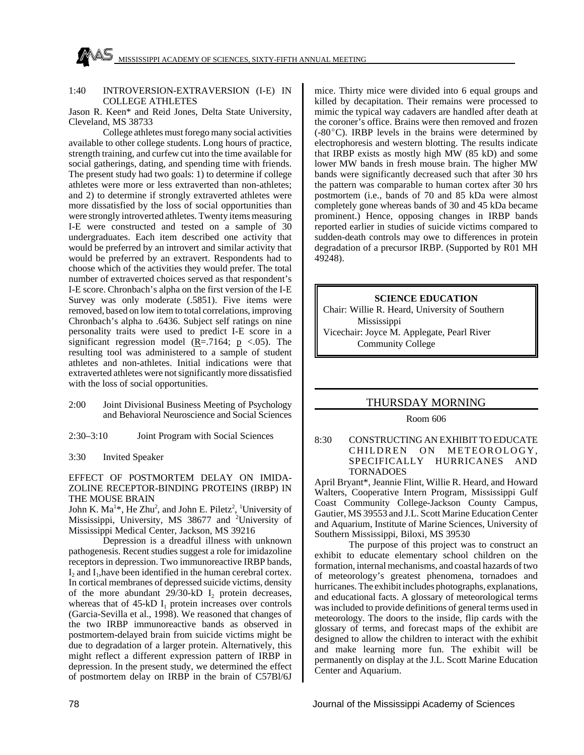#### 1:40 INTROVERSION-EXTRAVERSION (I-E) IN COLLEGE ATHLETES

Jason R. Keen\* and Reid Jones, Delta State University, Cleveland, MS 38733

College athletes must forego many social activities available to other college students. Long hours of practice, strength training, and curfew cut into the time available for social gatherings, dating, and spending time with friends. The present study had two goals: 1) to determine if college athletes were more or less extraverted than non-athletes; and 2) to determine if strongly extraverted athletes were more dissatisfied by the loss of social opportunities than were strongly introverted athletes. Twenty items measuring I-E were constructed and tested on a sample of 30 undergraduates. Each item described one activity that would be preferred by an introvert and similar activity that would be preferred by an extravert. Respondents had to choose which of the activities they would prefer. The total number of extraverted choices served as that respondent's I-E score. Chronbach's alpha on the first version of the I-E Survey was only moderate (.5851). Five items were removed, based on low item to total correlations, improving Chronbach's alpha to .6436. Subject self ratings on nine personality traits were used to predict I-E score in a significant regression model ( $\underline{R}$ =.7164;  $\underline{p}$  <.05). The resulting tool was administered to a sample of student athletes and non-athletes. Initial indications were that extraverted athletes were not significantly more dissatisfied with the loss of social opportunities.

- 2:00 Joint Divisional Business Meeting of Psychology and Behavioral Neuroscience and Social Sciences
- 2:30–3:10 Joint Program with Social Sciences
- 3:30 Invited Speaker

EFFECT OF POSTMORTEM DELAY ON IMIDA-ZOLINE RECEPTOR-BINDING PROTEINS (IRBP) IN THE MOUSE BRAIN

John K. Ma<sup>1\*</sup>, He Zhu<sup>2</sup>, and John E. Piletz<sup>2</sup>, <sup>1</sup>University of Mississippi, University, MS 38677 and <sup>2</sup>University of Mississippi Medical Center, Jackson, MS 39216

Depression is a dreadful illness with unknown pathogenesis. Recent studies suggest a role for imidazoline receptors in depression. Two immunoreactive IRBP bands,  $I_2$  and  $I_1$ , have been identified in the human cerebral cortex. In cortical membranes of depressed suicide victims, density of the more abundant  $29/30$ -kD  $I_2$  protein decreases, whereas that of  $45$ -kD  $I_1$  protein increases over controls (Garcia-Sevilla et al., 1998). We reasoned that changes of the two IRBP immunoreactive bands as observed in postmortem-delayed brain from suicide victims might be due to degradation of a larger protein. Alternatively, this might reflect a different expression pattern of IRBP in depression. In the present study, we determined the effect of postmortem delay on IRBP in the brain of C57Bl/6J

mice. Thirty mice were divided into 6 equal groups and killed by decapitation. Their remains were processed to mimic the typical way cadavers are handled after death at the coroner's office. Brains were then removed and frozen  $(-80^{\circ}$ C). IRBP levels in the brains were determined by electrophoresis and western blotting. The results indicate that IRBP exists as mostly high MW (85 kD) and some lower MW bands in fresh mouse brain. The higher MW bands were significantly decreased such that after 30 hrs the pattern was comparable to human cortex after 30 hrs postmortem (i.e., bands of 70 and 85 kDa were almost completely gone whereas bands of 30 and 45 kDa became prominent.) Hence, opposing changes in IRBP bands reported earlier in studies of suicide victims compared to sudden-death controls may owe to differences in protein degradation of a precursor IRBP. (Supported by R01 MH 49248).

# **SCIENCE EDUCATION**

Chair: Willie R. Heard, University of Southern Mississippi Vicechair: Joyce M. Applegate, Pearl River Community College

# THURSDAY MORNING

Room 606

8:30 CONSTRUCTING AN EXHIBIT TO EDUCATE CHILDREN ON METEOROLOGY, SPECIFICALLY HURRICANES AND TORNADOES

April Bryant\*, Jeannie Flint, Willie R. Heard, and Howard Walters, Cooperative Intern Program, Mississippi Gulf Coast Community College-Jackson County Campus, Gautier, MS 39553 and J.L. Scott Marine Education Center and Aquarium, Institute of Marine Sciences, University of Southern Mississippi, Biloxi, MS 39530

The purpose of this project was to construct an exhibit to educate elementary school children on the formation, internal mechanisms, and coastal hazards of two of meteorology's greatest phenomena, tornadoes and hurricanes. The exhibit includes photographs, explanations, and educational facts. A glossary of meteorological terms was included to provide definitions of general terms used in meteorology. The doors to the inside, flip cards with the glossary of terms, and forecast maps of the exhibit are designed to allow the children to interact with the exhibit and make learning more fun. The exhibit will be permanently on display at the J.L. Scott Marine Education Center and Aquarium.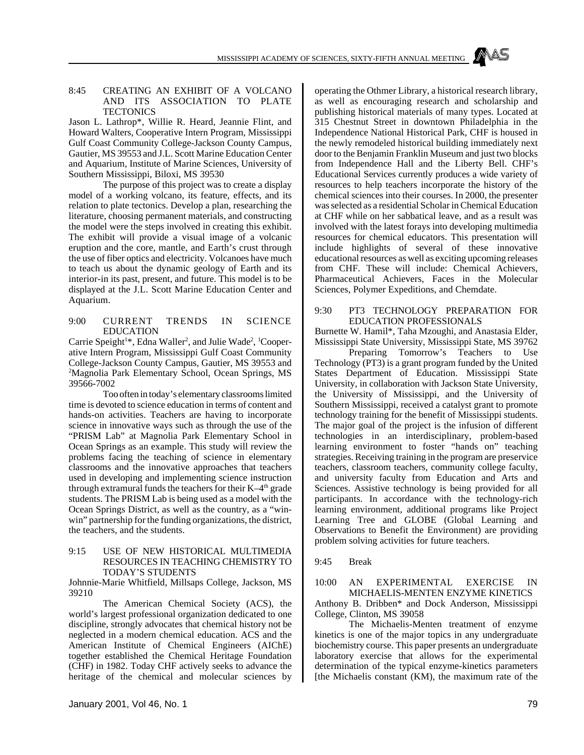#### 8:45 CREATING AN EXHIBIT OF A VOLCANO AND ITS ASSOCIATION TO PLATE **TECTONICS**

Jason L. Lathrop\*, Willie R. Heard, Jeannie Flint, and Howard Walters, Cooperative Intern Program, Mississippi Gulf Coast Community College-Jackson County Campus, Gautier, MS 39553 and J.L. Scott Marine Education Center and Aquarium, Institute of Marine Sciences, University of Southern Mississippi, Biloxi, MS 39530

The purpose of this project was to create a display model of a working volcano, its feature, effects, and its relation to plate tectonics. Develop a plan, researching the literature, choosing permanent materials, and constructing the model were the steps involved in creating this exhibit. The exhibit will provide a visual image of a volcanic eruption and the core, mantle, and Earth's crust through the use of fiber optics and electricity. Volcanoes have much to teach us about the dynamic geology of Earth and its interior-in its past, present, and future. This model is to be displayed at the J.L. Scott Marine Education Center and Aquarium.

#### 9:00 CURRENT TRENDS IN SCIENCE EDUCATION

Carrie Speight<sup>1\*</sup>, Edna Waller<sup>2</sup>, and Julie Wade<sup>2</sup>, <sup>1</sup>Cooperative Intern Program, Mississippi Gulf Coast Community College-Jackson County Campus, Gautier, MS 39553 and <sup>2</sup>Magnolia Park Elementary School, Ocean Springs, MS 39566-7002

Too often in today's elementary classrooms limited time is devoted to science education in terms of content and hands-on activities. Teachers are having to incorporate science in innovative ways such as through the use of the "PRISM Lab" at Magnolia Park Elementary School in Ocean Springs as an example. This study will review the problems facing the teaching of science in elementary classrooms and the innovative approaches that teachers used in developing and implementing science instruction through extramural funds the teachers for their  $K-4<sup>th</sup>$  grade students. The PRISM Lab is being used as a model with the Ocean Springs District, as well as the country, as a "winwin" partnership for the funding organizations, the district, the teachers, and the students.

#### 9:15 USE OF NEW HISTORICAL MULTIMEDIA RESOURCES IN TEACHING CHEMISTRY TO TODAY'S STUDENTS

Johnnie-Marie Whitfield, Millsaps College, Jackson, MS 39210

The American Chemical Society (ACS), the world's largest professional organization dedicated to one discipline, strongly advocates that chemical history not be neglected in a modern chemical education. ACS and the American Institute of Chemical Engineers (AIChE) together established the Chemical Heritage Foundation (CHF) in 1982. Today CHF actively seeks to advance the heritage of the chemical and molecular sciences by operating the Othmer Library, a historical research library, as well as encouraging research and scholarship and publishing historical materials of many types. Located at 315 Chestnut Street in downtown Philadelphia in the Independence National Historical Park, CHF is housed in the newly remodeled historical building immediately next door to the Benjamin Franklin Museum and just two blocks from Independence Hall and the Liberty Bell. CHF's Educational Services currently produces a wide variety of resources to help teachers incorporate the history of the chemical sciences into their courses. In 2000, the presenter was selected as a residential Scholar in Chemical Education at CHF while on her sabbatical leave, and as a result was involved with the latest forays into developing multimedia resources for chemical educators. This presentation will include highlights of several of these innovative educational resources as well as exciting upcoming releases from CHF. These will include: Chemical Achievers, Pharmaceutical Achievers, Faces in the Molecular Sciences, Polymer Expeditions, and Chemdate.

#### 9:30 PT3 TECHNOLOGY PREPARATION FOR EDUCATION PROFESSIONALS

Burnette W. Hamil\*, Taha Mzoughi, and Anastasia Elder, Mississippi State University, Mississippi State, MS 39762

Preparing Tomorrow's Teachers to Use Technology (PT3) is a grant program funded by the United States Department of Education. Mississippi State University, in collaboration with Jackson State University, the University of Mississippi, and the University of Southern Mississippi, received a catalyst grant to promote technology training for the benefit of Mississippi students. The major goal of the project is the infusion of different technologies in an interdisciplinary, problem-based learning environment to foster "hands on" teaching strategies. Receiving training in the program are preservice teachers, classroom teachers, community college faculty, and university faculty from Education and Arts and Sciences. Assistive technology is being provided for all participants. In accordance with the technology-rich learning environment, additional programs like Project Learning Tree and GLOBE (Global Learning and Observations to Benefit the Environment) are providing problem solving activities for future teachers.

9:45 Break

## 10:00 AN EXPERIMENTAL EXERCISE IN MICHAELIS-MENTEN ENZYME KINETICS

Anthony B. Dribben\* and Dock Anderson, Mississippi College, Clinton, MS 39058

The Michaelis-Menten treatment of enzyme kinetics is one of the major topics in any undergraduate biochemistry course. This paper presents an undergraduate laboratory exercise that allows for the experimental determination of the typical enzyme-kinetics parameters [the Michaelis constant (KM), the maximum rate of the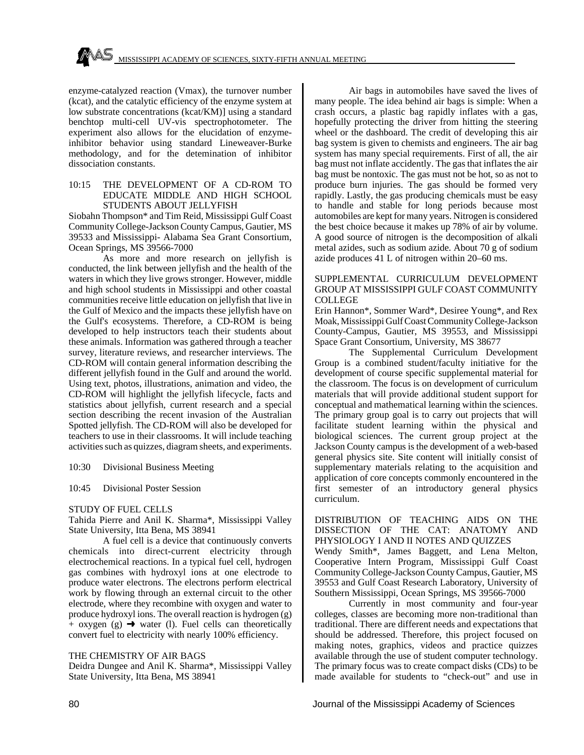enzyme-catalyzed reaction (Vmax), the turnover number (kcat), and the catalytic efficiency of the enzyme system at low substrate concentrations (kcat/KM)] using a standard benchtop multi-cell UV-vis spectrophotometer. The experiment also allows for the elucidation of enzymeinhibitor behavior using standard Lineweaver-Burke methodology, and for the detemination of inhibitor dissociation constants.

#### 10:15 THE DEVELOPMENT OF A CD-ROM TO EDUCATE MIDDLE AND HIGH SCHOOL STUDENTS ABOUT JELLYFISH

Siobahn Thompson\* and Tim Reid, Mississippi Gulf Coast Community College-Jackson County Campus, Gautier, MS 39533 and Mississippi- Alabama Sea Grant Consortium, Ocean Springs, MS 39566-7000

As more and more research on jellyfish is conducted, the link between jellyfish and the health of the waters in which they live grows stronger. However, middle and high school students in Mississippi and other coastal communities receive little education on jellyfish that live in the Gulf of Mexico and the impacts these jellyfish have on the Gulf's ecosystems. Therefore, a CD-ROM is being developed to help instructors teach their students about these animals. Information was gathered through a teacher survey, literature reviews, and researcher interviews. The CD-ROM will contain general information describing the different jellyfish found in the Gulf and around the world. Using text, photos, illustrations, animation and video, the CD-ROM will highlight the jellyfish lifecycle, facts and statistics about jellyfish, current research and a special section describing the recent invasion of the Australian Spotted jellyfish. The CD-ROM will also be developed for teachers to use in their classrooms. It will include teaching activities such as quizzes, diagram sheets, and experiments.

10:30 Divisional Business Meeting

10:45 Divisional Poster Session

# STUDY OF FUEL CELLS

Tahida Pierre and Anil K. Sharma\*, Mississippi Valley State University, Itta Bena, MS 38941

A fuel cell is a device that continuously converts chemicals into direct-current electricity through electrochemical reactions. In a typical fuel cell, hydrogen gas combines with hydroxyl ions at one electrode to produce water electrons. The electrons perform electrical work by flowing through an external circuit to the other electrode, where they recombine with oxygen and water to produce hydroxyl ions. The overall reaction is hydrogen (g) + oxygen (g)  $\rightarrow$  water (l). Fuel cells can theoretically convert fuel to electricity with nearly 100% efficiency.

# THE CHEMISTRY OF AIR BAGS

Deidra Dungee and Anil K. Sharma\*, Mississippi Valley State University, Itta Bena, MS 38941

Air bags in automobiles have saved the lives of many people. The idea behind air bags is simple: When a crash occurs, a plastic bag rapidly inflates with a gas, hopefully protecting the driver from hitting the steering wheel or the dashboard. The credit of developing this air bag system is given to chemists and engineers. The air bag system has many special requirements. First of all, the air bag must not inflate accidently. The gas that inflates the air bag must be nontoxic. The gas must not be hot, so as not to produce burn injuries. The gas should be formed very rapidly. Lastly, the gas producing chemicals must be easy to handle and stable for long periods because most automobiles are kept for many years. Nitrogen is considered the best choice because it makes up 78% of air by volume. A good source of nitrogen is the decomposition of alkali metal azides, such as sodium azide. About 70 g of sodium azide produces 41 L of nitrogen within 20–60 ms.

## SUPPLEMENTAL CURRICULUM DEVELOPMENT GROUP AT MISSISSIPPI GULF COAST COMMUNITY COLLEGE

Erin Hannon\*, Sommer Ward\*, Desiree Young\*, and Rex Moak, Mississippi Gulf Coast Community College-Jackson County-Campus, Gautier, MS 39553, and Mississippi Space Grant Consortium, University, MS 38677

The Supplemental Curriculum Development Group is a combined student/faculty initiative for the development of course specific supplemental material for the classroom. The focus is on development of curriculum materials that will provide additional student support for conceptual and mathematical learning within the sciences. The primary group goal is to carry out projects that will facilitate student learning within the physical and biological sciences. The current group project at the Jackson County campus is the development of a web-based general physics site. Site content will initially consist of supplementary materials relating to the acquisition and application of core concepts commonly encountered in the first semester of an introductory general physics curriculum.

## DISTRIBUTION OF TEACHING AIDS ON THE DISSECTION OF THE CAT: ANATOMY AND PHYSIOLOGY I AND II NOTES AND QUIZZES

Wendy Smith\*, James Baggett, and Lena Melton, Cooperative Intern Program, Mississippi Gulf Coast Community College-Jackson County Campus, Gautier, MS 39553 and Gulf Coast Research Laboratory, University of Southern Mississippi, Ocean Springs, MS 39566-7000

Currently in most community and four-year colleges, classes are becoming more non-traditional than traditional. There are different needs and expectations that should be addressed. Therefore, this project focused on making notes, graphics, videos and practice quizzes available through the use of student computer technology. The primary focus was to create compact disks (CDs) to be made available for students to "check-out" and use in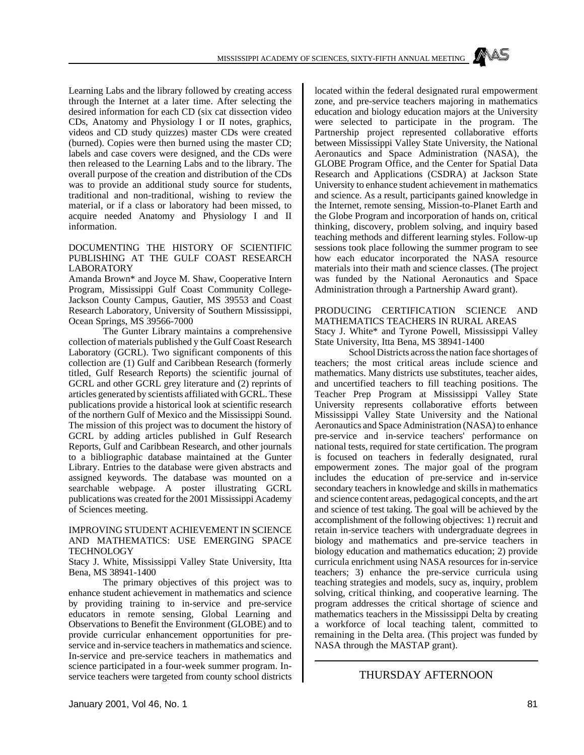Learning Labs and the library followed by creating access through the Internet at a later time. After selecting the desired information for each CD (six cat dissection video CDs, Anatomy and Physiology I or II notes, graphics, videos and CD study quizzes) master CDs were created (burned). Copies were then burned using the master CD; labels and case covers were designed, and the CDs were then released to the Learning Labs and to the library. The overall purpose of the creation and distribution of the CDs was to provide an additional study source for students, traditional and non-traditional, wishing to review the material, or if a class or laboratory had been missed, to acquire needed Anatomy and Physiology I and II information.

#### DOCUMENTING THE HISTORY OF SCIENTIFIC PUBLISHING AT THE GULF COAST RESEARCH LABORATORY

Amanda Brown\* and Joyce M. Shaw, Cooperative Intern Program, Mississippi Gulf Coast Community College-Jackson County Campus, Gautier, MS 39553 and Coast Research Laboratory, University of Southern Mississippi, Ocean Springs, MS 39566-7000

The Gunter Library maintains a comprehensive collection of materials published y the Gulf Coast Research Laboratory (GCRL). Two significant components of this collection are (1) Gulf and Caribbean Research (formerly titled, Gulf Research Reports) the scientific journal of GCRL and other GCRL grey literature and (2) reprints of articles generated by scientists affiliated with GCRL. These publications provide a historical look at scientific research of the northern Gulf of Mexico and the Mississippi Sound. The mission of this project was to document the history of GCRL by adding articles published in Gulf Research Reports, Gulf and Caribbean Research, and other journals to a bibliographic database maintained at the Gunter Library. Entries to the database were given abstracts and assigned keywords. The database was mounted on a searchable webpage. A poster illustrating GCRL publications was created for the 2001 Mississippi Academy of Sciences meeting.

#### IMPROVING STUDENT ACHIEVEMENT IN SCIENCE AND MATHEMATICS: USE EMERGING SPACE **TECHNOLOGY**

Stacy J. White, Mississippi Valley State University, Itta Bena, MS 38941-1400

The primary objectives of this project was to enhance student achievement in mathematics and science by providing training to in-service and pre-service educators in remote sensing, Global Learning and Observations to Benefit the Environment (GLOBE) and to provide curricular enhancement opportunities for preservice and in-service teachers in mathematics and science. In-service and pre-service teachers in mathematics and science participated in a four-week summer program. Inservice teachers were targeted from county school districts located within the federal designated rural empowerment zone, and pre-service teachers majoring in mathematics education and biology education majors at the University were selected to participate in the program. The Partnership project represented collaborative efforts between Mississippi Valley State University, the National Aeronautics and Space Administration (NASA), the GLOBE Program Office, and the Center for Spatial Data Research and Applications (CSDRA) at Jackson State University to enhance student achievement in mathematics and science. As a result, participants gained knowledge in the Internet, remote sensing, Mission-to-Planet Earth and the Globe Program and incorporation of hands on, critical thinking, discovery, problem solving, and inquiry based teaching methods and different learning styles. Follow-up sessions took place following the summer program to see how each educator incorporated the NASA resource materials into their math and science classes. (The project was funded by the National Aeronautics and Space Administration through a Partnership Award grant).

PRODUCING CERTIFICATION SCIENCE AND MATHEMATICS TEACHERS IN RURAL AREAS Stacy J. White\* and Tyrone Powell, Mississippi Valley State University, Itta Bena, MS 38941-1400

School Districts across the nation face shortages of teachers; the most critical areas include science and mathematics. Many districts use substitutes, teacher aides, and uncertified teachers to fill teaching positions. The Teacher Prep Program at Mississippi Valley State University represents collaborative efforts between Mississippi Valley State University and the National Aeronautics and Space Administration (NASA) to enhance pre-service and in-service teachers' performance on national tests, required for state certification. The program is focused on teachers in federally designated, rural empowerment zones. The major goal of the program includes the education of pre-service and in-service secondary teachers in knowledge and skills in mathematics and science content areas, pedagogical concepts, and the art and science of test taking. The goal will be achieved by the accomplishment of the following objectives: 1) recruit and retain in-service teachers with undergraduate degrees in biology and mathematics and pre-service teachers in biology education and mathematics education; 2) provide curricula enrichment using NASA resources for in-service teachers; 3) enhance the pre-service curricula using teaching strategies and models, sucy as, inquiry, problem solving, critical thinking, and cooperative learning. The program addresses the critical shortage of science and mathematics teachers in the Mississippi Delta by creating a workforce of local teaching talent, committed to remaining in the Delta area. (This project was funded by NASA through the MASTAP grant).

# THURSDAY AFTERNOON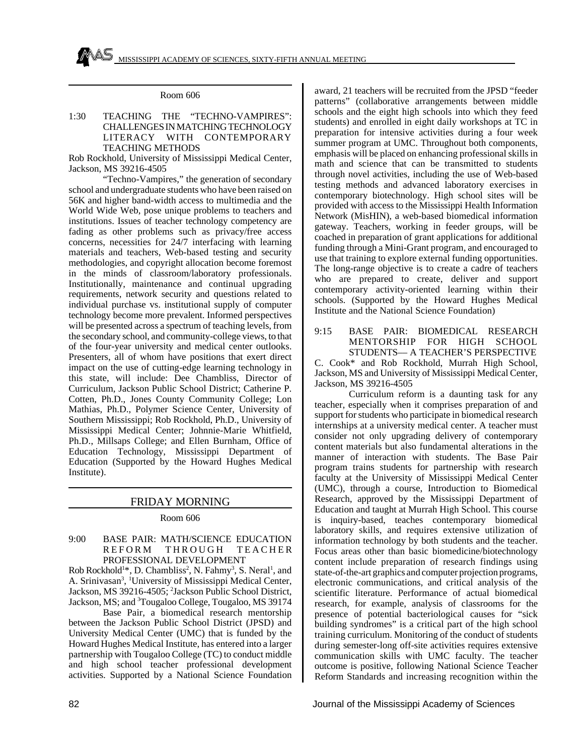#### Room 606

## 1:30 TEACHING THE "TECHNO-VAMPIRES": CHALLENGES IN MATCHING TECHNOLOGY LITERACY WITH CONTEMPORARY TEACHING METHODS

Rob Rockhold, University of Mississippi Medical Center, Jackson, MS 39216-4505

"Techno-Vampires," the generation of secondary school and undergraduate students who have been raised on 56K and higher band-width access to multimedia and the World Wide Web, pose unique problems to teachers and institutions. Issues of teacher technology competency are fading as other problems such as privacy/free access concerns, necessities for 24/7 interfacing with learning materials and teachers, Web-based testing and security methodologies, and copyright allocation become foremost in the minds of classroom/laboratory professionals. Institutionally, maintenance and continual upgrading requirements, network security and questions related to individual purchase vs. institutional supply of computer technology become more prevalent. Informed perspectives will be presented across a spectrum of teaching levels, from the secondary school, and community-college views, to that of the four-year university and medical center outlooks. Presenters, all of whom have positions that exert direct impact on the use of cutting-edge learning technology in this state, will include: Dee Chambliss, Director of Curriculum, Jackson Public School District; Catherine P. Cotten, Ph.D., Jones County Community College; Lon Mathias, Ph.D., Polymer Science Center, University of Southern Mississippi; Rob Rockhold, Ph.D., University of Mississippi Medical Center; Johnnie-Marie Whitfield, Ph.D., Millsaps College; and Ellen Burnham, Office of Education Technology, Mississippi Department of Education (Supported by the Howard Hughes Medical Institute).

# FRIDAY MORNING

#### Room 606

#### 9:00 BASE PAIR: MATH/SCIENCE EDUCATION<br>REFORM THROUGH TEACHER THROUGH PROFESSIONAL DEVELOPMENT

Rob Rockhold<sup>1\*</sup>, D. Chambliss<sup>2</sup>, N. Fahmy<sup>3</sup>, S. Neral<sup>1</sup>, and A. Srinivasan<sup>3</sup>, <sup>1</sup>University of Mississippi Medical Center, Jackson, MS 39216-4505; <sup>2</sup> Jackson Public School District, Jackson, MS; and <sup>3</sup>Tougaloo College, Tougaloo, MS 39174

Base Pair, a biomedical research mentorship between the Jackson Public School District (JPSD) and University Medical Center (UMC) that is funded by the Howard Hughes Medical Institute, has entered into a larger partnership with Tougaloo College (TC) to conduct middle and high school teacher professional development activities. Supported by a National Science Foundation award, 21 teachers will be recruited from the JPSD "feeder patterns" (collaborative arrangements between middle schools and the eight high schools into which they feed students) and enrolled in eight daily workshops at TC in preparation for intensive activities during a four week summer program at UMC. Throughout both components, emphasis will be placed on enhancing professional skills in math and science that can be transmitted to students through novel activities, including the use of Web-based testing methods and advanced laboratory exercises in contemporary biotechnology. High school sites will be provided with access to the Mississippi Health Information Network (MisHIN), a web-based biomedical information gateway. Teachers, working in feeder groups, will be coached in preparation of grant applications for additional funding through a Mini-Grant program, and encouraged to use that training to explore external funding opportunities. The long-range objective is to create a cadre of teachers who are prepared to create, deliver and support contemporary activity-oriented learning within their schools. (Supported by the Howard Hughes Medical Institute and the National Science Foundation)

9:15 BASE PAIR: BIOMEDICAL RESEARCH MENTORSHIP FOR HIGH SCHOOL STUDENTS–– A TEACHER'S PERSPECTIVE

C. Cook\* and Rob Rockhold, Murrah High School, Jackson, MS and University of Mississippi Medical Center, Jackson, MS 39216-4505

Curriculum reform is a daunting task for any teacher, especially when it comprises preparation of and support for students who participate in biomedical research internships at a university medical center. A teacher must consider not only upgrading delivery of contemporary content materials but also fundamental alterations in the manner of interaction with students. The Base Pair program trains students for partnership with research faculty at the University of Mississippi Medical Center (UMC), through a course, Introduction to Biomedical Research, approved by the Mississippi Department of Education and taught at Murrah High School. This course is inquiry-based, teaches contemporary biomedical laboratory skills, and requires extensive utilization of information technology by both students and the teacher. Focus areas other than basic biomedicine/biotechnology content include preparation of research findings using state-of-the-art graphics and computer projection programs, electronic communications, and critical analysis of the scientific literature. Performance of actual biomedical research, for example, analysis of classrooms for the presence of potential bacteriological causes for "sick building syndromes" is a critical part of the high school training curriculum. Monitoring of the conduct of students during semester-long off-site activities requires extensive communication skills with UMC faculty. The teacher outcome is positive, following National Science Teacher Reform Standards and increasing recognition within the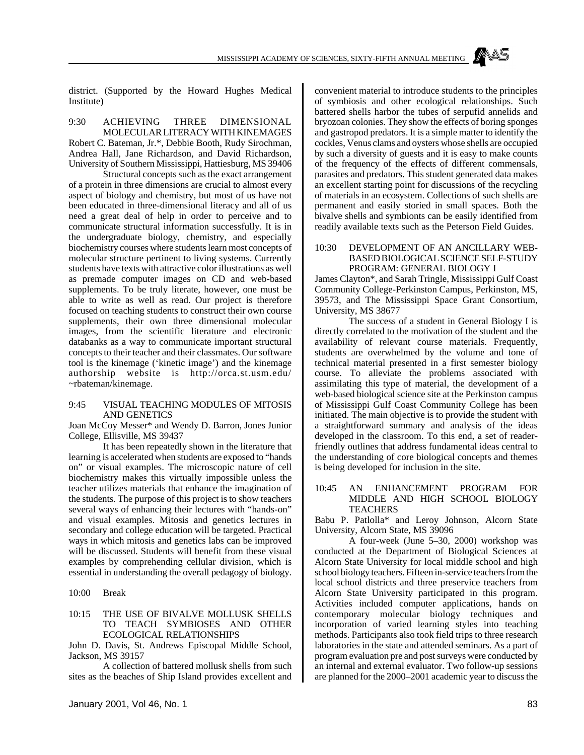district. (Supported by the Howard Hughes Medical Institute)

#### 9:30 ACHIEVING THREE DIMENSIONAL MOLECULAR LITERACY WITH KINEMAGES

Robert C. Bateman, Jr.\*, Debbie Booth, Rudy Sirochman, Andrea Hall, Jane Richardson, and David Richardson, University of Southern Mississippi, Hattiesburg, MS 39406

Structural concepts such as the exact arrangement of a protein in three dimensions are crucial to almost every aspect of biology and chemistry, but most of us have not been educated in three-dimensional literacy and all of us need a great deal of help in order to perceive and to communicate structural information successfully. It is in the undergraduate biology, chemistry, and especially biochemistry courses where students learn most concepts of molecular structure pertinent to living systems. Currently students have texts with attractive color illustrations as well as premade computer images on CD and web-based supplements. To be truly literate, however, one must be able to write as well as read. Our project is therefore focused on teaching students to construct their own course supplements, their own three dimensional molecular images, from the scientific literature and electronic databanks as a way to communicate important structural concepts to their teacher and their classmates. Our software tool is the kinemage ('kinetic image') and the kinemage authorship website is http://orca.st.usm.edu/ ~rbateman/kinemage.

#### 9:45 VISUAL TEACHING MODULES OF MITOSIS AND GENETICS

Joan McCoy Messer\* and Wendy D. Barron, Jones Junior College, Ellisville, MS 39437

It has been repeatedly shown in the literature that learning is accelerated when students are exposed to "hands on" or visual examples. The microscopic nature of cell biochemistry makes this virtually impossible unless the teacher utilizes materials that enhance the imagination of the students. The purpose of this project is to show teachers several ways of enhancing their lectures with "hands-on" and visual examples. Mitosis and genetics lectures in secondary and college education will be targeted. Practical ways in which mitosis and genetics labs can be improved will be discussed. Students will benefit from these visual examples by comprehending cellular division, which is essential in understanding the overall pedagogy of biology.

10:00 Break

10:15 THE USE OF BIVALVE MOLLUSK SHELLS TO TEACH SYMBIOSES AND OTHER ECOLOGICAL RELATIONSHIPS

John D. Davis, St. Andrews Episcopal Middle School, Jackson, MS 39157

A collection of battered mollusk shells from such sites as the beaches of Ship Island provides excellent and

convenient material to introduce students to the principles of symbiosis and other ecological relationships. Such battered shells harbor the tubes of serpufid annelids and bryozoan colonies. They show the effects of boring sponges and gastropod predators. It is a simple matter to identify the cockles, Venus clams and oysters whose shells are occupied by such a diversity of guests and it is easy to make counts of the frequency of the effects of different commensals, parasites and predators. This student generated data makes an excellent starting point for discussions of the recycling of materials in an ecosystem. Collections of such shells are permanent and easily storied in small spaces. Both the bivalve shells and symbionts can be easily identified from readily available texts such as the Peterson Field Guides.

#### 10:30 DEVELOPMENT OF AN ANCILLARY WEB-BASED BIOLOGICAL SCIENCE SELF-STUDY PROGRAM: GENERAL BIOLOGY I

James Clayton\*, and Sarah Tringle, Mississippi Gulf Coast Community College-Perkinston Campus, Perkinston, MS, 39573, and The Mississippi Space Grant Consortium, University, MS 38677

The success of a student in General Biology I is directly correlated to the motivation of the student and the availability of relevant course materials. Frequently, students are overwhelmed by the volume and tone of technical material presented in a first semester biology course. To alleviate the problems associated with assimilating this type of material, the development of a web-based biological science site at the Perkinston campus of Mississippi Gulf Coast Community College has been initiated. The main objective is to provide the student with a straightforward summary and analysis of the ideas developed in the classroom. To this end, a set of readerfriendly outlines that address fundamental ideas central to the understanding of core biological concepts and themes is being developed for inclusion in the site.

## 10:45 AN ENHANCEMENT PROGRAM FOR MIDDLE AND HIGH SCHOOL BIOLOGY **TEACHERS**

Babu P. Patlolla\* and Leroy Johnson, Alcorn State University, Alcorn State, MS 39096

A four-week (June 5–30, 2000) workshop was conducted at the Department of Biological Sciences at Alcorn State University for local middle school and high school biology teachers. Fifteen in-service teachers from the local school districts and three preservice teachers from Alcorn State University participated in this program. Activities included computer applications, hands on contemporary molecular biology techniques and incorporation of varied learning styles into teaching methods. Participants also took field trips to three research laboratories in the state and attended seminars. As a part of program evaluation pre and post surveys were conducted by an internal and external evaluator. Two follow-up sessions are planned for the 2000–2001 academic year to discuss the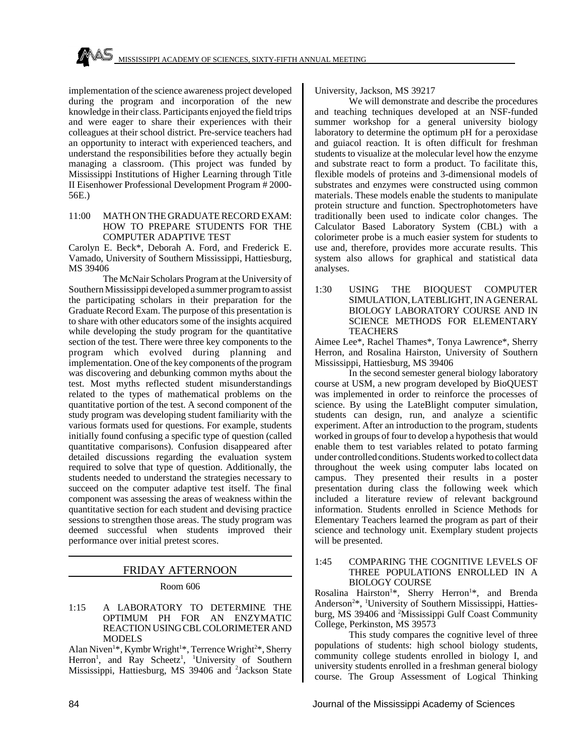implementation of the science awareness project developed during the program and incorporation of the new knowledge in their class. Participants enjoyed the field trips and were eager to share their experiences with their colleagues at their school district. Pre-service teachers had an opportunity to interact with experienced teachers, and understand the responsibilities before they actually begin managing a classroom. (This project was funded by Mississippi Institutions of Higher Learning through Title II Eisenhower Professional Development Program # 2000- 56E.)

#### 11:00 MATH ON THE GRADUATE RECORD EXAM: HOW TO PREPARE STUDENTS FOR THE COMPUTER ADAPTIVE TEST

Carolyn E. Beck\*, Deborah A. Ford, and Frederick E. Vamado, University of Southern Mississippi, Hattiesburg, MS 39406

The McNair Scholars Program at the University of Southern Mississippi developed a summer program to assist the participating scholars in their preparation for the Graduate Record Exam. The purpose of this presentation is to share with other educators some of the insights acquired while developing the study program for the quantitative section of the test. There were three key components to the program which evolved during planning and implementation. One of the key components of the program was discovering and debunking common myths about the test. Most myths reflected student misunderstandings related to the types of mathematical problems on the quantitative portion of the test. A second component of the study program was developing student familiarity with the various formats used for questions. For example, students initially found confusing a specific type of question (called quantitative comparisons). Confusion disappeared after detailed discussions regarding the evaluation system required to solve that type of question. Additionally, the students needed to understand the strategies necessary to succeed on the computer adaptive test itself. The final component was assessing the areas of weakness within the quantitative section for each student and devising practice sessions to strengthen those areas. The study program was deemed successful when students improved their performance over initial pretest scores.

# FRIDAY AFTERNOON

#### Room 606

1:15 A LABORATORY TO DETERMINE THE OPTIMUM PH FOR AN ENZYMATIC REACTION USING CBL COLORIMETER AND **MODELS** 

Alan Niven<sup>1\*</sup>, Kymbr Wright<sup>1\*</sup>, Terrence Wright<sup>2\*</sup>, Sherry Herron<sup>1</sup>, and Ray Scheetz<sup>1</sup>, <sup>1</sup>University of Southern Mississippi, Hattiesburg, MS 39406 and <sup>2</sup>Jackson State University, Jackson, MS 39217

We will demonstrate and describe the procedures and teaching techniques developed at an NSF-funded summer workshop for a general university biology laboratory to determine the optimum pH for a peroxidase and guiacol reaction. It is often difficult for freshman students to visualize at the molecular level how the enzyme and substrate react to form a product. To facilitate this, flexible models of proteins and 3-dimensional models of substrates and enzymes were constructed using common materials. These models enable the students to manipulate protein structure and function. Spectrophotometers have traditionally been used to indicate color changes. The Calculator Based Laboratory System (CBL) with a colorimeter probe is a much easier system for students to use and, therefore, provides more accurate results. This system also allows for graphical and statistical data analyses.

1:30 USING THE BIOQUEST COMPUTER SIMULATION, LATEBLIGHT, IN A GENERAL BIOLOGY LABORATORY COURSE AND IN SCIENCE METHODS FOR ELEMENTARY **TEACHERS** 

Aimee Lee\*, Rachel Thames\*, Tonya Lawrence\*, Sherry Herron, and Rosalina Hairston, University of Southern Mississippi, Hattiesburg, MS 39406

In the second semester general biology laboratory course at USM, a new program developed by BioQUEST was implemented in order to reinforce the processes of science. By using the LateBlight computer simulation, students can design, run, and analyze a scientific experiment. After an introduction to the program, students worked in groups of four to develop a hypothesis that would enable them to test variables related to potato farming under controlled conditions. Students worked to collect data throughout the week using computer labs located on campus. They presented their results in a poster presentation during class the following week which included a literature review of relevant background information. Students enrolled in Science Methods for Elementary Teachers learned the program as part of their science and technology unit. Exemplary student projects will be presented.

#### 1:45 COMPARING THE COGNITIVE LEVELS OF THREE POPULATIONS ENROLLED IN A BIOLOGY COURSE

Rosalina Hairston<sup>1\*</sup>, Sherry Herron<sup>1\*</sup>, and Brenda Anderson<sup>2\*</sup>, <sup>1</sup>University of Southern Mississippi, Hattiesburg, MS 39406 and <sup>2</sup>Mississippi Gulf Coast Community College, Perkinston, MS 39573

This study compares the cognitive level of three populations of students: high school biology students, community college students enrolled in biology I, and university students enrolled in a freshman general biology course. The Group Assessment of Logical Thinking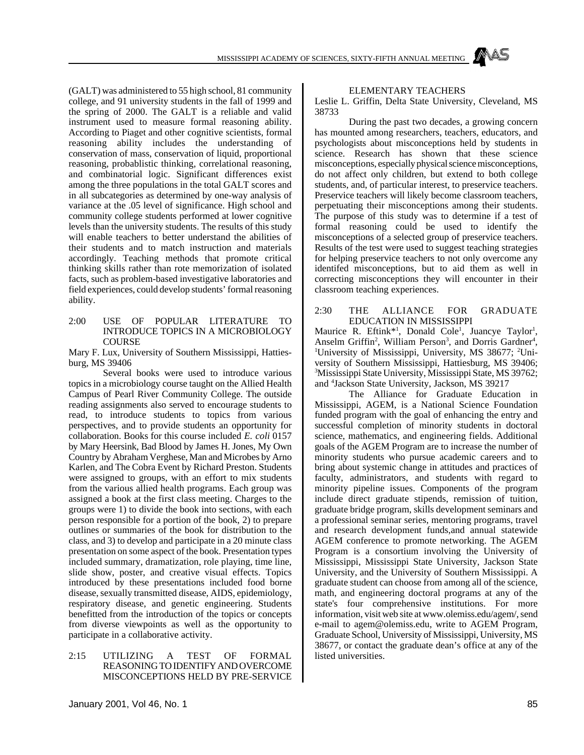(GALT) was administered to 55 high school, 81 community college, and 91 university students in the fall of 1999 and the spring of 2000. The GALT is a reliable and valid instrument used to measure formal reasoning ability. According to Piaget and other cognitive scientists, formal reasoning ability includes the understanding of conservation of mass, conservation of liquid, proportional reasoning, probablistic thinking, correlational reasoning, and combinatorial logic. Significant differences exist among the three populations in the total GALT scores and in all subcategories as determined by one-way analysis of variance at the .05 level of significance. High school and community college students performed at lower cognitive levels than the university students. The results of this study will enable teachers to better understand the abilities of their students and to match instruction and materials accordingly. Teaching methods that promote critical thinking skills rather than rote memorization of isolated facts, such as problem-based investigative laboratories and field experiences, could develop students' formal reasoning ability.

2:00 USE OF POPULAR LITERATURE TO INTRODUCE TOPICS IN A MICROBIOLOGY **COURSE** 

Mary F. Lux, University of Southern Mississippi, Hattiesburg, MS 39406

Several books were used to introduce various topics in a microbiology course taught on the Allied Health Campus of Pearl River Community College. The outside reading assignments also served to encourage students to read, to introduce students to topics from various perspectives, and to provide students an opportunity for collaboration. Books for this course included *E. coli* 0157 by Mary Heersink, Bad Blood by James H. Jones, My Own Country by Abraham Verghese, Man and Microbes by Arno Karlen, and The Cobra Event by Richard Preston. Students were assigned to groups, with an effort to mix students from the various allied health programs. Each group was assigned a book at the first class meeting. Charges to the groups were 1) to divide the book into sections, with each person responsible for a portion of the book, 2) to prepare outlines or summaries of the book for distribution to the class, and 3) to develop and participate in a 20 minute class presentation on some aspect of the book. Presentation types included summary, dramatization, role playing, time line, slide show, poster, and creative visual effects. Topics introduced by these presentations included food borne disease, sexually transmitted disease, AIDS, epidemiology, respiratory disease, and genetic engineering. Students benefitted from the introduction of the topics or concepts from diverse viewpoints as well as the opportunity to participate in a collaborative activity.

2:15 UTILIZING A TEST OF FORMAL REASONING TO IDENTIFY AND OVERCOME MISCONCEPTIONS HELD BY PRE-SERVICE

#### ELEMENTARY TEACHERS

Leslie L. Griffin, Delta State University, Cleveland, MS 38733

During the past two decades, a growing concern has mounted among researchers, teachers, educators, and psychologists about misconceptions held by students in science. Research has shown that these science misconceptions, especially physical science misconceptions, do not affect only children, but extend to both college students, and, of particular interest, to preservice teachers. Preservice teachers will likely become classroom teachers, perpetuating their misconceptions among their students. The purpose of this study was to determine if a test of formal reasoning could be used to identify the misconceptions of a selected group of preservice teachers. Results of the test were used to suggest teaching strategies for helping preservice teachers to not only overcome any identifed misconceptions, but to aid them as well in correcting misconceptions they will encounter in their classroom teaching experiences.

#### 2:30 THE ALLIANCE FOR GRADUATE EDUCATION IN MISSISSIPPI

Maurice R. Eftink<sup>\*1</sup>, Donald Cole<sup>1</sup>, Juancye Taylor<sup>1</sup>, Anselm Griffin<sup>2</sup>, William Person<sup>3</sup>, and Dorris Gardner<sup>4</sup>, <sup>1</sup>University of Mississippi, University, MS 38677; <sup>2</sup>University of Southern Mississippi, Hattiesburg, MS 39406; <sup>3</sup>Mississippi State University, Mississippi State, MS 39762; and <sup>4</sup> Jackson State University, Jackson, MS 39217

The Alliance for Graduate Education in Mississippi, AGEM, is a National Science Foundation funded program with the goal of enhancing the entry and successful completion of minority students in doctoral science, mathematics, and engineering fields. Additional goals of the AGEM Program are to increase the number of minority students who pursue academic careers and to bring about systemic change in attitudes and practices of faculty, administrators, and students with regard to minority pipeline issues. Components of the program include direct graduate stipends, remission of tuition, graduate bridge program, skills development seminars and a professional seminar series, mentoring programs, travel and research development funds,and annual statewide AGEM conference to promote networking. The AGEM Program is a consortium involving the University of Mississippi, Mississippi State University, Jackson State University, and the University of Southern Mississippi. A graduate student can choose from among all of the science, math, and engineering doctoral programs at any of the state's four comprehensive institutions. For more information, visit web site at www.olemiss.edu/agem/, send e-mail to agem@olemiss.edu, write to AGEM Program, Graduate School, University of Mississippi, University, MS 38677, or contact the graduate dean's office at any of the listed universities.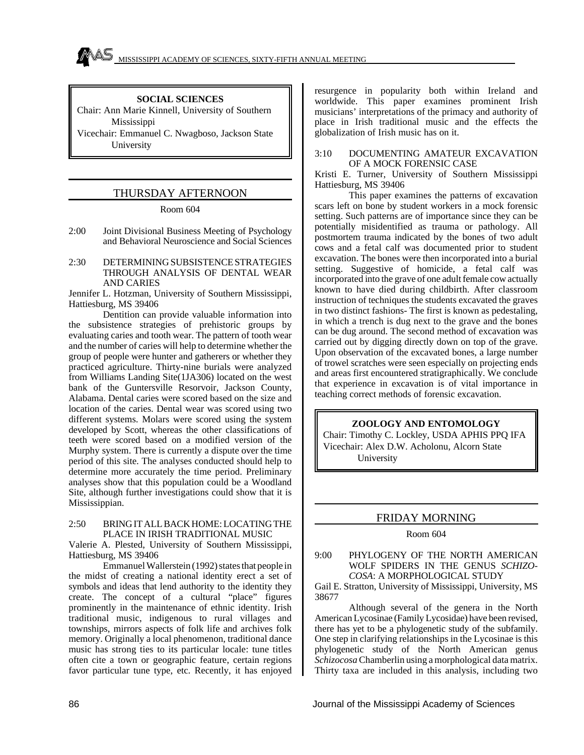# **SOCIAL SCIENCES**

Chair: Ann Marie Kinnell, University of Southern Mississippi Vicechair: Emmanuel C. Nwagboso, Jackson State

University

# THURSDAY AFTERNOON

## Room 604

- 2:00 Joint Divisional Business Meeting of Psychology and Behavioral Neuroscience and Social Sciences
- 2:30 DETERMINING SUBSISTENCE STRATEGIES THROUGH ANALYSIS OF DENTAL WEAR AND CARIES

Jennifer L. Hotzman, University of Southern Mississippi, Hattiesburg, MS 39406

Dentition can provide valuable information into the subsistence strategies of prehistoric groups by evaluating caries and tooth wear. The pattern of tooth wear and the number of caries will help to determine whether the group of people were hunter and gatherers or whether they practiced agriculture. Thirty-nine burials were analyzed from Williams Landing Site(1JA306) located on the west bank of the Guntersville Resorvoir, Jackson County, Alabama. Dental caries were scored based on the size and location of the caries. Dental wear was scored using two different systems. Molars were scored using the system developed by Scott, whereas the other classifications of teeth were scored based on a modified version of the Murphy system. There is currently a dispute over the time period of this site. The analyses conducted should help to determine more accurately the time period. Preliminary analyses show that this population could be a Woodland Site, although further investigations could show that it is Mississippian.

#### 2:50 BRING IT ALL BACK HOME: LOCATING THE PLACE IN IRISH TRADITIONAL MUSIC

Valerie A. Plested, University of Southern Mississippi, Hattiesburg, MS 39406

Emmanuel Wallerstein (1992) states that people in the midst of creating a national identity erect a set of symbols and ideas that lend authority to the identity they create. The concept of a cultural "place" figures prominently in the maintenance of ethnic identity. Irish traditional music, indigenous to rural villages and townships, mirrors aspects of folk life and archives folk memory. Originally a local phenomenon, traditional dance music has strong ties to its particular locale: tune titles often cite a town or geographic feature, certain regions favor particular tune type, etc. Recently, it has enjoyed resurgence in popularity both within Ireland and worldwide. This paper examines prominent Irish musicians' interpretations of the primacy and authority of place in Irish traditional music and the effects the globalization of Irish music has on it.

#### 3:10 DOCUMENTING AMATEUR EXCAVATION OF A MOCK FORENSIC CASE

Kristi E. Turner, University of Southern Mississippi Hattiesburg, MS 39406

This paper examines the patterns of excavation scars left on bone by student workers in a mock forensic setting. Such patterns are of importance since they can be potentially misidentified as trauma or pathology. All postmortem trauma indicated by the bones of two adult cows and a fetal calf was documented prior to student excavation. The bones were then incorporated into a burial setting. Suggestive of homicide, a fetal calf was incorporated into the grave of one adult female cow actually known to have died during childbirth. After classroom instruction of techniques the students excavated the graves in two distinct fashions- The first is known as pedestaling, in which a trench is dug next to the grave and the bones can be dug around. The second method of excavation was carried out by digging directly down on top of the grave. Upon observation of the excavated bones, a large number of trowel scratches were seen especially on projecting ends and areas first encountered stratigraphically. We conclude that experience in excavation is of vital importance in teaching correct methods of forensic excavation.

# **ZOOLOGY AND ENTOMOLOGY**

Chair: Timothy C. Lockley, USDA APHIS PPQ IFA Vicechair: Alex D.W. Acholonu, Alcorn State University

# FRIDAY MORNING

#### Room 604

#### 9:00 PHYLOGENY OF THE NORTH AMERICAN WOLF SPIDERS IN THE GENUS *SCHIZO-COSA*: A MORPHOLOGICAL STUDY

Gail E. Stratton, University of Mississippi, University, MS 38677

Although several of the genera in the North American Lycosinae (Family Lycosidae) have been revised, there has yet to be a phylogenetic study of the subfamily. One step in clarifying relationships in the Lycosinae is this phylogenetic study of the North American genus *Schizocosa* Chamberlin using a morphological data matrix. Thirty taxa are included in this analysis, including two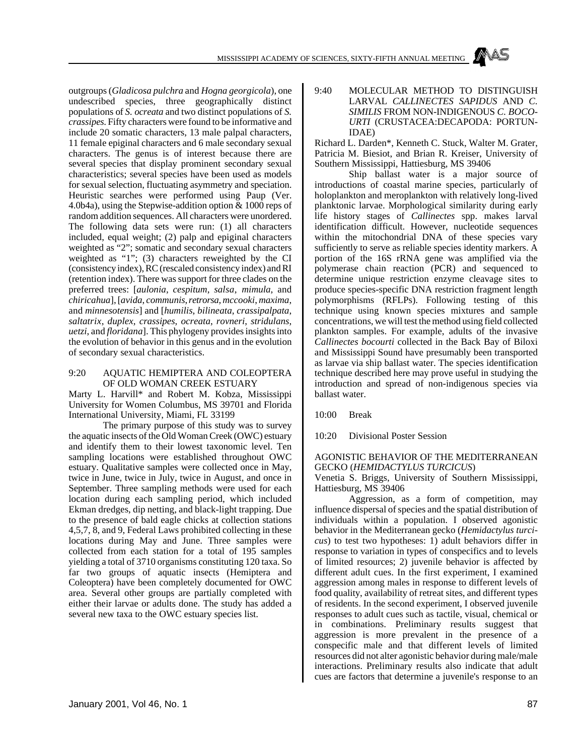outgroups (*Gladicosa pulchra* and *Hogna georgicola*), one undescribed species, three geographically distinct populations of *S. ocreata* and two distinct populations of *S. crassipes*. Fifty characters were found to be informative and include 20 somatic characters, 13 male palpal characters, 11 female epiginal characters and 6 male secondary sexual characters. The genus is of interest because there are several species that display prominent secondary sexual characteristics; several species have been used as models for sexual selection, fluctuating asymmetry and speciation. Heuristic searches were performed using Paup (Ver. 4.0b4a), using the Stepwise-addition option & 1000 reps of random addition sequences. All characters were unordered. The following data sets were run: (1) all characters included, equal weight; (2) palp and epiginal characters weighted as "2"; somatic and secondary sexual characters weighted as "1"; (3) characters reweighted by the CI (consistency index), RC (rescaled consistency index) and RI (retention index). There was support for three clades on the preferred trees: [*aulonia*, *cespitum*, *salsa*, *mimula*, and *chiricahua*], [*avida*, *communis*, *retrorsa*, *mccooki*, *maxima*, and *minnesotensis*] and [*humilis*, *bilineata*, *crassipalpata*, *saltatrix*, *duplex*, *crassipes*, *ocreata*, *rovneri*, *stridulans*, *uetzi*, and *floridana*]. This phylogeny provides insights into the evolution of behavior in this genus and in the evolution of secondary sexual characteristics.

#### 9:20 AQUATIC HEMIPTERA AND COLEOPTERA OF OLD WOMAN CREEK ESTUARY

Marty L. Harvill\* and Robert M. Kobza, Mississippi University for Women Columbus, MS 39701 and Florida International University, Miami, FL 33199

The primary purpose of this study was to survey the aquatic insects of the Old Woman Creek (OWC) estuary and identify them to their lowest taxonomic level. Ten sampling locations were established throughout OWC estuary. Qualitative samples were collected once in May, twice in June, twice in July, twice in August, and once in September. Three sampling methods were used for each location during each sampling period, which included Ekman dredges, dip netting, and black-light trapping. Due to the presence of bald eagle chicks at collection stations 4,5,7, 8, and 9, Federal Laws prohibited collecting in these locations during May and June. Three samples were collected from each station for a total of 195 samples yielding a total of 3710 organisms constituting 120 taxa. So far two groups of aquatic insects (Hemiptera and Coleoptera) have been completely documented for OWC area. Several other groups are partially completed with either their larvae or adults done. The study has added a several new taxa to the OWC estuary species list.

9:40 MOLECULAR METHOD TO DISTINGUISH LARVAL *CALLINECTES SAPIDUS* AND *C. SIMILIS* FROM NON-INDIGENOUS *C. BOCO-URTI* (CRUSTACEA:DECAPODA: PORTUN-IDAE)

Richard L. Darden\*, Kenneth C. Stuck, Walter M. Grater, Patricia M. Biesiot, and Brian R. Kreiser, University of Southern Mississippi, Hattiesburg, MS 39406

Ship ballast water is a major source of introductions of coastal marine species, particularly of holoplankton and meroplankton with relatively long-lived planktonic larvae. Morphological similarity during early life history stages of *Callinectes* spp. makes larval identification difficult. However, nucleotide sequences within the mitochondrial DNA of these species vary sufficiently to serve as reliable species identity markers. A portion of the 16S rRNA gene was amplified via the polymerase chain reaction (PCR) and sequenced to determine unique restriction enzyme cleavage sites to produce species-specific DNA restriction fragment length polymorphisms (RFLPs). Following testing of this technique using known species mixtures and sample concentrations, we will test the method using field collected plankton samples. For example, adults of the invasive *Callinectes bocourti* collected in the Back Bay of Biloxi and Mississippi Sound have presumably been transported as larvae via ship ballast water. The species identification technique described here may prove useful in studying the introduction and spread of non-indigenous species via ballast water.

10:00 Break

10:20 Divisional Poster Session

# AGONISTIC BEHAVIOR OF THE MEDITERRANEAN GECKO (*HEMIDACTYLUS TURCICUS*)

Venetia S. Briggs, University of Southern Mississippi, Hattiesburg, MS 39406

Aggression, as a form of competition, may influence dispersal of species and the spatial distribution of individuals within a population. I observed agonistic behavior in the Mediterranean gecko (*Hemidactylus turcicus*) to test two hypotheses: 1) adult behaviors differ in response to variation in types of conspecifics and to levels of limited resources; 2) juvenile behavior is affected by different adult cues. In the first experiment, I examined aggression among males in response to different levels of food quality, availability of retreat sites, and different types of residents. In the second experiment, I observed juvenile responses to adult cues such as tactile, visual, chemical or in combinations. Preliminary results suggest that aggression is more prevalent in the presence of a conspecific male and that different levels of limited resources did not alter agonistic behavior during male/male interactions. Preliminary results also indicate that adult cues are factors that determine a juvenile's response to an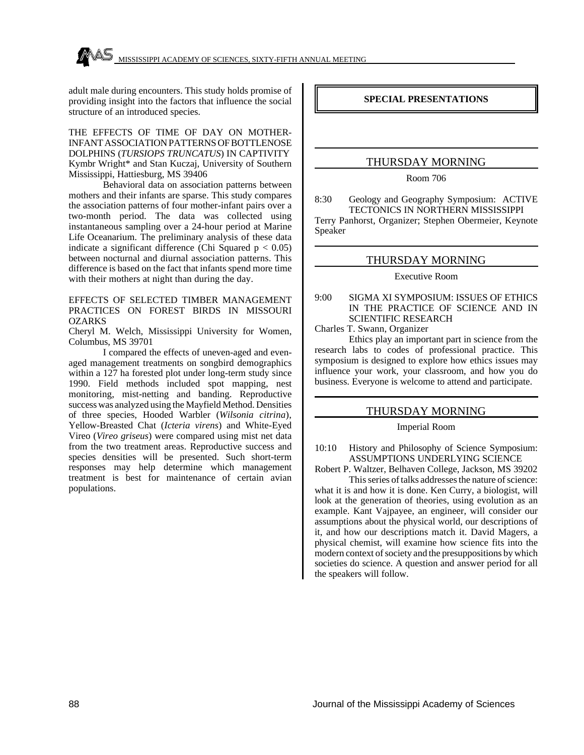adult male during encounters. This study holds promise of providing insight into the factors that influence the social structure of an introduced species.

THE EFFECTS OF TIME OF DAY ON MOTHER-INFANT ASSOCIATION PATTERNS OF BOTTLENOSE DOLPHINS (*TURSIOPS TRUNCATUS*) IN CAPTIVITY Kymbr Wright\* and Stan Kuczaj, University of Southern Mississippi, Hattiesburg, MS 39406

Behavioral data on association patterns between mothers and their infants are sparse. This study compares the association patterns of four mother-infant pairs over a two-month period. The data was collected using instantaneous sampling over a 24-hour period at Marine Life Oceanarium. The preliminary analysis of these data indicate a significant difference (Chi Squared  $p < 0.05$ ) between nocturnal and diurnal association patterns. This difference is based on the fact that infants spend more time with their mothers at night than during the day.

EFFECTS OF SELECTED TIMBER MANAGEMENT PRACTICES ON FOREST BIRDS IN MISSOURI **OZARKS** 

Cheryl M. Welch, Mississippi University for Women, Columbus, MS 39701

I compared the effects of uneven-aged and evenaged management treatments on songbird demographics within a 127 ha forested plot under long-term study since 1990. Field methods included spot mapping, nest monitoring, mist-netting and banding. Reproductive success was analyzed using the Mayfield Method. Densities of three species, Hooded Warbler (*Wilsonia citrina*), Yellow-Breasted Chat (*Icteria virens*) and White-Eyed Vireo (*Vireo griseus*) were compared using mist net data from the two treatment areas. Reproductive success and species densities will be presented. Such short-term responses may help determine which management treatment is best for maintenance of certain avian populations.

# **SPECIAL PRESENTATIONS**

# THURSDAY MORNING

## Room 706

8:30 Geology and Geography Symposium: ACTIVE TECTONICS IN NORTHERN MISSISSIPPI

Terry Panhorst, Organizer; Stephen Obermeier, Keynote Speaker

# THURSDAY MORNING

# Executive Room

# 9:00 SIGMA XI SYMPOSIUM: ISSUES OF ETHICS IN THE PRACTICE OF SCIENCE AND IN SCIENTIFIC RESEARCH

Charles T. Swann, Organizer

Ethics play an important part in science from the research labs to codes of professional practice. This symposium is designed to explore how ethics issues may influence your work, your classroom, and how you do business. Everyone is welcome to attend and participate.

# THURSDAY MORNING

#### Imperial Room

10:10 History and Philosophy of Science Symposium: ASSUMPTIONS UNDERLYING SCIENCE

Robert P. Waltzer, Belhaven College, Jackson, MS 39202

This series of talks addresses the nature of science: what it is and how it is done. Ken Curry, a biologist, will look at the generation of theories, using evolution as an example. Kant Vajpayee, an engineer, will consider our assumptions about the physical world, our descriptions of it, and how our descriptions match it. David Magers, a physical chemist, will examine how science fits into the modern context of society and the presuppositions by which societies do science. A question and answer period for all the speakers will follow.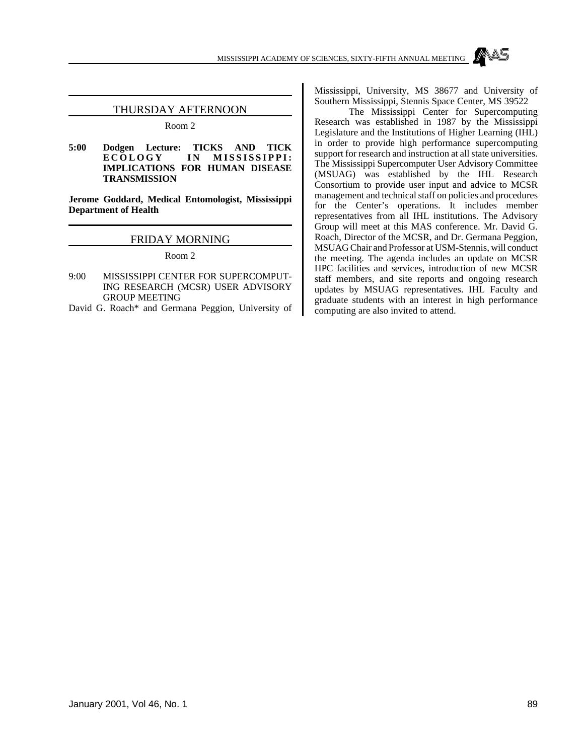

# THURSDAY AFTERNOON

Room 2

**5:00 Dodgen Lecture: TICKS AND TICK ECOLOGY IN MISSISSIPPI: IMPLICATIONS FOR HUMAN DISEASE TRANSMISSION**

**Jerome Goddard, Medical Entomologist, Mississippi Department of Health**

#### FRIDAY MORNING

#### Room 2

9:00 MISSISSIPPI CENTER FOR SUPERCOMPUT-ING RESEARCH (MCSR) USER ADVISORY GROUP MEETING

David G. Roach\* and Germana Peggion, University of

Mississippi, University, MS 38677 and University of Southern Mississippi, Stennis Space Center, MS 39522

The Mississippi Center for Supercomputing Research was established in 1987 by the Mississippi Legislature and the Institutions of Higher Learning (IHL) in order to provide high performance supercomputing support for research and instruction at all state universities. The Mississippi Supercomputer User Advisory Committee (MSUAG) was established by the IHL Research Consortium to provide user input and advice to MCSR management and technical staff on policies and procedures for the Center's operations. It includes member representatives from all IHL institutions. The Advisory Group will meet at this MAS conference. Mr. David G. Roach, Director of the MCSR, and Dr. Germana Peggion, MSUAG Chair and Professor at USM-Stennis, will conduct the meeting. The agenda includes an update on MCSR HPC facilities and services, introduction of new MCSR staff members, and site reports and ongoing research updates by MSUAG representatives. IHL Faculty and graduate students with an interest in high performance computing are also invited to attend.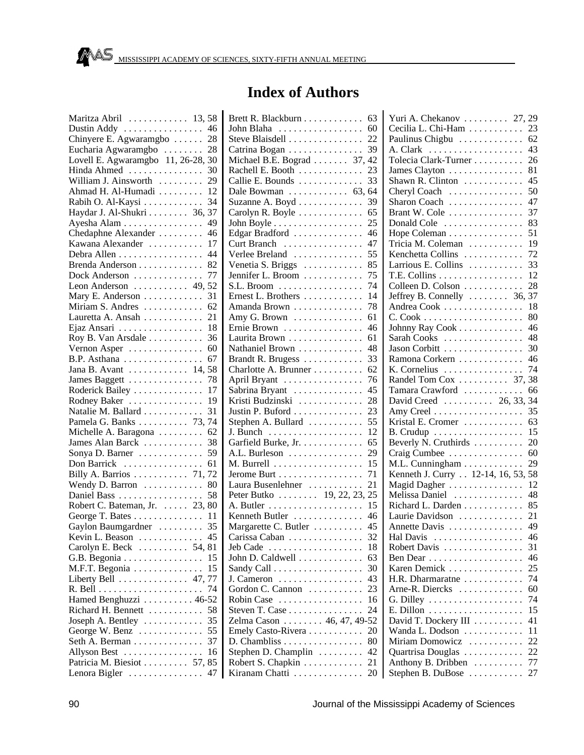

# **Index of Authors**

| Maritza Abril  13, 58                                                    |    |
|--------------------------------------------------------------------------|----|
| Dustin Addy                                                              | 46 |
| Chinyere E. Agwaramgbo                                                   | 28 |
| Eucharia Agwaramgbo                                                      | 28 |
| Lovell E. Agwaramgbo 11, 26-28,                                          | 30 |
| Hinda Ahmed                                                              | 30 |
| William J. Ainsworth                                                     | 29 |
| Ahmad H. Al-Humadi                                                       | 12 |
| Rabih O. Al-Kaysi                                                        | 34 |
|                                                                          |    |
| Haydar J. Al-Shukri 36, 37                                               |    |
| Ayesha Alam                                                              | 49 |
| Chedaphne Alexander                                                      | 46 |
| Kawana Alexander                                                         | 17 |
| Debra Allen                                                              | 44 |
| Brenda Anderson                                                          | 82 |
| Dock Anderson                                                            | 77 |
| Leon Anderson  49,                                                       | 52 |
| Mary E. Anderson                                                         | 31 |
| Miriam S. Andres                                                         | 62 |
| Lauretta A. Ansah                                                        | 21 |
| Ejaz Ansari<br>Roy B. Van Arsdale                                        | 18 |
|                                                                          | 36 |
|                                                                          | 60 |
| Vernon Asper<br>B.P. Asthana                                             | 67 |
| Jana B. Avant  14, 58                                                    |    |
| James Baggett                                                            | 78 |
| Roderick Bailey                                                          | 17 |
| Rodney Baker                                                             | 19 |
| Natalie M. Ballard                                                       | 31 |
| Pamela G. Banks 73,                                                      | 74 |
| Michelle A. Baragona                                                     | 62 |
| James Alan Barck                                                         | 38 |
|                                                                          | 59 |
| Sonya D. Barner                                                          |    |
| Don Barrick                                                              | 61 |
| Billy A. Barrios 71, 72                                                  |    |
| Wendy D. Barron                                                          | 80 |
| Daniel Bass                                                              | 58 |
| Robert C. Bateman, Jr. 23, 80                                            |    |
| George T. Bates                                                          | 11 |
| Gaylon Baumgardner                                                       | 35 |
| Kevin L. Beason<br>Carolyn E. Beck<br>Carolyn E. Beck<br>Carolyn E. Beck |    |
|                                                                          |    |
| G.B. Begonia                                                             | 15 |
| M.F.T. Begonia                                                           | 15 |
| Liberty Bell 47, 77                                                      |    |
|                                                                          | 74 |
| Hamed Benghuzzi 46-52                                                    |    |
| Richard H. Bennett                                                       | 58 |
| Joseph A. Bentley                                                        | 35 |
| George W. Benz                                                           | 55 |
| Seth A. Berman                                                           | 37 |
| Allyson Best                                                             | 16 |
| Patricia M. Biesiot  57, 85                                              |    |
| Lenora Bigler  47                                                        |    |
|                                                                          |    |

| Brett R. Blackburn                           | 63       |
|----------------------------------------------|----------|
|                                              |          |
| Steve Blaisdell                              | 22       |
| Catrina Bogan                                | 39       |
| Michael B.E. Bograd  37, 42                  |          |
| Rachell E. Booth                             | 23       |
| Callie E. Bounds                             | 33       |
| Dale Bowman  63, 64                          |          |
| Suzanne A. Boyd                              | 39       |
| Carolyn R. Boyle                             | 65       |
| John Boyle                                   | 25       |
| Edgar Bradford                               | 46       |
|                                              | 47       |
| Curt Branch<br>Verlee Breland                | 55       |
| Venetia S. Briggs                            | 85       |
| Jennifer L. Broom                            | 75       |
| S.L. Broom                                   | 74       |
| Ernest L. Brothers                           | 14       |
| Amanda Brown                                 | 78       |
| Amy G. Brown                                 | 61       |
| Ernie Brown                                  | 46       |
| Laurita Brown                                | 61       |
| Nathaniel Brown                              | 48       |
| Brandt R. Brugess                            | 33       |
| Charlotte A. Brunner                         | 62       |
| April Bryant                                 | 76       |
| Sabrina Bryant                               | 45       |
| Kristi Budzinski                             | 28       |
| Justin P. Buford                             | 23       |
| Stephen A. Bullard                           | 55       |
|                                              | 12       |
| Garfield Burke, Jr.                          | 65       |
| A.L. Burleson                                | 29       |
|                                              | 15       |
| M. Burrell<br>Jerome Burt                    | 71       |
|                                              | 21       |
| Laura Busenlehner                            |          |
| Peter Butko 19, 22, 23, 25                   | 15       |
| Kenneth Butler                               | 46       |
| Margarette C. Butler                         | 45       |
| Carissa Caban                                |          |
|                                              | 32       |
| Jeb Cade                                     | 18       |
| John D. Caldwell                             | 63       |
| Sandy Call                                   | 30       |
| $J.$ Cameron $\dots \dots \dots \dots \dots$ | 43       |
| Gordon C. Cannon                             | 23       |
| Robin Case                                   | 16       |
| Steven T. Case                               | 24       |
| Zelma Cason  46, 47, 49-52                   |          |
| Emely Casto-Rivera                           | 20       |
| D. Chambliss                                 |          |
|                                              | 80       |
| Stephen D. Champlin                          | 42       |
| Robert S. Chapkin<br>Kiranam Chatti          | 21<br>20 |

| Yuri A. Chekanov 27, 29                    |          |
|--------------------------------------------|----------|
| Cecilia L. Chi-Ham                         | 23       |
| Paulinus Chigbu                            | 62       |
|                                            | 43       |
| Tolecia Clark-Turner                       | 26       |
| James Clayton                              | 81       |
| Shawn R. Clinton                           | 45       |
|                                            | 50       |
| Cheryl Coach<br>Sharon Coach               | 47       |
| Brant W. Cole                              | 37       |
| Donald Cole                                | 83       |
| Hope Coleman                               | 51       |
| Tricia M. Coleman                          | 19       |
| Kenchetta Collins                          | 72       |
| Larrious E. Collins                        | 33       |
| T.E. Collins                               | 12       |
| Colleen D. Colson                          | 28       |
| Jeffrey B. Connelly $\ldots \ldots$ 36, 37 |          |
|                                            | 18       |
| Andrea Cook                                | 80       |
|                                            | 46       |
| Johnny Ray Cook                            |          |
| Sarah Cooks                                | 48       |
| Jason Corbitt                              | 30       |
| Ramona Corkern                             | 46       |
| K. Cornelius                               | 74       |
| Randel Tom Cox  37, 38                     |          |
| Tamara Crawford                            | 66       |
| David Creed $\dots \dots \dots$ 26, 33,    | 34       |
| Amy Creel                                  | 35       |
| Kristal E. Cromer                          | 63       |
| B. Crudup                                  | 15       |
| Beverly N. Cruthirds                       | 20       |
|                                            |          |
| Craig Cumbee                               | 60       |
|                                            | 29       |
| M.L. Cunningham                            |          |
| Kenneth J. Curry 12-14, 16, 53, 58         | 12       |
| Magid Dagher                               | 48       |
| Melissa Daniel                             | 85       |
| Richard L. Darden                          |          |
| Laurie Davidson                            | 21       |
| Annette Davis                              | 49       |
| Hal Davis<br>.                             | 46       |
| Robert Davis                               | 31       |
|                                            | 46       |
| Karen Demick                               | 25       |
| H.R. Dharmaratne                           | 74       |
| Arne-R. Diercks                            | 60       |
| G. Dilley<br>.                             | 74       |
| E. Dillon<br>.                             | 15       |
| David T. Dockery III                       | 41       |
| Wanda L. Dodson                            | 11       |
| Miriam Domowicz                            | 22       |
| Quartrisa Douglas                          | 22       |
| Anthony B. Dribben<br>Stephen B. DuBose    | 77<br>27 |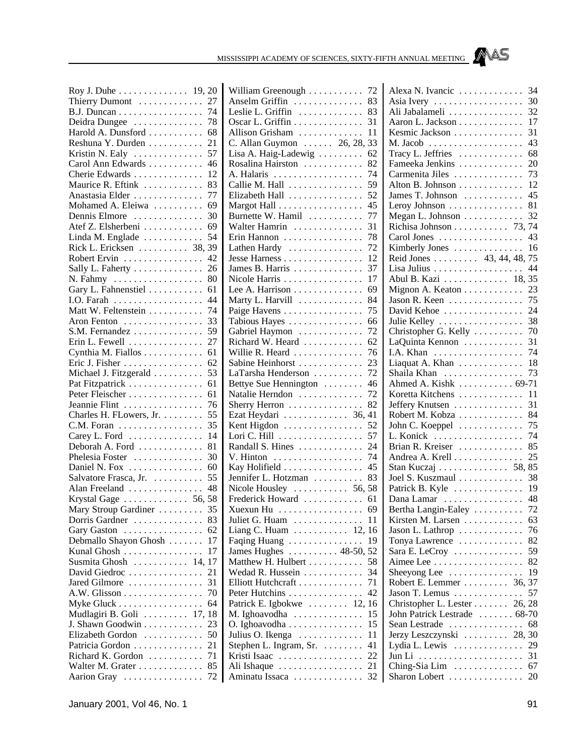

| Roy J. Duhe 19, 20      |          | Wil              |
|-------------------------|----------|------------------|
| Thierry Dumont          | 27       | Ans              |
| B.J. Duncan             | 74       | Les              |
| Deidra Dungee           | 78       | Osc              |
| Harold A. Dunsford      | 68       | Alli             |
| Reshuna Y. Durden       | 21       | C.               |
| Kristin N. Ealy         | 57       | Lisa             |
| Carol Ann Edwards       | 46       | Ros              |
|                         | 12       | A.               |
| Cherie Edwards          |          |                  |
| Maurice R. Eftink       | 83       | Cal              |
| Anastasia Elder         | 77       | Eliz             |
| Mohamed A. Eleiwa       | 69       | Mai              |
| Dennis Elmore           | 30       | Bur              |
| Atef Z. Elsherbeni      | 69       | Wa               |
| Linda M. Englade        | 54       | Erii             |
| Rick L. Ericksen 38, 39 |          | Latl             |
| Robert Ervin            | 42       | Jess             |
| Sally L. Faherty        | 26       | Jam              |
| N. Fahmy                | 80       | Nic              |
| Gary L. Fahnenstiel     | 61       | Lee              |
| I.O. Farah              | 44       | Mai              |
| Matt W. Feltenstein     | 74       | Paig             |
| Aron Fenton             | 33       | Tab              |
| S.M. Fernandez          | 59       | Gał              |
|                         |          |                  |
| Erin L. Fewell          | 27       | Ric              |
| Cynthia M. Fiallos      | 61       | Wil              |
| Eric J. Fisher          | 62       | Sab              |
| Michael J. Fitzgerald   | 53       | La I             |
| Pat Fitzpatrick         | 61       | Bet              |
| Peter Fleischer         | 61       | Nat              |
| Jeannie Flint           | 76       | She              |
| Charles H. FLowers, Jr. | 55       | Eza              |
| C.M. Foran              | 35       | Ker              |
| Carey L. Ford           | 14       | Lor              |
| Deborah A. Ford         | 81       | Ran              |
| Phelesia Foster         | 30       | V. I             |
| Daniel N. Fox           | 60       | Kay              |
| Salvatore Frasca, Jr.   | 55       | Jen              |
| Alan Freeland           | 48       | Nic              |
| Krystal Gage  56, 58    |          | Fre              |
| Mary Stroup Gardiner    | 35       | Xue              |
| Dorris Gardner          | 83       | Juli             |
| Gary Gaston             | 62       | Lia              |
| Debmallo Shayon Ghosh   | 17       | Faq              |
|                         |          |                  |
| Kunal Ghosh             | 17<br>17 | Jam              |
| Susmita Ghosh  14,      |          | Ma               |
| David Giedroc           | 21       | We               |
| Jared Gilmore           | 31       | Elli             |
| A.W. Glisson            | 70       | Pete             |
| Myke Gluck              | 64       | Patı             |
| Mudlagiri B. Goli  17,  | 18       | $M_{\odot}$      |
| J. Shawn Goodwin        | 23       | 0. I             |
| Elizabeth Gordon<br>.   | 50       | Juli             |
| Patricia Gordon         | 21       | Ste <sub>l</sub> |
| Richard K. Gordon       | 71       | Kri:             |
| Walter M. Grater        | 85       | Ali              |
| Aarion Gray  72         |          | Am               |

| William Greenough  72            |          |
|----------------------------------|----------|
| Anselm Griffin  83               |          |
| Leslie L. Griffin  83            |          |
| Oscar L. Griffin                 | 31       |
| Allison Grisham                  | 11       |
| C. Allan Guymon $\ldots$ 26, 28, | 33       |
| Lisa A. Haig-Ladewig             | 62       |
| Rosalina Hairston                | 82       |
|                                  | 74       |
| A. Halaris<br>Callie M. Hall     |          |
|                                  | 59       |
| Elizabeth Hall                   | 52       |
| Margot Hall                      | 45       |
| Burnette W. Hamil                | 77       |
| Walter Hamrin                    | 31       |
| Erin Hannon                      | 78       |
|                                  | 72       |
|                                  | 12       |
| James B. Harris                  | 37       |
| Nicole Harris                    | 17       |
| Lee A. Harrison                  | 69       |
| Marty L. Harvill                 | 84       |
| Paige Havens                     | 75       |
| Tabious Hayes                    | 66       |
|                                  | 72       |
| Gabriel Haymon                   |          |
| Richard W. Heard                 | 62       |
| Willie R. Heard                  | 76       |
| Sabine Heinhorst                 | 23       |
|                                  |          |
| LaTarsha Henderson               | 72       |
| Bettye Sue Hennington            | 46       |
| Natalie Herndon                  | 72       |
| Sherry Herron                    | 82       |
|                                  |          |
| Ezat Heydari  36, 41             | 52       |
| Kent Higdon                      |          |
| Lori C. Hill                     | 57       |
| Randall S. Hines                 | 24       |
| V. Hinton 74                     |          |
| Kay Holifield 45                 |          |
| Jennifer L. Hotzman  83          |          |
|                                  |          |
|                                  |          |
| Xuexun Hu                        | 69       |
| Juliet G. Huam                   | 11       |
| Liang C. Huam 12, 16             |          |
| Faqing Huang                     | 19       |
| James Hughes  48-50, 52          |          |
| Matthew H. Hulbert               | 58       |
| Wedad R. Hussein                 | 34       |
| Elliott Hutchcraft               | 71       |
|                                  | 42       |
| Peter Hutchins                   | 16       |
| Patrick E. Igbokwe  12,          |          |
| M. Ighoavodha                    | 15       |
| O. Ighoavodha                    | 15       |
| Julius O. Ikenga                 | 11       |
| Stephen L. Ingram, Sr.           | 41       |
| Kristi Isaac                     | 22       |
| Ali Ishaque<br>Aminatu Issaca    | 21<br>32 |

| Alexa N. Ivancic                                     | 34 |
|------------------------------------------------------|----|
| Asia Ivery                                           | 30 |
| Ali Jabalameli                                       | 32 |
| Aaron L. Jackson 17                                  |    |
| Kesmic Jackson                                       | 31 |
| M. Jacob $\dots\dots\dots\dots\dots\dots\dots$       | 43 |
| Tracy L. Jeffries $\dots \dots \dots \dots \dots$ 68 |    |
| Fameeka Jenkins  20                                  |    |
| Carmenita Jiles  73                                  |    |
| Alton B. Johnson 12                                  |    |
|                                                      |    |
| James T. Johnson $\dots \dots \dots \dots$ 45        |    |
| Leroy Johnson  81<br>Megan L. Johnson  32            |    |
| Richisa Johnson 73, 74                               |    |
|                                                      |    |
| Carol Jones  43                                      |    |
| Kimberly Jones  16                                   |    |
| Reid Jones  43, 44, 48, 75                           |    |
|                                                      | 44 |
| Abul B. Kazi 18, 35                                  |    |
| Mignon A. Keaton 23                                  |    |
| Jason R. Keen $\dots \dots \dots \dots \dots$ 75     |    |
| David Kehoe  24                                      |    |
|                                                      |    |
|                                                      |    |
|                                                      |    |
| I.A. Khan 74                                         |    |
| Liaquat A. Khan $\ldots \ldots \ldots \ldots$ 18     |    |
| Shaila Khan                                          | 73 |
| Ahmed A. Kishk  69-71                                |    |
| Koretta Kitchens  11                                 |    |
| Jeffery Knutsen  31                                  |    |
| Robert M. Kobza  84                                  |    |
| John C. Koeppel $\ldots \ldots \ldots \ldots$ 75     |    |
|                                                      |    |
| L. Konick<br>Brian R. Kreiser<br>Andrea A. Krell 25  |    |
|                                                      |    |
|                                                      |    |
| Stan Kuczaj  58, 85                                  |    |
| Joel S. Kuszmaul 38                                  |    |
| Patrick B. Kyle  19                                  |    |
| Dana Lamar<br>Bertha Langin-Ealey 72                 |    |
|                                                      |    |
| Kirsten M. Larsen                                    | 63 |
| Jason L. Lathrop $\dots \dots \dots$                 | 76 |
| Tonya Lawrence                                       | 82 |
| Sara E. Le $C$ roy $\ldots \ldots \ldots \ldots$     | 59 |
|                                                      | 82 |
| Sheeyong Lee                                         | 19 |
| Robert E. Lemmer 36, 37                              |    |
| Jason T. Lemus $\dots \dots \dots \dots$             | 57 |
| Christopher L. Lester<br>26, 28                      |    |
| John Patrick Lestrade  68-70                         |    |
| Sean Lestrade                                        | 68 |
| Jerzy Leszczynski  28, 30                            |    |
|                                                      |    |
| Lydia L. Lewis $\dots\dots\dots\dots\dots$           | 29 |
|                                                      | 31 |
| Ching-Sia Lim $\dots\dots\dots\dots$                 | 67 |
| Sharon Lobert $\dots \dots \dots \dots$              | 20 |

January 2001, Vol 46, No. 1 91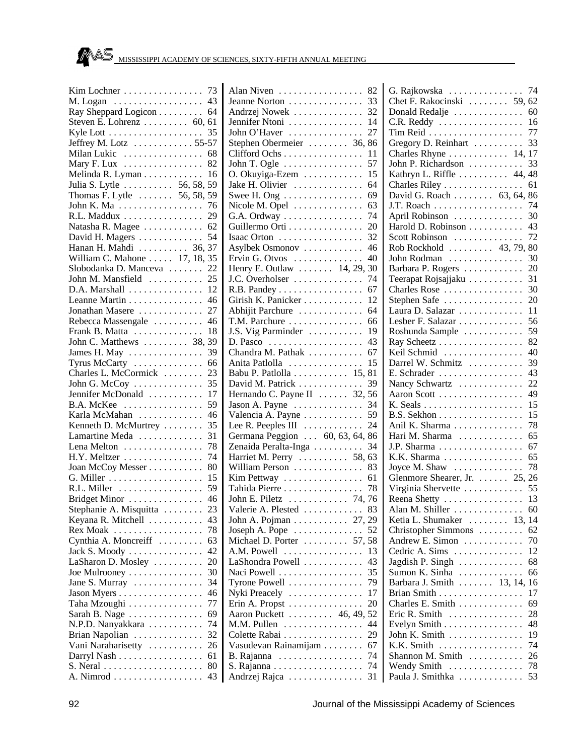| Kim Lochner 73                             | A              |
|--------------------------------------------|----------------|
| M. Logan 43                                | Je             |
| Ray Sheppard Logicon 64                    | $\overline{A}$ |
| Steven E. Lohrenz  60, 61                  | Je             |
| 35                                         | Jc             |
|                                            |                |
| Jeffrey M. Lotz 55-57                      | St             |
| Milan Lukic  68                            | $\overline{C}$ |
| Mary F. Lux<br>82                          | Jc             |
| Melinda R. Lyman<br>16                     | $\Omega$       |
| Julia S. Lytle 56, 58, 59                  | Ja             |
| Thomas F. Lytle $\ldots \ldots 56, 58, 59$ | S <sub>1</sub> |
| John K. Ma $\ldots$<br>76                  | N              |
| R.L. Maddux 29                             | G              |
| Natasha R. Magee  62                       | G              |
| 54<br>David H. Magers                      | Is             |
| Hanan H. Mahdi  36, 37                     | $\overline{A}$ |
| William C. Mahone 17, 18, 35               | E <sub>1</sub> |
|                                            | H              |
| Slobodanka D. Manceva<br>22                |                |
| John M. Mansfield<br>25                    | J.             |
| D.A. Marshall<br>12                        | R              |
| Leanne Martin<br>46                        | G              |
| Jonathan Masere<br>27                      | A              |
| Rebecca Massengale<br>46                   | T.             |
| Frank B. Matta<br>18                       | $J_{\cdot}$    |
| John C. Matthews  38, 39                   | D              |
| James H. May<br>39                         | $\overline{C}$ |
| Tyrus McCarty<br>66                        | A              |
| Charles L. McCormick<br>23                 | B.             |
| John G. McCoy<br>35                        | D              |
| Jennifer McDonald<br>17                    | H              |
| 59                                         | Ja             |
| B.A. McKee                                 |                |
| Karla McMahan<br>46                        | V              |
| Kenneth D. McMurtrey<br>35                 | L٥             |
| 31<br>Lamartine Meda                       | G              |
| Lena Melton<br>78                          | Z٨             |
| H.Y. Meltzer<br>74                         | Н              |
| Joan McCoy Messer<br>80                    | W              |
| 15                                         | K              |
| R.L. Miller<br>59                          | T              |
| Bridget Minor<br>46                        | Jc             |
| Stephanie A. Misquitta<br>23               | V              |
| Keyana R. Mitchell<br>43                   | Jc             |
| Rex Moak<br>78<br>.                        | Jc             |
| Cynthia A. Moncreiff<br>63                 | M              |
| 42<br>Jack S. Moody                        | A              |
| 20                                         | L              |
| LaSharon D. Mosley                         |                |
| Joe Mulrooney<br>30                        | N              |
| 34<br>Jane S. Murray                       | Т١             |
| 46<br>Jason Myers                          | N              |
| 77<br>Taha Mzoughi                         | Eı             |
| Sarah B. Nage<br>69                        | A              |
| 74<br>N.P.D. Nanyakkara                    | M              |
| 32<br>Brian Napolian<br>.                  | C              |
| 26<br>Vani Naraharisetty                   | V              |
| 61<br>Darryl Nash                          | В              |
| 80                                         | S.             |
| 43<br>A. Nimrod                            | A              |
|                                            |                |

| Alan Niven 82                                                             |          |
|---------------------------------------------------------------------------|----------|
| Jeanne Norton  33                                                         |          |
| Andrzej Nowek  32                                                         |          |
| Jennifer Ntoni  14                                                        |          |
| John O'Haver $\dots\dots\dots\dots\dots$                                  | 27       |
| Stephen Obermeier $\ldots$ 36, 86                                         |          |
| Clifford Ochs                                                             | 11       |
| John T. Ogle $\dots \dots \dots \dots \dots$                              | 57       |
| O. Okuyiga-Ezem $\dots \dots \dots \dots$ 15                              |          |
| Jake H. Olivier  64                                                       |          |
| Swee H. Ong  69                                                           |          |
| Nicole M. Opel $\dots\dots\dots\dots$                                     | 63       |
| G.A. Ordway                                                               | 74       |
| Guillermo Orti                                                            | 20       |
| Isaac Orton $\ldots \ldots \ldots \ldots \ldots$ 32                       |          |
| Asylbek Osmonov  46                                                       |          |
| Ervin G. Otvos $\dots \dots \dots \dots$                                  | 40       |
| Henry E. Outlaw $\ldots \ldots$ 14, 29, 30                                |          |
| J.C. Overholser $\dots \dots \dots \dots$                                 | 74       |
|                                                                           | 67       |
| Girish K. Panicker 12                                                     |          |
| Abhijit Parchure  64                                                      |          |
|                                                                           |          |
|                                                                           |          |
| D. Pasco 43                                                               |          |
| Chandra M. Pathak  67                                                     |          |
| Anita Patlolla  15                                                        |          |
| Babu P. Patlolla 15, 81                                                   |          |
| David M. Patrick                                                          | 39       |
|                                                                           |          |
| Hernando C. Payne II $\ldots$ 32, 56                                      |          |
| Jason A. Payne $\ldots \ldots \ldots \ldots$ 34                           |          |
| Valencia A. Payne 59                                                      |          |
|                                                                           |          |
| Lee R. Peeples III  24<br>Germana Peggion  60, 63, 64, 86                 |          |
|                                                                           |          |
|                                                                           |          |
| William Person  83                                                        |          |
| Kim Pettway $\ldots \ldots \ldots \ldots \ldots$ 61                       |          |
|                                                                           |          |
| Tahida Pierre 78<br>John E. Piletz 74, 76                                 |          |
|                                                                           |          |
| Valerie A. Plested  83<br>John A. Pojman 27, 29                           |          |
| Joseph A. Pope $\dots \dots \dots$                                        | 52       |
| Michael D. Porter<br>57, 58                                               |          |
| A.M. Powell<br>.                                                          | 13       |
| LaShondra Powell                                                          | 43       |
|                                                                           | 35       |
|                                                                           | 79       |
| Naci Powell<br>Tyrone Powell $\dots\dots\dots\dots\dots$<br>Nyki Preacely | 17       |
| Erin A. Propst $\dots\dots\dots\dots\dots$                                | 20       |
| Aaron Puckett 46, 49,                                                     | 52       |
| $M.M.$ Pullen $\ldots \ldots \ldots \ldots \ldots$                        | 44       |
| Colette Rabai                                                             | 29       |
| Vasudevan Rainamijam                                                      | 67       |
| B. Rajanna                                                                | 74       |
| Andrzej Rajca                                                             | 74<br>31 |

| Donald Redalje                                  | 60 |
|-------------------------------------------------|----|
| C.R. Reddy                                      | 16 |
|                                                 | 77 |
| Gregory D. Reinhart                             | 33 |
|                                                 |    |
| Charles Rhyne  14, 17<br>John P. Richardson  33 |    |
|                                                 |    |
| Kathryn L. Riffle  44, 48                       |    |
| Charles Riley                                   | 61 |
| David G. Roach 63, 64, 86                       |    |
|                                                 | 74 |
| April Robinson                                  | 30 |
| Harold D. Robinson                              | 43 |
|                                                 | 72 |
| Scott Robinson<br>Rob Rockhold  43, 79,         | 80 |
| John Rodman                                     | 30 |
| Barbara P. Rogers                               | 20 |
|                                                 | 31 |
| Teerapat Rojsajjaku                             |    |
| Charles Rose                                    | 30 |
| Stephen Safe                                    | 20 |
| Laura D. Salazar                                | 11 |
| Lesber F. Salazar                               | 56 |
| Roshunda Sample                                 | 59 |
| Ray Scheetz                                     | 82 |
| Keil Schmid                                     | 40 |
| Darrel W. Schmitz                               | 39 |
| E. Schrader                                     | 43 |
| Nancy Schwartz                                  | 22 |
| Aaron Scott                                     | 49 |
|                                                 |    |
|                                                 | 15 |
| B.S. Sekhon                                     | 15 |
| Anil K. Sharma                                  | 78 |
| Hari M. Sharma                                  | 65 |
| J.P. Sharma                                     | 67 |
| K.K. Sharma                                     | 65 |
| Joyce M. Shaw                                   | 78 |
| Glenmore Shearer, Jr.  25,                      | 26 |
| Virginia Shervette                              | 55 |
| Reena Shetty                                    | 13 |
| Alan M. Shiller                                 | 60 |
| Ketia L. Shumaker<br>13,                        | 14 |
|                                                 |    |
| Christopher Simmons                             | 62 |
| Andrew E. Simon                                 | 70 |
| Cedric A. Sims                                  | 12 |
| Jagdish P. Singh $\dots \dots \dots$            | 68 |
| Sumon K. Sinha<br>.                             | 66 |
| 13, 14,<br>Barbara J. Smith                     | 16 |
| Brian Smith                                     | 17 |
| Charles E. Smith                                | 69 |
| Eric R. Smith                                   | 28 |
| Evelyn Smith                                    | 48 |
| John K. Smith $\dots \dots \dots$               | 19 |
| K.K. Smith                                      | 74 |
| .                                               |    |
| Shannon M. Smith                                | 26 |
| Wendy Smith<br>.                                | 78 |
| Paula J. Smithka                                | 53 |
|                                                 |    |